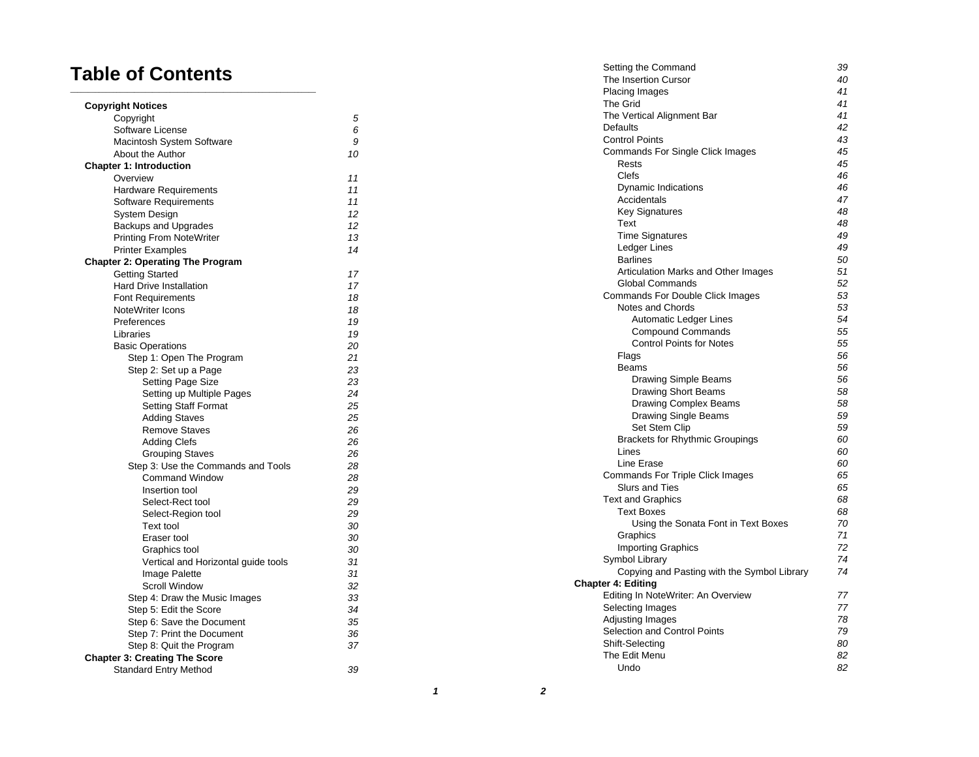# **Table of Contents**

| <b>Copyright Notices</b>                |    |
|-----------------------------------------|----|
| Copyright                               | 5  |
| Software License                        | 6  |
| Macintosh System Software               | 9  |
| About the Author                        | 10 |
| <b>Chapter 1: Introduction</b>          |    |
| Overview                                | 11 |
| Hardware Requirements                   | 11 |
| Software Requirements                   | 11 |
| System Design                           | 12 |
| <b>Backups and Upgrades</b>             | 12 |
| <b>Printing From NoteWriter</b>         | 13 |
| <b>Printer Examples</b>                 | 14 |
| <b>Chapter 2: Operating The Program</b> |    |
| <b>Getting Started</b>                  | 17 |
| <b>Hard Drive Installation</b>          | 17 |
| <b>Font Requirements</b>                | 18 |
| NoteWriter Icons                        | 18 |
| Preferences                             | 19 |
| Libraries                               | 19 |
| <b>Basic Operations</b>                 | 20 |
| Step 1: Open The Program                | 21 |
| Step 2: Set up a Page                   | 23 |
| Setting Page Size                       | 23 |
| Setting up Multiple Pages               | 24 |
| <b>Setting Staff Format</b>             | 25 |
| <b>Adding Staves</b>                    | 25 |
| <b>Remove Staves</b>                    | 26 |
| <b>Adding Clefs</b>                     | 26 |
| <b>Grouping Staves</b>                  | 26 |
| Step 3: Use the Commands and Tools      | 28 |
| <b>Command Window</b>                   | 28 |
| Insertion tool                          | 29 |
| Select-Rect tool                        | 29 |
| Select-Region tool                      | 29 |
| Text tool                               | 30 |
| Eraser tool                             | 30 |
| Graphics tool                           | 30 |
| Vertical and Horizontal guide tools     | 31 |
| Image Palette                           | 31 |
| <b>Scroll Window</b>                    | 32 |
| Step 4: Draw the Music Images           | 33 |
| Step 5: Edit the Score                  | 34 |
| Step 6: Save the Document               | 35 |
| Step 7: Print the Document              | 36 |
| Step 8: Quit the Program                | 37 |
| <b>Chapter 3: Creating The Score</b>    |    |
| <b>Standard Entry Method</b>            | 39 |
|                                         |    |

| The Insertion Cursor<br>Placing Images<br><b>The Grid</b><br>The Vertical Alignment Bar<br><b>Defaults</b><br><b>Control Points</b><br>Commands For Single Click Images<br>Rests<br>Clefs<br><b>Dynamic Indications</b><br>Accidentals<br><b>Key Signatures</b><br>Text<br><b>Time Signatures</b><br>Ledger Lines<br><b>Barlines</b><br>Articulation Marks and Other Images<br>Global Commands<br><b>Commands For Double Click Images</b><br>Notes and Chords<br><b>Automatic Ledger Lines</b><br><b>Compound Commands</b><br><b>Control Points for Notes</b><br>Flags<br><b>Beams</b><br>Drawing Simple Beams<br>Drawing Short Beams<br><b>Drawing Complex Beams</b><br><b>Drawing Single Beams</b><br><b>Set Stem Clip</b><br><b>Brackets for Rhythmic Groupings</b><br>Lines<br>Line Erase<br><b>Commands For Triple Click Images</b><br><b>Slurs and Ties</b><br><b>Text and Graphics</b><br><b>Text Boxes</b><br>Using the Sonata Font in Text Boxes<br>Graphics | 40<br>41<br>41<br>41<br>42<br>43<br>45<br>45<br>46<br>46<br>47<br>48<br>48<br>49<br>49<br>50<br>51<br>52<br>53<br>53<br>54<br>55<br>55<br>56<br>56<br>56 |
|-----------------------------------------------------------------------------------------------------------------------------------------------------------------------------------------------------------------------------------------------------------------------------------------------------------------------------------------------------------------------------------------------------------------------------------------------------------------------------------------------------------------------------------------------------------------------------------------------------------------------------------------------------------------------------------------------------------------------------------------------------------------------------------------------------------------------------------------------------------------------------------------------------------------------------------------------------------------------|----------------------------------------------------------------------------------------------------------------------------------------------------------|
|                                                                                                                                                                                                                                                                                                                                                                                                                                                                                                                                                                                                                                                                                                                                                                                                                                                                                                                                                                       |                                                                                                                                                          |
|                                                                                                                                                                                                                                                                                                                                                                                                                                                                                                                                                                                                                                                                                                                                                                                                                                                                                                                                                                       |                                                                                                                                                          |
|                                                                                                                                                                                                                                                                                                                                                                                                                                                                                                                                                                                                                                                                                                                                                                                                                                                                                                                                                                       |                                                                                                                                                          |
|                                                                                                                                                                                                                                                                                                                                                                                                                                                                                                                                                                                                                                                                                                                                                                                                                                                                                                                                                                       |                                                                                                                                                          |
|                                                                                                                                                                                                                                                                                                                                                                                                                                                                                                                                                                                                                                                                                                                                                                                                                                                                                                                                                                       |                                                                                                                                                          |
|                                                                                                                                                                                                                                                                                                                                                                                                                                                                                                                                                                                                                                                                                                                                                                                                                                                                                                                                                                       |                                                                                                                                                          |
|                                                                                                                                                                                                                                                                                                                                                                                                                                                                                                                                                                                                                                                                                                                                                                                                                                                                                                                                                                       |                                                                                                                                                          |
|                                                                                                                                                                                                                                                                                                                                                                                                                                                                                                                                                                                                                                                                                                                                                                                                                                                                                                                                                                       |                                                                                                                                                          |
|                                                                                                                                                                                                                                                                                                                                                                                                                                                                                                                                                                                                                                                                                                                                                                                                                                                                                                                                                                       |                                                                                                                                                          |
|                                                                                                                                                                                                                                                                                                                                                                                                                                                                                                                                                                                                                                                                                                                                                                                                                                                                                                                                                                       |                                                                                                                                                          |
|                                                                                                                                                                                                                                                                                                                                                                                                                                                                                                                                                                                                                                                                                                                                                                                                                                                                                                                                                                       |                                                                                                                                                          |
|                                                                                                                                                                                                                                                                                                                                                                                                                                                                                                                                                                                                                                                                                                                                                                                                                                                                                                                                                                       |                                                                                                                                                          |
|                                                                                                                                                                                                                                                                                                                                                                                                                                                                                                                                                                                                                                                                                                                                                                                                                                                                                                                                                                       |                                                                                                                                                          |
|                                                                                                                                                                                                                                                                                                                                                                                                                                                                                                                                                                                                                                                                                                                                                                                                                                                                                                                                                                       |                                                                                                                                                          |
|                                                                                                                                                                                                                                                                                                                                                                                                                                                                                                                                                                                                                                                                                                                                                                                                                                                                                                                                                                       |                                                                                                                                                          |
|                                                                                                                                                                                                                                                                                                                                                                                                                                                                                                                                                                                                                                                                                                                                                                                                                                                                                                                                                                       |                                                                                                                                                          |
|                                                                                                                                                                                                                                                                                                                                                                                                                                                                                                                                                                                                                                                                                                                                                                                                                                                                                                                                                                       |                                                                                                                                                          |
|                                                                                                                                                                                                                                                                                                                                                                                                                                                                                                                                                                                                                                                                                                                                                                                                                                                                                                                                                                       |                                                                                                                                                          |
|                                                                                                                                                                                                                                                                                                                                                                                                                                                                                                                                                                                                                                                                                                                                                                                                                                                                                                                                                                       |                                                                                                                                                          |
|                                                                                                                                                                                                                                                                                                                                                                                                                                                                                                                                                                                                                                                                                                                                                                                                                                                                                                                                                                       |                                                                                                                                                          |
|                                                                                                                                                                                                                                                                                                                                                                                                                                                                                                                                                                                                                                                                                                                                                                                                                                                                                                                                                                       |                                                                                                                                                          |
|                                                                                                                                                                                                                                                                                                                                                                                                                                                                                                                                                                                                                                                                                                                                                                                                                                                                                                                                                                       |                                                                                                                                                          |
|                                                                                                                                                                                                                                                                                                                                                                                                                                                                                                                                                                                                                                                                                                                                                                                                                                                                                                                                                                       |                                                                                                                                                          |
|                                                                                                                                                                                                                                                                                                                                                                                                                                                                                                                                                                                                                                                                                                                                                                                                                                                                                                                                                                       |                                                                                                                                                          |
|                                                                                                                                                                                                                                                                                                                                                                                                                                                                                                                                                                                                                                                                                                                                                                                                                                                                                                                                                                       |                                                                                                                                                          |
|                                                                                                                                                                                                                                                                                                                                                                                                                                                                                                                                                                                                                                                                                                                                                                                                                                                                                                                                                                       |                                                                                                                                                          |
|                                                                                                                                                                                                                                                                                                                                                                                                                                                                                                                                                                                                                                                                                                                                                                                                                                                                                                                                                                       | 58                                                                                                                                                       |
|                                                                                                                                                                                                                                                                                                                                                                                                                                                                                                                                                                                                                                                                                                                                                                                                                                                                                                                                                                       | 58                                                                                                                                                       |
|                                                                                                                                                                                                                                                                                                                                                                                                                                                                                                                                                                                                                                                                                                                                                                                                                                                                                                                                                                       | 59                                                                                                                                                       |
|                                                                                                                                                                                                                                                                                                                                                                                                                                                                                                                                                                                                                                                                                                                                                                                                                                                                                                                                                                       | 59                                                                                                                                                       |
|                                                                                                                                                                                                                                                                                                                                                                                                                                                                                                                                                                                                                                                                                                                                                                                                                                                                                                                                                                       | 60                                                                                                                                                       |
|                                                                                                                                                                                                                                                                                                                                                                                                                                                                                                                                                                                                                                                                                                                                                                                                                                                                                                                                                                       | 60                                                                                                                                                       |
|                                                                                                                                                                                                                                                                                                                                                                                                                                                                                                                                                                                                                                                                                                                                                                                                                                                                                                                                                                       | 60                                                                                                                                                       |
|                                                                                                                                                                                                                                                                                                                                                                                                                                                                                                                                                                                                                                                                                                                                                                                                                                                                                                                                                                       | 65                                                                                                                                                       |
|                                                                                                                                                                                                                                                                                                                                                                                                                                                                                                                                                                                                                                                                                                                                                                                                                                                                                                                                                                       | 65                                                                                                                                                       |
|                                                                                                                                                                                                                                                                                                                                                                                                                                                                                                                                                                                                                                                                                                                                                                                                                                                                                                                                                                       | 68                                                                                                                                                       |
|                                                                                                                                                                                                                                                                                                                                                                                                                                                                                                                                                                                                                                                                                                                                                                                                                                                                                                                                                                       | 68                                                                                                                                                       |
|                                                                                                                                                                                                                                                                                                                                                                                                                                                                                                                                                                                                                                                                                                                                                                                                                                                                                                                                                                       | 70                                                                                                                                                       |
|                                                                                                                                                                                                                                                                                                                                                                                                                                                                                                                                                                                                                                                                                                                                                                                                                                                                                                                                                                       | 71                                                                                                                                                       |
| <b>Importing Graphics</b>                                                                                                                                                                                                                                                                                                                                                                                                                                                                                                                                                                                                                                                                                                                                                                                                                                                                                                                                             | 72                                                                                                                                                       |
| Symbol Library                                                                                                                                                                                                                                                                                                                                                                                                                                                                                                                                                                                                                                                                                                                                                                                                                                                                                                                                                        | 74                                                                                                                                                       |
| Copying and Pasting with the Symbol Library                                                                                                                                                                                                                                                                                                                                                                                                                                                                                                                                                                                                                                                                                                                                                                                                                                                                                                                           | 74                                                                                                                                                       |
| <b>Chapter 4: Editing</b>                                                                                                                                                                                                                                                                                                                                                                                                                                                                                                                                                                                                                                                                                                                                                                                                                                                                                                                                             |                                                                                                                                                          |
| Editing In NoteWriter: An Overview                                                                                                                                                                                                                                                                                                                                                                                                                                                                                                                                                                                                                                                                                                                                                                                                                                                                                                                                    | 77                                                                                                                                                       |
| Selecting Images                                                                                                                                                                                                                                                                                                                                                                                                                                                                                                                                                                                                                                                                                                                                                                                                                                                                                                                                                      | 77                                                                                                                                                       |
| Adjusting Images                                                                                                                                                                                                                                                                                                                                                                                                                                                                                                                                                                                                                                                                                                                                                                                                                                                                                                                                                      | 78                                                                                                                                                       |
| Selection and Control Points                                                                                                                                                                                                                                                                                                                                                                                                                                                                                                                                                                                                                                                                                                                                                                                                                                                                                                                                          | 79                                                                                                                                                       |
| Shift-Selecting                                                                                                                                                                                                                                                                                                                                                                                                                                                                                                                                                                                                                                                                                                                                                                                                                                                                                                                                                       |                                                                                                                                                          |
| The Edit Menu                                                                                                                                                                                                                                                                                                                                                                                                                                                                                                                                                                                                                                                                                                                                                                                                                                                                                                                                                         | 80                                                                                                                                                       |
| Undo                                                                                                                                                                                                                                                                                                                                                                                                                                                                                                                                                                                                                                                                                                                                                                                                                                                                                                                                                                  | 82<br>82                                                                                                                                                 |

 **1**

**2**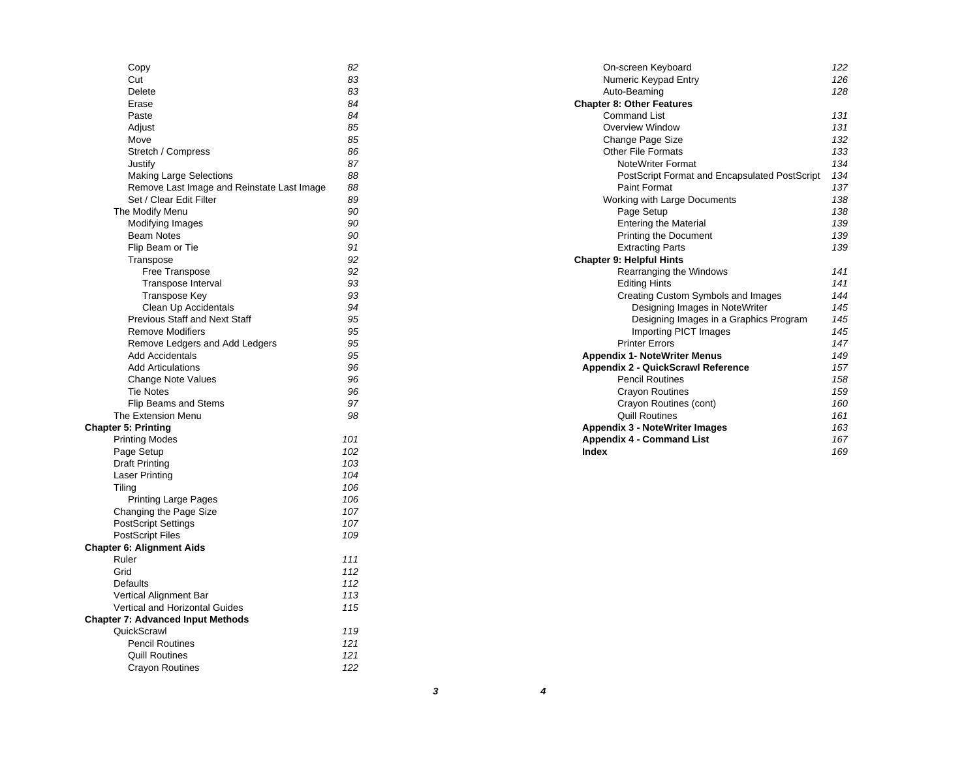| Copy                                       | 82  |
|--------------------------------------------|-----|
| Cut                                        | 83  |
| Delete                                     | 83  |
| Erase                                      | 84  |
| Paste                                      | 84  |
| Adjust                                     | 85  |
| Move                                       | 85  |
| Stretch / Compress                         | 86  |
| Justify                                    | 87  |
| <b>Making Large Selections</b>             | 88  |
| Remove Last Image and Reinstate Last Image | 88  |
| Set / Clear Edit Filter                    | 89  |
| The Modify Menu                            | 90  |
| Modifying Images                           | 90  |
| <b>Beam Notes</b>                          | 90  |
| Flip Beam or Tie                           | 91  |
| Transpose                                  | 92  |
| Free Transpose                             | 92  |
| <b>Transpose Interval</b>                  | 93  |
| <b>Transpose Key</b>                       | 93  |
| Clean Up Accidentals                       | 94  |
| <b>Previous Staff and Next Staff</b>       | 95  |
| <b>Remove Modifiers</b>                    | 95  |
|                                            | 95  |
| Remove Ledgers and Add Ledgers             |     |
| Add Accidentals                            | 95  |
| <b>Add Articulations</b>                   | 96  |
| Change Note Values                         | 96  |
| <b>Tie Notes</b>                           | 96  |
| <b>Flip Beams and Stems</b>                | 97  |
| The Extension Menu                         | 98  |
| <b>Chapter 5: Printing</b>                 |     |
| <b>Printing Modes</b>                      | 101 |
| Page Setup                                 | 102 |
| <b>Draft Printing</b>                      | 103 |
| <b>Laser Printing</b>                      | 104 |
| Tiling                                     | 106 |
| <b>Printing Large Pages</b>                | 106 |
| Changing the Page Size                     | 107 |
| <b>PostScript Settings</b>                 | 107 |
| <b>PostScript Files</b>                    | 109 |
| <b>Chapter 6: Alignment Aids</b>           |     |
| Ruler                                      | 111 |
| Grid                                       | 112 |
| <b>Defaults</b>                            | 112 |
| Vertical Alignment Bar                     | 113 |
| Vertical and Horizontal Guides             | 115 |
| <b>Chapter 7: Advanced Input Methods</b>   |     |
| QuickScrawl                                | 119 |
| <b>Pencil Routines</b>                     | 121 |
| <b>Quill Routines</b>                      | 121 |
| <b>Crayon Routines</b>                     | 122 |
|                                            |     |

| On-screen Keyboard                            | 122 |
|-----------------------------------------------|-----|
| Numeric Keypad Entry                          | 126 |
| Auto-Beaming                                  | 128 |
| <b>Chapter 8: Other Features</b>              |     |
| <b>Command List</b>                           | 131 |
| Overview Window                               | 131 |
| Change Page Size                              | 132 |
| Other File Formats                            | 133 |
| <b>NoteWriter Format</b>                      | 134 |
| PostScript Format and Encapsulated PostScript | 134 |
| Paint Format                                  | 137 |
| Working with Large Documents                  | 138 |
| Page Setup                                    | 138 |
| <b>Entering the Material</b>                  | 139 |
| <b>Printing the Document</b>                  | 139 |
| <b>Extracting Parts</b>                       | 139 |
| <b>Chapter 9: Helpful Hints</b>               |     |
| Rearranging the Windows                       | 141 |
| <b>Editing Hints</b>                          | 141 |
| Creating Custom Symbols and Images            | 144 |
| Designing Images in NoteWriter                | 145 |
| Designing Images in a Graphics Program        | 145 |
| Importing PICT Images                         | 145 |
| <b>Printer Frrors</b>                         | 147 |
| <b>Appendix 1- NoteWriter Menus</b>           | 149 |
| <b>Appendix 2 - QuickScrawl Reference</b>     | 157 |
| <b>Pencil Routines</b>                        | 158 |
| <b>Crayon Routines</b>                        | 159 |
| Crayon Routines (cont)                        | 160 |
| <b>Quill Routines</b>                         | 161 |
| <b>Appendix 3 - NoteWriter Images</b>         | 163 |
| <b>Appendix 4 - Command List</b>              | 167 |
| Index                                         | 169 |

 **3 4**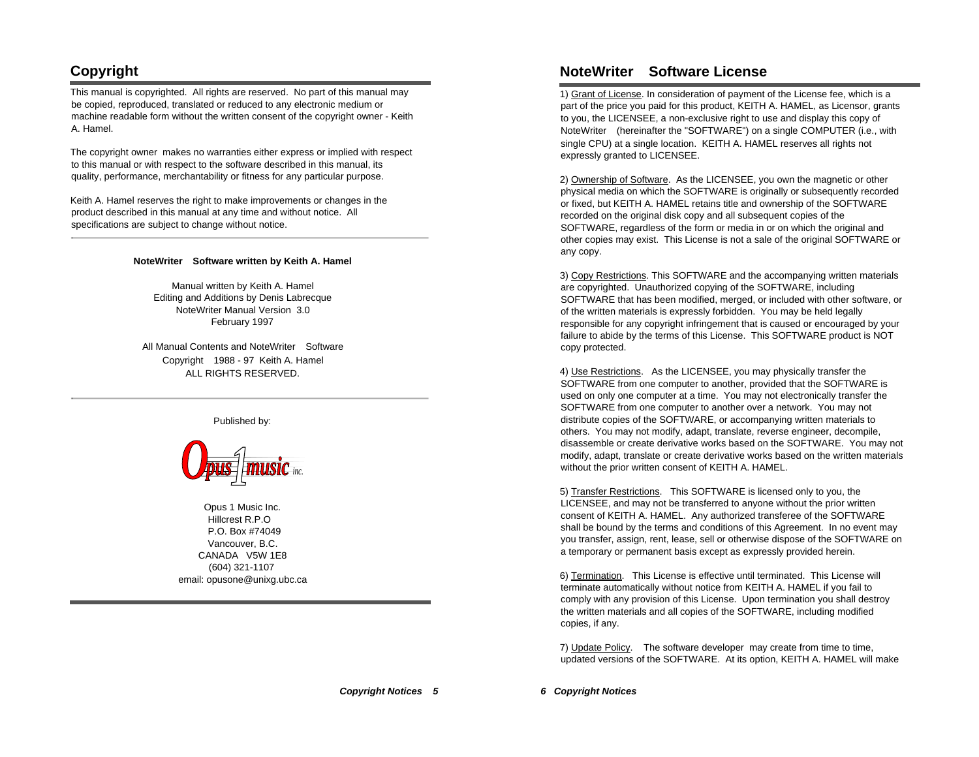# **Copyright**

This manual is copyrighted. All rights are reserved. No part of this manual may be copied, reproduced, translated or reduced to any electronic medium or machine readable form without the written consent of the copyright owner - Keith A. Hamel.

The copyright owner makes no warranties either express or implied with respect to this manual or with respect to the software described in this manual, its quality, performance, merchantability or fitness for any particular purpose.

Keith A. Hamel reserves the right to make improvements or changes in the product described in this manual at any time and without notice. All specifications are subject to change without notice.

#### **NoteWriter Software written by Keith A. Hamel**

Manual written by Keith A. Hamel Editing and Additions by Denis Labrecque NoteWriter Manual Version 3.0 February 1997

All Manual Contents and NoteWriter<sup>™</sup> Software Copyright ©1988 - 97 Keith A. Hamel ALL RIGHTS RESERVED.

Published by:



Opus 1 Music Inc. Hillcrest R.P.O P.O. Box #74049 Vancouver, B.C. CANADA V5W 1E8 (604) 321-1107 email: opusone@unixg.ubc.ca

### **NoteWriter Software License**

1) Grant of License. In consideration of payment of the License fee, which is a part of the price you paid for this product, KEITH A. HAMEL, as Licensor, grants to you, the LICENSEE, a non-exclusive right to use and display this copy of NoteWriter<sup>™</sup> (hereinafter the "SOFTWARE") on a single COMPUTER (i.e., with single CPU) at a single location. KEITH A. HAMEL reserves all rights not expressly granted to LICENSEE.

2) Ownership of Software. As the LICENSEE, you own the magnetic or other physical media on which the SOFTWARE is originally or subsequently recorded or fixed, but KEITH A. HAMEL retains title and ownership of the SOFTWARE recorded on the original disk copy and all subsequent copies of the SOFTWARE, regardless of the form or media in or on which the original and other copies may exist. This License is not a sale of the original SOFTWARE or any copy.

3) Copy Restrictions. This SOFTWARE and the accompanying written materials are copyrighted. Unauthorized copying of the SOFTWARE, including SOFTWARE that has been modified, merged, or included with other software, or of the written materials is expressly forbidden. You may be held legally responsible for any copyright infringement that is caused or encouraged by your failure to abide by the terms of this License. This SOFTWARE product is NOT copy protected.

4) Use Restrictions. As the LICENSEE, you may physically transfer the SOFTWARE from one computer to another, provided that the SOFTWARE is used on only one computer at a time. You may not electronically transfer the SOFTWARE from one computer to another over a network. You may not distribute copies of the SOFTWARE, or accompanying written materials to others. You may not modify, adapt, translate, reverse engineer, decompile, disassemble or create derivative works based on the SOFTWARE. You may not modify, adapt, translate or create derivative works based on the written materials without the prior written consent of KEITH A. HAMEL.

5) Transfer Restrictions. This SOFTWARE is licensed only to you, the LICENSEE, and may not be transferred to anyone without the prior written consent of KEITH A. HAMEL. Any authorized transferee of the SOFTWARE shall be bound by the terms and conditions of this Agreement. In no event may you transfer, assign, rent, lease, sell or otherwise dispose of the SOFTWARE on a temporary or permanent basis except as expressly provided herein.

6) Termination. This License is effective until terminated. This License will terminate automatically without notice from KEITH A. HAMEL if you fail to comply with any provision of this License. Upon termination you shall destroy the written materials and all copies of the SOFTWARE, including modified copies, if any.

7) Update Policy. The software developer may create from time to time, updated versions of the SOFTWARE. At its option, KEITH A. HAMEL will make

**Copyright Notices 5**

**6 Copyright Notices**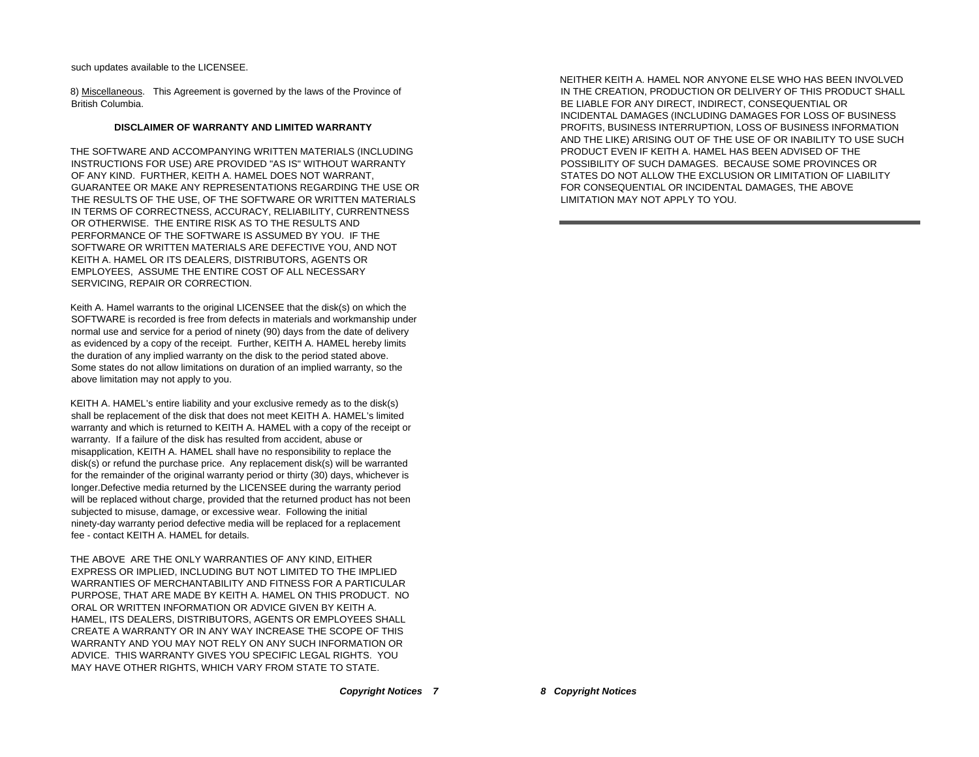such updates available to the LICENSEE.

8) Miscellaneous. This Agreement is governed by the laws of the Province of British Columbia.

#### **DISCLAIMER OF WARRANTY AND LIMITED WARRANTY**

THE SOFTWARE AND ACCOMPANYING WRITTEN MATERIALS (INCLUDING INSTRUCTIONS FOR USE) ARE PROVIDED "AS IS" WITHOUT WARRANTY OF ANY KIND. FURTHER, KEITH A. HAMEL DOES NOT WARRANT, GUARANTEE OR MAKE ANY REPRESENTATIONS REGARDING THE USE OR THE RESULTS OF THE USE, OF THE SOFTWARE OR WRITTEN MATERIALS IN TERMS OF CORRECTNESS, ACCURACY, RELIABILITY, CURRENTNESS OR OTHERWISE. THE ENTIRE RISK AS TO THE RESULTS AND PERFORMANCE OF THE SOFTWARE IS ASSUMED BY YOU. IF THE SOFTWARE OR WRITTEN MATERIALS ARE DEFECTIVE YOU, AND NOT KEITH A. HAMEL OR ITS DEALERS, DISTRIBUTORS, AGENTS OR EMPLOYEES, ASSUME THE ENTIRE COST OF ALL NECESSARY SERVICING, REPAIR OR CORRECTION.

Keith A. Hamel warrants to the original LICENSEE that the disk(s) on which the SOFTWARE is recorded is free from defects in materials and workmanship under normal use and service for a period of ninety (90) days from the date of delivery as evidenced by a copy of the receipt. Further, KEITH A. HAMEL hereby limits the duration of any implied warranty on the disk to the period stated above. Some states do not allow limitations on duration of an implied warranty, so the above limitation may not apply to you.

KEITH A. HAMEL's entire liability and your exclusive remedy as to the disk(s) shall be replacement of the disk that does not meet KEITH A. HAMEL's limited warranty and which is returned to KEITH A. HAMEL with a copy of the receipt or warranty. If a failure of the disk has resulted from accident, abuse or misapplication, KEITH A. HAMEL shall have no responsibility to replace the disk(s) or refund the purchase price. Any replacement disk(s) will be warranted for the remainder of the original warranty period or thirty (30) days, whichever is longer.Defective media returned by the LICENSEE during the warranty period will be replaced without charge, provided that the returned product has not been subjected to misuse, damage, or excessive wear. Following the initial ninety-day warranty period defective media will be replaced for a replacement fee - contact KEITH A. HAMEL for details.

THE ABOVE ARE THE ONLY WARRANTIES OF ANY KIND, EITHER EXPRESS OR IMPLIED, INCLUDING BUT NOT LIMITED TO THE IMPLIED WARRANTIES OF MERCHANTABILITY AND FITNESS FOR A PARTICULAR PURPOSE, THAT ARE MADE BY KEITH A. HAMEL ON THIS PRODUCT. NO ORAL OR WRITTEN INFORMATION OR ADVICE GIVEN BY KEITH A. HAMEL, ITS DEALERS, DISTRIBUTORS, AGENTS OR EMPLOYEES SHALL CREATE A WARRANTY OR IN ANY WAY INCREASE THE SCOPE OF THIS WARRANTY AND YOU MAY NOT RELY ON ANY SUCH INFORMATION OR ADVICE. THIS WARRANTY GIVES YOU SPECIFIC LEGAL RIGHTS. YOU MAY HAVE OTHER RIGHTS, WHICH VARY FROM STATE TO STATE.

NEITHER KEITH A. HAMEL NOR ANYONE ELSE WHO HAS BEEN INVOLVED IN THE CREATION, PRODUCTION OR DELIVERY OF THIS PRODUCT SHALL BE LIABLE FOR ANY DIRECT, INDIRECT, CONSEQUENTIAL OR INCIDENTAL DAMAGES (INCLUDING DAMAGES FOR LOSS OF BUSINESS PROFITS, BUSINESS INTERRUPTION, LOSS OF BUSINESS INFORMATION AND THE LIKE) ARISING OUT OF THE USE OF OR INABILITY TO USE SUCH PRODUCT EVEN IF KEITH A. HAMEL HAS BEEN ADVISED OF THE POSSIBILITY OF SUCH DAMAGES. BECAUSE SOME PROVINCES OR STATES DO NOT ALLOW THE EXCLUSION OR LIMITATION OF LIABILITY FOR CONSEQUENTIAL OR INCIDENTAL DAMAGES, THE ABOVE LIMITATION MAY NOT APPLY TO YOU.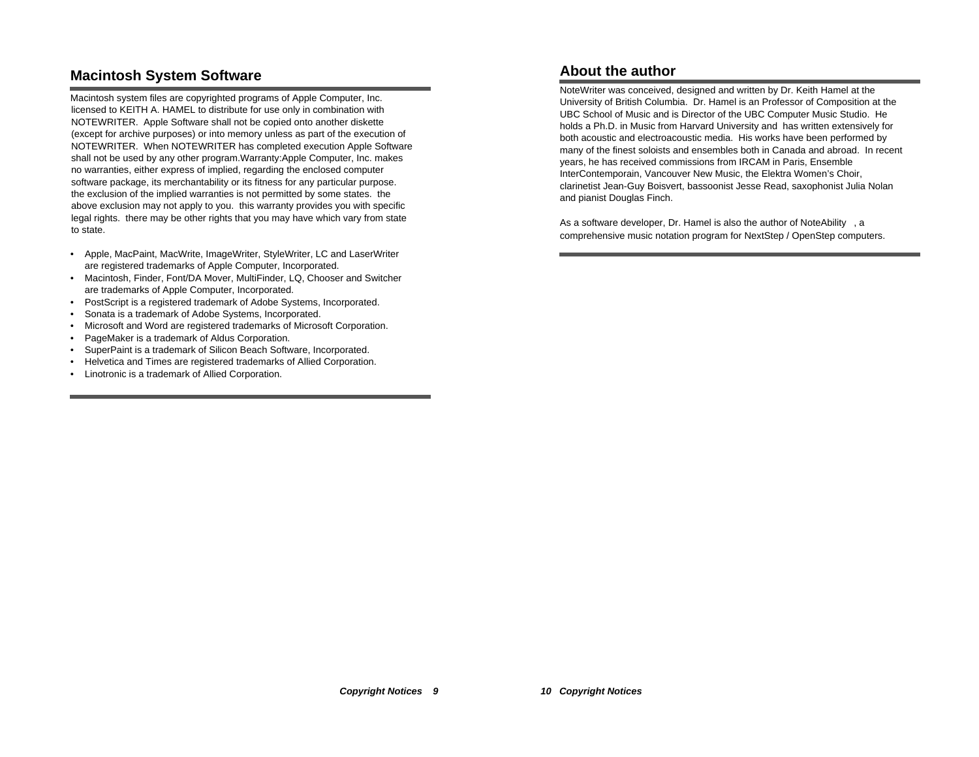# **Macintosh System Software**

Macintosh system files are copyrighted programs of Apple Computer, Inc. licensed to KEITH A. HAMEL to distribute for use only in combination with NOTEWRITER. Apple Software shall not be copied onto another diskette (except for archive purposes) or into memory unless as part of the execution of NOTEWRITER. When NOTEWRITER has completed execution Apple Software shall not be used by any other program.Warranty:Apple Computer, Inc. makes no warranties, either express of implied, regarding the enclosed computer software package, its merchantability or its fitness for any particular purpose. the exclusion of the implied warranties is not permitted by some states. the above exclusion may not apply to you. this warranty provides you with specific legal rights. there may be other rights that you may have which vary from state to state.

- Apple, MacPaint, MacWrite, ImageWriter, StyleWriter, LC and LaserWriter are registered trademarks of Apple Computer, Incorporated.
- • Macintosh, Finder, Font/DA Mover, MultiFinder, LQ, Chooser and Switcher are trademarks of Apple Computer, Incorporated.
- •PostScript is a registered trademark of Adobe Systems, Incorporated.
- •Sonata is a trademark of Adobe Systems, Incorporated.
- Microsoft and Word are registered trademarks of Microsoft Corporation.
- PageMaker is a trademark of Aldus Corporation.
- •SuperPaint is a trademark of Silicon Beach Software, Incorporated.
- •Helvetica and Times are registered trademarks of Allied Corporation.
- Linotronic is a trademark of Allied Corporation.

# **About the author**

NoteWriter was conceived, designed and written by Dr. Keith Hamel at the University of British Columbia. Dr. Hamel is an Professor of Composition at the UBC School of Music and is Director of the UBC Computer Music Studio. He holds a Ph.D. in Music from Harvard University and has written extensively for both acoustic and electroacoustic media. His works have been performed by many of the finest soloists and ensembles both in Canada and abroad. In recent years, he has received commissions from IRCAM in Paris, Ensemble InterContemporain, Vancouver New Music, the Elektra Women's Choir, clarinetist Jean-Guy Boisvert, bassoonist Jesse Read, saxophonist Julia Nolan and pianist Douglas Finch.

As a software developer, Dr. Hamel is also the author of NoteAbility™, a comprehensive music notation program for NextStep / OpenStep computers.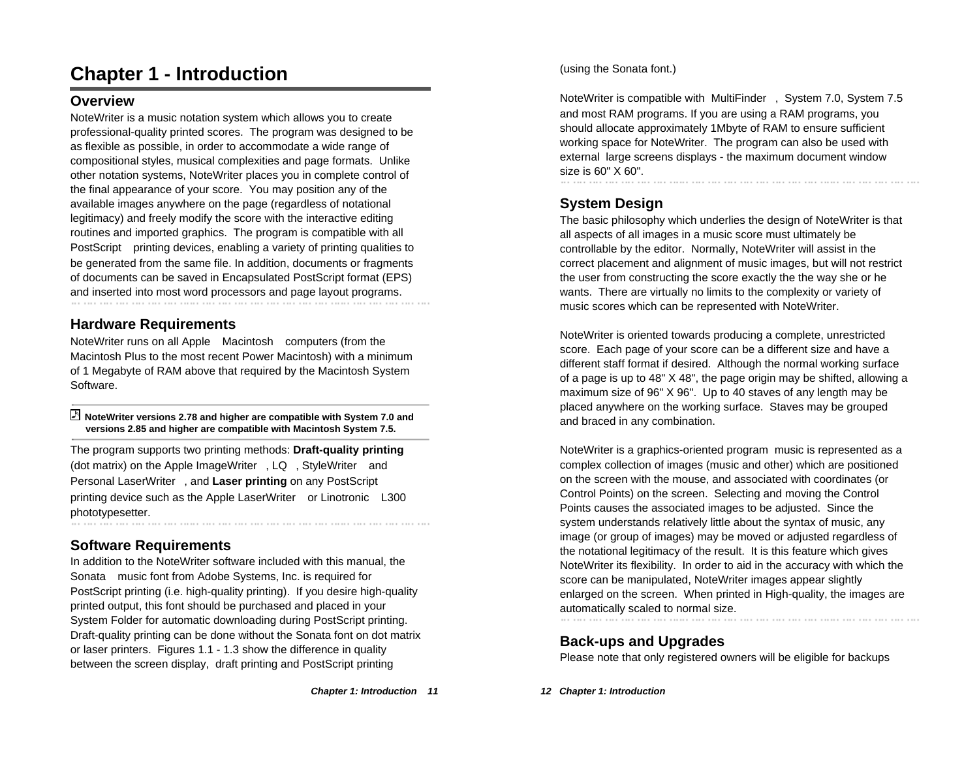# **Chapter 1 - Introduction**

# **Overview**

NoteWriter is a music notation system which allows you to create professional-quality printed scores. The program was designed to be as flexible as possible, in order to accommodate a wide range of compositional styles, musical complexities and page formats. Unlike other notation systems, NoteWriter places you in complete control of the final appearance of your score. You may position any of the available images anywhere on the page (regardless of notational legitimacy) and freely modify the score with the interactive editing routines and imported graphics. The program is compatible with all PostScript® printing devices, enabling a variety of printing qualities to be generated from the same file. In addition, documents or fragments of documents can be saved in Encapsulated PostScript format (EPS) and inserted into most word processors and page layout programs.

# **Hardware Requirements**

NoteWriter runs on all Apple Macintosh computers (from the Macintosh Plus to the most recent Power Macintosh) with a minimum of 1 Megabyte of RAM above that required by the Macintosh System Software.

#### **NoteWriter versions 2.78 and higher are compatible with System 7.0 and versions 2.85 and higher are compatible with Macintosh System 7.5.**

The program supports two printing methods: **Draft-quality printing** (dot matrix) on the Apple ImageWriter®, LQ™, StyleWriter™ and Personal LaserWriter™, and **Laser printing** on any PostScript® printing device such as the Apple LaserWriter™ or Linotronic® L300 phototypesetter.

# **Software Requirements**

In addition to the NoteWriter software included with this manual, the Sonata music font from Adobe Systems, Inc. is required for PostScript printing (i.e. high-quality printing). If you desire high-quality printed output, this font should be purchased and placed in your System Folder for automatic downloading during PostScript printing. Draft-quality printing can be done without the Sonata font on dot matrix or laser printers. Figures 1.1 - 1.3 show the difference in quality between the screen display, draft printing and PostScript printing

(using the Sonata font.)

NoteWriter is compatible with MultiFinder™, System 7.0, System 7.5 and most RAM programs. If you are using a RAM programs, you should allocate approximately 1Mbyte of RAM to ensure sufficient working space for NoteWriter. The program can also be used with external large screens displays - the maximum document window size is 60" X 60".

# **System Design**

The basic philosophy which underlies the design of NoteWriter is that all aspects of all images in a music score must ultimately be controllable by the editor. Normally, NoteWriter will assist in the correct placement and alignment of music images, but will not restrict the user from constructing the score exactly the the way she or he wants. There are virtually no limits to the complexity or variety of music scores which can be represented with NoteWriter.

NoteWriter is oriented towards producing a complete, unrestricted score. Each page of your score can be a different size and have a different staff format if desired. Although the normal working surface of a page is up to 48" X 48", the page origin may be shifted, allowing a maximum size of 96" X 96". Up to 40 staves of any length may be placed anywhere on the working surface. Staves may be grouped and braced in any combination.

NoteWriter is a graphics-oriented program music is represented as a complex collection of images (music and other) which are positioned on the screen with the mouse, and associated with coordinates (or Control Points) on the screen. Selecting and moving the Control Points causes the associated images to be adjusted. Since the system understands relatively little about the syntax of music, any image (or group of images) may be moved or adjusted regardless of the notational legitimacy of the result. It is this feature which gives NoteWriter its flexibility. In order to aid in the accuracy with which the score can be manipulated, NoteWriter images appear slightly enlarged on the screen. When printed in High-quality, the images are automatically scaled to normal size.

# **Back-ups and Upgrades**

Please note that only registered owners will be eligible for backups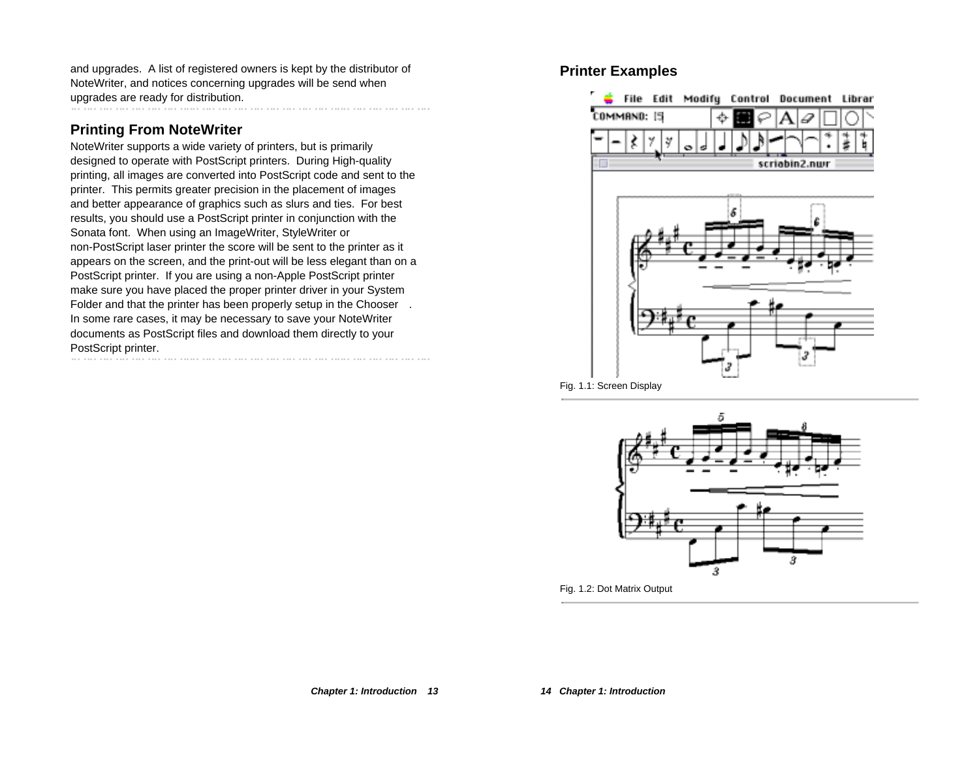and upgrades. A list of registered owners is kept by the distributor of NoteWriter, and notices concerning upgrades will be send when upgrades are ready for distribution.

# **Printing From NoteWriter**

NoteWriter supports a wide variety of printers, but is primarily designed to operate with PostScript printers. During High-quality printing, all images are converted into PostScript code and sent to the printer. This permits greater precision in the placement of images and better appearance of graphics such as slurs and ties. For best results, you should use a PostScript printer in conjunction with the Sonata font. When using an ImageWriter, StyleWriter or non-PostScript laser printer the score will be sent to the printer as it appears on the screen, and the print-out will be less elegant than on a PostScript printer. If you are using a non-Apple PostScript printer make sure you have placed the proper printer driver in your System Folder and that the printer has been properly setup in the Chooser . In some rare cases, it may be necessary to save your NoteWriter documents as PostScript files and download them directly to your PostScript printer.<br>
www.gradina.com/wrate-com/wrate-com/wrate-com/wrate-com/wrate-com/wrate-com/wrate-com/wrate-com/wrate-com/wra

# **Printer Examples**





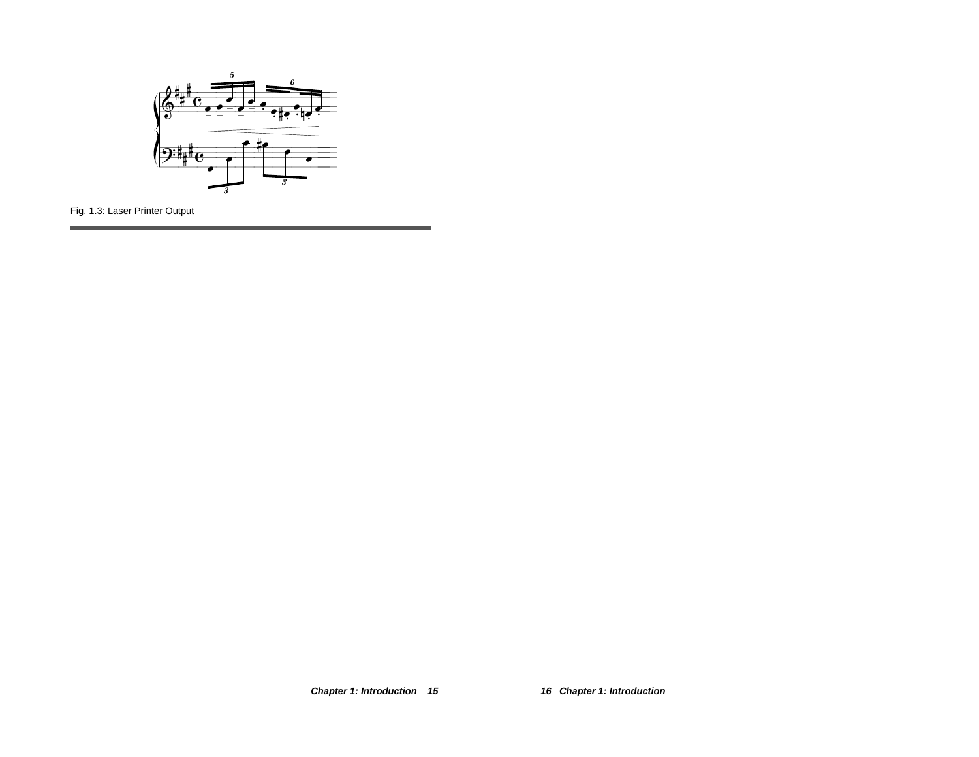

Fig. 1.3: Laser Printer Output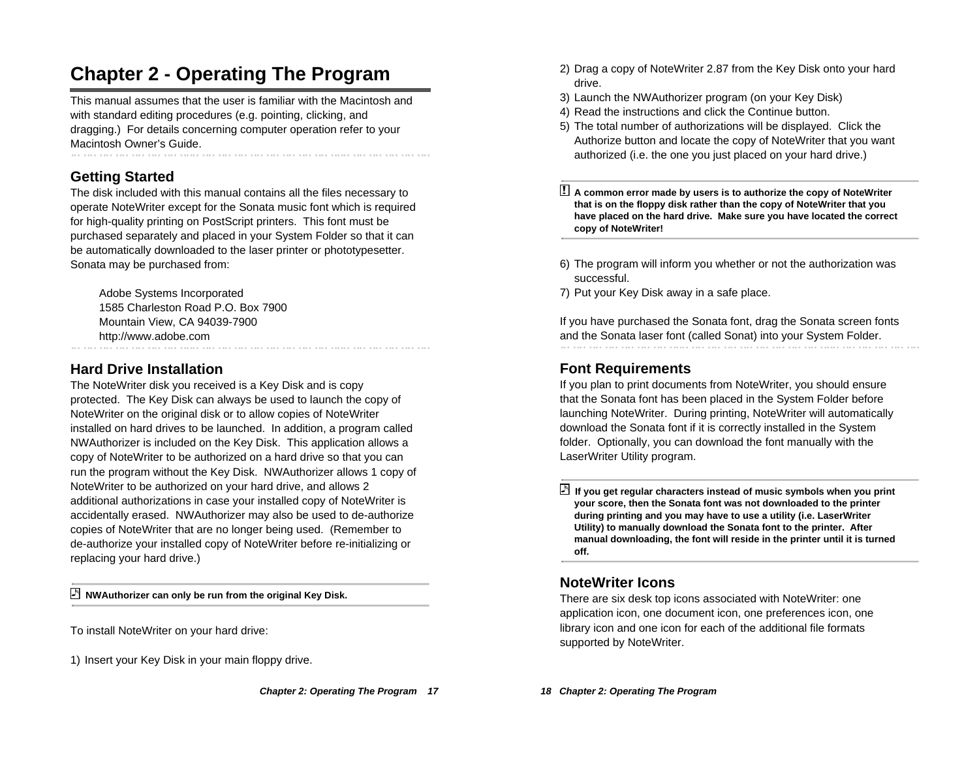# **Chapter 2 - Operating The Program**

This manual assumes that the user is familiar with the Macintosh and with standard editing procedures (e.g. pointing, clicking, and dragging.) For details concerning computer operation refer to your Macintosh Owner's Guide.

# **Getting Started**

The disk included with this manual contains all the files necessary to operate NoteWriter except for the Sonata music font which is required for high-quality printing on PostScript printers. This font must be purchased separately and placed in your System Folder so that it can be automatically downloaded to the laser printer or phototypesetter. Sonata may be purchased from:

Adobe Systems Incorporated 1585 Charleston Road P.O. Box 7900 Mountain View, CA 94039-7900 http://www.adobe.com

# **Hard Drive Installation**

The NoteWriter disk you received is a Key Disk and is copy protected. The Key Disk can always be used to launch the copy of NoteWriter on the original disk or to allow copies of NoteWriter installed on hard drives to be launched. In addition, a program called NWAuthorizer is included on the Key Disk. This application allows a copy of NoteWriter to be authorized on a hard drive so that you can run the program without the Key Disk. NWAuthorizer allows 1 copy of NoteWriter to be authorized on your hard drive, and allows 2 additional authorizations in case your installed copy of NoteWriter is accidentally erased. NWAuthorizer may also be used to de-authorize copies of NoteWriter that are no longer being used. (Remember to de-authorize your installed copy of NoteWriter before re-initializing or replacing your hard drive.)

**NWAuthorizer can only be run from the original Key Disk.**

To install NoteWriter on your hard drive:

1) Insert your Key Disk in your main floppy drive.

- 2) Drag a copy of NoteWriter 2.87 from the Key Disk onto your hard drive.
- 3) Launch the NWAuthorizer program (on your Key Disk)
- 4) Read the instructions and click the Continue button.
- 5) The total number of authorizations will be displayed. Click the Authorize button and locate the copy of NoteWriter that you want authorized (i.e. the one you just placed on your hard drive.)

! **A common error made by users is to authorize the copy of NoteWriter that is on the floppy disk rather than the copy of NoteWriter that you have placed on the hard drive. Make sure you have located the correct copy of NoteWriter!**

- 6) The program will inform you whether or not the authorization was successful.
- 7) Put your Key Disk away in a safe place.

If you have purchased the Sonata font, drag the Sonata screen fonts and the Sonata laser font (called Sonat) into your System Folder.

# **Font Requirements**

If you plan to print documents from NoteWriter, you should ensure that the Sonata font has been placed in the System Folder before launching NoteWriter. During printing, NoteWriter will automatically download the Sonata font if it is correctly installed in the System folder. Optionally, you can download the font manually with the LaserWriter Utility program.

 **If you get regular characters instead of music symbols when you print your score, then the Sonata font was not downloaded to the printer during printing and you may have to use a utility (i.e. LaserWriter Utility) to manually download the Sonata font to the printer. After manual downloading, the font will reside in the printer until it is turned off.**

# **NoteWriter Icons**

There are six desk top icons associated with NoteWriter: one application icon, one document icon, one preferences icon, one library icon and one icon for each of the additional file formats supported by NoteWriter.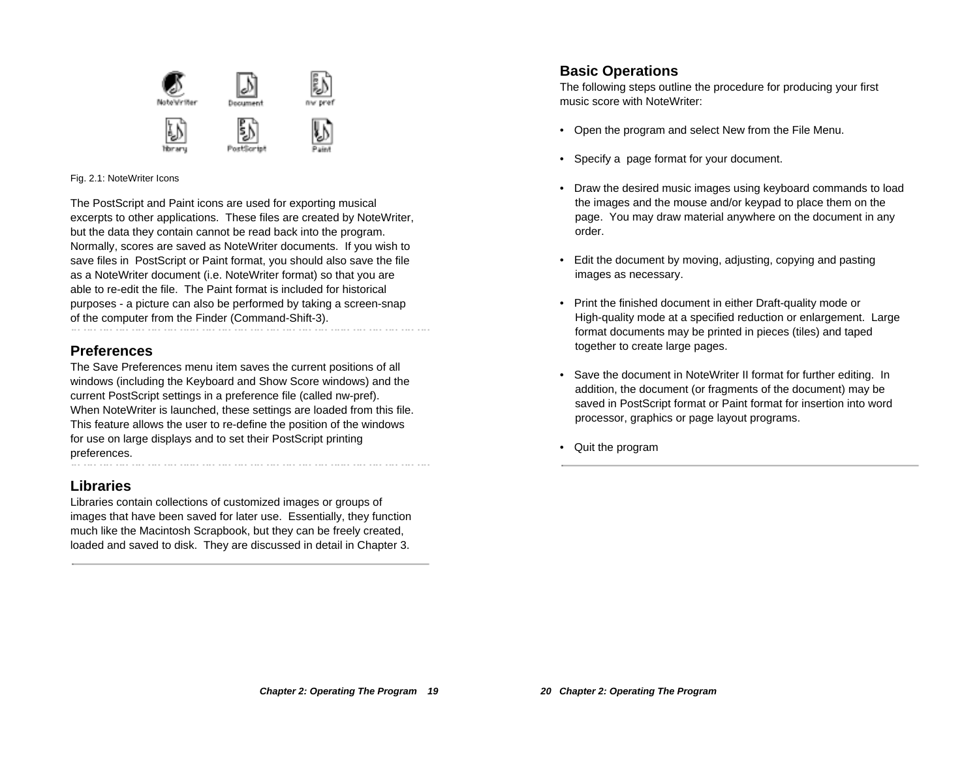

#### Fig. 2.1: NoteWriter Icons

The PostScript and Paint icons are used for exporting musical excerpts to other applications. These files are created by NoteWriter, but the data they contain cannot be read back into the program. Normally, scores are saved as NoteWriter documents. If you wish to save files in PostScript or Paint format, you should also save the file as a NoteWriter document (i.e. NoteWriter format) so that you are able to re-edit the file. The Paint format is included for historical purposes - a picture can also be performed by taking a screen-snap of the computer from the Finder (Command-Shift-3).

#### **Preferences**

The Save Preferences menu item saves the current positions of all windows (including the Keyboard and Show Score windows) and the current PostScript settings in a preference file (called nw-pref). When NoteWriter is launched, these settings are loaded from this file. This feature allows the user to re-define the position of the windows for use on large displays and to set their PostScript printing preferences.

### **Libraries**

Libraries contain collections of customized images or groups of images that have been saved for later use. Essentially, they function much like the Macintosh Scrapbook, but they can be freely created, loaded and saved to disk. They are discussed in detail in Chapter 3.

### **Basic Operations**

The following steps outline the procedure for producing your first music score with NoteWriter:

- Open the program and select New from the File Menu.
- Specify a page format for your document.
- Draw the desired music images using keyboard commands to load the images and the mouse and/or keypad to place them on the page. You may draw material anywhere on the document in any order.
- Edit the document by moving, adjusting, copying and pasting images as necessary.
- Print the finished document in either Draft-quality mode or High-quality mode at a specified reduction or enlargement. Large format documents may be printed in pieces (tiles) and taped together to create large pages.
- • Save the document in NoteWriter II format for further editing. In addition, the document (or fragments of the document) may be saved in PostScript format or Paint format for insertion into word processor, graphics or page layout programs.
- Quit the program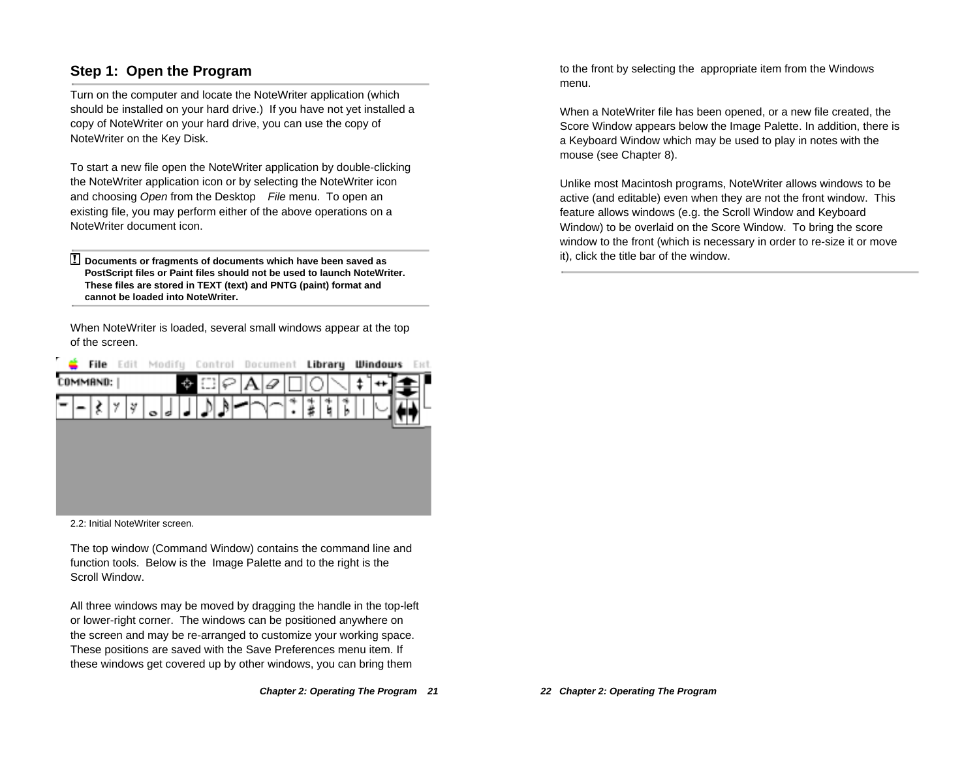## **Step 1: Open the Program**

Turn on the computer and locate the NoteWriter application (which should be installed on your hard drive.) If you have not yet installed a copy of NoteWriter on your hard drive, you can use the copy of NoteWriter on the Key Disk.

To start a new file open the NoteWriter application by double-clicking the NoteWriter application icon or by selecting the NoteWriter icon and choosing Open from the Desktop™ File menu. To open an existing file, you may perform either of the above operations on a NoteWriter document icon.

! **Documents or fragments of documents which have been saved as PostScript files or Paint files should not be used to launch NoteWriter. These files are stored in TEXT (text) and PNTG (paint) format and cannot be loaded into NoteWriter.**

When NoteWriter is loaded, several small windows appear at the top of the screen.



2.2: Initial NoteWriter screen.

The top window (Command Window) contains the command line and function tools. Below is the Image Palette and to the right is the Scroll Window.

All three windows may be moved by dragging the handle in the top-left or lower-right corner. The windows can be positioned anywhere on the screen and may be re-arranged to customize your working space. These positions are saved with the Save Preferences menu item. If these windows get covered up by other windows, you can bring them

to the front by selecting the appropriate item from the Windows menu.

When a NoteWriter file has been opened, or a new file created, the Score Window appears below the Image Palette. In addition, there is a Keyboard Window which may be used to play in notes with the mouse (see Chapter 8).

Unlike most Macintosh programs, NoteWriter allows windows to be active (and editable) even when they are not the front window. This feature allows windows (e.g. the Scroll Window and Keyboard Window) to be overlaid on the Score Window. To bring the score window to the front (which is necessary in order to re-size it or move it), click the title bar of the window.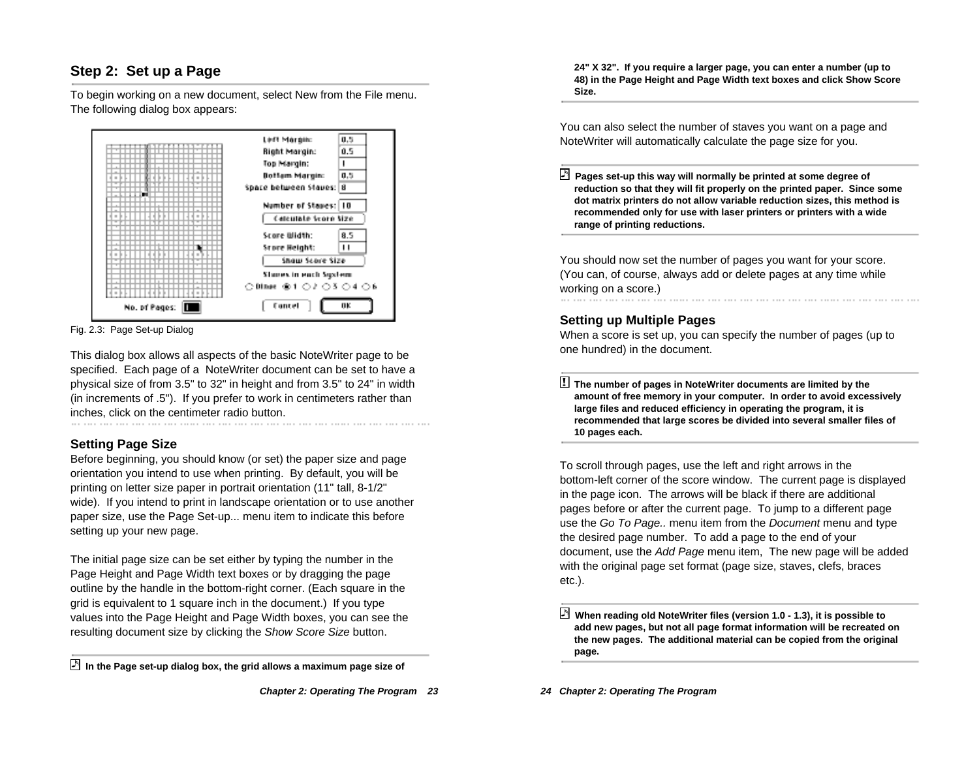# **Step 2: Set up a Page**

To begin working on a new document, select New from the File menu. The following dialog box appears:



Fig. 2.3: Page Set-up Dialog

This dialog box allows all aspects of the basic NoteWriter page to be specified. Each page of a NoteWriter document can be set to have a physical size of from 3.5" to 32" in height and from 3.5" to 24" in width (in increments of .5"). If you prefer to work in centimeters rather than inches, click on the centimeter radio button.

### **Setting Page Size**

Before beginning, you should know (or set) the paper size and page orientation you intend to use when printing. By default, you will be printing on letter size paper in portrait orientation (11" tall, 8-1/2" wide). If you intend to print in landscape orientation or to use another paper size, use the Page Set-up... menu item to indicate this before setting up your new page.

The initial page size can be set either by typing the number in the Page Height and Page Width text boxes or by dragging the page outline by the handle in the bottom-right corner. (Each square in the grid is equivalent to 1 square inch in the document.) If you type values into the Page Height and Page Width boxes, you can see the resulting document size by clicking the Show Score Size button.

**24" X 32". If you require a larger page, you can enter a number (up to 48) in the Page Height and Page Width text boxes and click Show Score Size.**

You can also select the number of staves you want on a page and NoteWriter will automatically calculate the page size for you.

 **Pages set-up this way will normally be printed at some degree of reduction so that they will fit properly on the printed paper. Since some dot matrix printers do not allow variable reduction sizes, this method is recommended only for use with laser printers or printers with a wide range of printing reductions.**

You should now set the number of pages you want for your score. (You can, of course, always add or delete pages at any time while working on a score.)

#### **Setting up Multiple Pages**

When a score is set up, you can specify the number of pages (up to one hundred) in the document.

! **The number of pages in NoteWriter documents are limited by the amount of free memory in your computer. In order to avoid excessively large files and reduced efficiency in operating the program, it is recommended that large scores be divided into several smaller files of 10 pages each.**

To scroll through pages, use the left and right arrows in the bottom-left corner of the score window. The current page is displayed in the page icon. The arrows will be black if there are additional pages before or after the current page. To jump to a different page use the Go To Page.. menu item from the Document menu and type the desired page number. To add a page to the end of your document, use the Add Page menu item, The new page will be added with the original page set format (page size, staves, clefs, braces etc.).

**In the Page set-up dialog box, the grid allows a maximum page size of**

**When reading old NoteWriter files (version 1.0 - 1.3), it is possible to add new pages, but not all page format information will be recreated on the new pages. The additional material can be copied from the original page.**

**<sup>24</sup> Chapter 2: Operating The Program**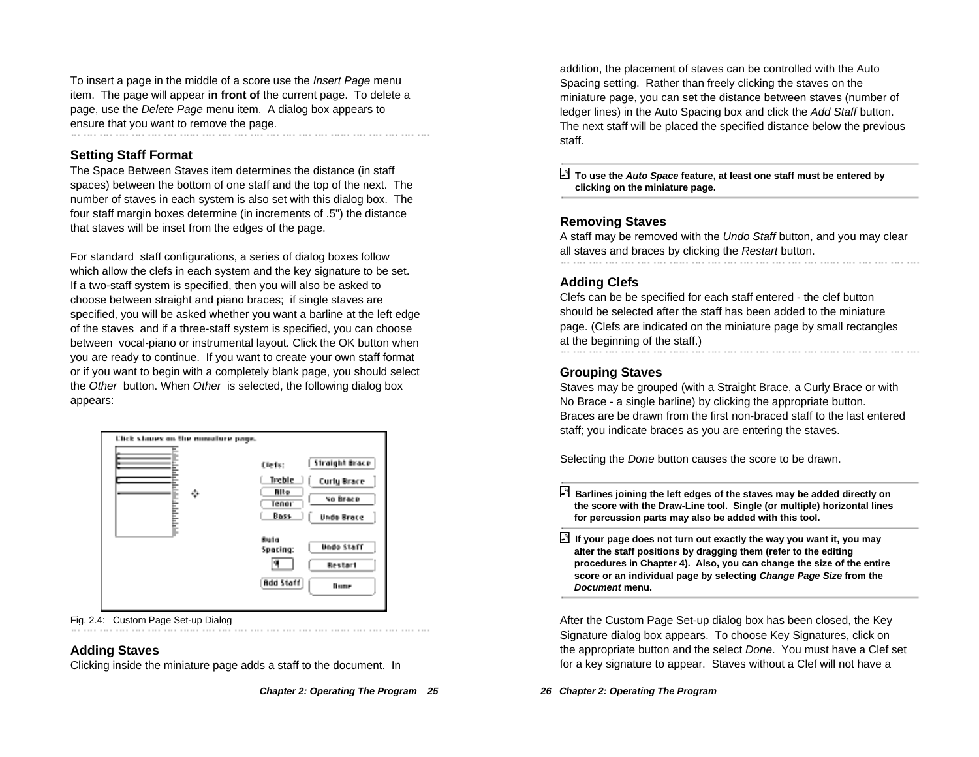To insert a page in the middle of a score use the Insert Page menu item. The page will appear **in front of** the current page. To delete a page, use the Delete Page menu item. A dialog box appears to ensure that you want to remove the page.

#### **Setting Staff Format**

The Space Between Staves item determines the distance (in staff spaces) between the bottom of one staff and the top of the next. The number of staves in each system is also set with this dialog box. The four staff margin boxes determine (in increments of .5") the distance that staves will be inset from the edges of the page.

For standard staff configurations, a series of dialog boxes follow which allow the clefs in each system and the key signature to be set. If a two-staff system is specified, then you will also be asked to choose between straight and piano braces; if single staves are specified, you will be asked whether you want a barline at the left edge of the staves and if a three-staff system is specified, you can choose between vocal-piano or instrumental layout. Click the OK button when you are ready to continue. If you want to create your own staff format or if you want to begin with a completely blank page, you should select the Other button. When Other is selected, the following dialog box appears:

| Click staues on the miniature page. |                                 |
|-------------------------------------|---------------------------------|
|                                     | Straight Brace<br>(lefs:        |
|                                     | Treble<br><b>Curly Brace</b>    |
| ٠                                   | Alto<br>No Brace<br>Tenor       |
|                                     | <b>Bass</b><br>Unde Brace       |
|                                     | <b>Bulg</b>                     |
|                                     | Undo Staff<br>Spacing:          |
|                                     | Restart                         |
|                                     | <b>Rdd Staff</b><br><b>Dune</b> |

Fig. 2.4: Custom Page Set-up Dialog

#### **Adding Staves**

Clicking inside the miniature page adds a staff to the document. In

addition, the placement of staves can be controlled with the Auto Spacing setting. Rather than freely clicking the staves on the miniature page, you can set the distance between staves (number of ledger lines) in the Auto Spacing box and click the Add Staff button. The next staff will be placed the specified distance below the previous staff.

 **To use the Auto Space feature, at least one staff must be entered by clicking on the miniature page.**

#### **Removing Staves**

A staff may be removed with the Undo Staff button, and you may clear all staves and braces by clicking the Restart button.

#### **Adding Clefs**

Clefs can be be specified for each staff entered - the clef button should be selected after the staff has been added to the miniature page. (Clefs are indicated on the miniature page by small rectangles at the beginning of the staff.)

#### **Grouping Staves**

Staves may be grouped (with a Straight Brace, a Curly Brace or with No Brace - a single barline) by clicking the appropriate button. Braces are be drawn from the first non-braced staff to the last entered staff; you indicate braces as you are entering the staves.

Selecting the Done button causes the score to be drawn.

 **Barlines joining the left edges of the staves may be added directly on the score with the Draw-Line tool. Single (or multiple) horizontal lines for percussion parts may also be added with this tool.**

 **If your page does not turn out exactly the way you want it, you may alter the staff positions by dragging them (refer to the editing procedures in Chapter 4). Also, you can change the size of the entire score or an individual page by selecting Change Page Size from the Document menu.**

After the Custom Page Set-up dialog box has been closed, the Key Signature dialog box appears. To choose Key Signatures, click on the appropriate button and the select Done. You must have a Clef set for a key signature to appear. Staves without a Clef will not have a

#### **26 Chapter 2: Operating The Program**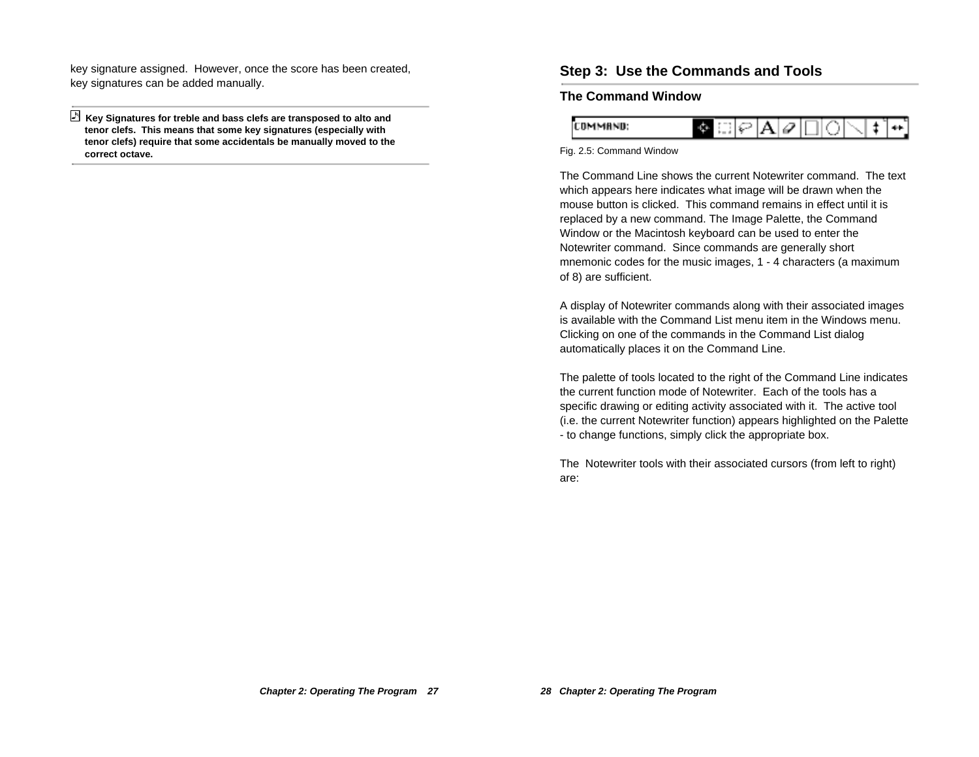key signature assigned. However, once the score has been created, key signatures can be added manually.

 **Key Signatures for treble and bass clefs are transposed to alto and tenor clefs. This means that some key signatures (especially with tenor clefs) require that some accidentals be manually moved to the correct octave.**

### **Step 3: Use the Commands and Tools**

#### **The Command Window**



#### Fig. 2.5: Command Window

The Command Line shows the current Notewriter command. The text which appears here indicates what image will be drawn when the mouse button is clicked. This command remains in effect until it is replaced by a new command. The Image Palette, the Command Window or the Macintosh keyboard can be used to enter the Notewriter command. Since commands are generally short mnemonic codes for the music images, 1 - 4 characters (a maximum of 8) are sufficient.

A display of Notewriter commands along with their associated images is available with the Command List menu item in the Windows menu. Clicking on one of the commands in the Command List dialog automatically places it on the Command Line.

The palette of tools located to the right of the Command Line indicates the current function mode of Notewriter. Each of the tools has a specific drawing or editing activity associated with it. The active tool (i.e. the current Notewriter function) appears highlighted on the Palette - to change functions, simply click the appropriate box.

The Notewriter tools with their associated cursors (from left to right) are: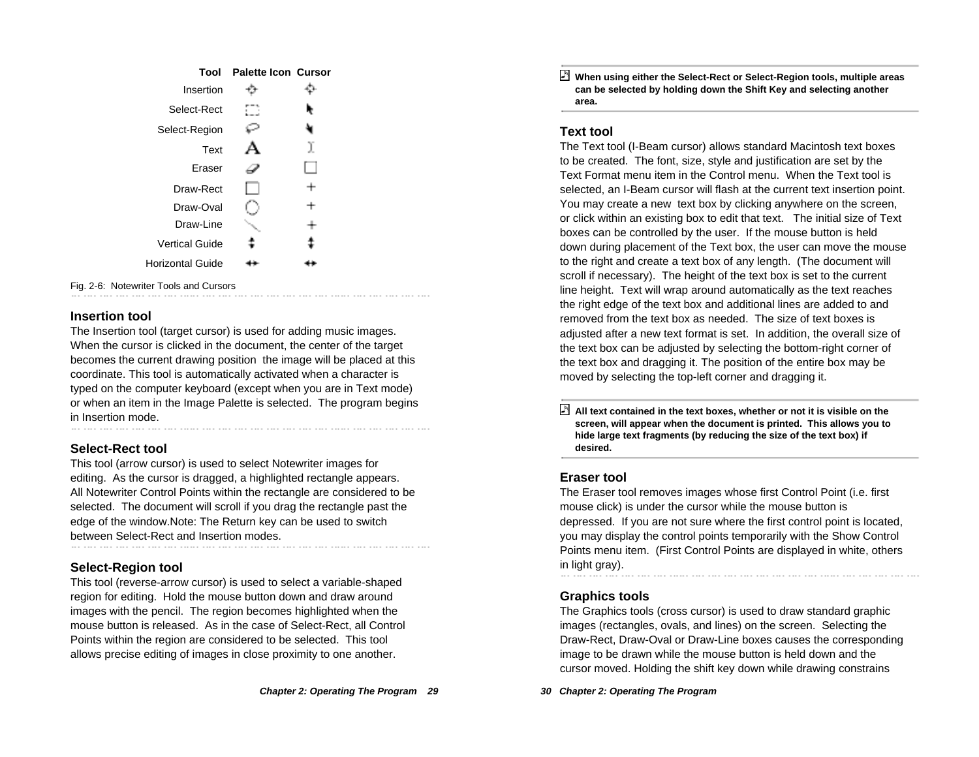| Tool                  | <b>Palette Icon Cursor</b> |   |
|-----------------------|----------------------------|---|
| Insertion             |                            |   |
| Select-Rect           |                            |   |
| Select-Region         |                            |   |
| Text                  |                            | I |
| Eraser                |                            |   |
| Draw-Rect             |                            |   |
| Draw-Oval             |                            | ÷ |
| Draw-Line             |                            |   |
| <b>Vertical Guide</b> |                            |   |
| Horizontal Guide      |                            |   |
|                       |                            |   |

Fig. 2-6: Notewriter Tools and Cursors

#### **Insertion tool**

The Insertion tool (target cursor) is used for adding music images. When the cursor is clicked in the document, the center of the target becomes the current drawing position the image will be placed at this coordinate. This tool is automatically activated when a character is typed on the computer keyboard (except when you are in Text mode) or when an item in the Image Palette is selected. The program begins in Insertion mode.

#### **Select-Rect tool**

This tool (arrow cursor) is used to select Notewriter images for editing. As the cursor is dragged, a highlighted rectangle appears. All Notewriter Control Points within the rectangle are considered to be selected. The document will scroll if you drag the rectangle past the edge of the window.Note: The Return key can be used to switch between Select-Rect and Insertion modes.

#### **Select-Region tool**

This tool (reverse-arrow cursor) is used to select a variable-shaped region for editing. Hold the mouse button down and draw around images with the pencil. The region becomes highlighted when the mouse button is released. As in the case of Select-Rect, all Control Points within the region are considered to be selected. This tool allows precise editing of images in close proximity to one another.

 **When using either the Select-Rect or Select-Region tools, multiple areas can be selected by holding down the Shift Key and selecting another area.**

#### **Text tool**

The Text tool (I-Beam cursor) allows standard Macintosh text boxes to be created. The font, size, style and justification are set by the Text Format menu item in the Control menu. When the Text tool is selected, an I-Beam cursor will flash at the current text insertion point. You may create a new text box by clicking anywhere on the screen, or click within an existing box to edit that text. The initial size of Text boxes can be controlled by the user. If the mouse button is held down during placement of the Text box, the user can move the mouse to the right and create a text box of any length. (The document will scroll if necessary). The height of the text box is set to the current line height. Text will wrap around automatically as the text reaches the right edge of the text box and additional lines are added to and removed from the text box as needed. The size of text boxes is adjusted after a new text format is set. In addition, the overall size of the text box can be adjusted by selecting the bottom-right corner of the text box and dragging it. The position of the entire box may be moved by selecting the top-left corner and dragging it.

 **All text contained in the text boxes, whether or not it is visible on the screen, will appear when the document is printed. This allows you to hide large text fragments (by reducing the size of the text box) if desired.**

#### **Eraser tool**

The Eraser tool removes images whose first Control Point (i.e. first mouse click) is under the cursor while the mouse button is depressed. If you are not sure where the first control point is located, you may display the control points temporarily with the Show Control Points menu item. (First Control Points are displayed in white, others in light gray).

#### **Graphics tools**

The Graphics tools (cross cursor) is used to draw standard graphic images (rectangles, ovals, and lines) on the screen. Selecting the Draw-Rect, Draw-Oval or Draw-Line boxes causes the corresponding image to be drawn while the mouse button is held down and the cursor moved. Holding the shift key down while drawing constrains

**30 Chapter 2: Operating The Program**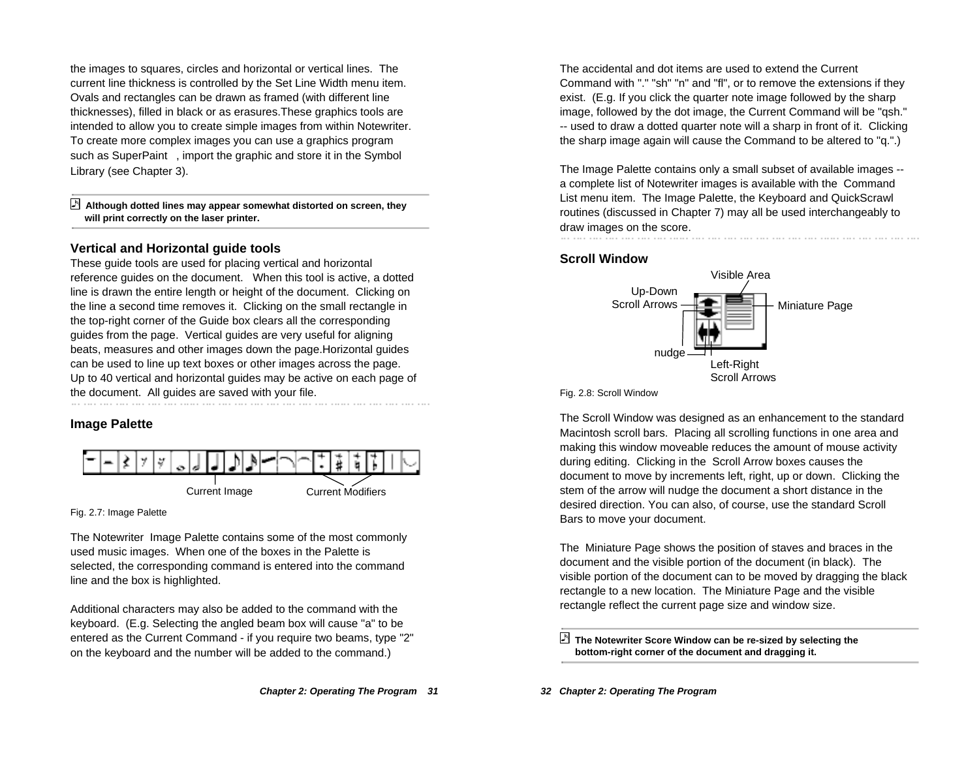the images to squares, circles and horizontal or vertical lines. The current line thickness is controlled by the Set Line Width menu item. Ovals and rectangles can be drawn as framed (with different line thicknesses), filled in black or as erasures.These graphics tools are intended to allow you to create simple images from within Notewriter. To create more complex images you can use a graphics program such as SuperPaint™, import the graphic and store it in the Symbol Library (see Chapter 3).

#### **Although dotted lines may appear somewhat distorted on screen, they will print correctly on the laser printer.**

#### **Vertical and Horizontal guide tools**

These guide tools are used for placing vertical and horizontal reference guides on the document. When this tool is active, a dotted line is drawn the entire length or height of the document. Clicking on the line a second time removes it. Clicking on the small rectangle in the top-right corner of the Guide box clears all the corresponding guides from the page. Vertical guides are very useful for aligning beats, measures and other images down the page.Horizontal guides can be used to line up text boxes or other images across the page. Up to 40 vertical and horizontal guides may be active on each page of the document. All guides are saved with your file. the second contract of the second contract of the second contract of the second contract of the second contract of the second contract of the second contract of the second contract of the second contract of the second cont

### **Image Palette**



Fig. 2.7: Image Palette

The Notewriter Image Palette contains some of the most commonly used music images. When one of the boxes in the Palette is selected, the corresponding command is entered into the command line and the box is highlighted.

Additional characters may also be added to the command with the keyboard. (E.g. Selecting the angled beam box will cause "a" to be entered as the Current Command - if you require two beams, type "2" on the keyboard and the number will be added to the command.)

The accidental and dot items are used to extend the Current Command with "." "sh" "n" and "fl", or to remove the extensions if they exist. (E.g. If you click the quarter note image followed by the sharp image, followed by the dot image, the Current Command will be "qsh." -- used to draw a dotted quarter note will a sharp in front of it. Clicking the sharp image again will cause the Command to be altered to "q.".)

The Image Palette contains only a small subset of available images - a complete list of Notewriter images is available with the Command List menu item. The Image Palette, the Keyboard and QuickScrawl routines (discussed in Chapter 7) may all be used interchangeably to draw images on the score.

#### **Scroll Window**



Fig. 2.8: Scroll Window

The Scroll Window was designed as an enhancement to the standard Macintosh scroll bars. Placing all scrolling functions in one area and making this window moveable reduces the amount of mouse activity during editing. Clicking in the Scroll Arrow boxes causes the document to move by increments left, right, up or down. Clicking the stem of the arrow will nudge the document a short distance in the desired direction. You can also, of course, use the standard Scroll Bars to move your document.

The Miniature Page shows the position of staves and braces in the document and the visible portion of the document (in black). The visible portion of the document can to be moved by dragging the black rectangle to a new location. The Miniature Page and the visible rectangle reflect the current page size and window size.

 **The Notewriter Score Window can be re-sized by selecting the bottom-right corner of the document and dragging it.**

**32 Chapter 2: Operating The Program**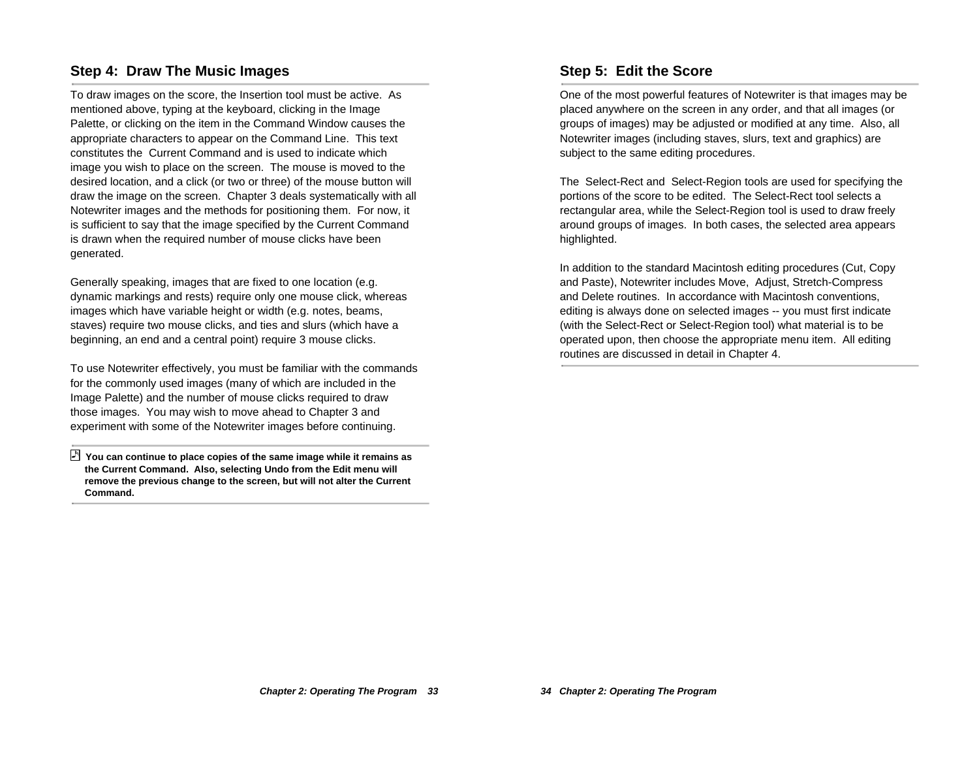### **Step 4: Draw The Music Images**

To draw images on the score, the Insertion tool must be active. As mentioned above, typing at the keyboard, clicking in the Image Palette, or clicking on the item in the Command Window causes the appropriate characters to appear on the Command Line. This text constitutes the Current Command and is used to indicate which image you wish to place on the screen. The mouse is moved to the desired location, and a click (or two or three) of the mouse button will draw the image on the screen. Chapter 3 deals systematically with all Notewriter images and the methods for positioning them. For now, it is sufficient to say that the image specified by the Current Command is drawn when the required number of mouse clicks have been generated.

Generally speaking, images that are fixed to one location (e.g. dynamic markings and rests) require only one mouse click, whereas images which have variable height or width (e.g. notes, beams, staves) require two mouse clicks, and ties and slurs (which have a beginning, an end and a central point) require 3 mouse clicks.

To use Notewriter effectively, you must be familiar with the commands for the commonly used images (many of which are included in the Image Palette) and the number of mouse clicks required to draw those images. You may wish to move ahead to Chapter 3 and experiment with some of the Notewriter images before continuing.

 **You can continue to place copies of the same image while it remains as the Current Command. Also, selecting Undo from the Edit menu will remove the previous change to the screen, but will not alter the Current Command.**

## **Step 5: Edit the Score**

One of the most powerful features of Notewriter is that images may be placed anywhere on the screen in any order, and that all images (or groups of images) may be adjusted or modified at any time. Also, all Notewriter images (including staves, slurs, text and graphics) are subject to the same editing procedures.

The Select-Rect and Select-Region tools are used for specifying the portions of the score to be edited. The Select-Rect tool selects a rectangular area, while the Select-Region tool is used to draw freely around groups of images. In both cases, the selected area appears highlighted.

In addition to the standard Macintosh editing procedures (Cut, Copy and Paste), Notewriter includes Move, Adjust, Stretch-Compress and Delete routines. In accordance with Macintosh conventions, editing is always done on selected images -- you must first indicate (with the Select-Rect or Select-Region tool) what material is to be operated upon, then choose the appropriate menu item. All editing routines are discussed in detail in Chapter 4.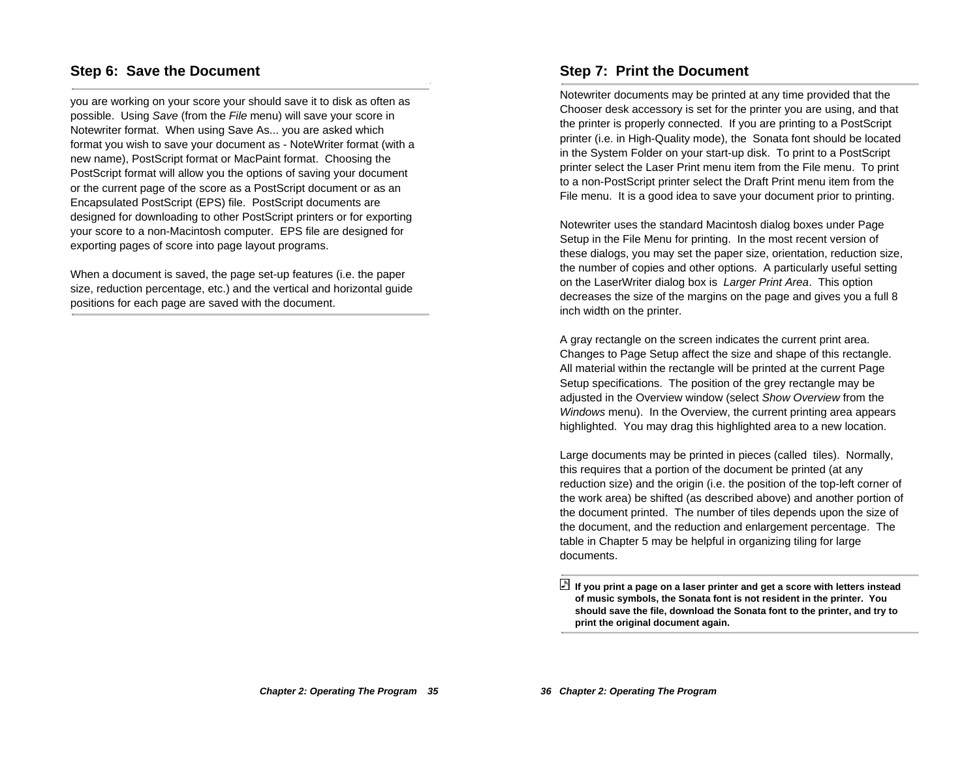#### **Step 6: Save the Document**

you are working on your score your should save it to disk as often as possible. Using Save (from the File menu) will save your score in Notewriter format. When using Save As... you are asked which format you wish to save your document as - NoteWriter format (with a new name), PostScript format or MacPaint format. Choosing the PostScript format will allow you the options of saving your document or the current page of the score as a PostScript document or as an Encapsulated PostScript (EPS) file. PostScript documents are designed for downloading to other PostScript printers or for exporting your score to a non-Macintosh computer. EPS file are designed for exporting pages of score into page layout programs.

W

When a document is saved, the page set-up features (i.e. the paper size, reduction percentage, etc.) and the vertical and horizontal guide positions for each page are saved with the document.

#### **Step 7: Print the Document**

Notewriter documents may be printed at any time provided that the Chooser desk accessory is set for the printer you are using, and that the printer is properly connected. If you are printing to a PostScript printer (i.e. in High-Quality mode), the Sonata font should be located in the System Folder on your start-up disk. To print to a PostScript printer select the Laser Print menu item from the File menu. To print to a non-PostScript printer select the Draft Print menu item from the File menu. It is a good idea to save your document prior to printing.

Notewriter uses the standard Macintosh dialog boxes under Page Setup in the File Menu for printing. In the most recent version of these dialogs, you may set the paper size, orientation, reduction size, the number of copies and other options. A particularly useful setting on the LaserWriter dialog box is Larger Print Area. This option decreases the size of the margins on the page and gives you a full 8 inch width on the printer.

A gray rectangle on the screen indicates the current print area. Changes to Page Setup affect the size and shape of this rectangle. All material within the rectangle will be printed at the current Page Setup specifications. The position of the grey rectangle may be adjusted in the Overview window (select Show Overview from the Windows menu). In the Overview, the current printing area appears highlighted. You may drag this highlighted area to a new location.

Large documents may be printed in pieces (called tiles). Normally, this requires that a portion of the document be printed (at any reduction size) and the origin (i.e. the position of the top-left corner of the work area) be shifted (as described above) and another portion of the document printed. The number of tiles depends upon the size of the document, and the reduction and enlargement percentage. The table in Chapter 5 may be helpful in organizing tiling for large documents.

**If you print a page on a laser printer and get a score with letters instead of music symbols, the Sonata font is not resident in the printer. You should save the file, download the Sonata font to the printer, and try to print the original document again.**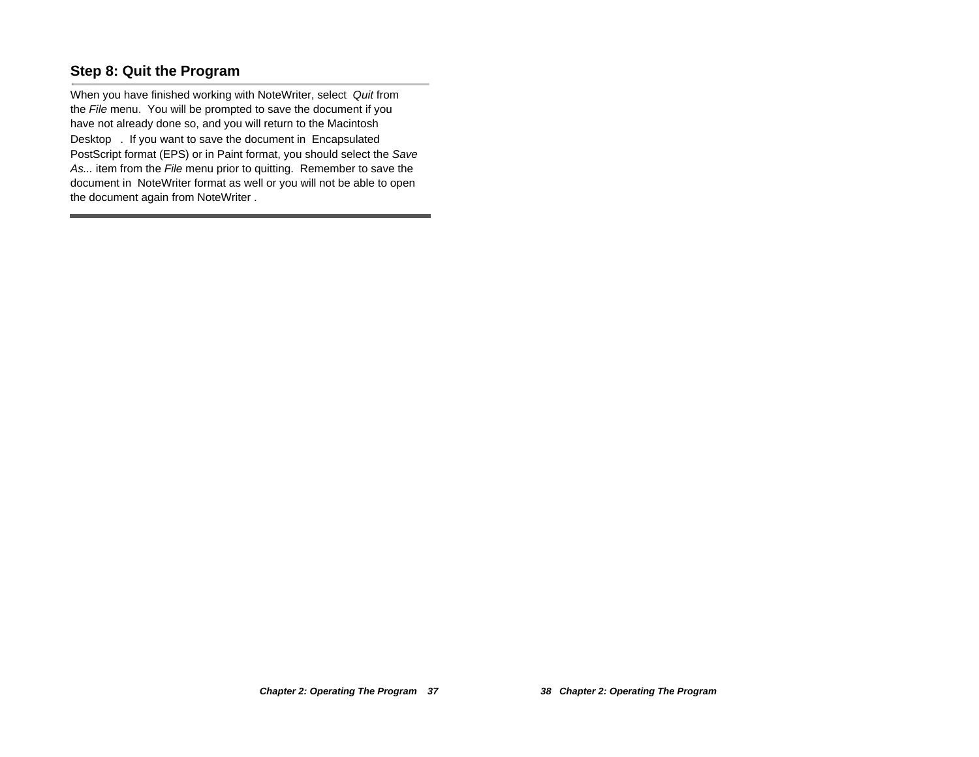# **Step 8: Quit the Program**

When you have finished working with NoteWriter, select Quit from the File menu. You will be prompted to save the document if you have not already done so, and you will return to the Macintosh Desktop<sup>™</sup>. If you want to save the document in Encapsulated PostScript format (EPS) or in Paint format, you should select the Save As... item from the File menu prior to quitting. Remember to save the document in NoteWriter format as well or you will not be able to open the document again from NoteWriter .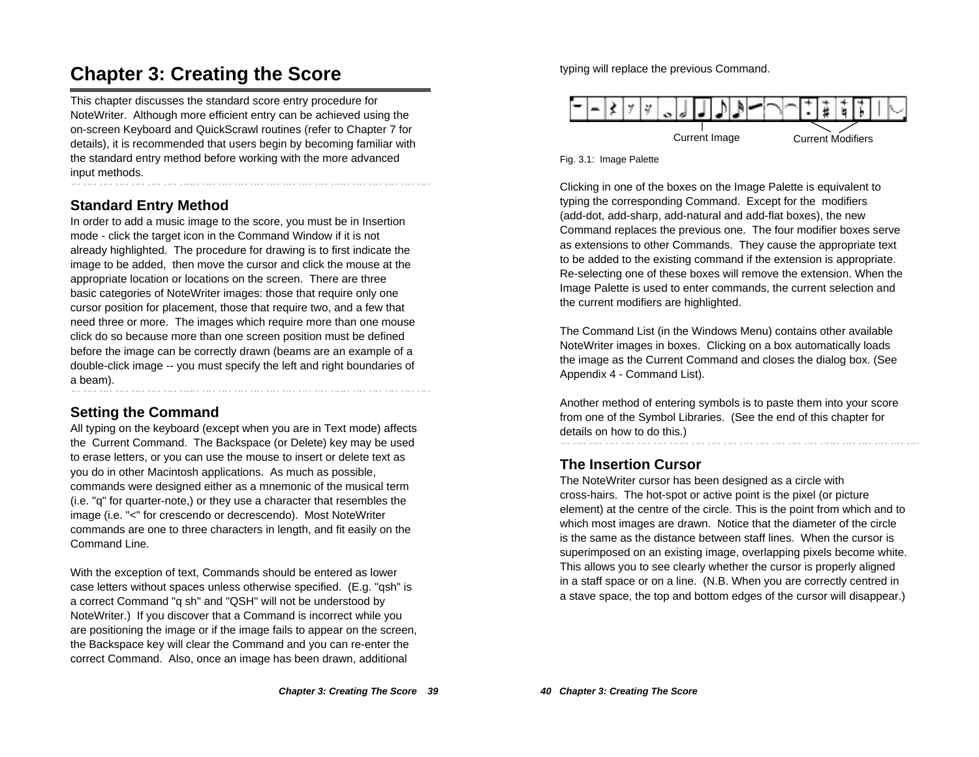# **Chapter 3: Creating the Score**

This chapter discusses the standard score entry procedure for NoteWriter. Although more efficient entry can be achieved using the on-screen Keyboard and QuickScrawl routines (refer to Chapter 7 for details), it is recommended that users begin by becoming familiar with the standard entry method before working with the more advanced input methods.

# **Standard Entry Method**

In order to add a music image to the score, you must be in Insertion mode - click the target icon in the Command Window if it is not already highlighted. The procedure for drawing is to first indicate the image to be added, then move the cursor and click the mouse at the appropriate location or locations on the screen. There are three basic categories of NoteWriter images: those that require only one cursor position for placement, those that require two, and a few that need three or more. The images which require more than one mouse click do so because more than one screen position must be defined before the image can be correctly drawn (beams are an example of a double-click image -- you must specify the left and right boundaries of a beam).

# **Setting the Command**

All typing on the keyboard (except when you are in Text mode) affects the Current Command. The Backspace (or Delete) key may be used to erase letters, or you can use the mouse to insert or delete text as you do in other Macintosh applications. As much as possible, commands were designed either as a mnemonic of the musical term (i.e. "q" for quarter-note,) or they use a character that resembles the image (i.e. "<" for crescendo or decrescendo). Most NoteWriter commands are one to three characters in length, and fit easily on the Command Line.

With the exception of text, Commands should be entered as lower case letters without spaces unless otherwise specified. (E.g. "qsh" is a correct Command "q sh" and "QSH" will not be understood by NoteWriter.) If you discover that a Command is incorrect while you are positioning the image or if the image fails to appear on the screen, the Backspace key will clear the Command and you can re-enter the correct Command. Also, once an image has been drawn, additional

typing will replace the previous Command.



Fig. 3.1: Image Palette

Clicking in one of the boxes on the Image Palette is equivalent to typing the corresponding Command. Except for the modifiers (add-dot, add-sharp, add-natural and add-flat boxes), the new Command replaces the previous one. The four modifier boxes serve as extensions to other Commands. They cause the appropriate text to be added to the existing command if the extension is appropriate. Re-selecting one of these boxes will remove the extension. When the Image Palette is used to enter commands, the current selection and the current modifiers are highlighted.

The Command List (in the Windows Menu) contains other available NoteWriter images in boxes. Clicking on a box automatically loads the image as the Current Command and closes the dialog box. (See Appendix 4 - Command List).

Another method of entering symbols is to paste them into your score from one of the Symbol Libraries. (See the end of this chapter for details on how to do this.)

# **The Insertion Cursor**

The NoteWriter cursor has been designed as a circle with cross-hairs. The hot-spot or active point is the pixel (or picture element) at the centre of the circle. This is the point from which and to which most images are drawn. Notice that the diameter of the circle is the same as the distance between staff lines. When the cursor is superimposed on an existing image, overlapping pixels become white. This allows you to see clearly whether the cursor is properly aligned in a staff space or on a line. (N.B. When you are correctly centred in a stave space, the top and bottom edges of the cursor will disappear.)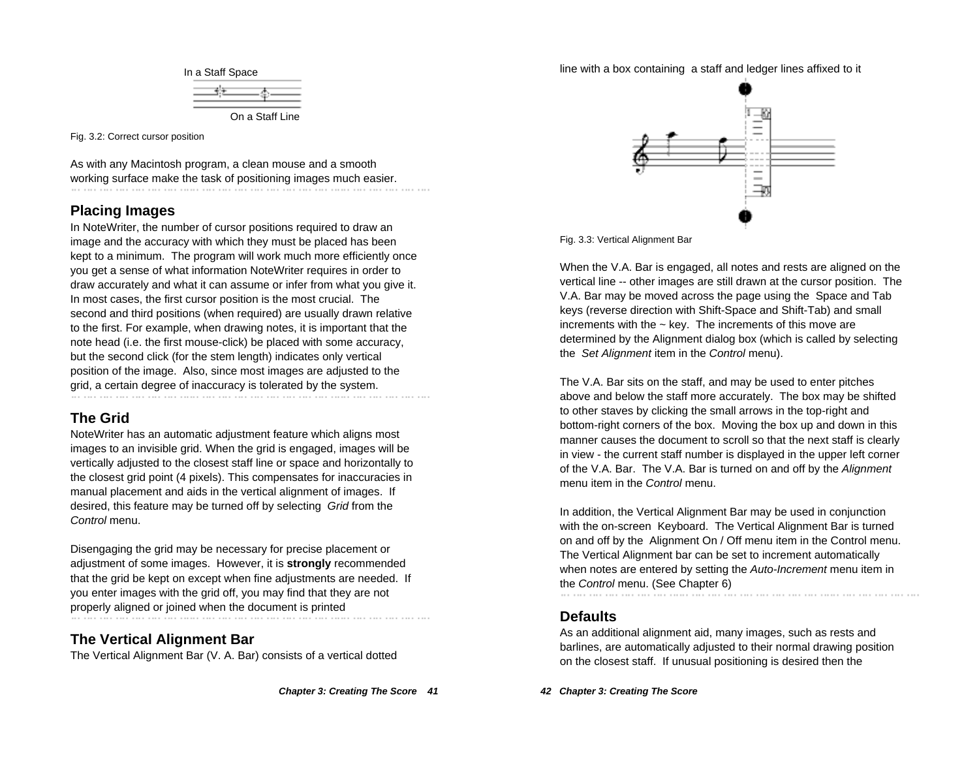

Fig. 3.2: Correct cursor position

As with any Macintosh program, a clean mouse and a smooth working surface make the task of positioning images much easier.

### **Placing Images**

In NoteWriter, the number of cursor positions required to draw an image and the accuracy with which they must be placed has been kept to a minimum. The program will work much more efficiently once you get a sense of what information NoteWriter requires in order to draw accurately and what it can assume or infer from what you give it. In most cases, the first cursor position is the most crucial. The second and third positions (when required) are usually drawn relative to the first. For example, when drawing notes, it is important that the note head (i.e. the first mouse-click) be placed with some accuracy, but the second click (for the stem length) indicates only vertical position of the image. Also, since most images are adjusted to the grid, a certain degree of inaccuracy is tolerated by the system.

# **The Grid**

NoteWriter has an automatic adjustment feature which aligns most images to an invisible grid. When the grid is engaged, images will be vertically adjusted to the closest staff line or space and horizontally to the closest grid point (4 pixels). This compensates for inaccuracies in manual placement and aids in the vertical alignment of images. If desired, this feature may be turned off by selecting Grid from the Control menu.

Disengaging the grid may be necessary for precise placement or adjustment of some images. However, it is **strongly** recommended that the grid be kept on except when fine adjustments are needed. If you enter images with the grid off, you may find that they are not properly aligned or joined when the document is printed

# **The Vertical Alignment Bar**

The Vertical Alignment Bar (V. A. Bar) consists of a vertical dotted

#### line with a box containing a staff and ledger lines affixed to it



Fig. 3.3: Vertical Alignment Bar

When the V.A. Bar is engaged, all notes and rests are aligned on the vertical line -- other images are still drawn at the cursor position. The V.A. Bar may be moved across the page using the Space and Tab keys (reverse direction with Shift-Space and Shift-Tab) and small increments with the  $\sim$  key. The increments of this move are determined by the Alignment dialog box (which is called by selecting the Set Alignment item in the Control menu).

The V.A. Bar sits on the staff, and may be used to enter pitches above and below the staff more accurately. The box may be shifted to other staves by clicking the small arrows in the top-right and bottom-right corners of the box. Moving the box up and down in this manner causes the document to scroll so that the next staff is clearly in view - the current staff number is displayed in the upper left corner of the V.A. Bar. The V.A. Bar is turned on and off by the Alignment menu item in the Control menu

In addition, the Vertical Alignment Bar may be used in conjunction with the on-screen Keyboard. The Vertical Alignment Bar is turned on and off by the Alignment On / Off menu item in the Control menu. The Vertical Alignment bar can be set to increment automatically when notes are entered by setting the Auto-Increment menu item in the Control menu. (See Chapter 6)

### **Defaults**

As an additional alignment aid, many images, such as rests and barlines, are automatically adjusted to their normal drawing position on the closest staff. If unusual positioning is desired then the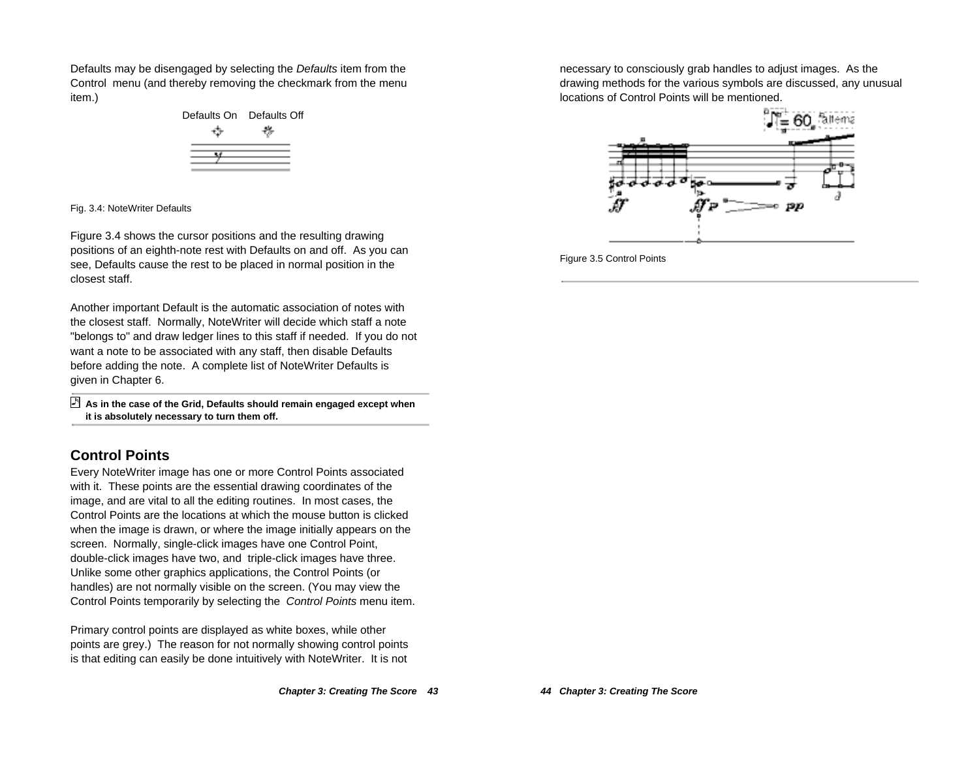Defaults may be disengaged by selecting the Defaults item from the Control menu (and thereby removing the checkmark from the menu item.)



Fig. 3.4: NoteWriter Defaults

Figure 3.4 shows the cursor positions and the resulting drawing positions of an eighth-note rest with Defaults on and off. As you can see, Defaults cause the rest to be placed in normal position in the closest staff.

Another important Default is the automatic association of notes with the closest staff. Normally, NoteWriter will decide which staff a note "belongs to" and draw ledger lines to this staff if needed. If you do not want a note to be associated with any staff, then disable Defaults before adding the note. A complete list of NoteWriter Defaults is given in Chapter 6.

 **As in the case of the Grid, Defaults should remain engaged except when it is absolutely necessary to turn them off.**

# **Control Points**

Every NoteWriter image has one or more Control Points associated with it. These points are the essential drawing coordinates of the image, and are vital to all the editing routines. In most cases, the Control Points are the locations at which the mouse button is clicked when the image is drawn, or where the image initially appears on the screen. Normally, single-click images have one Control Point, double-click images have two, and triple-click images have three. Unlike some other graphics applications, the Control Points (or handles) are not normally visible on the screen. (You may view the Control Points temporarily by selecting the Control Points menu item.

Primary control points are displayed as white boxes, while other points are grey.) The reason for not normally showing control points is that editing can easily be done intuitively with NoteWriter. It is not

necessary to consciously grab handles to adjust images. As the drawing methods for the various symbols are discussed, any unusual locations of Control Points will be mentioned.



Figure 3.5 Control Points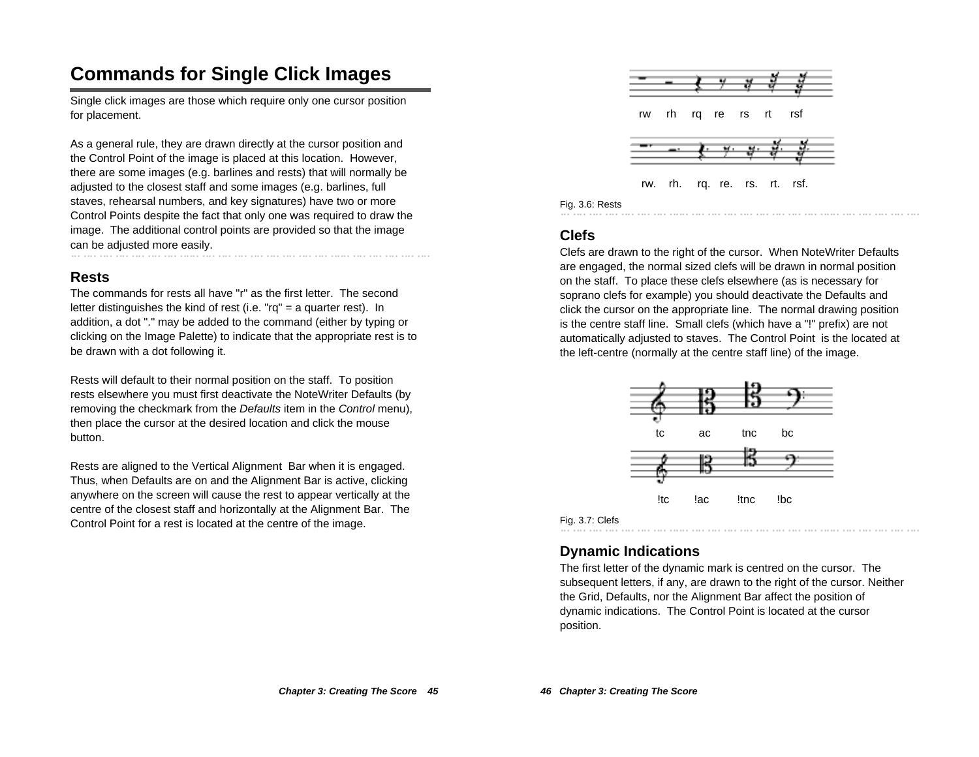# **Commands for Single Click Images**

Single click images are those which require only one cursor position for placement.

As a general rule, they are drawn directly at the cursor position and the Control Point of the image is placed at this location. However, there are some images (e.g. barlines and rests) that will normally be adjusted to the closest staff and some images (e.g. barlines, full staves, rehearsal numbers, and key signatures) have two or more Control Points despite the fact that only one was required to draw the image. The additional control points are provided so that the image can be adjusted more easily.

### **Rests**

The commands for rests all have "r" as the first letter. The second letter distinguishes the kind of rest (i.e. "rq" = a quarter rest). In addition, a dot "." may be added to the command (either by typing or clicking on the Image Palette) to indicate that the appropriate rest is to be drawn with a dot following it.

Rests will default to their normal position on the staff. To position rests elsewhere you must first deactivate the NoteWriter Defaults (by removing the checkmark from the Defaults item in the Control menu), then place the cursor at the desired location and click the mouse button.

Rests are aligned to the Vertical Alignment Bar when it is engaged. Thus, when Defaults are on and the Alignment Bar is active, clicking anywhere on the screen will cause the rest to appear vertically at the centre of the closest staff and horizontally at the Alignment Bar. The Control Point for a rest is located at the centre of the image.



rw. rh. rq. re. rs. rt. rsf.

#### Fig. 3.6: Rests

# **Clefs**

Clefs are drawn to the right of the cursor. When NoteWriter Defaults are engaged, the normal sized clefs will be drawn in normal position on the staff. To place these clefs elsewhere (as is necessary for soprano clefs for example) you should deactivate the Defaults and click the cursor on the appropriate line. The normal drawing position is the centre staff line. Small clefs (which have a "!" prefix) are not automatically adjusted to staves. The Control Point is the located at the left-centre (normally at the centre staff line) of the image.



#### Fig. 3.7: Clefs

# **Dynamic Indications**

The first letter of the dynamic mark is centred on the cursor. The subsequent letters, if any, are drawn to the right of the cursor. Neither the Grid, Defaults, nor the Alignment Bar affect the position of dynamic indications. The Control Point is located at the cursor position.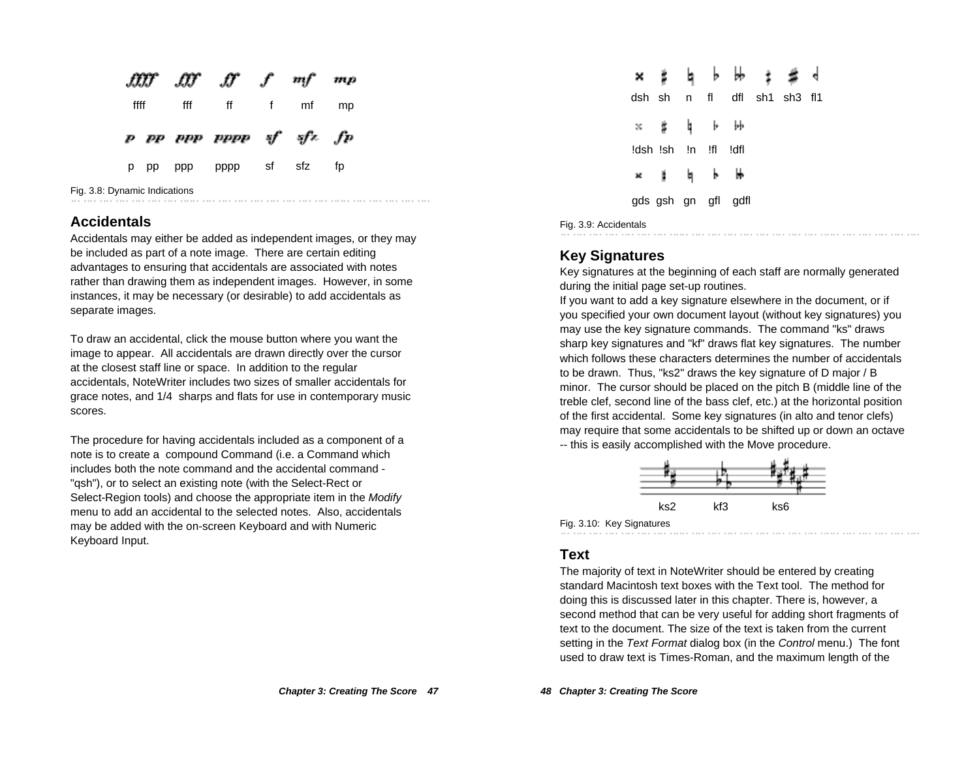|      |     | fffff fff ff f mf mp    |            |  |
|------|-----|-------------------------|------------|--|
| ffff | fff |                         | ff f mf mp |  |
|      |     |                         |            |  |
|      |     | p pp upp uppp uf ufz fp |            |  |

Fig. 3.8: Dynamic Indications

#### **Accidentals**

Accidentals may either be added as independent images, or they may be included as part of a note image. There are certain editing advantages to ensuring that accidentals are associated with notes rather than drawing them as independent images. However, in some instances, it may be necessary (or desirable) to add accidentals as separate images.

To draw an accidental, click the mouse button where you want the image to appear. All accidentals are drawn directly over the cursor at the closest staff line or space. In addition to the regular accidentals, NoteWriter includes two sizes of smaller accidentals for grace notes, and 1/4 sharps and flats for use in contemporary music scores.

The procedure for having accidentals included as a component of a note is to create a compound Command (i.e. a Command which includes both the note command and the accidental command - "qsh"), or to select an existing note (with the Select-Rect or Select-Region tools) and choose the appropriate item in the Modify menu to add an accidental to the selected notes. Also, accidentals may be added with the on-screen Keyboard and with Numeric Keyboard Input.

|    |                      |  |                     | <b>x ž b b b i s d</b>      |  |
|----|----------------------|--|---------------------|-----------------------------|--|
|    |                      |  |                     | dsh sh n fl dfl sh1 sh3 fl1 |  |
| ×. | 吉 貞 卜 孙              |  |                     |                             |  |
|    | !dsh !sh !n !fl !dfl |  |                     |                             |  |
|    | * 11 16 16           |  |                     |                             |  |
|    |                      |  | gds gsh gn gfl gdfl |                             |  |
|    |                      |  |                     |                             |  |

Fig. 3.9: Accidentals

#### **Key Signatures**

Key signatures at the beginning of each staff are normally generated during the initial page set-up routines.

If you want to add a key signature elsewhere in the document, or if you specified your own document layout (without key signatures) you may use the key signature commands. The command "ks" draws sharp key signatures and "kf" draws flat key signatures. The number which follows these characters determines the number of accidentals to be drawn. Thus, "ks2" draws the key signature of D major / B minor. The cursor should be placed on the pitch B (middle line of the treble clef, second line of the bass clef, etc.) at the horizontal position of the first accidental. Some key signatures (in alto and tenor clefs) may require that some accidentals to be shifted up or down an octave -- this is easily accomplished with the Move procedure.



Fig. 3.10: Key Signatures

#### **Text**

The majority of text in NoteWriter should be entered by creating standard Macintosh text boxes with the Text tool. The method for doing this is discussed later in this chapter. There is, however, a second method that can be very useful for adding short fragments of text to the document. The size of the text is taken from the current setting in the Text Format dialog box (in the Control menu.) The font used to draw text is Times-Roman, and the maximum length of the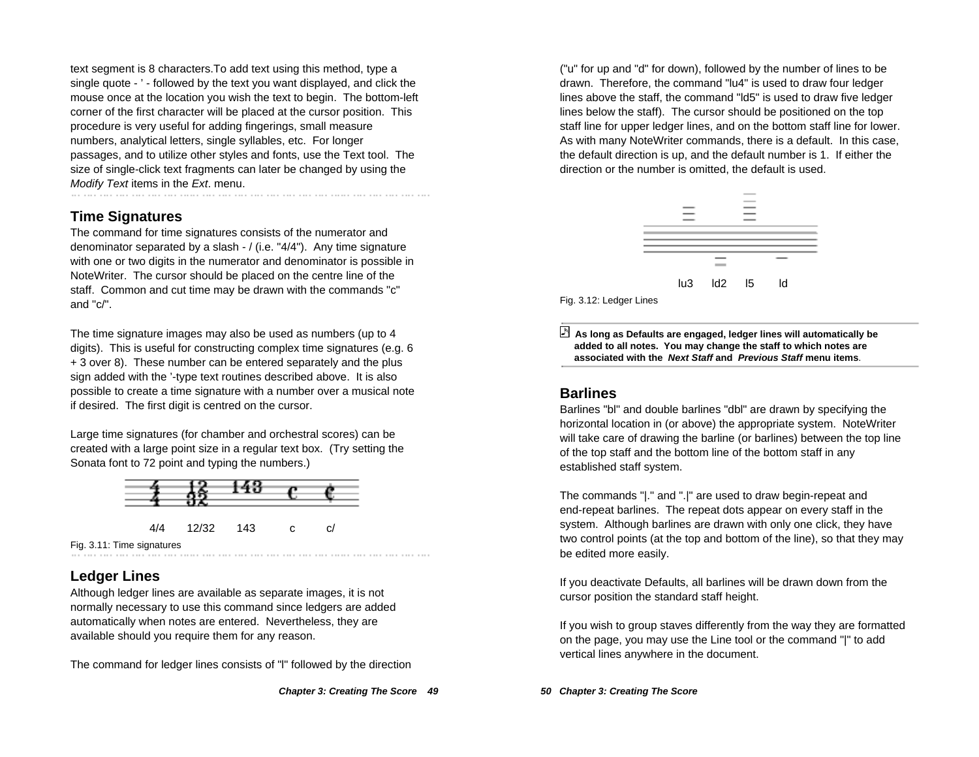text segment is 8 characters.To add text using this method, type a single quote - ' - followed by the text you want displayed, and click the mouse once at the location you wish the text to begin. The bottom-left corner of the first character will be placed at the cursor position. This procedure is very useful for adding fingerings, small measure numbers, analytical letters, single syllables, etc. For longer passages, and to utilize other styles and fonts, use the Text tool. The size of single-click text fragments can later be changed by using the Modify Text items in the Ext. menu.

### **Time Signatures**

The command for time signatures consists of the numerator and denominator separated by a slash - / (i.e. "4/4"). Any time signature with one or two digits in the numerator and denominator is possible in NoteWriter. The cursor should be placed on the centre line of the staff. Common and cut time may be drawn with the commands "c" and "c/".

The time signature images may also be used as numbers (up to 4 digits). This is useful for constructing complex time signatures (e.g. 6 + 3 over 8). These number can be entered separately and the plus sign added with the '-type text routines described above. It is also possible to create a time signature with a number over a musical note if desired. The first digit is centred on the cursor.

Large time signatures (for chamber and orchestral scores) can be created with a large point size in a regular text box. (Try setting the Sonata font to 72 point and typing the numbers.)



Fig. 3.11: Time signatures

# **Ledger Lines**

Although ledger lines are available as separate images, it is not normally necessary to use this command since ledgers are added automatically when notes are entered. Nevertheless, they are available should you require them for any reason.

The command for ledger lines consists of "l" followed by the direction

("u" for up and "d" for down), followed by the number of lines to be drawn. Therefore, the command "lu4" is used to draw four ledger lines above the staff, the command "ld5" is used to draw five ledger lines below the staff). The cursor should be positioned on the top staff line for upper ledger lines, and on the bottom staff line for lower. As with many NoteWriter commands, there is a default. In this case, the default direction is up, and the default number is 1. If either the direction or the number is omitted, the default is used.



Fig. 3.12: Ledger Lines

 **As long as Defaults are engaged, ledger lines will automatically be added to all notes. You may change the staff to which notes are associated with the Next Staff and Previous Staff menu items**.

### **Barlines**

Barlines "bl" and double barlines "dbl" are drawn by specifying the horizontal location in (or above) the appropriate system. NoteWriter will take care of drawing the barline (or barlines) between the top line of the top staff and the bottom line of the bottom staff in any established staff system.

The commands "|." and ".|" are used to draw begin-repeat and end-repeat barlines. The repeat dots appear on every staff in the system. Although barlines are drawn with only one click, they have two control points (at the top and bottom of the line), so that they may be edited more easily.

If you deactivate Defaults, all barlines will be drawn down from the cursor position the standard staff height.

If you wish to group staves differently from the way they are formatted on the page, you may use the Line tool or the command "|" to add vertical lines anywhere in the document.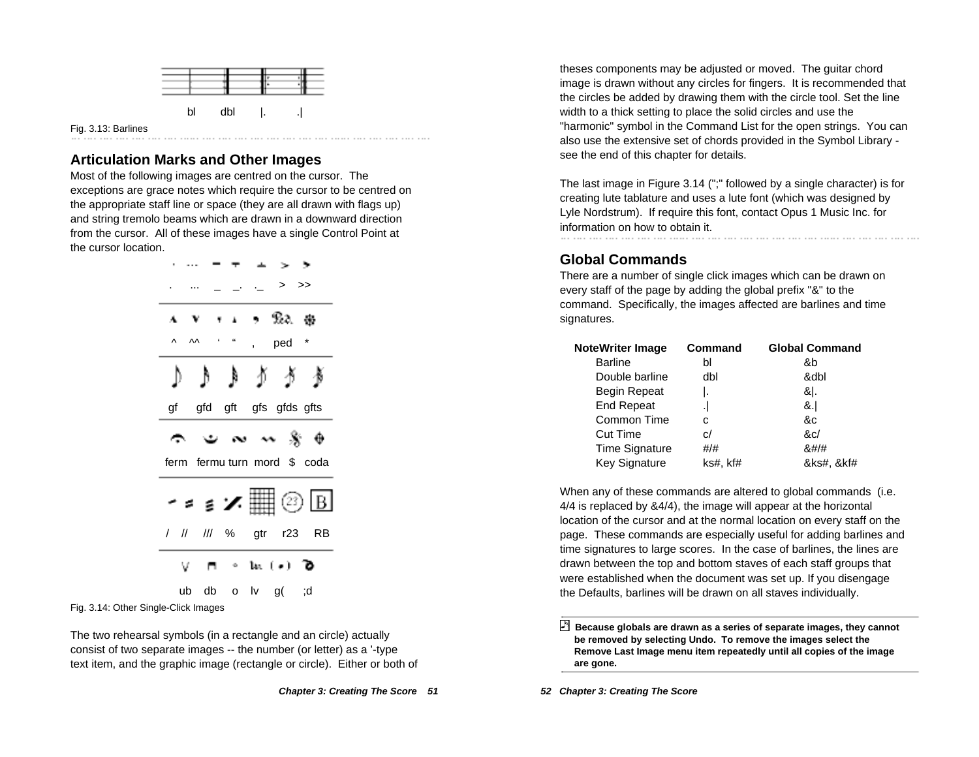

#### **Articulation Marks and Other Images**

Most of the following images are centred on the cursor. The exceptions are grace notes which require the cursor to be centred on the appropriate staff line or space (they are all drawn with flags up) and string tremolo beams which are drawn in a downward direction from the cursor. All of these images have a single Control Point at the cursor location.

| >>                                                                           |
|------------------------------------------------------------------------------|
| , Ra &<br>Ŧ.                                                                 |
| $\mathbf{r}$ and $\mathbf{r}$<br>$\Lambda$<br>$\star$<br>ped<br>$\mathbf{r}$ |
|                                                                              |
| gfd gft gfs gfds gfts<br>gf                                                  |
| ⊕ * ~ ~ * ت                                                                  |
| ferm fermu turn mord \$ coda                                                 |
| <sub>´</sub> ∘ક∡\\©⊡                                                         |
| / // /// % gtr r23 RB                                                        |
| $\mathcal{S}$ (*) $\mathcal{D}$                                              |
| ub db o lv g(; d                                                             |

Fig. 3.14: Other Single-Click Images

The two rehearsal symbols (in a rectangle and an circle) actually consist of two separate images -- the number (or letter) as a '-type text item, and the graphic image (rectangle or circle). Either or both of theses components may be adjusted or moved. The guitar chord image is drawn without any circles for fingers. It is recommended that the circles be added by drawing them with the circle tool. Set the line width to a thick setting to place the solid circles and use the "harmonic" symbol in the Command List for the open strings. You can also use the extensive set of chords provided in the Symbol Library see the end of this chapter for details.

The last image in Figure 3.14 (";" followed by a single character) is for creating lute tablature and uses a lute font (which was designed by Lyle Nordstrum). If require this font, contact Opus 1 Music Inc. for information on how to obtain it. 

#### **Global Commands**

There are a number of single click images which can be drawn on every staff of the page by adding the global prefix "&" to the command. Specifically, the images affected are barlines and time signatures.

| NoteWriter Image      | <b>Command</b> | <b>Global Command</b> |
|-----------------------|----------------|-----------------------|
| <b>Barline</b>        | bl             | &b                    |
| Double barline        | dbl            | &dbl                  |
| Begin Repeat          | ı.             | & .                   |
| <b>End Repeat</b>     |                | &.l                   |
| Common Time           | C              | &c                    |
| <b>Cut Time</b>       | c/             | &c/                   |
| <b>Time Signature</b> | #/#            | 8#/#                  |
| <b>Key Signature</b>  | ks#, kf#       | &ks#, &kf#            |

When any of these commands are altered to global commands (i.e. 4/4 is replaced by &4/4), the image will appear at the horizontal location of the cursor and at the normal location on every staff on the page. These commands are especially useful for adding barlines and time signatures to large scores. In the case of barlines, the lines are drawn between the top and bottom staves of each staff groups that were established when the document was set up. If you disengage the Defaults, barlines will be drawn on all staves individually.

 **Because globals are drawn as a series of separate images, they cannot be removed by selecting Undo. To remove the images select the Remove Last Image menu item repeatedly until all copies of the image are gone.**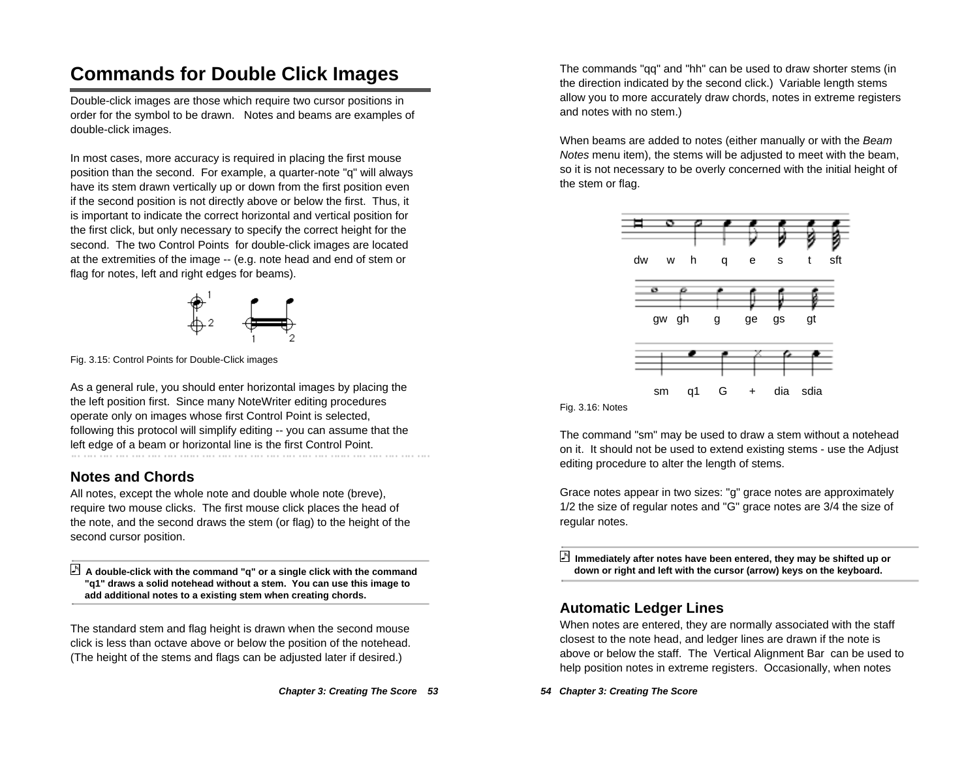# **Commands for Double Click Images**

Double-click images are those which require two cursor positions in order for the symbol to be drawn. Notes and beams are examples of double-click images.

In most cases, more accuracy is required in placing the first mouse position than the second. For example, a quarter-note "q" will always have its stem drawn vertically up or down from the first position even if the second position is not directly above or below the first. Thus, it is important to indicate the correct horizontal and vertical position for the first click, but only necessary to specify the correct height for the second. The two Control Points for double-click images are located at the extremities of the image -- (e.g. note head and end of stem or flag for notes, left and right edges for beams).



Fig. 3.15: Control Points for Double-Click images

As a general rule, you should enter horizontal images by placing the the left position first. Since many NoteWriter editing procedures operate only on images whose first Control Point is selected, following this protocol will simplify editing -- you can assume that the left edge of a beam or horizontal line is the first Control Point.

## **Notes and Chords**

All notes, except the whole note and double whole note (breve), require two mouse clicks. The first mouse click places the head of the note, and the second draws the stem (or flag) to the height of the second cursor position.

 **A double-click with the command "q" or a single click with the command "q1" draws a solid notehead without a stem. You can use this image to add additional notes to a existing stem when creating chords.**

The standard stem and flag height is drawn when the second mouse click is less than octave above or below the position of the notehead. (The height of the stems and flags can be adjusted later if desired.)

The commands "qq" and "hh" can be used to draw shorter stems (in the direction indicated by the second click.) Variable length stems allow you to more accurately draw chords, notes in extreme registers and notes with no stem.)

When beams are added to notes (either manually or with the Beam Notes menu item), the stems will be adjusted to meet with the beam, so it is not necessary to be overly concerned with the initial height of the stem or flag.



Fig. 3.16: Notes

The command "sm" may be used to draw a stem without a notehead on it. It should not be used to extend existing stems - use the Adjust editing procedure to alter the length of stems.

Grace notes appear in two sizes: "g" grace notes are approximately 1/2 the size of regular notes and "G" grace notes are 3/4 the size of regular notes.

 **Immediately after notes have been entered, they may be shifted up or down or right and left with the cursor (arrow) keys on the keyboard.**

### **Automatic Ledger Lines**

When notes are entered, they are normally associated with the staff closest to the note head, and ledger lines are drawn if the note is above or below the staff. The Vertical Alignment Bar can be used to help position notes in extreme registers. Occasionally, when notes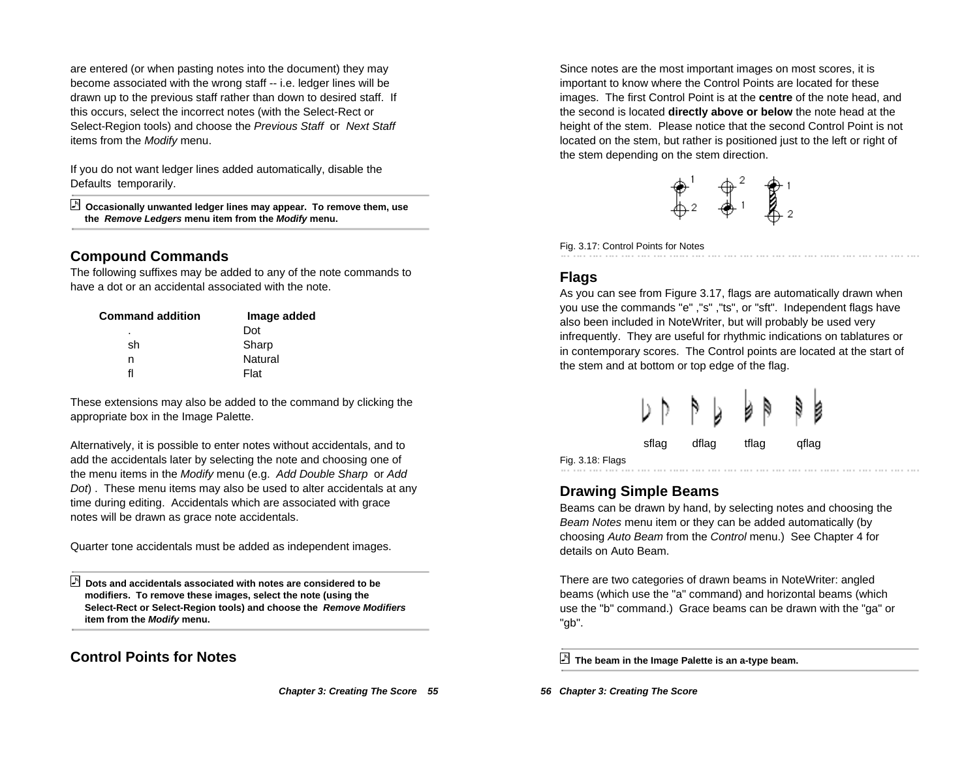are entered (or when pasting notes into the document) they may become associated with the wrong staff -- i.e. ledger lines will be drawn up to the previous staff rather than down to desired staff. If this occurs, select the incorrect notes (with the Select-Rect or Select-Region tools) and choose the Previous Staff or Next Staff items from the Modify menu.

If you do not want ledger lines added automatically, disable the Defaults temporarily.

 **Occasionally unwanted ledger lines may appear. To remove them, use the Remove Ledgers menu item from the Modify menu.**

### **Compound Commands**

The following suffixes may be added to any of the note commands to have a dot or an accidental associated with the note.

| Command addition | Image added |
|------------------|-------------|
| ٠                | Dot         |
| sh               | Sharp       |
| n                | Natural     |
| fl               | Flat        |

These extensions may also be added to the command by clicking the appropriate box in the Image Palette.

Alternatively, it is possible to enter notes without accidentals, and to add the accidentals later by selecting the note and choosing one of the menu items in the Modify menu (e.g. Add Double Sharp or Add Dot). These menu items may also be used to alter accidentals at any time during editing. Accidentals which are associated with grace notes will be drawn as grace note accidentals.

Quarter tone accidentals must be added as independent images.

 **Dots and accidentals associated with notes are considered to be modifiers. To remove these images, select the note (using the Select-Rect or Select-Region tools) and choose the Remove Modifiers item from the Modify menu.**

## **Control Points for Notes**

**Chapter 3: Creating The Score 55**

Since notes are the most important images on most scores, it is important to know where the Control Points are located for these images. The first Control Point is at the **centre** of the note head, and the second is located **directly above or below** the note head at the height of the stem. Please notice that the second Control Point is not located on the stem, but rather is positioned just to the left or right of the stem depending on the stem direction.



Fig. 3.17: Control Points for Notes

## **Flags**

As you can see from Figure 3.17, flags are automatically drawn when you use the commands "e" ,"s" ,"ts", or "sft". Independent flags have also been included in NoteWriter, but will probably be used very infrequently. They are useful for rhythmic indications on tablatures or in contemporary scores. The Control points are located at the start of the stem and at bottom or top edge of the flag.



Fig. 3.18: Flags

### **Drawing Simple Beams**

Beams can be drawn by hand, by selecting notes and choosing the Beam Notes menu item or they can be added automatically (by choosing Auto Beam from the Control menu.) See Chapter 4 for details on Auto Beam.

There are two categories of drawn beams in NoteWriter: angled beams (which use the "a" command) and horizontal beams (which use the "b" command.) Grace beams can be drawn with the "ga" or "gb".

**The beam in the Image Palette is an a-type beam.**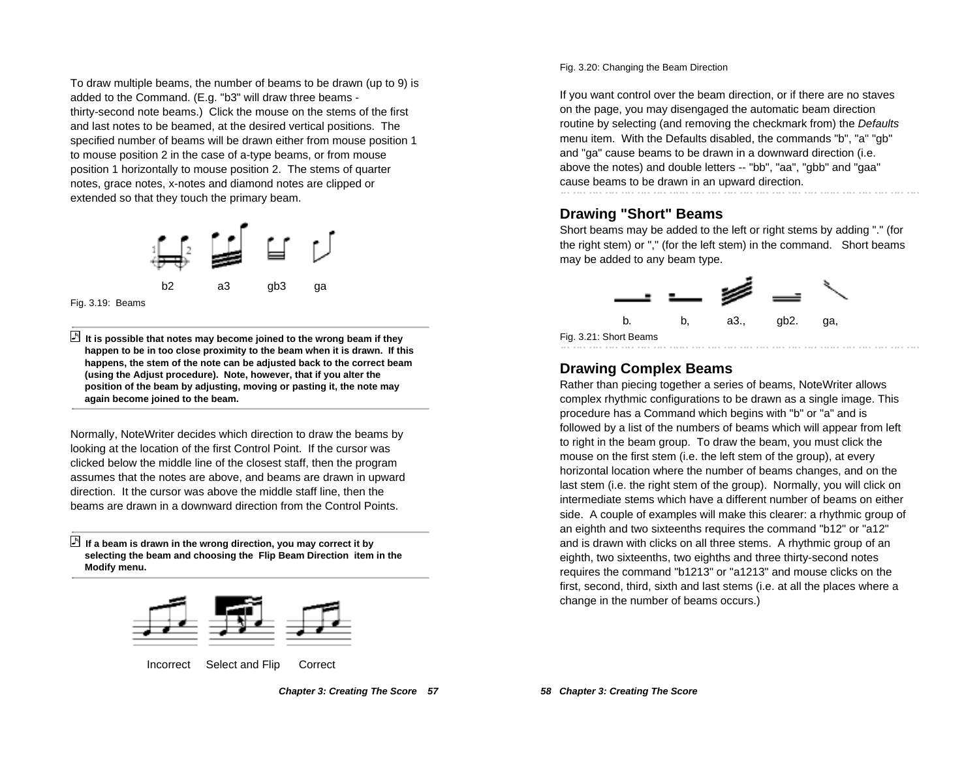To draw multiple beams, the number of beams to be drawn (up to 9) is added to the Command. (E.g. "b3" will draw three beams thirty-second note beams.) Click the mouse on the stems of the first and last notes to be beamed, at the desired vertical positions. The specified number of beams will be drawn either from mouse position 1 to mouse position 2 in the case of a-type beams, or from mouse position 1 horizontally to mouse position 2. The stems of quarter notes, grace notes, x-notes and diamond notes are clipped or extended so that they touch the primary beam.



Fig. 3.19: Beams

 **It is possible that notes may become joined to the wrong beam if they happen to be in too close proximity to the beam when it is drawn. If this happens, the stem of the note can be adjusted back to the correct beam (using the Adjust procedure). Note, however, that if you alter the position of the beam by adjusting, moving or pasting it, the note may again become joined to the beam.**

Normally, NoteWriter decides which direction to draw the beams by looking at the location of the first Control Point. If the cursor was clicked below the middle line of the closest staff, then the program assumes that the notes are above, and beams are drawn in upward direction. It the cursor was above the middle staff line, then the beams are drawn in a downward direction from the Control Points.

 **If a beam is drawn in the wrong direction, you may correct it by selecting the beam and choosing the Flip Beam Direction item in the Modify menu.**



Incorrect Select and Flip Correct

Fig. 3.20: Changing the Beam Direction

If you want control over the beam direction, or if there are no staves on the page, you may disengaged the automatic beam direction routine by selecting (and removing the checkmark from) the Defaults menu item. With the Defaults disabled, the commands "b", "a" "gb" and "ga" cause beams to be drawn in a downward direction (i.e. above the notes) and double letters -- "bb", "aa", "gbb" and "gaa" cause beams to be drawn in an upward direction.

# **Drawing "Short" Beams**

Short beams may be added to the left or right stems by adding "." (for the right stem) or "," (for the left stem) in the command. Short beams may be added to any beam type.



### **Drawing Complex Beams**

Rather than piecing together a series of beams, NoteWriter allows complex rhythmic configurations to be drawn as a single image. This procedure has a Command which begins with "b" or "a" and is followed by a list of the numbers of beams which will appear from left to right in the beam group. To draw the beam, you must click the mouse on the first stem (i.e. the left stem of the group), at every horizontal location where the number of beams changes, and on the last stem (i.e. the right stem of the group). Normally, you will click on intermediate stems which have a different number of beams on either side. A couple of examples will make this clearer: a rhythmic group of an eighth and two sixteenths requires the command "b12" or "a12" and is drawn with clicks on all three stems. A rhythmic group of an eighth, two sixteenths, two eighths and three thirty-second notes requires the command "b1213" or "a1213" and mouse clicks on the first, second, third, sixth and last stems (i.e. at all the places where a change in the number of beams occurs.)

Fig. 3.21: Short Beams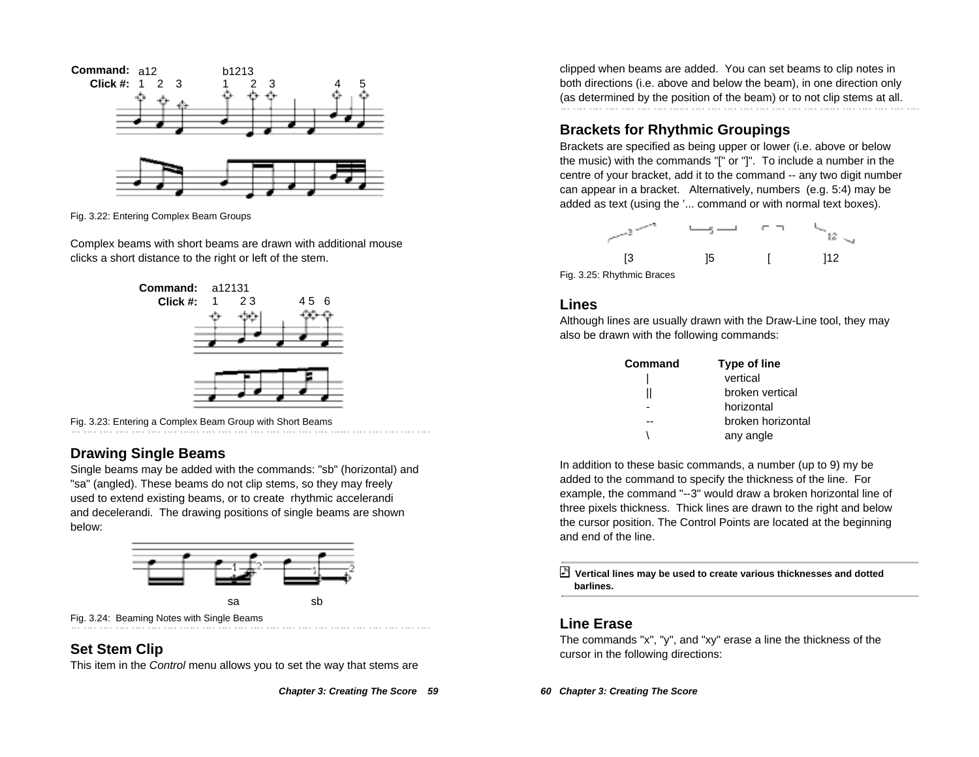

Fig. 3.22: Entering Complex Beam Groups

Complex beams with short beams are drawn with additional mouse clicks a short distance to the right or left of the stem.



Fig. 3.23: Entering a Complex Beam Group with Short Beams

# **Drawing Single Beams**

Single beams may be added with the commands: "sb" (horizontal) and "sa" (angled). These beams do not clip stems, so they may freely used to extend existing beams, or to create rhythmic accelerandi and decelerandi. The drawing positions of single beams are shown below:



## **Set Stem Clip**

This item in the Control menu allows you to set the way that stems are

**Chapter 3: Creating The Score 59**

clipped when beams are added. You can set beams to clip notes in both directions (i.e. above and below the beam), in one direction only (as determined by the position of the beam) or to not clip stems at all.

# **Brackets for Rhythmic Groupings**

Brackets are specified as being upper or lower (i.e. above or below the music) with the commands "[" or "]". To include a number in the centre of your bracket, add it to the command -- any two digit number can appear in a bracket. Alternatively, numbers (e.g. 5:4) may be added as text (using the '... command or with normal text boxes).



Fig. 3.25: Rhythmic Braces

#### **Lines**

Although lines are usually drawn with the Draw-Line tool, they may also be drawn with the following commands:

| Command | <b>Type of line</b> |
|---------|---------------------|
|         | vertical            |
|         | broken vertical     |
|         | horizontal          |
|         | broken horizontal   |
|         | any angle           |

In addition to these basic commands, a number (up to 9) my be added to the command to specify the thickness of the line. For example, the command "--3" would draw a broken horizontal line of three pixels thickness. Thick lines are drawn to the right and below the cursor position. The Control Points are located at the beginning and end of the line.

 **Vertical lines may be used to create various thicknesses and dotted barlines.**

#### **Line Erase**

The commands "x", "y", and "xy" erase a line the thickness of the cursor in the following directions: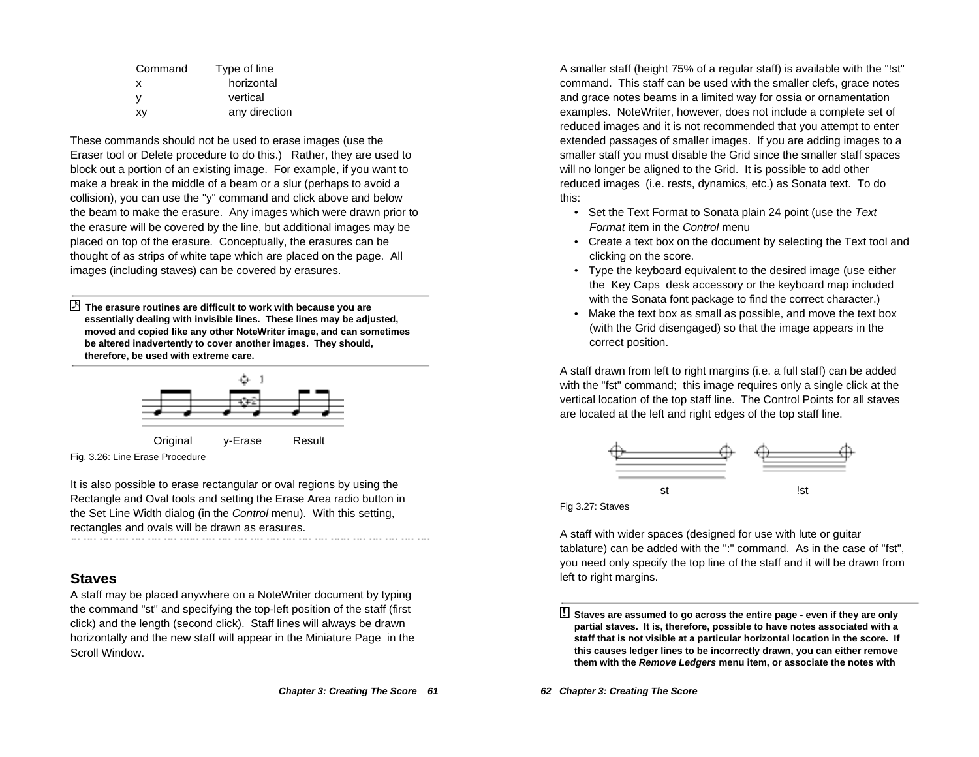| horizontal    |
|---------------|
|               |
| vertical      |
| any direction |
|               |

These commands should not be used to erase images (use the Eraser tool or Delete procedure to do this.) Rather, they are used to block out a portion of an existing image. For example, if you want to make a break in the middle of a beam or a slur (perhaps to avoid a collision), you can use the "y" command and click above and below the beam to make the erasure. Any images which were drawn prior to the erasure will be covered by the line, but additional images may be placed on top of the erasure. Conceptually, the erasures can be thought of as strips of white tape which are placed on the page. All images (including staves) can be covered by erasures.

 **The erasure routines are difficult to work with because you are essentially dealing with invisible lines. These lines may be adjusted, moved and copied like any other NoteWriter image, and can sometimes be altered inadvertently to cover another images. They should, therefore, be used with extreme care.**



Fig. 3.26: Line Erase Procedure

It is also possible to erase rectangular or oval regions by using the Rectangle and Oval tools and setting the Erase Area radio button in the Set Line Width dialog (in the Control menu). With this setting, rectangles and ovals will be drawn as erasures. 

### **Staves**

A staff may be placed anywhere on a NoteWriter document by typing the command "st" and specifying the top-left position of the staff (first click) and the length (second click). Staff lines will always be drawn horizontally and the new staff will appear in the Miniature Page in the Scroll Window.

A smaller staff (height 75% of a regular staff) is available with the "!st" command. This staff can be used with the smaller clefs, grace notes and grace notes beams in a limited way for ossia or ornamentation examples. NoteWriter, however, does not include a complete set of reduced images and it is not recommended that you attempt to enter extended passages of smaller images. If you are adding images to a smaller staff you must disable the Grid since the smaller staff spaces will no longer be aligned to the Grid. It is possible to add other reduced images (i.e. rests, dynamics, etc.) as Sonata text. To do this:

- Set the Text Format to Sonata plain 24 point (use the Text Format item in the Control menu
- Create a text box on the document by selecting the Text tool and clicking on the score.
- Type the keyboard equivalent to the desired image (use either the Key Caps desk accessory or the keyboard map included with the Sonata font package to find the correct character.)
- Make the text box as small as possible, and move the text box (with the Grid disengaged) so that the image appears in the correct position.

A staff drawn from left to right margins (i.e. a full staff) can be added with the "fst" command; this image requires only a single click at the vertical location of the top staff line. The Control Points for all staves are located at the left and right edges of the top staff line.



Fig 3.27: Staves

A staff with wider spaces (designed for use with lute or guitar tablature) can be added with the ":" command. As in the case of "fst", you need only specify the top line of the staff and it will be drawn from left to right margins.

<sup>!</sup> **Staves are assumed to go across the entire page - even if they are only partial staves. It is, therefore, possible to have notes associated with a staff that is not visible at a particular horizontal location in the score. If this causes ledger lines to be incorrectly drawn, you can either remove them with the Remove Ledgers menu item, or associate the notes with**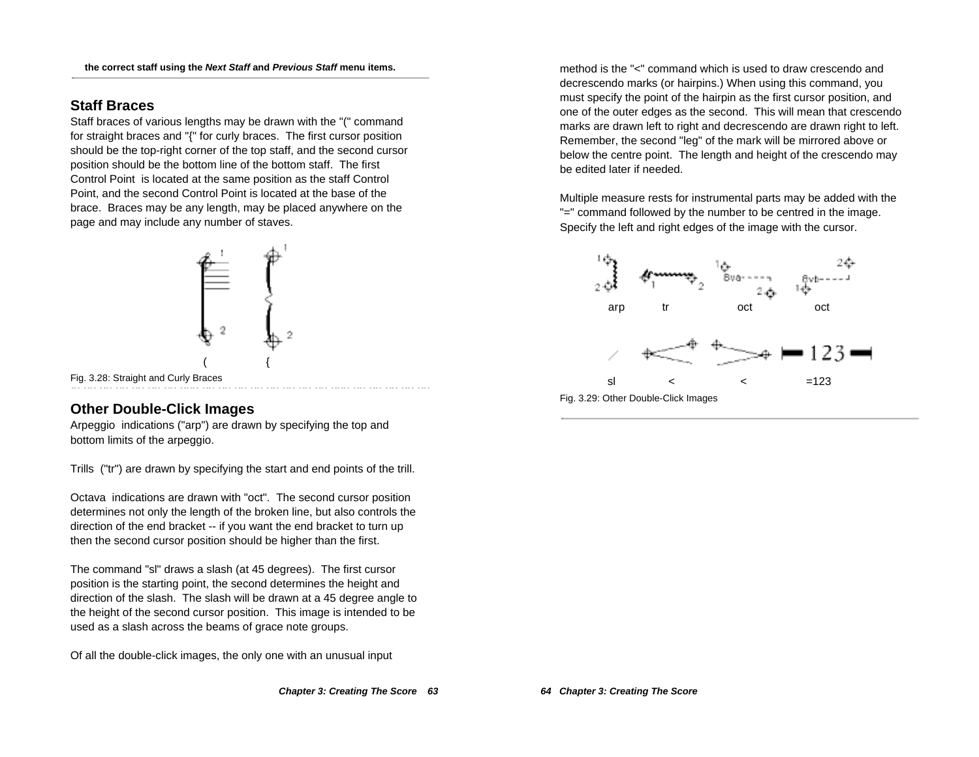## **Staff Braces**

Staff braces of various lengths may be drawn with the "(" command for straight braces and "{" for curly braces. The first cursor position should be the top-right corner of the top staff, and the second cursor position should be the bottom line of the bottom staff. The first Control Point is located at the same position as the staff Control Point, and the second Control Point is located at the base of the brace. Braces may be any length, may be placed anywhere on the page and may include any number of staves.



Fig. 3.28: Straight and Curly Braces

# **Other Double-Click Images**

Arpeggio indications ("arp") are drawn by specifying the top and bottom limits of the arpeggio.

Trills ("tr") are drawn by specifying the start and end points of the trill.

Octava indications are drawn with "oct". The second cursor position determines not only the length of the broken line, but also controls the direction of the end bracket -- if you want the end bracket to turn up then the second cursor position should be higher than the first.

The command "sl" draws a slash (at 45 degrees). The first cursor position is the starting point, the second determines the height and direction of the slash. The slash will be drawn at a 45 degree angle to the height of the second cursor position. This image is intended to be used as a slash across the beams of grace note groups.

Of all the double-click images, the only one with an unusual input

method is the "<" command which is used to draw crescendo and decrescendo marks (or hairpins.) When using this command, you must specify the point of the hairpin as the first cursor position, and one of the outer edges as the second. This will mean that crescendo marks are drawn left to right and decrescendo are drawn right to left. Remember, the second "leg" of the mark will be mirrored above or below the centre point. The length and height of the crescendo may be edited later if needed.

Multiple measure rests for instrumental parts may be added with the "=" command followed by the number to be centred in the image. Specify the left and right edges of the image with the cursor.

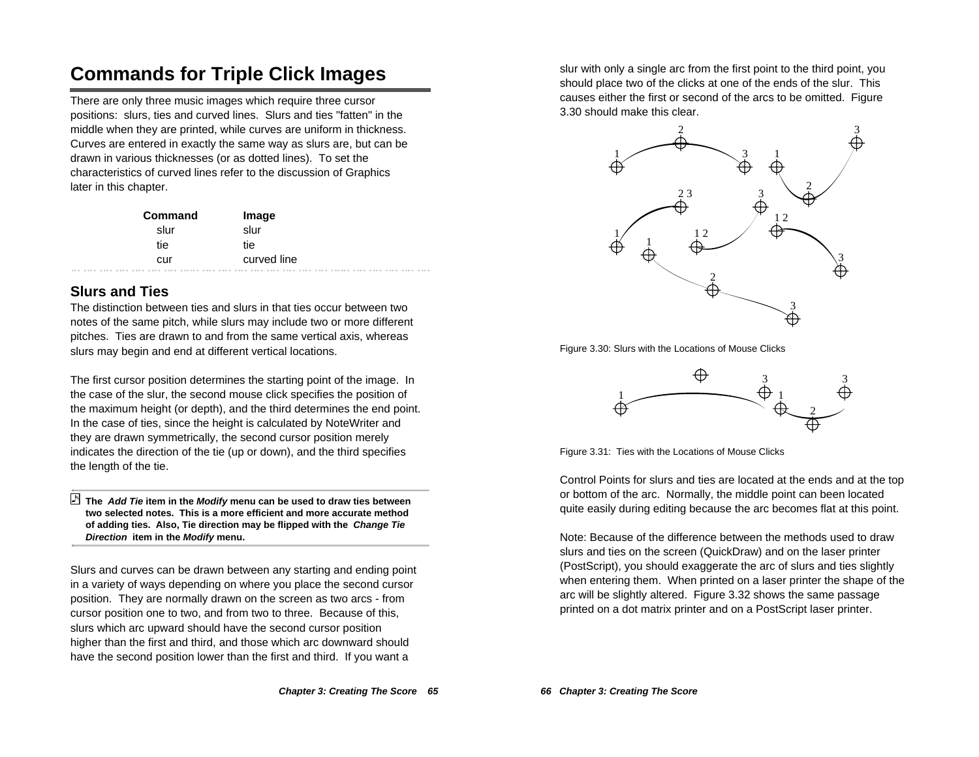# **Commands for Triple Click Images**

There are only three music images which require three cursor positions: slurs, ties and curved lines. Slurs and ties "fatten" in the middle when they are printed, while curves are uniform in thickness. Curves are entered in exactly the same way as slurs are, but can be drawn in various thicknesses (or as dotted lines). To set the characteristics of curved lines refer to the discussion of Graphics later in this chapter.

| Command | Image       |
|---------|-------------|
| slur    | slur        |
| tie     | tie         |
| cur     | curved line |

# **Slurs and Ties**

The distinction between ties and slurs in that ties occur between two notes of the same pitch, while slurs may include two or more different pitches. Ties are drawn to and from the same vertical axis, whereas slurs may begin and end at different vertical locations.

The first cursor position determines the starting point of the image. In the case of the slur, the second mouse click specifies the position of the maximum height (or depth), and the third determines the end point. In the case of ties, since the height is calculated by NoteWriter and they are drawn symmetrically, the second cursor position merely indicates the direction of the tie (up or down), and the third specifies the length of the tie.

#### **The Add Tie item in the Modify menu can be used to draw ties between two selected notes. This is a more efficient and more accurate method of adding ties. Also, Tie direction may be flipped with the Change Tie Direction item in the Modify menu.**

Slurs and curves can be drawn between any starting and ending point in a variety of ways depending on where you place the second cursor position. They are normally drawn on the screen as two arcs - from cursor position one to two, and from two to three. Because of this, slurs which arc upward should have the second cursor position higher than the first and third, and those which arc downward should have the second position lower than the first and third. If you want a

slur with only a single arc from the first point to the third point, you should place two of the clicks at one of the ends of the slur. This causes either the first or second of the arcs to be omitted. Figure 3.30 should make this clear.



Figure 3.30: Slurs with the Locations of Mouse Clicks



Figure 3.31: Ties with the Locations of Mouse Clicks

Control Points for slurs and ties are located at the ends and at the top or bottom of the arc. Normally, the middle point can been located quite easily during editing because the arc becomes flat at this point.

Note: Because of the difference between the methods used to draw slurs and ties on the screen (QuickDraw) and on the laser printer (PostScript), you should exaggerate the arc of slurs and ties slightly when entering them. When printed on a laser printer the shape of the arc will be slightly altered. Figure 3.32 shows the same passage printed on a dot matrix printer and on a PostScript laser printer.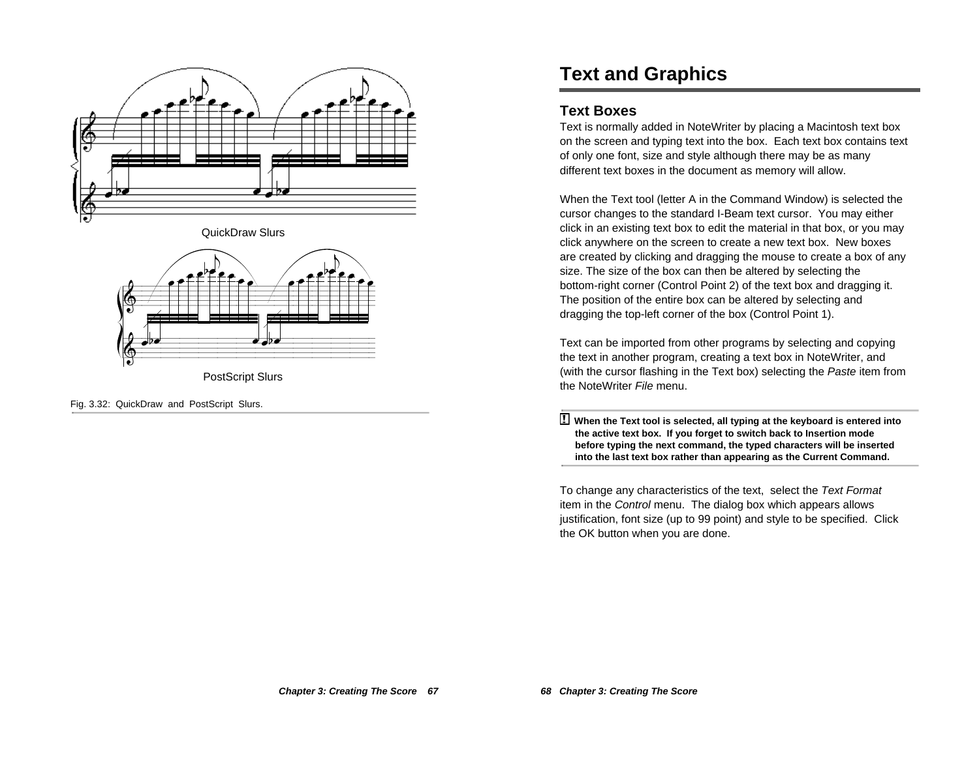

QuickDraw Slurs



PostScript Slurs

Fig. 3.32: QuickDraw and PostScript Slurs.

# **Text and Graphics**

#### **Text Boxes**

Text is normally added in NoteWriter by placing a Macintosh text box on the screen and typing text into the box. Each text box contains text of only one font, size and style although there may be as many different text boxes in the document as memory will allow.

When the Text tool (letter A in the Command Window) is selected the cursor changes to the standard I-Beam text cursor. You may either click in an existing text box to edit the material in that box, or you may click anywhere on the screen to create a new text box. New boxes are created by clicking and dragging the mouse to create a box of any size. The size of the box can then be altered by selecting the bottom-right corner (Control Point 2) of the text box and dragging it. The position of the entire box can be altered by selecting and dragging the top-left corner of the box (Control Point 1).

Text can be imported from other programs by selecting and copying the text in another program, creating a text box in NoteWriter, and (with the cursor flashing in the Text box) selecting the Paste item from the NoteWriter File menu.

! **When the Text tool is selected, all typing at the keyboard is entered into the active text box. If you forget to switch back to Insertion mode before typing the next command, the typed characters will be inserted into the last text box rather than appearing as the Current Command.**

To change any characteristics of the text, select the Text Format item in the Control menu. The dialog box which appears allows justification, font size (up to 99 point) and style to be specified. Click the OK button when you are done.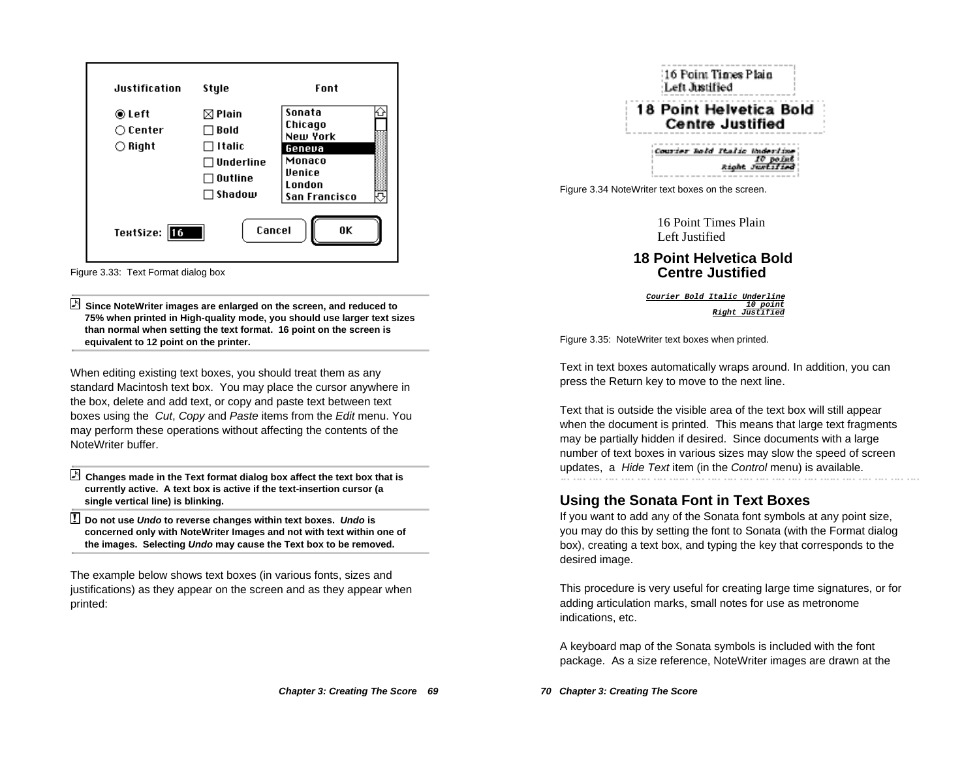

Figure 3.33: Text Format dialog box

 **Since NoteWriter images are enlarged on the screen, and reduced to 75% when printed in High-quality mode, you should use larger text sizes than normal when setting the text format. 16 point on the screen is equivalent to 12 point on the printer.**

When editing existing text boxes, you should treat them as any standard Macintosh text box. You may place the cursor anywhere in the box, delete and add text, or copy and paste text between text boxes using the Cut, Copy and Paste items from the Edit menu. You may perform these operations without affecting the contents of the NoteWriter buffer.

 **Changes made in the Text format dialog box affect the text box that is currently active. A text box is active if the text-insertion cursor (a single vertical line) is blinking.**

! **Do not use Undo to reverse changes within text boxes. Undo is concerned only with NoteWriter Images and not with text within one of the images. Selecting Undo may cause the Text box to be removed.**

The example below shows text boxes (in various fonts, sizes and justifications) as they appear on the screen and as they appear when printed:



16 Point Times Plain Left Justified

**18 Point Helvetica Bold Centre Justified**

**Courier Bold Italic Underline 10 point Right Justified**

Figure 3.35: NoteWriter text boxes when printed.

Text in text boxes automatically wraps around. In addition, you can press the Return key to move to the next line.

Text that is outside the visible area of the text box will still appear when the document is printed. This means that large text fragments may be partially hidden if desired. Since documents with a large number of text boxes in various sizes may slow the speed of screen updates, a Hide Text item (in the Control menu) is available.

## **Using the Sonata Font in Text Boxes**

If you want to add any of the Sonata font symbols at any point size, you may do this by setting the font to Sonata (with the Format dialog box), creating a text box, and typing the key that corresponds to the desired image.

This procedure is very useful for creating large time signatures, or for adding articulation marks, small notes for use as metronome indications, etc.

A keyboard map of the Sonata symbols is included with the font package. As a size reference, NoteWriter images are drawn at the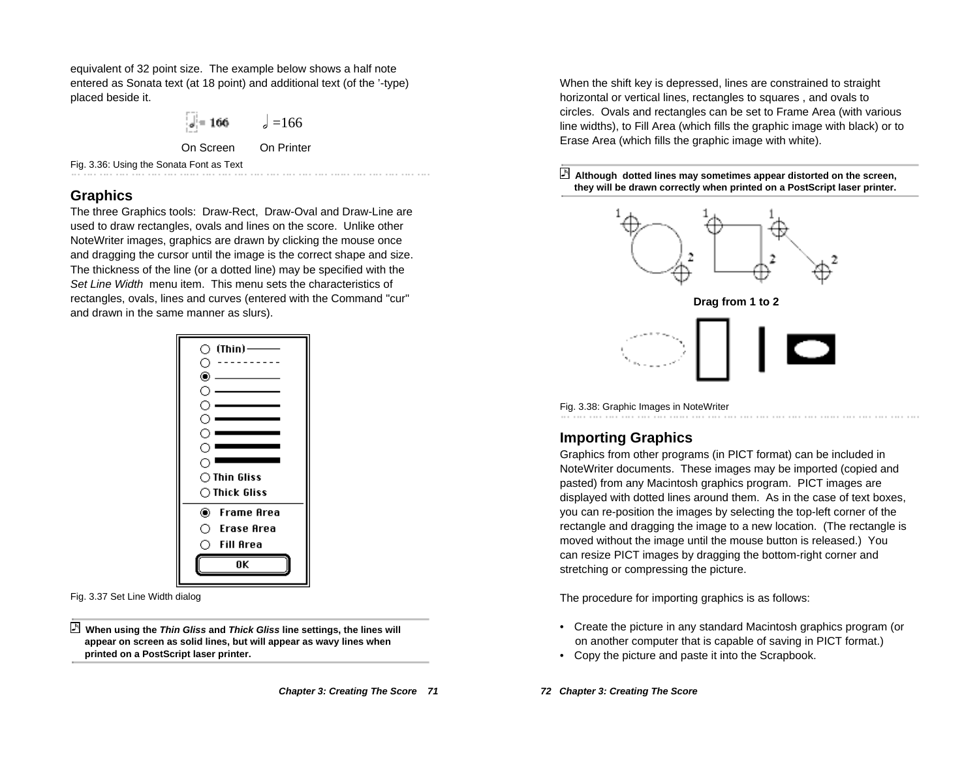equivalent of 32 point size. The example below shows a half note entered as Sonata text (at 18 point) and additional text (of the '-type) placed beside it.

$$
\begin{vmatrix} 1 & 166 \\ 0 & 166 \end{vmatrix} = 166
$$
  
On Screen On Printer

Fig. 3.36: Using the Sonata Font as Text

# **Graphics**

The three Graphics tools: Draw-Rect, Draw-Oval and Draw-Line are used to draw rectangles, ovals and lines on the score. Unlike other NoteWriter images, graphics are drawn by clicking the mouse once and dragging the cursor until the image is the correct shape and size. The thickness of the line (or a dotted line) may be specified with the Set Line Width menu item. This menu sets the characteristics of rectangles, ovals, lines and curves (entered with the Command "cur" and drawn in the same manner as slurs).



Fig. 3.37 Set Line Width dialog

 **When using the Thin Gliss and Thick Gliss line settings, the lines will appear on screen as solid lines, but will appear as wavy lines when printed on a PostScript laser printer.**

When the shift key is depressed, lines are constrained to straight horizontal or vertical lines, rectangles to squares , and ovals to circles. Ovals and rectangles can be set to Frame Area (with various line widths), to Fill Area (which fills the graphic image with black) or to Erase Area (which fills the graphic image with white).







# **Importing Graphics**

Graphics from other programs (in PICT format) can be included in NoteWriter documents. These images may be imported (copied and pasted) from any Macintosh graphics program. PICT images are displayed with dotted lines around them. As in the case of text boxes, you can re-position the images by selecting the top-left corner of the rectangle and dragging the image to a new location. (The rectangle is moved without the image until the mouse button is released.) You can resize PICT images by dragging the bottom-right corner and stretching or compressing the picture.

The procedure for importing graphics is as follows:

- Create the picture in any standard Macintosh graphics program (or on another computer that is capable of saving in PICT format.)
- Copy the picture and paste it into the Scrapbook.

**72 Chapter 3: Creating The Score**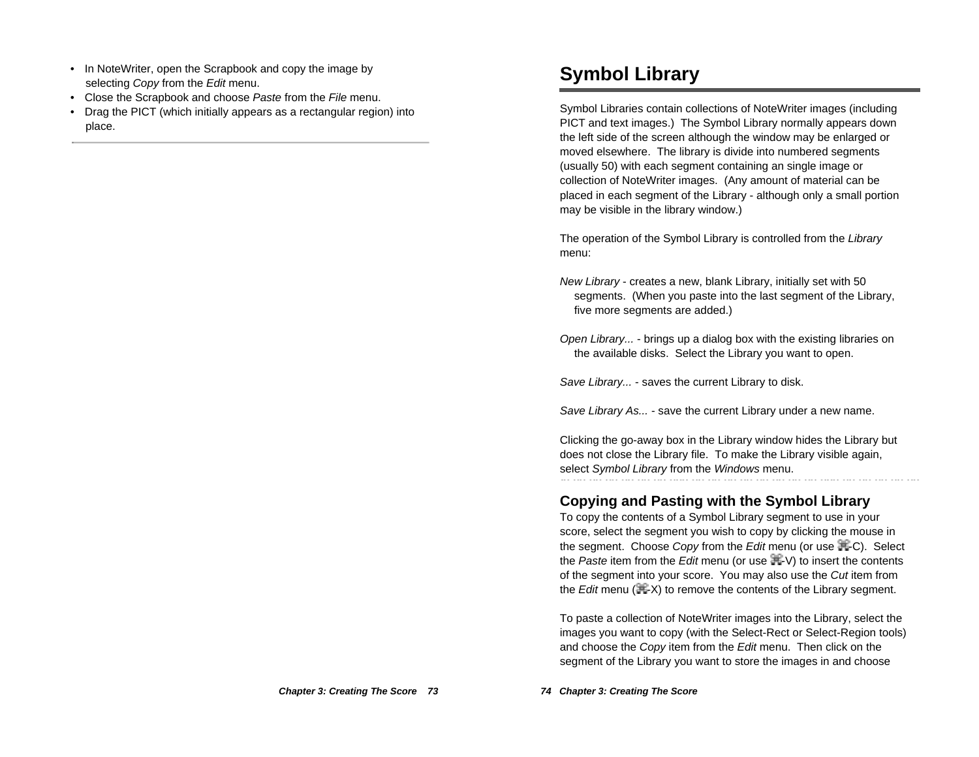- In NoteWriter, open the Scrapbook and copy the image by selecting Copy from the Edit menu.
- Close the Scrapbook and choose Paste from the File menu.
- • Drag the PICT (which initially appears as a rectangular region) into place.

# **Symbol Library**

Symbol Libraries contain collections of NoteWriter images (including PICT and text images.) The Symbol Library normally appears down the left side of the screen although the window may be enlarged or moved elsewhere. The library is divide into numbered segments (usually 50) with each segment containing an single image or collection of NoteWriter images. (Any amount of material can be placed in each segment of the Library - although only a small portion may be visible in the library window.)

The operation of the Symbol Library is controlled from the Library menu:

- New Library creates a new, blank Library, initially set with 50 segments. (When you paste into the last segment of the Library, five more segments are added.)
- Open Library... brings up a dialog box with the existing libraries on the available disks. Select the Library you want to open.

Save Library... - saves the current Library to disk.

Save Library As... - save the current Library under a new name.

Clicking the go-away box in the Library window hides the Library but does not close the Library file. To make the Library visible again, select Symbol Library from the Windows menu.

# **Copying and Pasting with the Symbol Library**

To copy the contents of a Symbol Library segment to use in your score, select the segment you wish to copy by clicking the mouse in the segment. Choose Copy from the Edit menu (or use  $\mathbb{H}$ -C). Select the Paste item from the Edit menu (or use  $\mathbb{H}$ -V) to insert the contents of the segment into your score. You may also use the Cut item from the Edit menu  $(\mathbb{H}^2 X)$  to remove the contents of the Library segment.

To paste a collection of NoteWriter images into the Library, select the images you want to copy (with the Select-Rect or Select-Region tools) and choose the Copy item from the Edit menu. Then click on the segment of the Library you want to store the images in and choose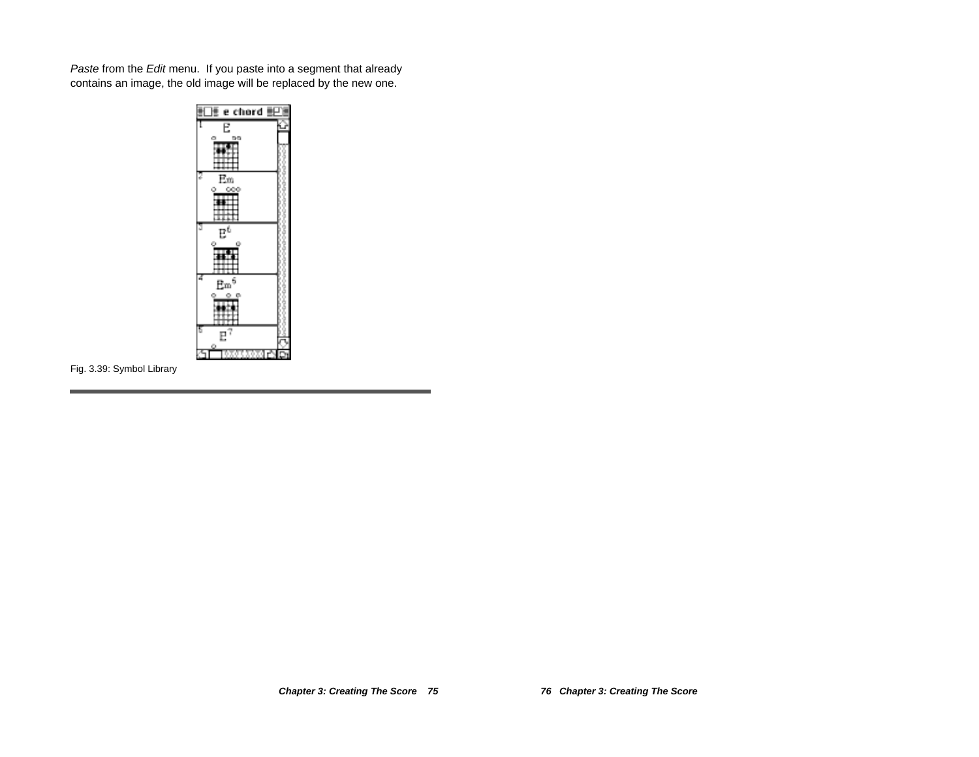Paste from the Edit menu. If you paste into a segment that already contains an image, the old image will be replaced by the new one.



Fig. 3.39: Symbol Library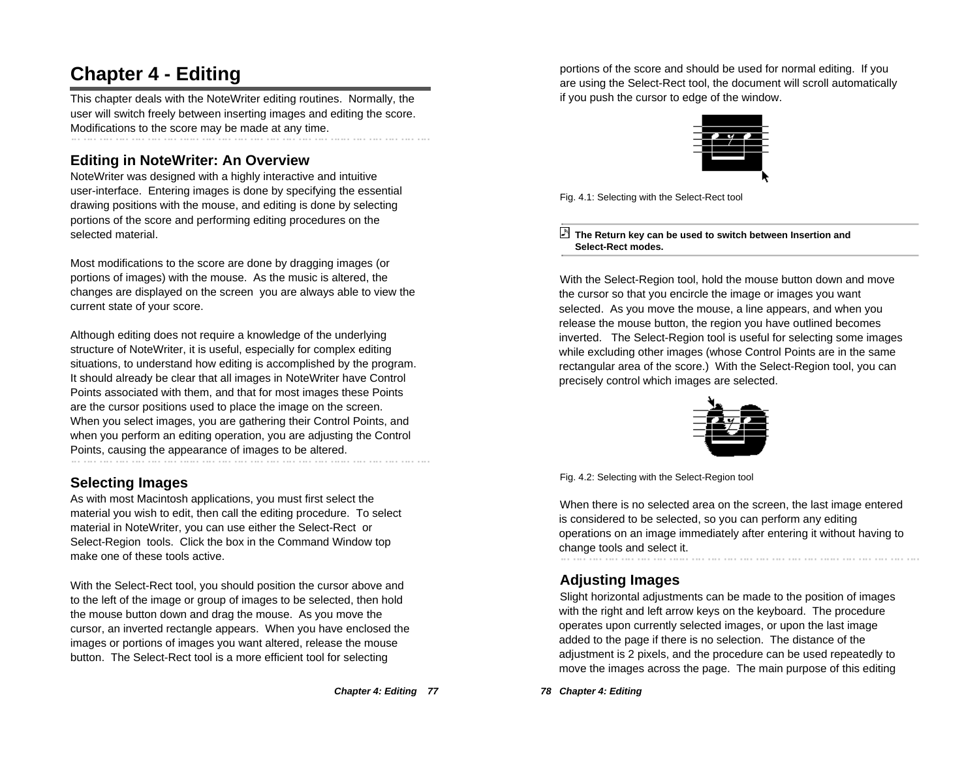# **Chapter 4 - Editing**

This chapter deals with the NoteWriter editing routines. Normally, the user will switch freely between inserting images and editing the score. Modifications to the score may be made at any time.

# **Editing in NoteWriter: An Overview**

NoteWriter was designed with a highly interactive and intuitive user-interface. Entering images is done by specifying the essential drawing positions with the mouse, and editing is done by selecting portions of the score and performing editing procedures on the selected material.

Most modifications to the score are done by dragging images (or portions of images) with the mouse. As the music is altered, the changes are displayed on the screen you are always able to view the current state of your score.

Although editing does not require a knowledge of the underlying structure of NoteWriter, it is useful, especially for complex editing situations, to understand how editing is accomplished by the program. It should already be clear that all images in NoteWriter have Control Points associated with them, and that for most images these Points are the cursor positions used to place the image on the screen. When you select images, you are gathering their Control Points, and when you perform an editing operation, you are adjusting the Control Points, causing the appearance of images to be altered.

# **Selecting Images**

As with most Macintosh applications, you must first select the material you wish to edit, then call the editing procedure. To select material in NoteWriter, you can use either the Select-Rect or Select-Region tools. Click the box in the Command Window top make one of these tools active.

With the Select-Rect tool, you should position the cursor above and to the left of the image or group of images to be selected, then hold the mouse button down and drag the mouse. As you move the cursor, an inverted rectangle appears. When you have enclosed the images or portions of images you want altered, release the mouse button. The Select-Rect tool is a more efficient tool for selecting

**Chapter 4: Editing 77**

portions of the score and should be used for normal editing. If you are using the Select-Rect tool, the document will scroll automatically if you push the cursor to edge of the window.



Fig. 4.1: Selecting with the Select-Rect tool

#### **The Return key can be used to switch between Insertion and Select-Rect modes.**

With the Select-Region tool, hold the mouse button down and move the cursor so that you encircle the image or images you want selected. As you move the mouse, a line appears, and when you release the mouse button, the region you have outlined becomes inverted. The Select-Region tool is useful for selecting some images while excluding other images (whose Control Points are in the same rectangular area of the score.) With the Select-Region tool, you can precisely control which images are selected.



Fig. 4.2: Selecting with the Select-Region tool

When there is no selected area on the screen, the last image entered is considered to be selected, so you can perform any editing operations on an image immediately after entering it without having to change tools and select it.

## **Adjusting Images**

Slight horizontal adjustments can be made to the position of images with the right and left arrow keys on the keyboard. The procedure operates upon currently selected images, or upon the last image added to the page if there is no selection. The distance of the adjustment is 2 pixels, and the procedure can be used repeatedly to move the images across the page. The main purpose of this editing

**78 Chapter 4: Editing**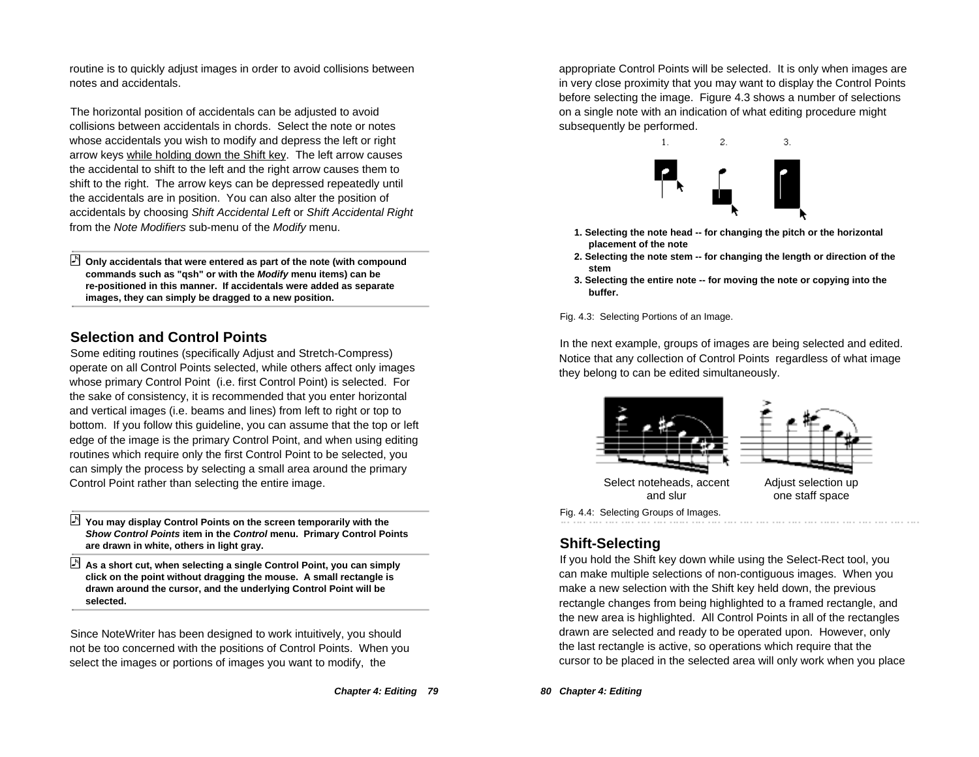routine is to quickly adjust images in order to avoid collisions between notes and accidentals.

The horizontal position of accidentals can be adjusted to avoid collisions between accidentals in chords. Select the note or notes whose accidentals you wish to modify and depress the left or right arrow keys while holding down the Shift key. The left arrow causes the accidental to shift to the left and the right arrow causes them to shift to the right. The arrow keys can be depressed repeatedly until the accidentals are in position. You can also alter the position of accidentals by choosing Shift Accidental Left or Shift Accidental Right from the Note Modifiers sub-menu of the Modify menu.

 **Only accidentals that were entered as part of the note (with compound commands such as "qsh" or with the Modify menu items) can be re-positioned in this manner. If accidentals were added as separate images, they can simply be dragged to a new position.**

## **Selection and Control Points**

Some editing routines (specifically Adjust and Stretch-Compress) operate on all Control Points selected, while others affect only images whose primary Control Point (i.e. first Control Point) is selected. For the sake of consistency, it is recommended that you enter horizontal and vertical images (i.e. beams and lines) from left to right or top to bottom. If you follow this guideline, you can assume that the top or left edge of the image is the primary Control Point, and when using editing routines which require only the first Control Point to be selected, you can simply the process by selecting a small area around the primary Control Point rather than selecting the entire image.

- **You may display Control Points on the screen temporarily with the Show Control Points item in the Control menu. Primary Control Points are drawn in white, others in light gray.**
- **As a short cut, when selecting a single Control Point, you can simply click on the point without dragging the mouse. A small rectangle is drawn around the cursor, and the underlying Control Point will be selected.**

Since NoteWriter has been designed to work intuitively, you should not be too concerned with the positions of Control Points. When you select the images or portions of images you want to modify, the

appropriate Control Points will be selected. It is only when images are in very close proximity that you may want to display the Control Points before selecting the image. Figure 4.3 shows a number of selections on a single note with an indication of what editing procedure might subsequently be performed.



- **1. Selecting the note head -- for changing the pitch or the horizontal placement of the note**
- **2. Selecting the note stem -- for changing the length or direction of the stem**
- **3. Selecting the entire note -- for moving the note or copying into the buffer.**

Fig. 4.3: Selecting Portions of an Image.

In the next example, groups of images are being selected and edited. Notice that any collection of Control Points regardless of what image they belong to can be edited simultaneously.



# **Shift-Selecting**

If you hold the Shift key down while using the Select-Rect tool, you can make multiple selections of non-contiguous images. When you make a new selection with the Shift key held down, the previous rectangle changes from being highlighted to a framed rectangle, and the new area is highlighted. All Control Points in all of the rectangles drawn are selected and ready to be operated upon. However, only the last rectangle is active, so operations which require that the cursor to be placed in the selected area will only work when you place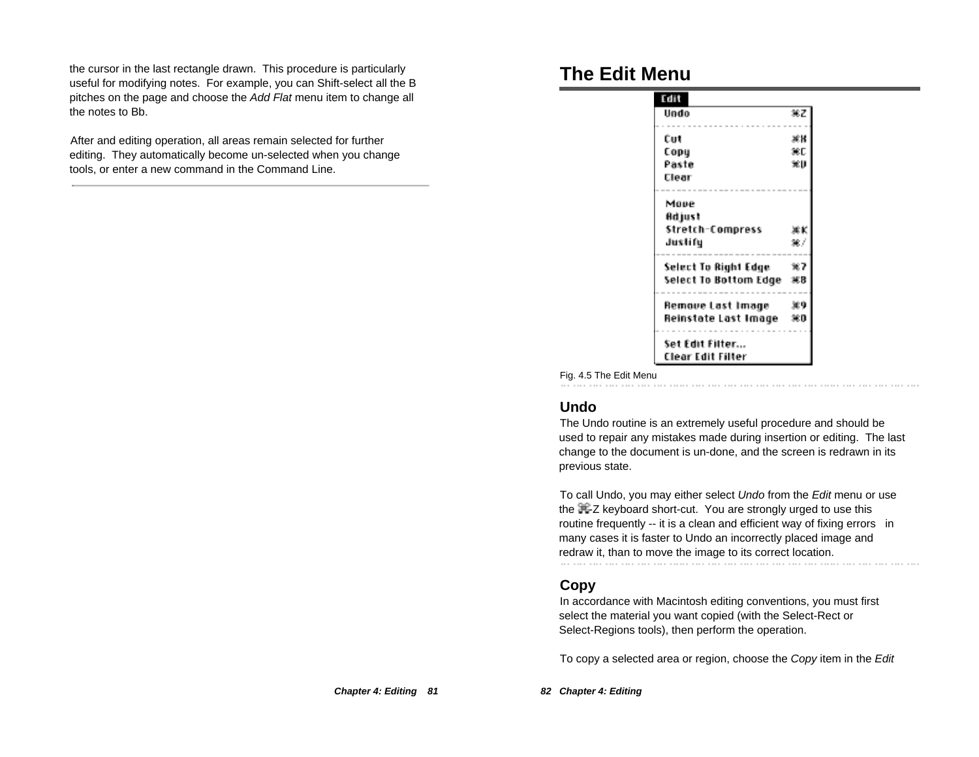the cursor in the last rectangle drawn. This procedure is particularly useful for modifying notes. For example, you can Shift-select all the B pitches on the page and choose the Add Flat menu item to change all the notes to Bb.

After and editing operation, all areas remain selected for further editing. They automatically become un-selected when you change tools, or enter a new command in the Command Line.

# **The Edit Menu**

| Edit                  |     |
|-----------------------|-----|
| Undo                  | 寒乙  |
| Cut                   | 冰楼  |
| Сорц                  | жp  |
| Paste                 | 軍則  |
| Clear                 |     |
| Move                  |     |
| Adjust                |     |
| Stretch-Compress      |     |
| Justify               | 387 |
| Select To Right Edge  | ×7  |
| Select To Bottom Edge | 米B  |
| Remove Last Image     | 369 |
|                       | 360 |

Fig. 4.5 The Edit Menu

## **Undo**

The Undo routine is an extremely useful procedure and should be used to repair any mistakes made during insertion or editing. The last change to the document is un-done, and the screen is redrawn in its previous state.

To call Undo, you may either select Undo from the Edit menu or use the  $\mathbb{H}$ -Z keyboard short-cut. You are strongly urged to use this routine frequently -- it is a clean and efficient way of fixing errors in many cases it is faster to Undo an incorrectly placed image and redraw it, than to move the image to its correct location.

#### **Copy**

In accordance with Macintosh editing conventions, you must first select the material you want copied (with the Select-Rect or Select-Regions tools), then perform the operation.

To copy a selected area or region, choose the Copy item in the Edit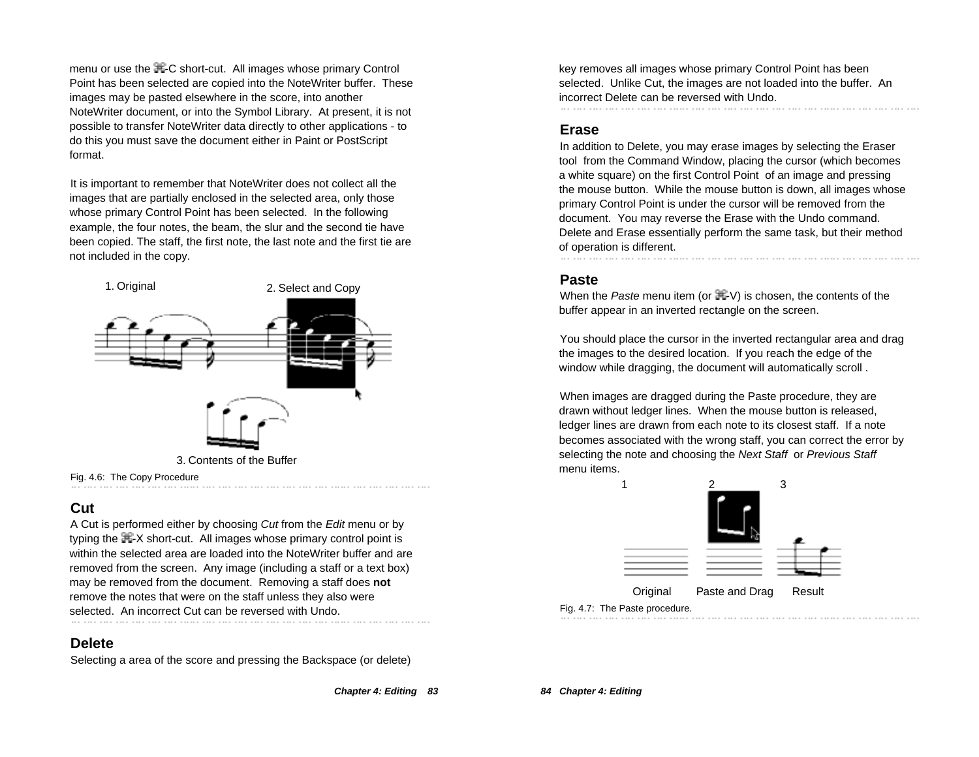menu or use the  $\mathbb{H}$ -C short-cut. All images whose primary Control Point has been selected are copied into the NoteWriter buffer. These images may be pasted elsewhere in the score, into another NoteWriter document, or into the Symbol Library. At present, it is not possible to transfer NoteWriter data directly to other applications - to do this you must save the document either in Paint or PostScript format.

It is important to remember that NoteWriter does not collect all the images that are partially enclosed in the selected area, only those whose primary Control Point has been selected. In the following example, the four notes, the beam, the slur and the second tie have been copied. The staff, the first note, the last note and the first tie are not included in the copy.



## **Cut**

A Cut is performed either by choosing Cut from the Edit menu or by typing the  $\mathbb{H}$ -X short-cut. All images whose primary control point is within the selected area are loaded into the NoteWriter buffer and are removed from the screen. Any image (including a staff or a text box) may be removed from the document. Removing a staff does **not** remove the notes that were on the staff unless they also were selected. An incorrect Cut can be reversed with Undo.

### **Delete**

Selecting a area of the score and pressing the Backspace (or delete)

**Chapter 4: Editing 83**

key removes all images whose primary Control Point has been selected. Unlike Cut, the images are not loaded into the buffer. An incorrect Delete can be reversed with Undo.

### **Erase**

In addition to Delete, you may erase images by selecting the Eraser tool from the Command Window, placing the cursor (which becomes a white square) on the first Control Point of an image and pressing the mouse button. While the mouse button is down, all images whose primary Control Point is under the cursor will be removed from the document. You may reverse the Erase with the Undo command. Delete and Erase essentially perform the same task, but their method of operation is different.

### **Paste**

When the Paste menu item (or  $\mathbb{H}$ -V) is chosen, the contents of the buffer appear in an inverted rectangle on the screen.

You should place the cursor in the inverted rectangular area and drag the images to the desired location. If you reach the edge of the window while dragging, the document will automatically scroll.

When images are dragged during the Paste procedure, they are drawn without ledger lines. When the mouse button is released, ledger lines are drawn from each note to its closest staff. If a note becomes associated with the wrong staff, you can correct the error by selecting the note and choosing the Next Staff or Previous Staff menu items.



Fig. 4.7: The Paste procedure.

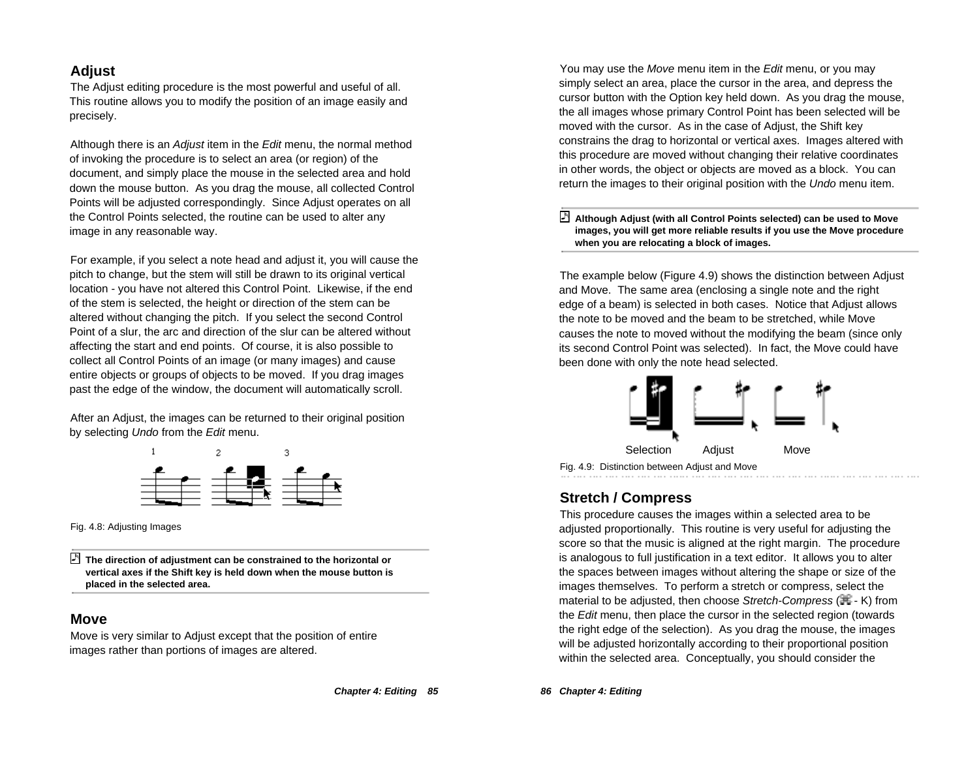## **Adjust**

The Adjust editing procedure is the most powerful and useful of all. This routine allows you to modify the position of an image easily and precisely.

Although there is an Adjust item in the Edit menu, the normal method of invoking the procedure is to select an area (or region) of the document, and simply place the mouse in the selected area and hold down the mouse button. As you drag the mouse, all collected Control Points will be adjusted correspondingly. Since Adjust operates on all the Control Points selected, the routine can be used to alter any image in any reasonable way.

For example, if you select a note head and adjust it, you will cause the pitch to change, but the stem will still be drawn to its original vertical location - you have not altered this Control Point. Likewise, if the end of the stem is selected, the height or direction of the stem can be altered without changing the pitch. If you select the second Control Point of a slur, the arc and direction of the slur can be altered without affecting the start and end points. Of course, it is also possible to collect all Control Points of an image (or many images) and cause entire objects or groups of objects to be moved. If you drag images past the edge of the window, the document will automatically scroll.

After an Adjust, the images can be returned to their original position by selecting Undo from the Edit menu.



Fig. 4.8: Adjusting Images

 **The direction of adjustment can be constrained to the horizontal or vertical axes if the Shift key is held down when the mouse button is placed in the selected area.**

#### **Move**

Move is very similar to Adjust except that the position of entire images rather than portions of images are altered.

You may use the Move menu item in the Edit menu, or you may simply select an area, place the cursor in the area, and depress the cursor button with the Option key held down. As you drag the mouse, the all images whose primary Control Point has been selected will be moved with the cursor. As in the case of Adjust, the Shift key constrains the drag to horizontal or vertical axes. Images altered with this procedure are moved without changing their relative coordinates in other words, the object or objects are moved as a block. You can return the images to their original position with the Undo menu item.

#### **Although Adjust (with all Control Points selected) can be used to Move images, you will get more reliable results if you use the Move procedure when you are relocating a block of images.**

The example below (Figure 4.9) shows the distinction between Adjust and Move. The same area (enclosing a single note and the right edge of a beam) is selected in both cases. Notice that Adjust allows the note to be moved and the beam to be stretched, while Move causes the note to moved without the modifying the beam (since only its second Control Point was selected). In fact, the Move could have been done with only the note head selected.



### **Stretch / Compress**

This procedure causes the images within a selected area to be adjusted proportionally. This routine is very useful for adjusting the score so that the music is aligned at the right margin. The procedure is analogous to full justification in a text editor. It allows you to alter the spaces between images without altering the shape or size of the images themselves. To perform a stretch or compress, select the material to be adjusted, then choose Stretch-Compress  $(\mathbb{H} - K)$  from the Edit menu, then place the cursor in the selected region (towards the right edge of the selection). As you drag the mouse, the images will be adjusted horizontally according to their proportional position within the selected area. Conceptually, you should consider the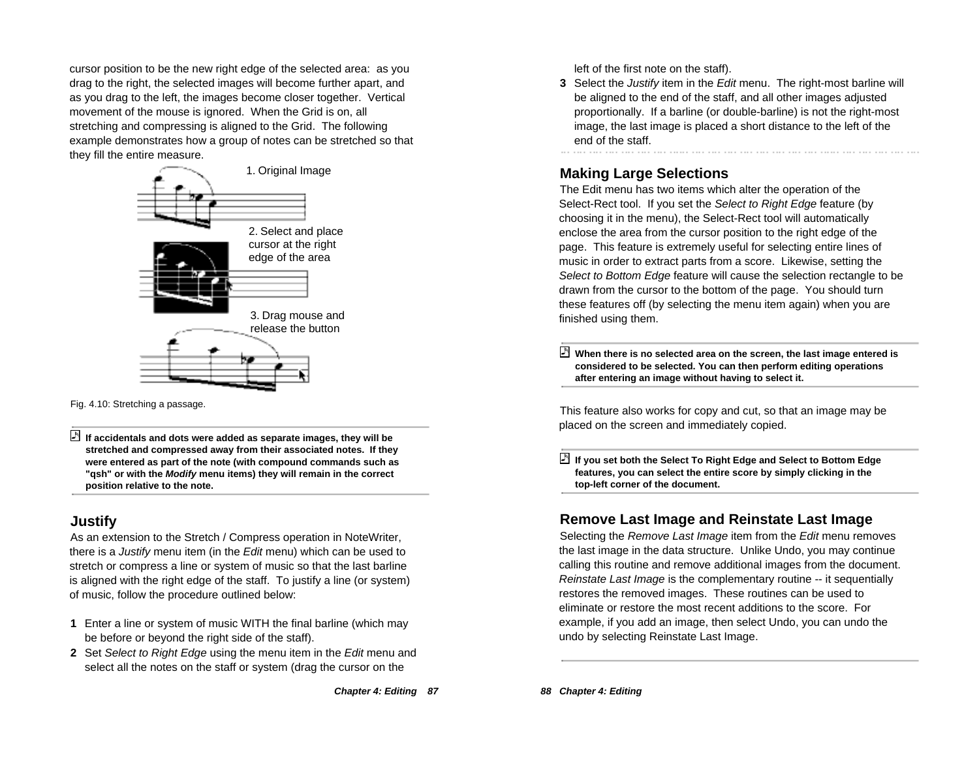cursor position to be the new right edge of the selected area: as you drag to the right, the selected images will become further apart, and as you drag to the left, the images become closer together. Vertical movement of the mouse is ignored. When the Grid is on, all stretching and compressing is aligned to the Grid. The following example demonstrates how a group of notes can be stretched so that they fill the entire measure.



Fig. 4.10: Stretching a passage.

# **Justify**

As an extension to the Stretch / Compress operation in NoteWriter, there is a Justify menu item (in the Edit menu) which can be used to stretch or compress a line or system of music so that the last barline is aligned with the right edge of the staff. To justify a line (or system) of music, follow the procedure outlined below:

- **1** Enter a line or system of music WITH the final barline (which may be before or beyond the right side of the staff).
- **2** Set Select to Right Edge using the menu item in the Edit menu and select all the notes on the staff or system (drag the cursor on the

left of the first note on the staff).

**3** Select the Justify item in the Edit menu. The right-most barline will be aligned to the end of the staff, and all other images adjusted proportionally. If a barline (or double-barline) is not the right-most image, the last image is placed a short distance to the left of the end of the staff.

# **Making Large Selections**

The Edit menu has two items which alter the operation of the Select-Rect tool. If you set the Select to Right Edge feature (by choosing it in the menu), the Select-Rect tool will automatically enclose the area from the cursor position to the right edge of the page. This feature is extremely useful for selecting entire lines of music in order to extract parts from a score. Likewise, setting the Select to Bottom Edge feature will cause the selection rectangle to be drawn from the cursor to the bottom of the page. You should turn these features off (by selecting the menu item again) when you are finished using them.

 **When there is no selected area on the screen, the last image entered is considered to be selected. You can then perform editing operations after entering an image without having to select it.**

This feature also works for copy and cut, so that an image may be placed on the screen and immediately copied.

 **If you set both the Select To Right Edge and Select to Bottom Edge features, you can select the entire score by simply clicking in the top-left corner of the document.**

# **Remove Last Image and Reinstate Last Image**

Selecting the Remove Last Image item from the Edit menu removes the last image in the data structure. Unlike Undo, you may continue calling this routine and remove additional images from the document. Reinstate Last Image is the complementary routine -- it sequentially restores the removed images. These routines can be used to eliminate or restore the most recent additions to the score. For example, if you add an image, then select Undo, you can undo the undo by selecting Reinstate Last Image.

**If accidentals and dots were added as separate images, they will be stretched and compressed away from their associated notes. If they were entered as part of the note (with compound commands such as "qsh" or with the Modify menu items) they will remain in the correct position relative to the note.**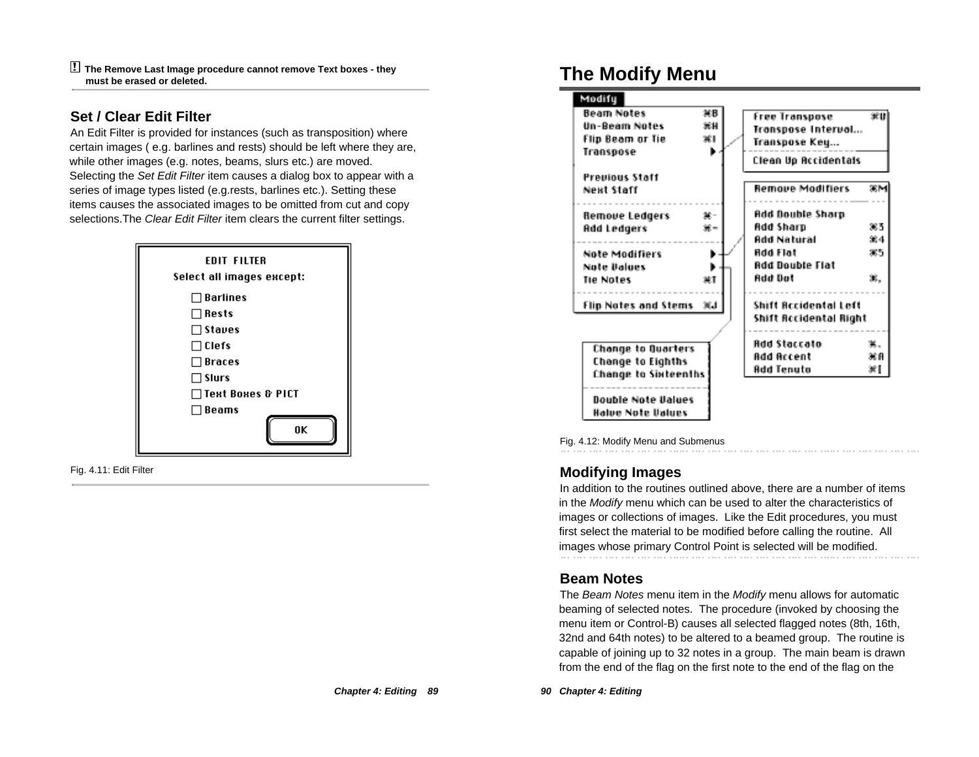! **The Remove Last Image procedure cannot remove Text boxes - they must be erased or deleted.**

### **Set / Clear Edit Filter**

An Edit Filter is provided for instances (such as transposition) where certain images ( e.g. barlines and rests) should be left where they are, while other images (e.g. notes, beams, slurs etc.) are moved. Selecting the Set Edit Filter item causes a dialog box to appear with a series of image types listed (e.g.rests, barlines etc.). Setting these items causes the associated images to be omitted from cut and copy selections. The Clear Edit Filter item clears the current filter settings.



Fig. 4.11: Edit Filter

# **The Modify Menu**

| Modify                                                        |                |                                                              |     |
|---------------------------------------------------------------|----------------|--------------------------------------------------------------|-----|
| <b>Beam Notes</b><br><b>Un-Beam Notes</b><br>Flip Beam or Tie | жв<br>光井<br>жı | <b>Free Transpose</b><br>Transpose Intervol<br>Transpose Key | 家山  |
| Transpose                                                     | ь.             | Clean Up Accidentals                                         |     |
| <b>Previous Staff</b><br>Next Staff                           |                | <b>Remove Modifiers</b>                                      | 案件  |
| Remove Ledgers                                                | 第一             | Add Double Sharp                                             |     |
| <b>Add Ledgers</b>                                            | 第三             | Add Sharp                                                    | 383 |
|                                                               |                | Add Natural                                                  | 筆4  |
| Note Modifiers                                                |                | <b>Add Flat</b>                                              | 35  |
| Note Values<br><b>Tie Notes</b>                               | ЖT             | Add Double Flat<br>Add Dat                                   | ×.  |
| Flip Notes and Stems                                          | 30.1           | Shift Accidental Left<br>Shift Accidental Right              |     |
| Change to Quarters                                            |                | Add Staccato                                                 | 黒。  |
| Change to Eighths                                             |                | Add Accent                                                   | 寒血  |
| Change to Sixteenths                                          |                | Add Tenuta                                                   | жI  |
| .<br><b>Double Note Values</b><br>Halve Note Values           |                |                                                              |     |

Fig. 4.12: Modify Menu and Submenus

## **Modifying Images**

In addition to the routines outlined above, there are a number of items in the Modify menu which can be used to alter the characteristics of images or collections of images. Like the Edit procedures, you must first select the material to be modified before calling the routine. All images whose primary Control Point is selected will be modified.

### **Beam Notes**

The Beam Notes menu item in the Modify menu allows for automatic beaming of selected notes. The procedure (invoked by choosing the menu item or Control-B) causes all selected flagged notes (8th, 16th, 32nd and 64th notes) to be altered to a beamed group. The routine is capable of joining up to 32 notes in a group. The main beam is drawn from the end of the flag on the first note to the end of the flag on the

**90 Chapter 4: Editing**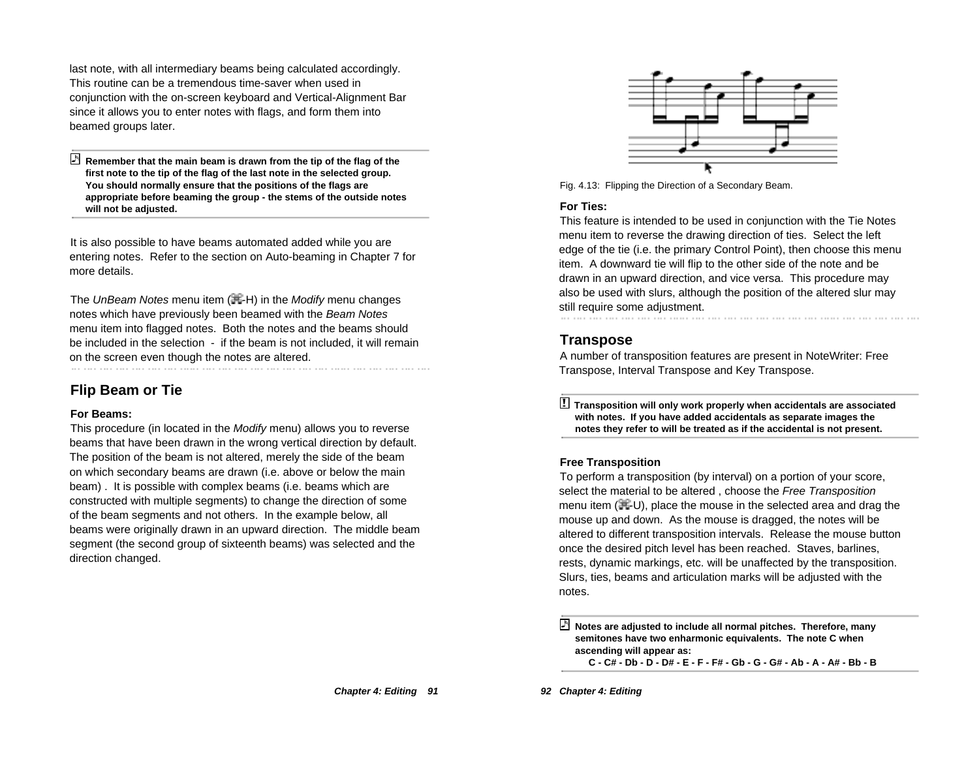last note, with all intermediary beams being calculated accordingly. This routine can be a tremendous time-saver when used in conjunction with the on-screen keyboard and Vertical-Alignment Bar since it allows you to enter notes with flags, and form them into beamed groups later.

 **Remember that the main beam is drawn from the tip of the flag of the first note to the tip of the flag of the last note in the selected group. You should normally ensure that the positions of the flags are appropriate before beaming the group - the stems of the outside notes will not be adjusted.**

It is also possible to have beams automated added while you are entering notes. Refer to the section on Auto-beaming in Chapter 7 for more details.

The UnBeam Notes menu item  $(H-H)$  in the Modify menu changes notes which have previously been beamed with the Beam Notes menu item into flagged notes. Both the notes and the beams should be included in the selection - if the beam is not included, it will remain on the screen even though the notes are altered.<br>
We have all the notes in the north process with the north process with the north process with the north proces

## **Flip Beam or Tie**

#### **For Beams:**

This procedure (in located in the Modify menu) allows you to reverse beams that have been drawn in the wrong vertical direction by default. The position of the beam is not altered, merely the side of the beam on which secondary beams are drawn (i.e. above or below the main beam) . It is possible with complex beams (i.e. beams which are constructed with multiple segments) to change the direction of some of the beam segments and not others. In the example below, all beams were originally drawn in an upward direction. The middle beam segment (the second group of sixteenth beams) was selected and the direction changed.



Fig. 4.13: Flipping the Direction of a Secondary Beam.

#### **For Ties:**

This feature is intended to be used in conjunction with the Tie Notes menu item to reverse the drawing direction of ties. Select the left edge of the tie (i.e. the primary Control Point), then choose this menu item. A downward tie will flip to the other side of the note and be drawn in an upward direction, and vice versa. This procedure may also be used with slurs, although the position of the altered slur may still require some adjustment.

### **Transpose**

A number of transposition features are present in NoteWriter: Free Transpose, Interval Transpose and Key Transpose.

! **Transposition will only work properly when accidentals are associated with notes. If you have added accidentals as separate images the notes they refer to will be treated as if the accidental is not present.**

#### **Free Transposition**

To perform a transposition (by interval) on a portion of your score, select the material to be altered, choose the Free Transposition menu item  $(\mathbb{H}-U)$ , place the mouse in the selected area and drag the mouse up and down. As the mouse is dragged, the notes will be altered to different transposition intervals. Release the mouse button once the desired pitch level has been reached. Staves, barlines, rests, dynamic markings, etc. will be unaffected by the transposition. Slurs, ties, beams and articulation marks will be adjusted with the notes.

**92 Chapter 4: Editing** 

**Notes are adjusted to include all normal pitches. Therefore, many semitones have two enharmonic equivalents. The note C when ascending will appear as:**

**C - C# - Db - D - D# - E - F - F# - Gb - G - G# - Ab - A - A# - Bb - B**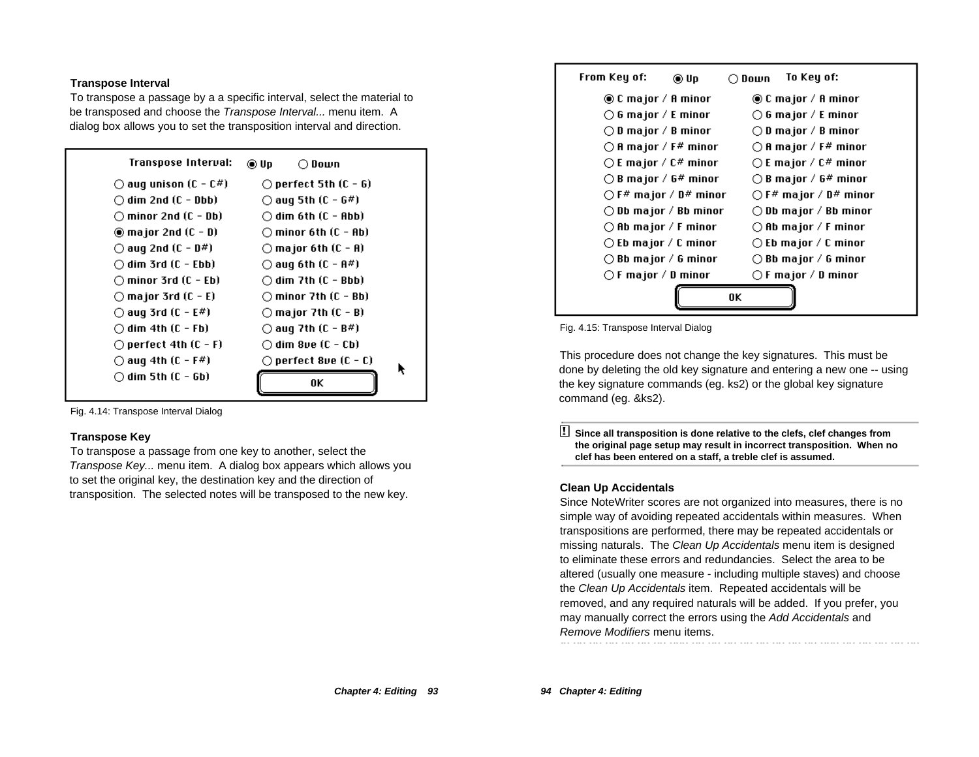#### **Transpose Interval**

To transpose a passage by a a specific interval, select the material to be transposed and choose the *Transpose Interval...* menu item. A dialog box allows you to set the transposition interval and direction.

| Transpose Interval:              | $\bigcirc$ Down<br>⊛ Up-        |
|----------------------------------|---------------------------------|
| $\bigcirc$ aug unison (C - C#)   | $\bigcirc$ perfect 5th (C - G)  |
| $\bigcirc$ dim 2nd (C - Dbb)     | $\bigcirc$ aug 5th (C - G#)     |
| $\cap$ minor 2nd (C – Db).       | $\cap$ dim 6th (C - Abb).       |
| $\circledcirc$ major 2nd (C - D) | $\bigcirc$ minor 6th (C - Ab)   |
| $\bigcirc$ aug 2nd (C - D#)      | $\bigcirc$ major 6th (C - A)    |
| $\bigcirc$ dim 3rd (C – Ebb).    | $\bigcirc$ aug 6th (C – A#)     |
| $\bigcirc$ minor 3rd (C - Eb)    | $\bigcirc$ dim 7th (C - Bbb)    |
| $\bigcirc$ major 3rd (C - E)     | $\bigcirc$ minor 7th (C - Bb)   |
| $\bigcirc$ aug 3rd (C - E#)      | $\bigcirc$ major 7th (C - B)    |
| $\bigcirc$ dim 4th (C – Fb).     | $\bigcirc$ aug 7th (C - B#)     |
| $\bigcirc$ perfect 4th (C - F)   | $\bigcirc$ dim 8ve (C - Cb)     |
| $\bigcirc$ aug 4th (C – F#)      | $\bigcirc$ perfect 8ve (C - C). |
| ◯ dim 5th (C - Gb)               | 0K                              |

Fig. 4.14: Transpose Interval Dialog

#### **Transpose Key**

To transpose a passage from one key to another, select the Transpose Key... menu item. A dialog box appears which allows you to set the original key, the destination key and the direction of transposition. The selected notes will be transposed to the new key.



Fig. 4.15: Transpose Interval Dialog

This procedure does not change the key signatures. This must be done by deleting the old key signature and entering a new one -- using the key signature commands (eg. ks2) or the global key signature command (eg. &ks2).

! **Since all transposition is done relative to the clefs, clef changes from the original page setup may result in incorrect transposition. When no clef has been entered on a staff, a treble clef is assumed.**

#### **Clean Up Accidentals**

Since NoteWriter scores are not organized into measures, there is no simple way of avoiding repeated accidentals within measures. When transpositions are performed, there may be repeated accidentals or missing naturals. The Clean Up Accidentals menu item is designed to eliminate these errors and redundancies. Select the area to be altered (usually one measure - including multiple staves) and choose the Clean Up Accidentals item. Repeated accidentals will be removed, and any required naturals will be added. If you prefer, you may manually correct the errors using the Add Accidentals and Remove Modifiers menu items.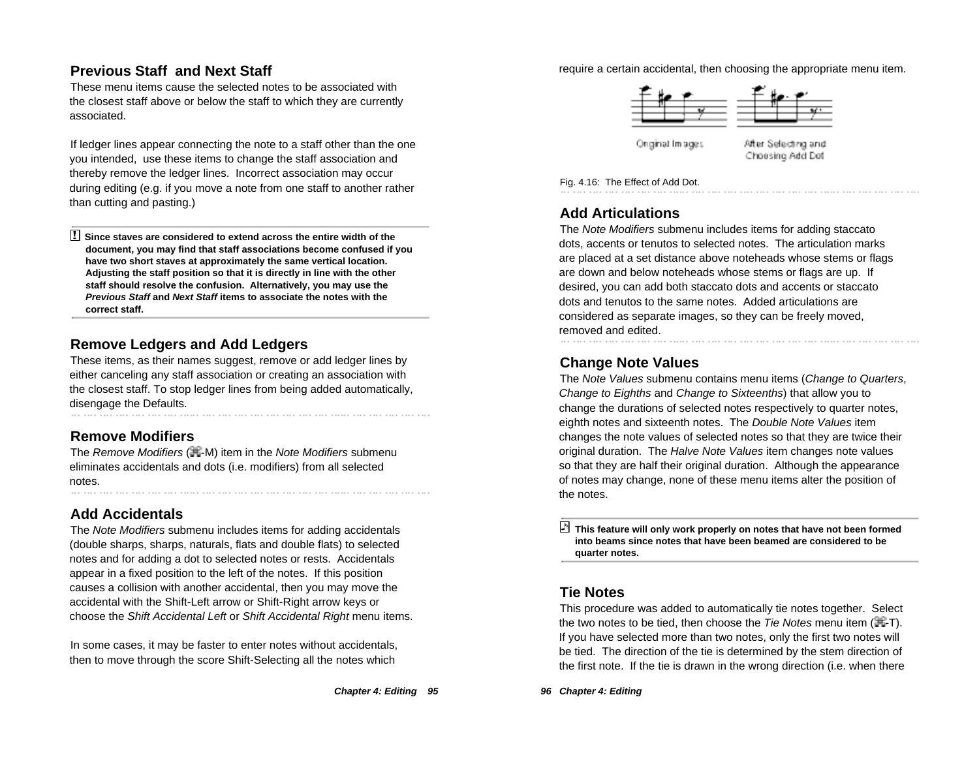## **Previous Staff and Next Staff**

These menu items cause the selected notes to be associated with the closest staff above or below the staff to which they are currently associated.

If ledger lines appear connecting the note to a staff other than the one you intended, use these items to change the staff association and thereby remove the ledger lines. Incorrect association may occur during editing (e.g. if you move a note from one staff to another rather than cutting and pasting.)

! **Since staves are considered to extend across the entire width of the document, you may find that staff associations become confused if you have two short staves at approximately the same vertical location. Adjusting the staff position so that it is directly in line with the other staff should resolve the confusion. Alternatively, you may use the Previous Staff and Next Staff items to associate the notes with the correct staff.**

## **Remove Ledgers and Add Ledgers**

These items, as their names suggest, remove or add ledger lines by either canceling any staff association or creating an association with the closest staff. To stop ledger lines from being added automatically, disengage the Defaults.

# **Remove Modifiers**

The Remove Modifiers (再M) item in the Note Modifiers submenu eliminates accidentals and dots (i.e. modifiers) from all selected notes. 

## **Add Accidentals**

The Note Modifiers submenu includes items for adding accidentals (double sharps, sharps, naturals, flats and double flats) to selected notes and for adding a dot to selected notes or rests. Accidentals appear in a fixed position to the left of the notes. If this position causes a collision with another accidental, then you may move the accidental with the Shift-Left arrow or Shift-Right arrow keys or choose the Shift Accidental Left or Shift Accidental Right menu items.

In some cases, it may be faster to enter notes without accidentals, then to move through the score Shift-Selecting all the notes which

#### require a certain accidental, then choosing the appropriate menu item.



Onginal Impges

After Selecting and Choosing Add Dot

Fig. 4.16: The Effect of Add Dot.

## **Add Articulations**

The Note Modifiers submenu includes items for adding staccato dots, accents or tenutos to selected notes. The articulation marks are placed at a set distance above noteheads whose stems or flags are down and below noteheads whose stems or flags are up. If desired, you can add both staccato dots and accents or staccato dots and tenutos to the same notes. Added articulations are considered as separate images, so they can be freely moved, removed and edited.

## **Change Note Values**

The Note Values submenu contains menu items (Change to Quarters, Change to Eighths and Change to Sixteenths) that allow you to change the durations of selected notes respectively to quarter notes, eighth notes and sixteenth notes. The Double Note Values item changes the note values of selected notes so that they are twice their original duration. The Halve Note Values item changes note values so that they are half their original duration. Although the appearance of notes may change, none of these menu items alter the position of the notes.

 **This feature will only work properly on notes that have not been formed into beams since notes that have been beamed are considered to be quarter notes.**

## **Tie Notes**

This procedure was added to automatically tie notes together. Select the two notes to be tied, then choose the Tie Notes menu item  $(\mathbb{H}-T)$ . If you have selected more than two notes, only the first two notes will be tied. The direction of the tie is determined by the stem direction of the first note. If the tie is drawn in the wrong direction (i.e. when there

**96 Chapter 4: Editing**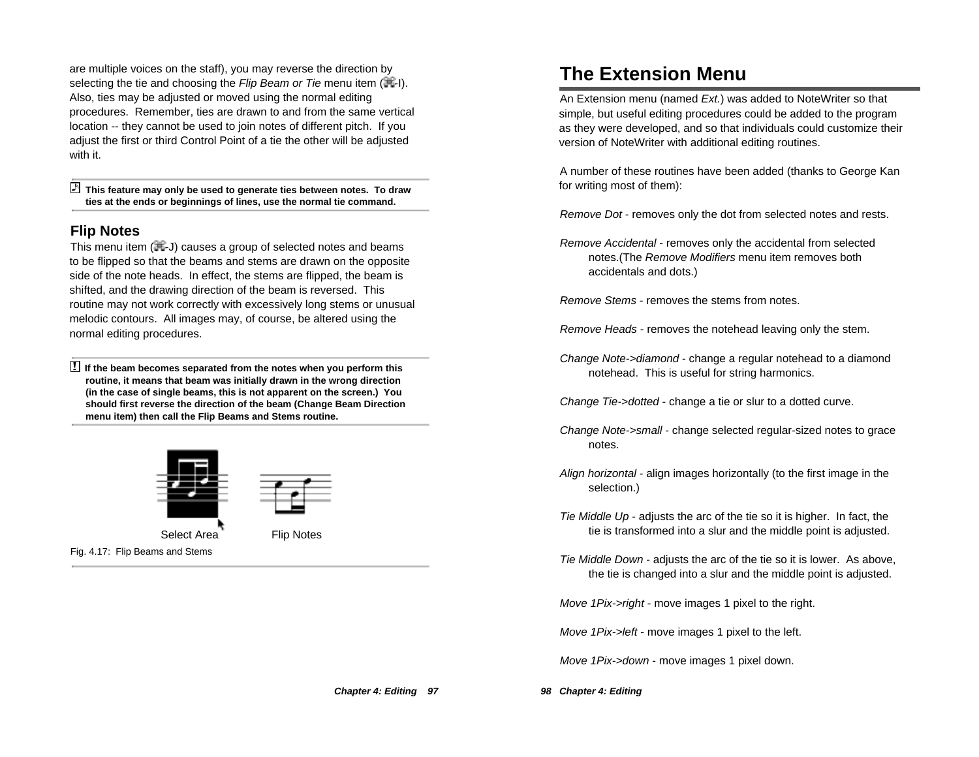are multiple voices on the staff), you may reverse the direction by selecting the tie and choosing the Flip Beam or Tie menu item  $(H - I)$ . Also, ties may be adjusted or moved using the normal editing procedures. Remember, ties are drawn to and from the same vertical location -- they cannot be used to join notes of different pitch. If you adjust the first or third Control Point of a tie the other will be adjusted with it.

 **This feature may only be used to generate ties between notes. To draw ties at the ends or beginnings of lines, use the normal tie command.**

#### **Flip Notes**

This menu item  $(\mathbb{H}J)$  causes a group of selected notes and beams to be flipped so that the beams and stems are drawn on the opposite side of the note heads. In effect, the stems are flipped, the beam is shifted, and the drawing direction of the beam is reversed. This routine may not work correctly with excessively long stems or unusual melodic contours. All images may, of course, be altered using the normal editing procedures.

! **If the beam becomes separated from the notes when you perform this routine, it means that beam was initially drawn in the wrong direction (in the case of single beams, this is not apparent on the screen.) You should first reverse the direction of the beam (Change Beam Direction menu item) then call the Flip Beams and Stems routine.**



# **The Extension Menu**

An Extension menu (named Ext.) was added to NoteWriter so that simple, but useful editing procedures could be added to the program as they were developed, and so that individuals could customize their version of NoteWriter with additional editing routines.

A number of these routines have been added (thanks to George Kan for writing most of them):

Remove Dot - removes only the dot from selected notes and rests.

Remove Accidental - removes only the accidental from selected notes.(The Remove Modifiers menu item removes both accidentals and dots.)

Remove Stems - removes the stems from notes.

Remove Heads - removes the notehead leaving only the stem.

Change Note->diamond - change a regular notehead to a diamond notehead. This is useful for string harmonics.

Change Tie->dotted - change a tie or slur to a dotted curve.

- Change Note->small change selected regular-sized notes to grace notes.
- Align horizontal align images horizontally (to the first image in the selection.)
- Tie Middle Up adjusts the arc of the tie so it is higher. In fact, the tie is transformed into a slur and the middle point is adjusted.
- Tie Middle Down adjusts the arc of the tie so it is lower. As above, the tie is changed into a slur and the middle point is adjusted.

Move 1Pix->right - move images 1 pixel to the right.

Move 1Pix->left - move images 1 pixel to the left.

Move 1Pix->down - move images 1 pixel down.

**Chapter 4: Editing 97**

**98 Chapter 4: Editing**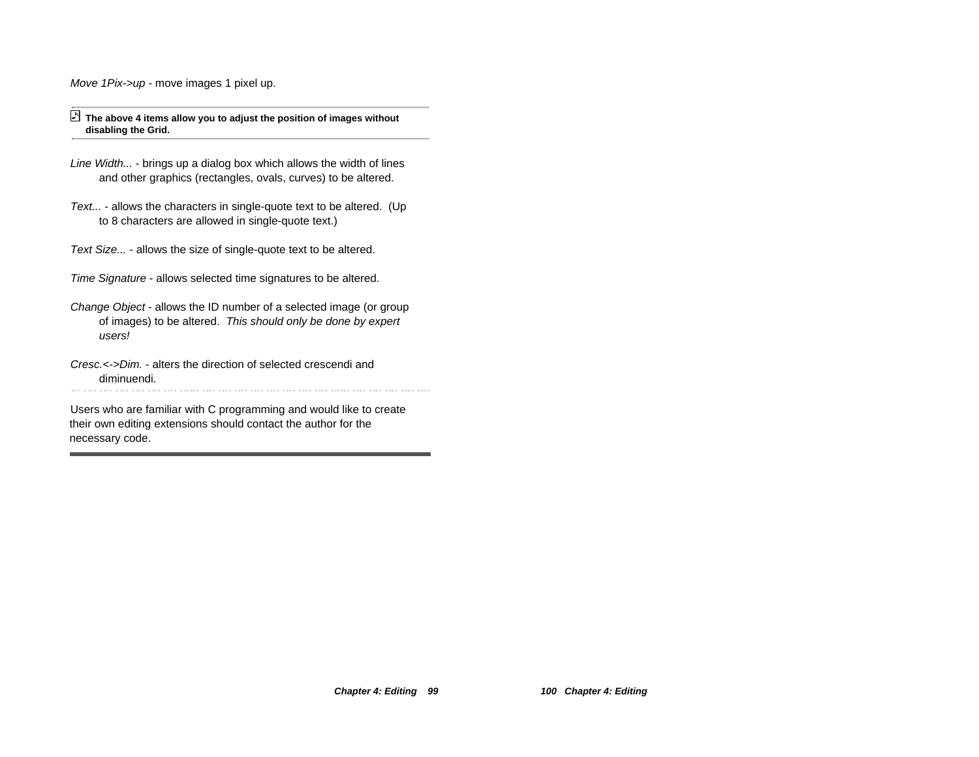Move 1Pix->up - move images 1 pixel up.

#### **The above 4 items allow you to adjust the position of images without disabling the Grid.**

- Line Width... brings up a dialog box which allows the width of lines and other graphics (rectangles, ovals, curves) to be altered.
- Text... allows the characters in single-quote text to be altered. (Up to 8 characters are allowed in single-quote text.)
- Text Size... allows the size of single-quote text to be altered.
- Time Signature allows selected time signatures to be altered.
- Change Object allows the ID number of a selected image (or group of images) to be altered. This should only be done by expert users!
- Cresc.<->Dim. alters the direction of selected crescendi and diminuendi.

Users who are familiar with C programming and would like to create their own editing extensions should contact the author for the necessary code.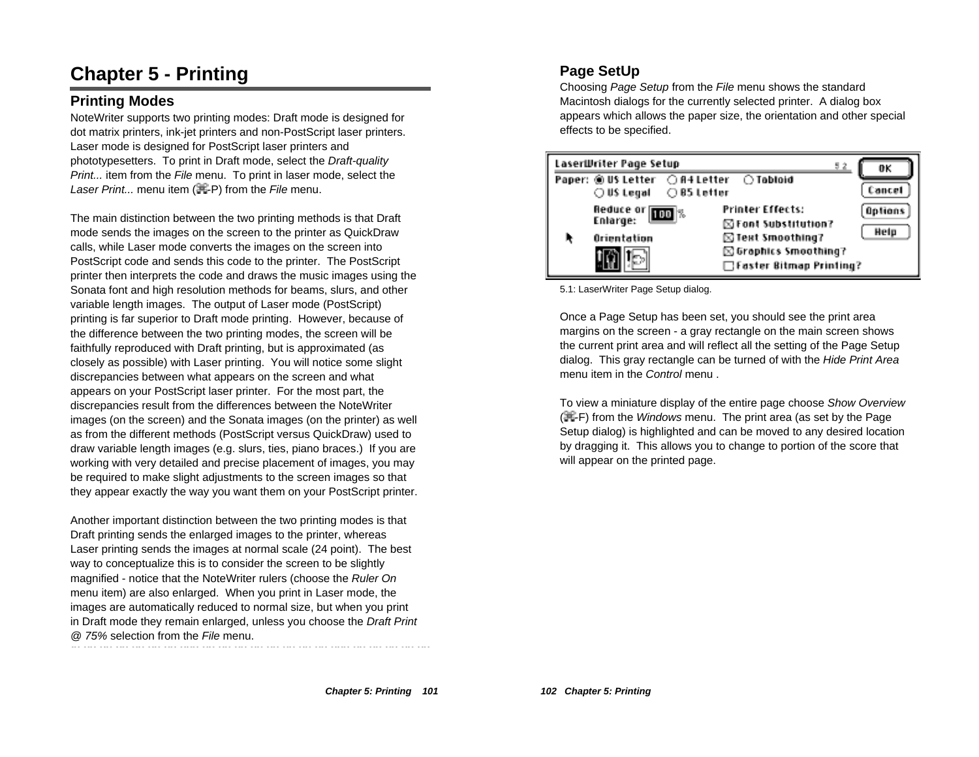# **Chapter 5 - Printing**

## **Printing Modes**

NoteWriter supports two printing modes: Draft mode is designed for dot matrix printers, ink-jet printers and non-PostScript laser printers. Laser mode is designed for PostScript laser printers and phototypesetters. To print in Draft mode, select the Draft-quality Print... item from the File menu. To print in laser mode, select the Laser Print... menu item  $(\mathbb{H}\text{-}P)$  from the File menu.

The main distinction between the two printing methods is that Draft mode sends the images on the screen to the printer as QuickDraw calls, while Laser mode converts the images on the screen into PostScript code and sends this code to the printer. The PostScript printer then interprets the code and draws the music images using the Sonata font and high resolution methods for beams, slurs, and other variable length images. The output of Laser mode (PostScript) printing is far superior to Draft mode printing. However, because of the difference between the two printing modes, the screen will be faithfully reproduced with Draft printing, but is approximated (as closely as possible) with Laser printing. You will notice some slight discrepancies between what appears on the screen and what appears on your PostScript laser printer. For the most part, the discrepancies result from the differences between the NoteWriter images (on the screen) and the Sonata images (on the printer) as well as from the different methods (PostScript versus QuickDraw) used to draw variable length images (e.g. slurs, ties, piano braces.) If you are working with very detailed and precise placement of images, you may be required to make slight adjustments to the screen images so that they appear exactly the way you want them on your PostScript printer.

Another important distinction between the two printing modes is that Draft printing sends the enlarged images to the printer, whereas Laser printing sends the images at normal scale (24 point). The best way to conceptualize this is to consider the screen to be slightly magnified - notice that the NoteWriter rulers (choose the Ruler On menu item) are also enlarged. When you print in Laser mode, the images are automatically reduced to normal size, but when you print in Draft mode they remain enlarged, unless you choose the Draft Print @ 75% selection from the File menu.

# **Page SetUp**

Choosing Page Setup from the File menu shows the standard Macintosh dialogs for the currently selected printer. A dialog box appears which allows the paper size, the orientation and other special effects to be specified.



5.1: LaserWriter Page Setup dialog.

Once a Page Setup has been set, you should see the print area margins on the screen - a gray rectangle on the main screen shows the current print area and will reflect all the setting of the Page Setup dialog. This gray rectangle can be turned of with the Hide Print Area menu item in the Control menu.

To view a miniature display of the entire page choose Show Overview  $(E-F)$  from the *Windows* menu. The print area (as set by the Page Setup dialog) is highlighted and can be moved to any desired location by dragging it. This allows you to change to portion of the score that will appear on the printed page.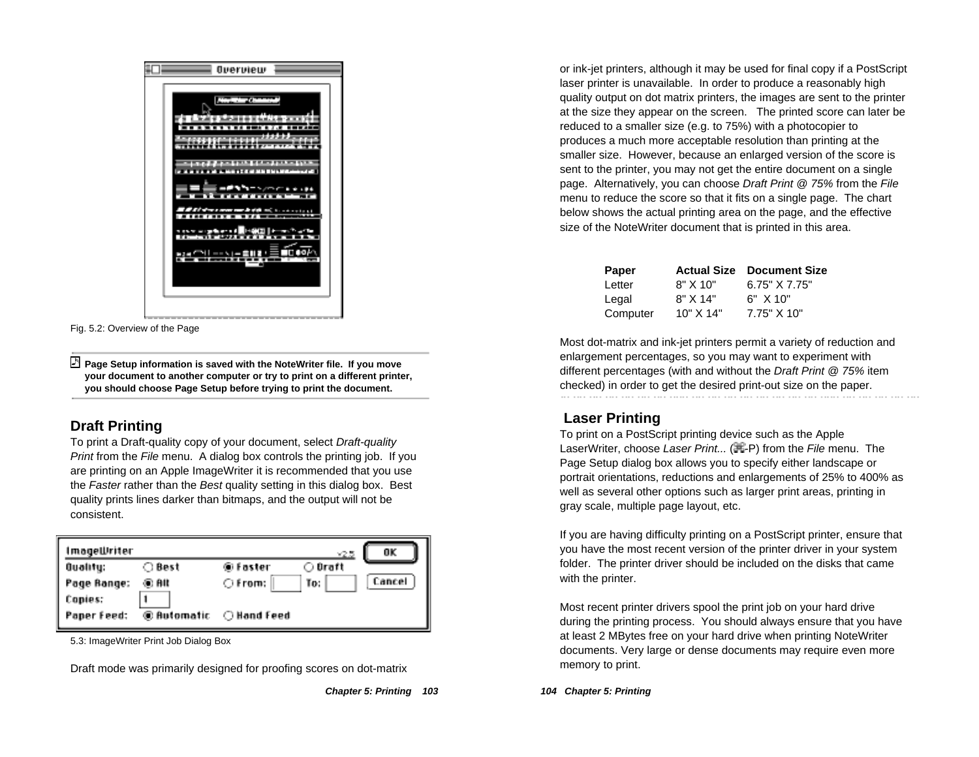

Fig. 5.2: Overview of the Page

 **Page Setup information is saved with the NoteWriter file. If you move your document to another computer or try to print on a different printer, you should choose Page Setup before trying to print the document.**

## **Draft Printing**

To print a Draft-quality copy of your document, select Draft-quality Print from the File menu. A dialog box controls the printing job. If you are printing on an Apple ImageWriter it is recommended that you use the Faster rather than the Best quality setting in this dialog box. Best quality prints lines darker than bitmaps, and the output will not be consistent.

| ImageWriter |             |                  | ×2.5    | OK     |
|-------------|-------------|------------------|---------|--------|
| Quality:    | ○ Best      | ⊛Faster          | ○ Draft |        |
| Page Range: | ® Alt       | $\bigcirc$ from: | To:     | Cancel |
| Copies:     |             |                  |         |        |
| Paper Feed: | @ Automatic | ○ Hand Feed      |         |        |

5.3: ImageWriter Print Job Dialog Box

Draft mode was primarily designed for proofing scores on dot-matrix

or ink-jet printers, although it may be used for final copy if a PostScript laser printer is unavailable. In order to produce a reasonably high quality output on dot matrix printers, the images are sent to the printer at the size they appear on the screen. The printed score can later be reduced to a smaller size (e.g. to 75%) with a photocopier to produces a much more acceptable resolution than printing at the smaller size. However, because an enlarged version of the score is sent to the printer, you may not get the entire document on a single page. Alternatively, you can choose Draft Print @ 75% from the File menu to reduce the score so that it fits on a single page. The chart below shows the actual printing area on the page, and the effective size of the NoteWriter document that is printed in this area.

| Paper    |               | <b>Actual Size Document Size</b> |
|----------|---------------|----------------------------------|
| Letter   | 8" X 10"      | 6.75" X 7.75"                    |
| Legal    | $8"$ X 14"    | $6"$ X 10"                       |
| Computer | $10"$ X $14"$ | 7.75" X 10"                      |

Most dot-matrix and ink-jet printers permit a variety of reduction and enlargement percentages, so you may want to experiment with different percentages (with and without the Draft Print @ 75% item checked) in order to get the desired print-out size on the paper.

## **Laser Printing**

To print on a PostScript printing device such as the Apple LaserWriter, choose Laser Print... (其-P) from the File menu. The Page Setup dialog box allows you to specify either landscape or portrait orientations, reductions and enlargements of 25% to 400% as well as several other options such as larger print areas, printing in gray scale, multiple page layout, etc.

If you are having difficulty printing on a PostScript printer, ensure that you have the most recent version of the printer driver in your system folder. The printer driver should be included on the disks that came with the printer.

Most recent printer drivers spool the print job on your hard drive during the printing process. You should always ensure that you have at least 2 MBytes free on your hard drive when printing NoteWriter documents. Very large or dense documents may require even more memory to print.

#### **104 Chapter 5: Printing**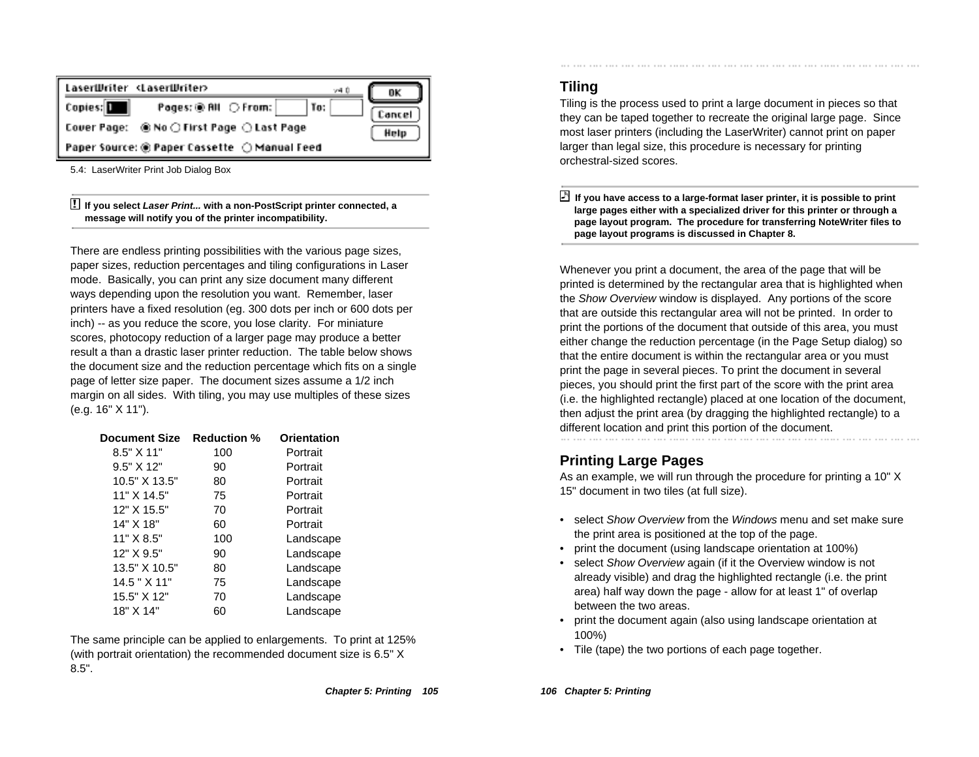| LaserWriter <laserwriter><br/>v40</laserwriter>   | OK     |
|---------------------------------------------------|--------|
| Copies: <b>1</b><br>Pages: ® RII ○ From:<br>  To: | Cancel |
|                                                   | Help   |
| Paper Source: ◉ Paper Cassette ◯ Manual Feed      |        |

5.4: LaserWriter Print Job Dialog Box

! **If you select Laser Print... with a non-PostScript printer connected, a message will notify you of the printer incompatibility.**

There are endless printing possibilities with the various page sizes, paper sizes, reduction percentages and tiling configurations in Laser mode. Basically, you can print any size document many different ways depending upon the resolution you want. Remember, laser printers have a fixed resolution (eg. 300 dots per inch or 600 dots per inch) -- as you reduce the score, you lose clarity. For miniature scores, photocopy reduction of a larger page may produce a better result a than a drastic laser printer reduction. The table below shows the document size and the reduction percentage which fits on a single page of letter size paper. The document sizes assume a 1/2 inch margin on all sides. With tiling, you may use multiples of these sizes (e.g. 16" X 11").

| <b>Document Size</b> | <b>Reduction %</b> | Orientation |
|----------------------|--------------------|-------------|
| $8.5"$ $X$ 11"       | 100                | Portrait    |
| 9.5" X 12"           | 90                 | Portrait    |
| 10.5" X 13.5"        | 80                 | Portrait    |
| 11" X 14.5"          | 75                 | Portrait    |
| 12" X 15.5"          | 70                 | Portrait    |
| 14" X 18"            | 60                 | Portrait    |
| 11" X 8.5"           | 100                | Landscape   |
| 12" X 9.5"           | 90                 | Landscape   |
| 13.5" X 10.5"        | 80                 | Landscape   |
| $14.5$ " $X$ 11"     | 75                 | Landscape   |
| 15.5" X 12"          | 70                 | Landscape   |
| 18" X 14"            | 60                 | Landscape   |

The same principle can be applied to enlargements. To print at 125% (with portrait orientation) the recommended document size is 6.5" X 8.5".

## **Tiling**

Tiling is the process used to print a large document in pieces so that they can be taped together to recreate the original large page. Since most laser printers (including the LaserWriter) cannot print on paper larger than legal size, this procedure is necessary for printing orchestral-sized scores.

 **If you have access to a large-format laser printer, it is possible to print large pages either with a specialized driver for this printer or through a page layout program. The procedure for transferring NoteWriter files to page layout programs is discussed in Chapter 8.**

Whenever you print a document, the area of the page that will be printed is determined by the rectangular area that is highlighted when the Show Overview window is displayed. Any portions of the score that are outside this rectangular area will not be printed. In order to print the portions of the document that outside of this area, you must either change the reduction percentage (in the Page Setup dialog) so that the entire document is within the rectangular area or you must print the page in several pieces. To print the document in several pieces, you should print the first part of the score with the print area (i.e. the highlighted rectangle) placed at one location of the document, then adjust the print area (by dragging the highlighted rectangle) to a different location and print this portion of the document.

## **Printing Large Pages**

As an example, we will run through the procedure for printing a 10" X 15" document in two tiles (at full size).

- select Show Overview from the *Windows* menu and set make sure the print area is positioned at the top of the page.
- print the document (using landscape orientation at 100%)
- select Show Overview again (if it the Overview window is not already visible) and drag the highlighted rectangle (i.e. the print area) half way down the page - allow for at least 1" of overlap between the two areas.
- print the document again (also using landscape orientation at 100%)
- Tile (tape) the two portions of each page together.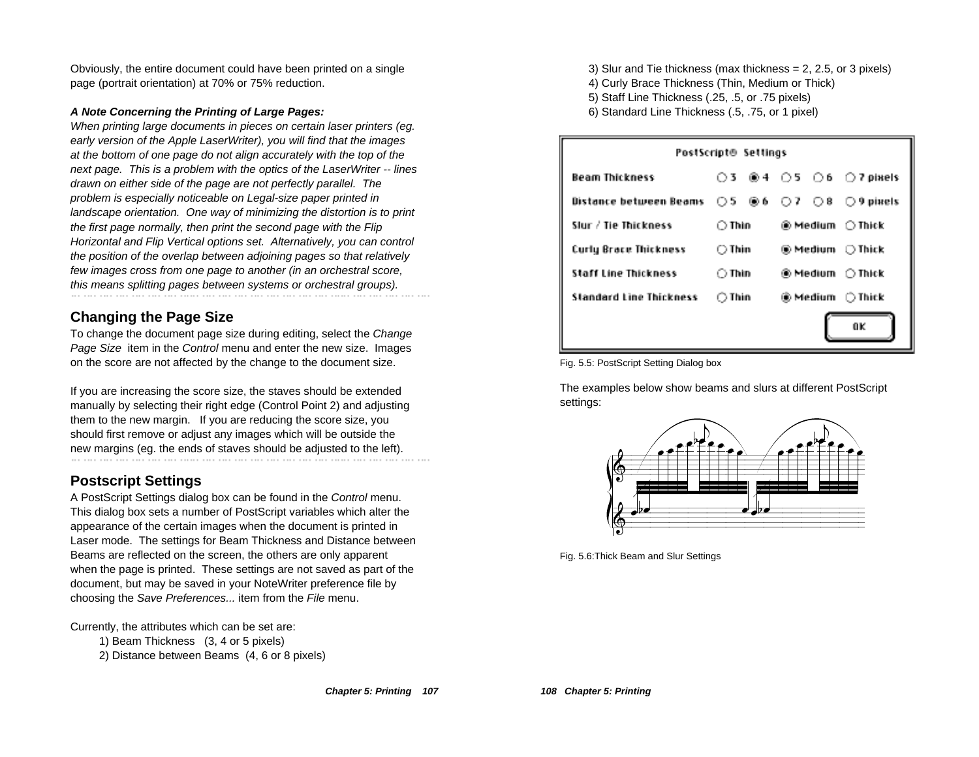Obviously, the entire document could have been printed on a single page (portrait orientation) at 70% or 75% reduction.

#### **A Note Concerning the Printing of Large Pages:**

When printing large documents in pieces on certain laser printers (eg. early version of the Apple LaserWriter), you will find that the images at the bottom of one page do not align accurately with the top of the next page. This is a problem with the optics of the LaserWriter -- lines drawn on either side of the page are not perfectly parallel. The problem is especially noticeable on Legal-size paper printed in landscape orientation. One way of minimizing the distortion is to print the first page normally, then print the second page with the Flip Horizontal and Flip Vertical options set. Alternatively, you can control the position of the overlap between adjoining pages so that relatively few images cross from one page to another (in an orchestral score, this means splitting pages between systems or orchestral groups).

# **Changing the Page Size**

To change the document page size during editing, select the Change Page Size item in the Control menu and enter the new size. Images on the score are not affected by the change to the document size.

If you are increasing the score size, the staves should be extended manually by selecting their right edge (Control Point 2) and adjusting them to the new margin. If you are reducing the score size, you should first remove or adjust any images which will be outside the new margins (eg. the ends of staves should be adjusted to the left).

# **Postscript Settings**

A PostScript Settings dialog box can be found in the Control menu. This dialog box sets a number of PostScript variables which alter the appearance of the certain images when the document is printed in Laser mode. The settings for Beam Thickness and Distance between Beams are reflected on the screen, the others are only apparent when the page is printed. These settings are not saved as part of the document, but may be saved in your NoteWriter preference file by choosing the Save Preferences... item from the File menu.

Currently, the attributes which can be set are:

- 1) Beam Thickness (3, 4 or 5 pixels)
- 2) Distance between Beams (4, 6 or 8 pixels)

3) Slur and Tie thickness (max thickness = 2, 2.5, or 3 pixels)

- 4) Curly Brace Thickness (Thin, Medium or Thick)
- 5) Staff Line Thickness (.25, .5, or .75 pixels)
- 6) Standard Line Thickness (.5, .75, or 1 pixel)

| PostScript⊕ Settings                                                                                                                  |                 |  |  |                                                                         |
|---------------------------------------------------------------------------------------------------------------------------------------|-----------------|--|--|-------------------------------------------------------------------------|
| Beam Thickness                                                                                                                        |                 |  |  | $\bigcirc$ 3 $\bigcirc$ 4 $\bigcirc$ 5 $\bigcirc$ 6 $\bigcirc$ 7 pixels |
| Distance between Beams $\circlearrowright$ 5 $\circledast$ 6 $\circlearrowright$ 7 $\circlearrowright$ 8 $\circlearrowright$ 9 pixels |                 |  |  |                                                                         |
| Slur / Tie Thickness                                                                                                                  | ○ Thìn          |  |  | ® Medium ∩Thick                                                         |
| Curly Brace Thickness                                                                                                                 | ○ Thin          |  |  | ⊛ Medium - ○ Thick                                                      |
| Staff Line Thickness                                                                                                                  | $\bigcirc$ Thin |  |  | ⊛Medium ∩Thick                                                          |
| Slandard Line Thickness                                                                                                               | $\bigcirc$ Thin |  |  |                                                                         |
| ūK                                                                                                                                    |                 |  |  |                                                                         |

Fig. 5.5: PostScript Setting Dialog box

The examples below show beams and slurs at different PostScript settings:



Fig. 5.6:Thick Beam and Slur Settings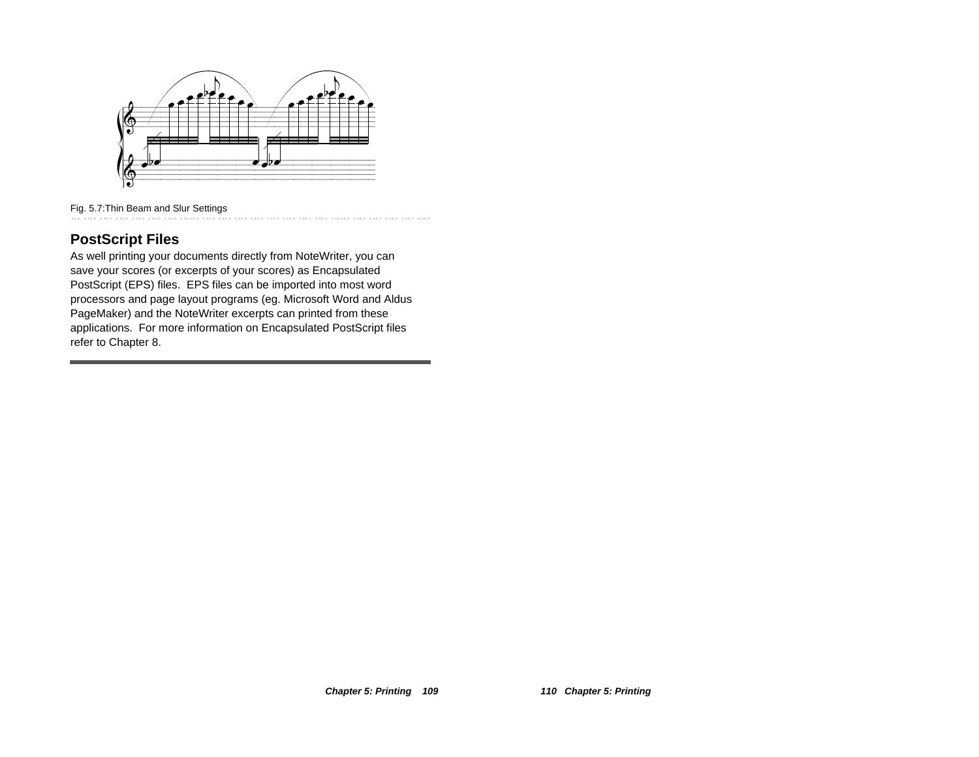

Fig. 5.7:Thin Beam and Slur Settings

## **PostScript Files**

As well printing your documents directly from NoteWriter, you can save your scores (or excerpts of your scores) as Encapsulated PostScript (EPS) files. EPS files can be imported into most word processors and page layout programs (eg. Microsoft Word and Aldus PageMaker) and the NoteWriter excerpts can printed from these applications. For more information on Encapsulated PostScript files refer to Chapter 8.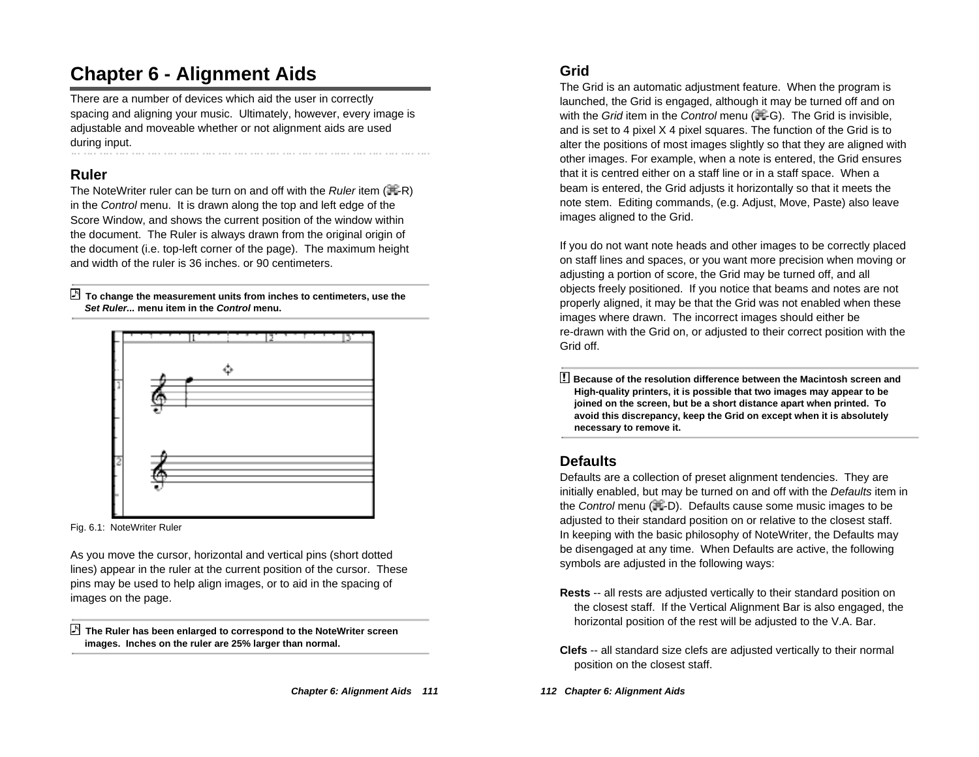# **Chapter 6 - Alignment Aids**

There are a number of devices which aid the user in correctly spacing and aligning your music. Ultimately, however, every image is adjustable and moveable whether or not alignment aids are used during input.

## **Ruler**

The NoteWriter ruler can be turn on and off with the *Ruler* item  $(\mathbb{H} - R)$ in the Control menu. It is drawn along the top and left edge of the Score Window, and shows the current position of the window within the document. The Ruler is always drawn from the original origin of the document (i.e. top-left corner of the page). The maximum height and width of the ruler is 36 inches. or 90 centimeters.

 **To change the measurement units from inches to centimeters, use the Set Ruler... menu item in the Control menu.**



Fig. 6.1: NoteWriter Ruler

As you move the cursor, horizontal and vertical pins (short dotted lines) appear in the ruler at the current position of the cursor. These pins may be used to help align images, or to aid in the spacing of images on the page.

 **The Ruler has been enlarged to correspond to the NoteWriter screen images. Inches on the ruler are 25% larger than normal.**

# **Grid**

The Grid is an automatic adjustment feature. When the program is launched, the Grid is engaged, although it may be turned off and on with the Grid item in the Control menu ( $\#$ -G). The Grid is invisible, and is set to 4 pixel X 4 pixel squares. The function of the Grid is to alter the positions of most images slightly so that they are aligned with other images. For example, when a note is entered, the Grid ensures that it is centred either on a staff line or in a staff space. When a beam is entered, the Grid adjusts it horizontally so that it meets the note stem. Editing commands, (e.g. Adjust, Move, Paste) also leave images aligned to the Grid.

If you do not want note heads and other images to be correctly placed on staff lines and spaces, or you want more precision when moving or adjusting a portion of score, the Grid may be turned off, and all objects freely positioned. If you notice that beams and notes are not properly aligned, it may be that the Grid was not enabled when these images where drawn. The incorrect images should either be re-drawn with the Grid on, or adjusted to their correct position with the Grid off.

! **Because of the resolution difference between the Macintosh screen and High-quality printers, it is possible that two images may appear to be joined on the screen, but be a short distance apart when printed. To avoid this discrepancy, keep the Grid on except when it is absolutely necessary to remove it.**

## **Defaults**

Defaults are a collection of preset alignment tendencies. They are initially enabled, but may be turned on and off with the Defaults item in the Control menu  $(\mathbb{H}$ -D). Defaults cause some music images to be adjusted to their standard position on or relative to the closest staff. In keeping with the basic philosophy of NoteWriter, the Defaults may be disengaged at any time. When Defaults are active, the following symbols are adjusted in the following ways:

- **Rests** -- all rests are adjusted vertically to their standard position on the closest staff. If the Vertical Alignment Bar is also engaged, the horizontal position of the rest will be adjusted to the V.A. Bar.
- **Clefs** -- all standard size clefs are adjusted vertically to their normal position on the closest staff.
- **112 Chapter 6: Alignment Aids**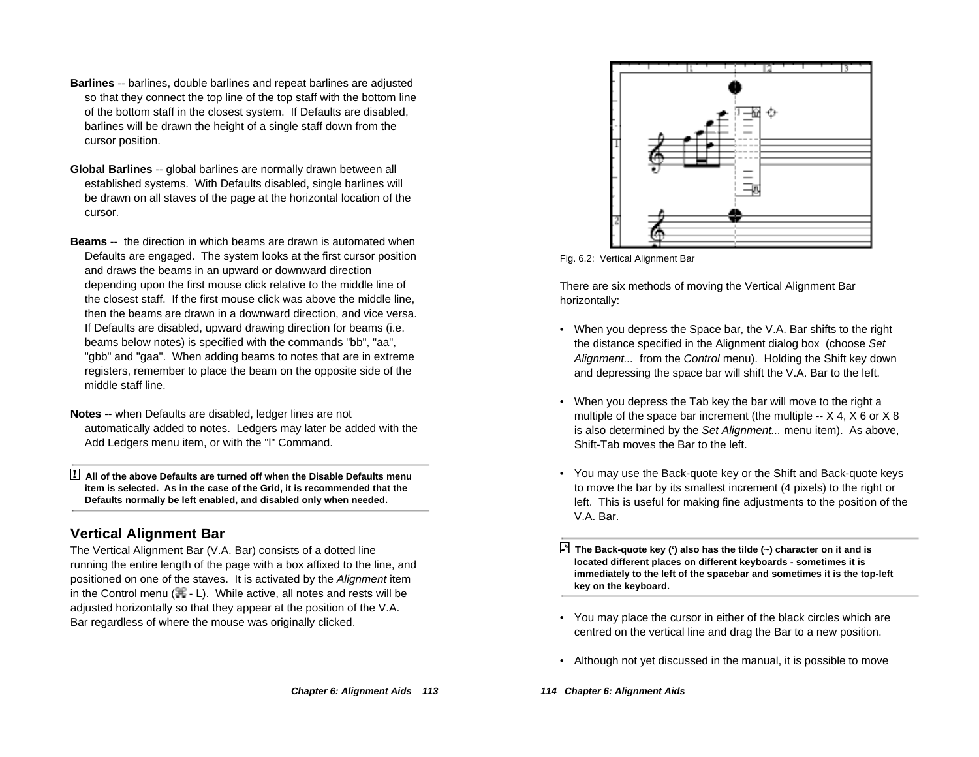- **Barlines** -- barlines, double barlines and repeat barlines are adjusted so that they connect the top line of the top staff with the bottom line of the bottom staff in the closest system. If Defaults are disabled, barlines will be drawn the height of a single staff down from the cursor position.
- **Global Barlines** -- global barlines are normally drawn between all established systems. With Defaults disabled, single barlines will be drawn on all staves of the page at the horizontal location of the cursor.
- **Beams** -- the direction in which beams are drawn is automated when Defaults are engaged. The system looks at the first cursor position and draws the beams in an upward or downward direction depending upon the first mouse click relative to the middle line of the closest staff. If the first mouse click was above the middle line, then the beams are drawn in a downward direction, and vice versa. If Defaults are disabled, upward drawing direction for beams (i.e. beams below notes) is specified with the commands "bb", "aa", "gbb" and "gaa". When adding beams to notes that are in extreme registers, remember to place the beam on the opposite side of the middle staff line.
- **Notes** -- when Defaults are disabled, ledger lines are not automatically added to notes. Ledgers may later be added with the Add Ledgers menu item, or with the "l" Command.
- ! **All of the above Defaults are turned off when the Disable Defaults menu item is selected. As in the case of the Grid, it is recommended that the Defaults normally be left enabled, and disabled only when needed.**

## **Vertical Alignment Bar**

The Vertical Alignment Bar (V.A. Bar) consists of a dotted line running the entire length of the page with a box affixed to the line, and positioned on one of the staves. It is activated by the Alignment item in the Control menu ( $\mathbb{H}$  - L). While active, all notes and rests will be adjusted horizontally so that they appear at the position of the V.A. Bar regardless of where the mouse was originally clicked.



Fig. 6.2: Vertical Alignment Bar

There are six methods of moving the Vertical Alignment Bar horizontally:

- When you depress the Space bar, the V.A. Bar shifts to the right the distance specified in the Alignment dialog box (choose Set Alignment... from the Control menu). Holding the Shift key down and depressing the space bar will shift the V.A. Bar to the left.
- When you depress the Tab key the bar will move to the right a multiple of the space bar increment (the multiple  $\times$  4,  $\times$  6 or  $\times$  8 is also determined by the Set Alignment... menu item). As above, Shift-Tab moves the Bar to the left.
- You may use the Back-quote key or the Shift and Back-quote keys to move the bar by its smallest increment (4 pixels) to the right or left. This is useful for making fine adjustments to the position of the V.A. Bar.

 **The Back-quote key (') also has the tilde (~) character on it and is located different places on different keyboards - sometimes it is immediately to the left of the spacebar and sometimes it is the top-left key on the keyboard.**

- You may place the cursor in either of the black circles which are centred on the vertical line and drag the Bar to a new position.
- Although not yet discussed in the manual, it is possible to move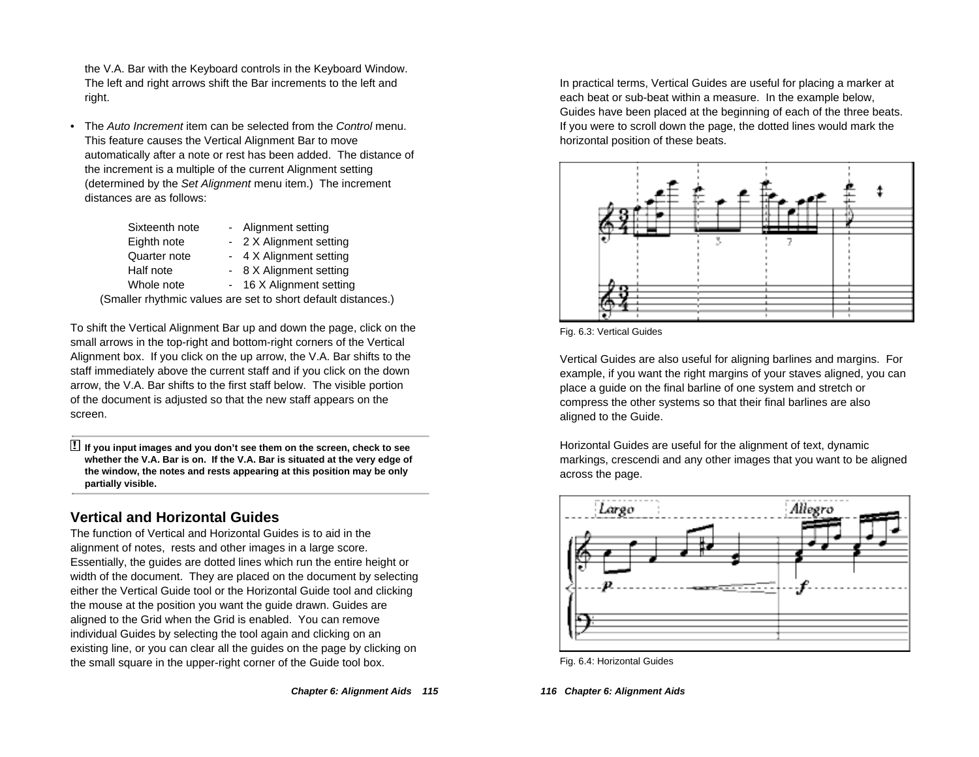the V.A. Bar with the Keyboard controls in the Keyboard Window. The left and right arrows shift the Bar increments to the left and right.

•The Auto Increment item can be selected from the Control menu. This feature causes the Vertical Alignment Bar to move automatically after a note or rest has been added. The distance of the increment is a multiple of the current Alignment setting (determined by the Set Alignment menu item.) The increment distances are as follows:

| - Alignment setting      |
|--------------------------|
| - 2 X Alignment setting  |
| - 4 X Alignment setting  |
| - 8 X Alignment setting  |
| - 16 X Alignment setting |
|                          |

(Smaller rhythmic values are set to short default distances.)

To shift the Vertical Alignment Bar up and down the page, click on the small arrows in the top-right and bottom-right corners of the Vertical Alignment box. If you click on the up arrow, the V.A. Bar shifts to the staff immediately above the current staff and if you click on the down arrow, the V.A. Bar shifts to the first staff below. The visible portion of the document is adjusted so that the new staff appears on the screen.

! **If you input images and you don't see them on the screen, check to see whether the V.A. Bar is on. If the V.A. Bar is situated at the very edge of the window, the notes and rests appearing at this position may be only partially visible.**

## **Vertical and Horizontal Guides**

The function of Vertical and Horizontal Guides is to aid in the alignment of notes, rests and other images in a large score. Essentially, the guides are dotted lines which run the entire height or width of the document. They are placed on the document by selecting either the Vertical Guide tool or the Horizontal Guide tool and clicking the mouse at the position you want the guide drawn. Guides are aligned to the Grid when the Grid is enabled. You can remove individual Guides by selecting the tool again and clicking on an existing line, or you can clear all the guides on the page by clicking on the small square in the upper-right corner of the Guide tool box.

In practical terms, Vertical Guides are useful for placing a marker at each beat or sub-beat within a measure. In the example below, Guides have been placed at the beginning of each of the three beats. If you were to scroll down the page, the dotted lines would mark the horizontal position of these beats.



Fig. 6.3: Vertical Guides

Vertical Guides are also useful for aligning barlines and margins. For example, if you want the right margins of your staves aligned, you can place a guide on the final barline of one system and stretch or compress the other systems so that their final barlines are also aligned to the Guide.

Horizontal Guides are useful for the alignment of text, dynamic markings, crescendi and any other images that you want to be aligned across the page.



Fig. 6.4: Horizontal Guides

**116 Chapter 6: Alignment Aids**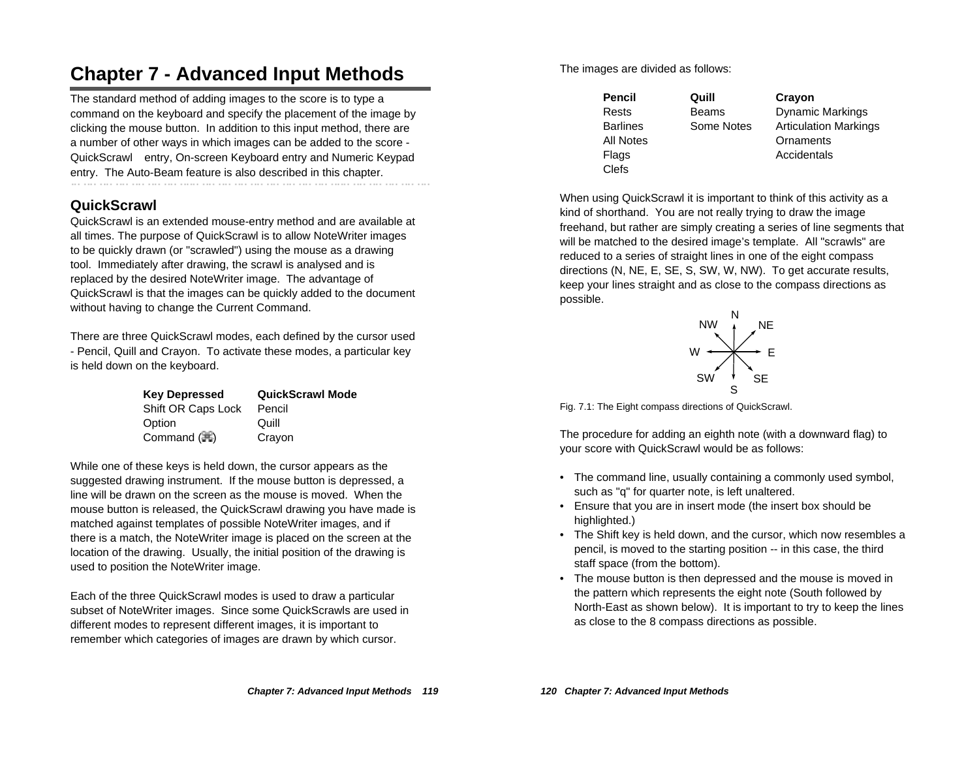# **Chapter 7 - Advanced Input Methods**

The standard method of adding images to the score is to type a command on the keyboard and specify the placement of the image by clicking the mouse button. In addition to this input method, there are a number of other ways in which images can be added to the score - QuickScrawl™ entry, On-screen Keyboard entry and Numeric Keypad entry. The Auto-Beam feature is also described in this chapter.

## **QuickScrawl**

QuickScrawl is an extended mouse-entry method and are available at all times. The purpose of QuickScrawl is to allow NoteWriter images to be quickly drawn (or "scrawled") using the mouse as a drawing tool. Immediately after drawing, the scrawl is analysed and is replaced by the desired NoteWriter image. The advantage of QuickScrawl is that the images can be quickly added to the document without having to change the Current Command.

There are three QuickScrawl modes, each defined by the cursor used - Pencil, Quill and Crayon. To activate these modes, a particular key is held down on the keyboard.

| <b>Key Depressed</b>   | <b>QuickScrawl Mode</b> |
|------------------------|-------------------------|
| Shift OR Caps Lock     | Pencil                  |
| Option                 | Quill                   |
| Command $(\mathbb{H})$ | Crayon                  |

While one of these keys is held down, the cursor appears as the suggested drawing instrument. If the mouse button is depressed, a line will be drawn on the screen as the mouse is moved. When the mouse button is released, the QuickScrawl drawing you have made is matched against templates of possible NoteWriter images, and if there is a match, the NoteWriter image is placed on the screen at the location of the drawing. Usually, the initial position of the drawing is used to position the NoteWriter image.

Each of the three QuickScrawl modes is used to draw a particular subset of NoteWriter images. Since some QuickScrawls are used in different modes to represent different images, it is important to remember which categories of images are drawn by which cursor.

The images are divided as follows:

| Pencil    | Quill        | Crayon                       |
|-----------|--------------|------------------------------|
| Rests     | <b>Beams</b> | <b>Dynamic Markings</b>      |
| Barlines  | Some Notes   | <b>Articulation Markings</b> |
| All Notes |              | Ornaments                    |
| Flags     |              | Accidentals                  |
| Clefs     |              |                              |

When using QuickScrawl it is important to think of this activity as a kind of shorthand. You are not really trying to draw the image freehand, but rather are simply creating a series of line segments that will be matched to the desired image's template. All "scrawls" are reduced to a series of straight lines in one of the eight compass directions (N, NE, E, SE, S, SW, W, NW). To get accurate results, keep your lines straight and as close to the compass directions as possible.



Fig. 7.1: The Eight compass directions of QuickScrawl.

The procedure for adding an eighth note (with a downward flag) to your score with QuickScrawl would be as follows:

- The command line, usually containing a commonly used symbol, such as "q" for quarter note, is left unaltered.
- Ensure that you are in insert mode (the insert box should be highlighted.)
- The Shift key is held down, and the cursor, which now resembles a pencil, is moved to the starting position -- in this case, the third staff space (from the bottom).
- The mouse button is then depressed and the mouse is moved in the pattern which represents the eight note (South followed by North-East as shown below). It is important to try to keep the lines as close to the 8 compass directions as possible.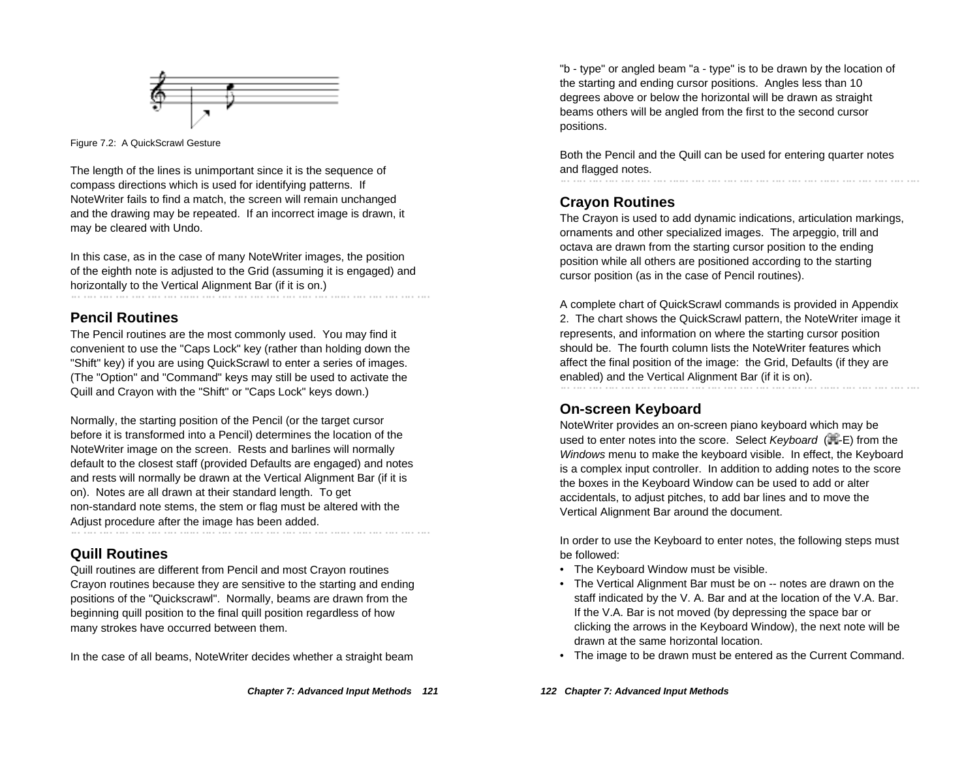

Figure 7.2: A QuickScrawl Gesture

The length of the lines is unimportant since it is the sequence of compass directions which is used for identifying patterns. If NoteWriter fails to find a match, the screen will remain unchanged and the drawing may be repeated. If an incorrect image is drawn, it may be cleared with Undo.

In this case, as in the case of many NoteWriter images, the position of the eighth note is adjusted to the Grid (assuming it is engaged) and horizontally to the Vertical Alignment Bar (if it is on.)

#### **Pencil Routines**

The Pencil routines are the most commonly used. You may find it convenient to use the "Caps Lock" key (rather than holding down the "Shift" key) if you are using QuickScrawl to enter a series of images. (The "Option" and "Command" keys may still be used to activate the Quill and Crayon with the "Shift" or "Caps Lock" keys down.)

Normally, the starting position of the Pencil (or the target cursor before it is transformed into a Pencil) determines the location of the NoteWriter image on the screen. Rests and barlines will normally default to the closest staff (provided Defaults are engaged) and notes and rests will normally be drawn at the Vertical Alignment Bar (if it is on). Notes are all drawn at their standard length. To get non-standard note stems, the stem or flag must be altered with the Adjust procedure after the image has been added.

## **Quill Routines**

Quill routines are different from Pencil and most Crayon routines Crayon routines because they are sensitive to the starting and ending positions of the "Quickscrawl". Normally, beams are drawn from the beginning quill position to the final quill position regardless of how many strokes have occurred between them.

In the case of all beams, NoteWriter decides whether a straight beam

"b - type" or angled beam "a - type" is to be drawn by the location of the starting and ending cursor positions. Angles less than 10 degrees above or below the horizontal will be drawn as straight beams others will be angled from the first to the second cursor positions.

Both the Pencil and the Quill can be used for entering quarter notes and flagged notes.

## **Crayon Routines**

The Crayon is used to add dynamic indications, articulation markings, ornaments and other specialized images. The arpeggio, trill and octava are drawn from the starting cursor position to the ending position while all others are positioned according to the starting cursor position (as in the case of Pencil routines).

A complete chart of QuickScrawl commands is provided in Appendix 2. The chart shows the QuickScrawl pattern, the NoteWriter image it represents, and information on where the starting cursor position should be. The fourth column lists the NoteWriter features which affect the final position of the image: the Grid, Defaults (if they are enabled) and the Vertical Alignment Bar (if it is on).

# **On-screen Keyboard**

NoteWriter provides an on-screen piano keyboard which may be used to enter notes into the score. Select Keyboard  $(\mathbb{H}-E)$  from the Windows menu to make the keyboard visible. In effect, the Keyboard is a complex input controller. In addition to adding notes to the score the boxes in the Keyboard Window can be used to add or alter accidentals, to adjust pitches, to add bar lines and to move the Vertical Alignment Bar around the document.

In order to use the Keyboard to enter notes, the following steps must be followed:

- The Keyboard Window must be visible.
- The Vertical Alignment Bar must be on -- notes are drawn on the staff indicated by the V. A. Bar and at the location of the V.A. Bar. If the V.A. Bar is not moved (by depressing the space bar or clicking the arrows in the Keyboard Window), the next note will be drawn at the same horizontal location.
- The image to be drawn must be entered as the Current Command.

**122 Chapter 7: Advanced Input Methods**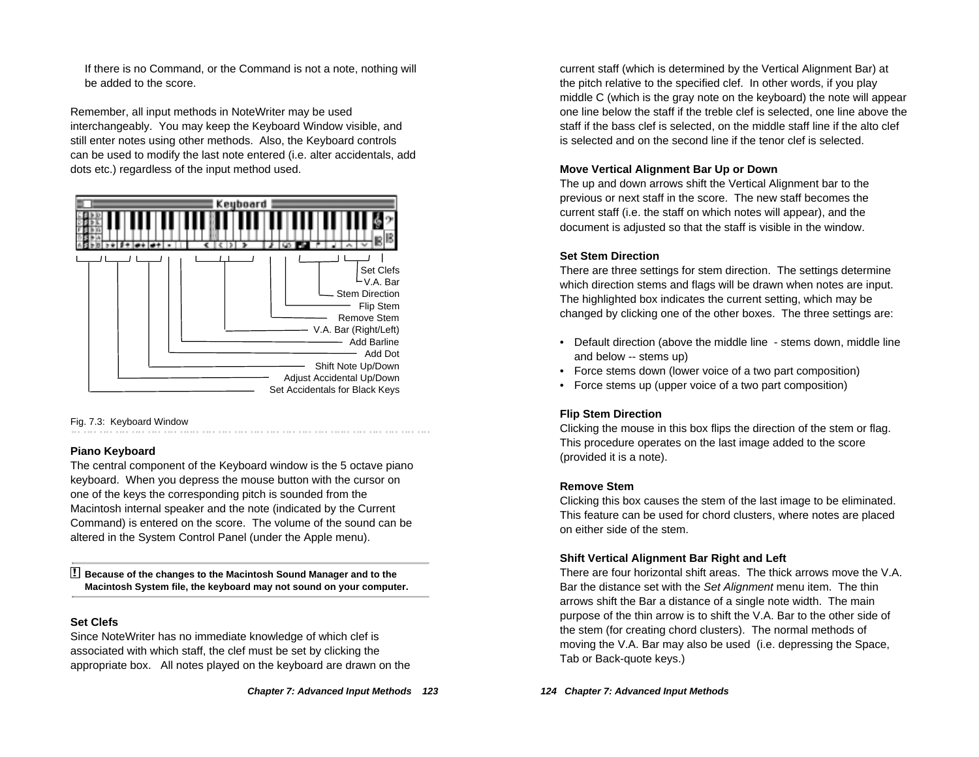If there is no Command, or the Command is not a note, nothing will be added to the score.

Remember, all input methods in NoteWriter may be used interchangeably. You may keep the Keyboard Window visible, and still enter notes using other methods. Also, the Keyboard controls can be used to modify the last note entered (i.e. alter accidentals, add dots etc.) regardless of the input method used.



#### Fig. 7.3: Keyboard Window

#### **Piano Keyboard**

The central component of the Keyboard window is the 5 octave piano keyboard. When you depress the mouse button with the cursor on one of the keys the corresponding pitch is sounded from the Macintosh internal speaker and the note (indicated by the Current Command) is entered on the score. The volume of the sound can be altered in the System Control Panel (under the Apple menu).

! **Because of the changes to the Macintosh Sound Manager and to the Macintosh System file, the keyboard may not sound on your computer.**

#### **Set Clefs**

Since NoteWriter has no immediate knowledge of which clef is associated with which staff, the clef must be set by clicking the appropriate box. All notes played on the keyboard are drawn on the current staff (which is determined by the Vertical Alignment Bar) at the pitch relative to the specified clef. In other words, if you play middle C (which is the gray note on the keyboard) the note will appear one line below the staff if the treble clef is selected, one line above the staff if the bass clef is selected, on the middle staff line if the alto clef is selected and on the second line if the tenor clef is selected.

#### **Move Vertical Alignment Bar Up or Down**

The up and down arrows shift the Vertical Alignment bar to the previous or next staff in the score. The new staff becomes the current staff (i.e. the staff on which notes will appear), and the document is adjusted so that the staff is visible in the window.

#### **Set Stem Direction**

There are three settings for stem direction. The settings determine which direction stems and flags will be drawn when notes are input. The highlighted box indicates the current setting, which may be changed by clicking one of the other boxes. The three settings are:

- Default direction (above the middle line stems down, middle line and below -- stems up)
- Force stems down (lower voice of a two part composition)
- Force stems up (upper voice of a two part composition)

#### **Flip Stem Direction**

Clicking the mouse in this box flips the direction of the stem or flag. This procedure operates on the last image added to the score (provided it is a note).

#### **Remove Stem**

Clicking this box causes the stem of the last image to be eliminated. This feature can be used for chord clusters, where notes are placed on either side of the stem.

#### **Shift Vertical Alignment Bar Right and Left**

There are four horizontal shift areas. The thick arrows move the V.A. Bar the distance set with the Set Alignment menu item. The thin arrows shift the Bar a distance of a single note width. The main purpose of the thin arrow is to shift the V.A. Bar to the other side of the stem (for creating chord clusters). The normal methods of moving the V.A. Bar may also be used (i.e. depressing the Space, Tab or Back-quote keys.)

**124 Chapter 7: Advanced Input Methods**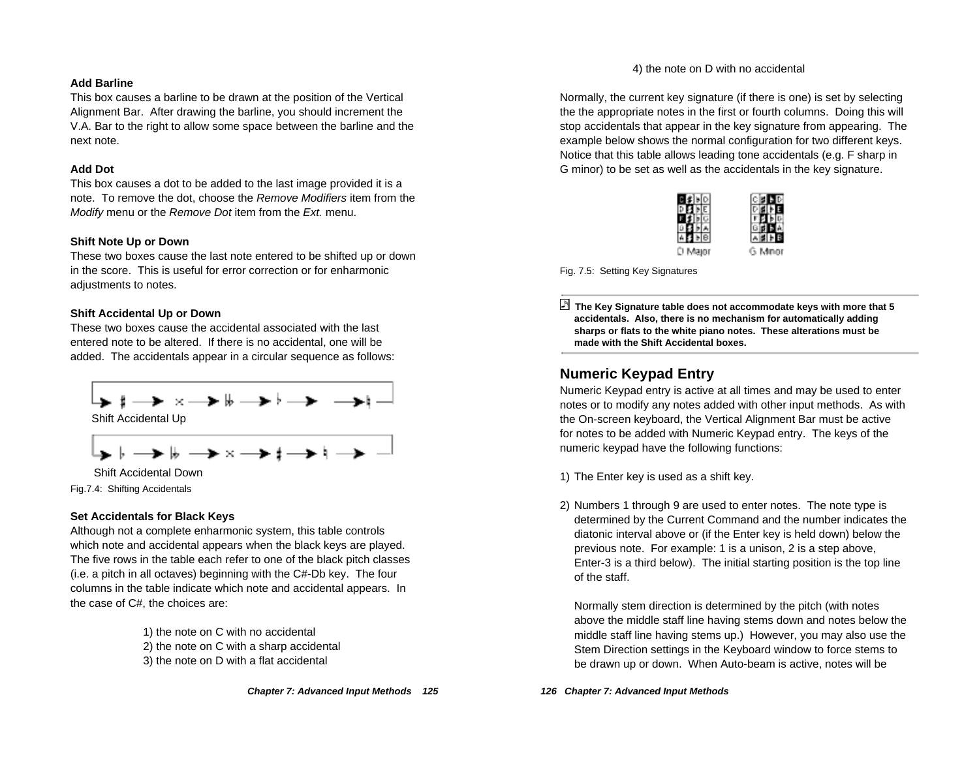#### **Add Barline**

This box causes a barline to be drawn at the position of the Vertical Alignment Bar. After drawing the barline, you should increment the V.A. Bar to the right to allow some space between the barline and the next note.

#### **Add Dot**

This box causes a dot to be added to the last image provided it is a note. To remove the dot, choose the Remove Modifiers item from the Modify menu or the Remove Dot item from the Ext. menu.

#### **Shift Note Up or Down**

These two boxes cause the last note entered to be shifted up or down in the score. This is useful for error correction or for enharmonic adjustments to notes.

#### **Shift Accidental Up or Down**

These two boxes cause the accidental associated with the last entered note to be altered. If there is no accidental, one will be added. The accidentals appear in a circular sequence as follows:



Fig.7.4: Shifting Accidentals

#### **Set Accidentals for Black Keys**

Although not a complete enharmonic system, this table controls which note and accidental appears when the black keys are played. The five rows in the table each refer to one of the black pitch classes (i.e. a pitch in all octaves) beginning with the C#-Db key. The four columns in the table indicate which note and accidental appears. In the case of C#, the choices are:

> 1) the note on C with no accidental 2) the note on C with a sharp accidental 3) the note on D with a flat accidental

4) the note on D with no accidental

Normally, the current key signature (if there is one) is set by selecting the the appropriate notes in the first or fourth columns. Doing this will stop accidentals that appear in the key signature from appearing. The example below shows the normal configuration for two different keys. Notice that this table allows leading tone accidentals (e.g. F sharp in G minor) to be set as well as the accidentals in the key signature.



G Mno

Fig. 7.5: Setting Key Signatures

 **The Key Signature table does not accommodate keys with more that 5 accidentals. Also, there is no mechanism for automatically adding sharps or flats to the white piano notes. These alterations must be made with the Shift Accidental boxes.**

## **Numeric Keypad Entry**

Numeric Keypad entry is active at all times and may be used to enter notes or to modify any notes added with other input methods. As with the On-screen keyboard, the Vertical Alignment Bar must be active for notes to be added with Numeric Keypad entry. The keys of the numeric keypad have the following functions:

1) The Enter key is used as a shift key.

2) Numbers 1 through 9 are used to enter notes. The note type is determined by the Current Command and the number indicates the diatonic interval above or (if the Enter key is held down) below the previous note. For example: 1 is a unison, 2 is a step above, Enter-3 is a third below). The initial starting position is the top line of the staff.

Normally stem direction is determined by the pitch (with notes above the middle staff line having stems down and notes below the middle staff line having stems up.) However, you may also use the Stem Direction settings in the Keyboard window to force stems to be drawn up or down. When Auto-beam is active, notes will be

**126 Chapter 7: Advanced Input Methods**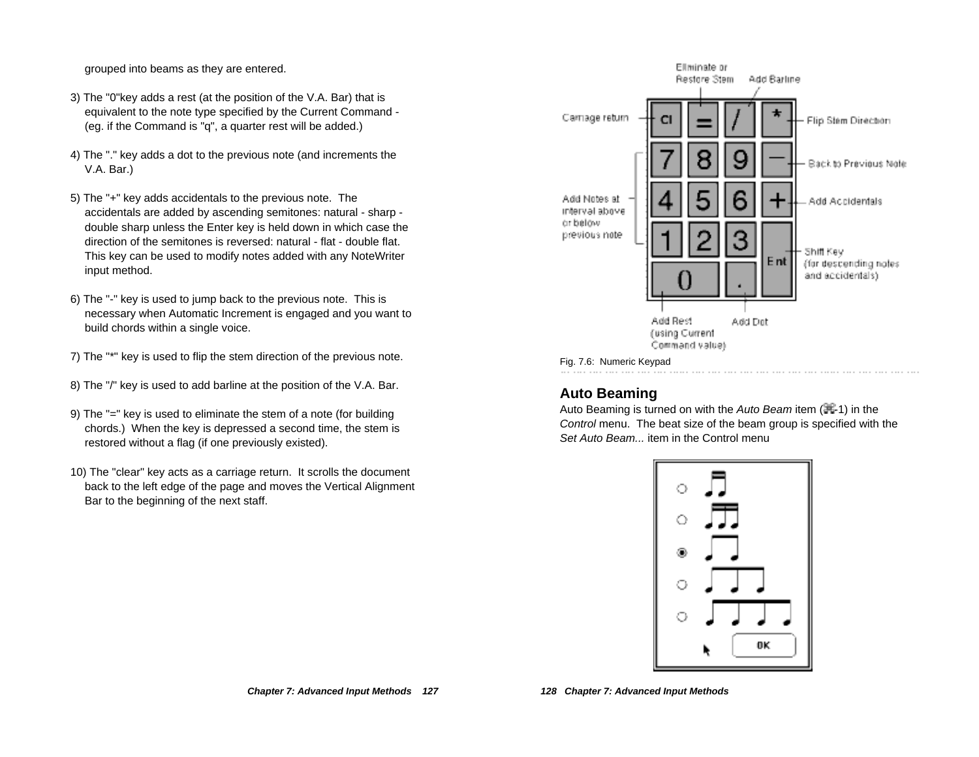grouped into beams as they are entered.

- 3) The "0"key adds a rest (at the position of the V.A. Bar) that is equivalent to the note type specified by the Current Command - (eg. if the Command is "q", a quarter rest will be added.)
- 4) The "." key adds a dot to the previous note (and increments the V.A. Bar.)
- 5) The "+" key adds accidentals to the previous note. The accidentals are added by ascending semitones: natural - sharp double sharp unless the Enter key is held down in which case the direction of the semitones is reversed: natural - flat - double flat. This key can be used to modify notes added with any NoteWriter input method.
- 6) The "-" key is used to jump back to the previous note. This is necessary when Automatic Increment is engaged and you want to build chords within a single voice.
- 7) The "\*" key is used to flip the stem direction of the previous note.
- 8) The "/" key is used to add barline at the position of the V.A. Bar.
- 9) The "=" key is used to eliminate the stem of a note (for building chords.) When the key is depressed a second time, the stem is restored without a flag (if one previously existed).
- 10) The "clear" key acts as a carriage return. It scrolls the document back to the left edge of the page and moves the Vertical Alignment Bar to the beginning of the next staff.



## **Auto Beaming**

Auto Beaming is turned on with the Auto Beam item  $(\mathbb{H}$ -1) in the Control menu. The beat size of the beam group is specified with the Set Auto Beam... item in the Control menu

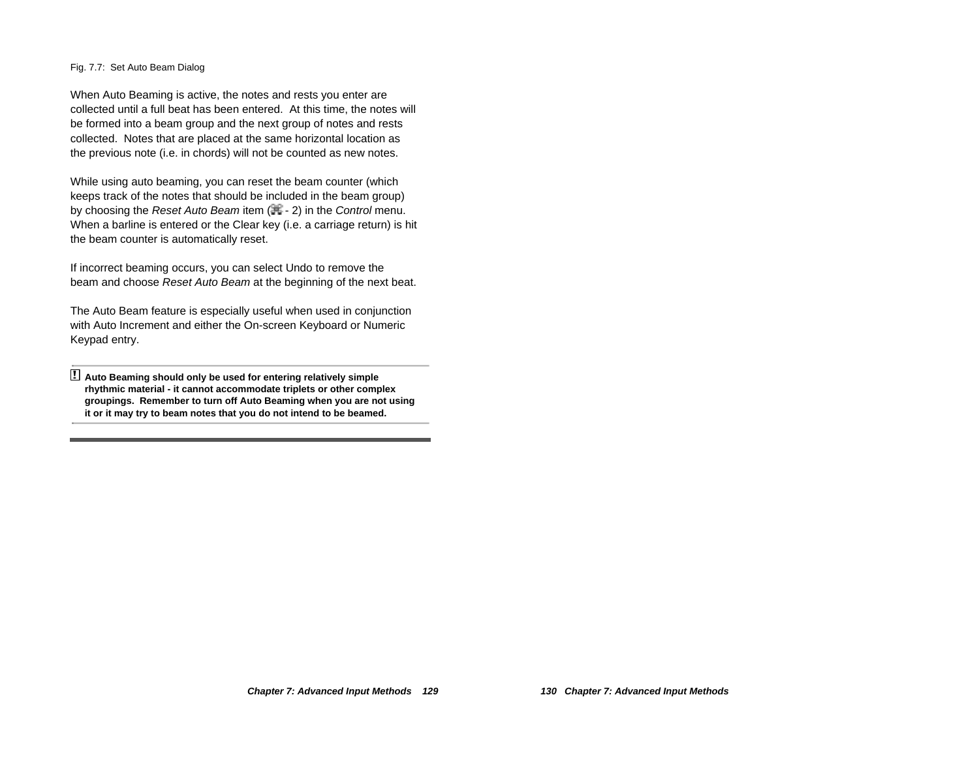Fig. 7.7: Set Auto Beam Dialog

When Auto Beaming is active, the notes and rests you enter are collected until a full beat has been entered. At this time, the notes will be formed into a beam group and the next group of notes and rests collected. Notes that are placed at the same horizontal location as the previous note (i.e. in chords) will not be counted as new notes.

While using auto beaming, you can reset the beam counter (which keeps track of the notes that should be included in the beam group) by choosing the Reset Auto Beam item  $(\mathbb{H} - 2)$  in the Control menu. When a barline is entered or the Clear key (i.e. a carriage return) is hit the beam counter is automatically reset.

If incorrect beaming occurs, you can select Undo to remove the beam and choose Reset Auto Beam at the beginning of the next beat.

The Auto Beam feature is especially useful when used in conjunction with Auto Increment and either the On-screen Keyboard or Numeric Keypad entry.

! **Auto Beaming should only be used for entering relatively simple rhythmic material - it cannot accommodate triplets or other complex groupings. Remember to turn off Auto Beaming when you are not using it or it may try to beam notes that you do not intend to be beamed.**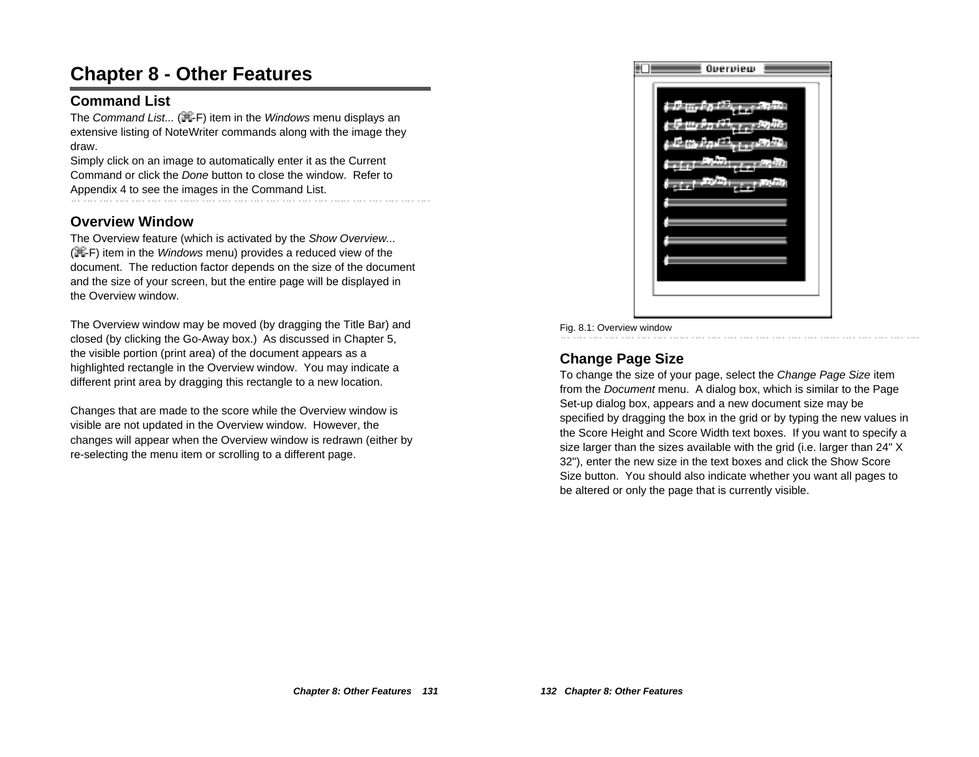# **Chapter 8 - Other Features**

## **Command List**

The Command List...  $(\mathbb{H} - F)$  item in the Windows menu displays an extensive listing of NoteWriter commands along with the image they draw.

Simply click on an image to automatically enter it as the Current Command or click the Done button to close the window. Refer to Appendix 4 to see the images in the Command List.<br>  $\ldots$  in the company of the company of the company of the company of the company of the company of the company

## **Overview Window**

The Overview feature (which is activated by the Show Overview...  $(E-F)$  item in the *Windows* menu) provides a reduced view of the document. The reduction factor depends on the size of the document and the size of your screen, but the entire page will be displayed in the Overview window.

The Overview window may be moved (by dragging the Title Bar) and closed (by clicking the Go-Away box.) As discussed in Chapter 5, the visible portion (print area) of the document appears as a highlighted rectangle in the Overview window. You may indicate a different print area by dragging this rectangle to a new location.

Changes that are made to the score while the Overview window is visible are not updated in the Overview window. However, the changes will appear when the Overview window is redrawn (either by re-selecting the menu item or scrolling to a different page.



#### Fig. 8.1: Overview window

# **Change Page Size**

To change the size of your page, select the Change Page Size item from the Document menu. A dialog box, which is similar to the Page Set-up dialog box, appears and a new document size may be specified by dragging the box in the grid or by typing the new values in the Score Height and Score Width text boxes. If you want to specify a size larger than the sizes available with the grid (i.e. larger than 24" X 32"), enter the new size in the text boxes and click the Show Score Size button. You should also indicate whether you want all pages to be altered or only the page that is currently visible.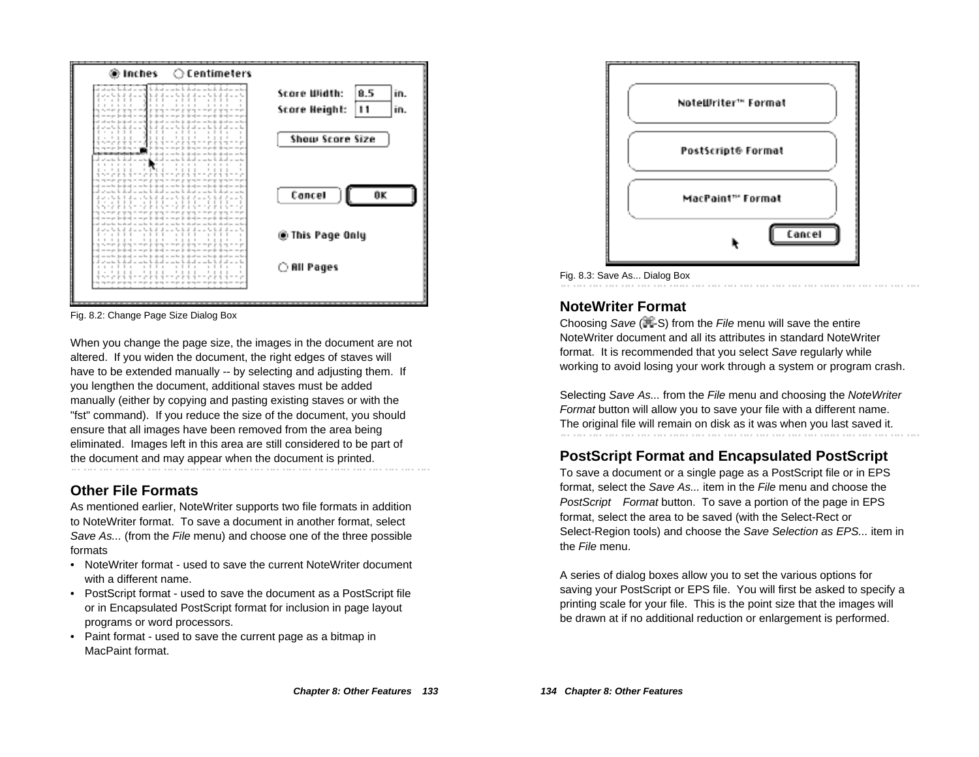

Fig. 8.2: Change Page Size Dialog Box

When you change the page size, the images in the document are not altered. If you widen the document, the right edges of staves will have to be extended manually -- by selecting and adjusting them. If you lengthen the document, additional staves must be added manually (either by copying and pasting existing staves or with the "fst" command). If you reduce the size of the document, you should ensure that all images have been removed from the area being eliminated. Images left in this area are still considered to be part of the document and may appear when the document is printed.

## **Other File Formats**

As mentioned earlier, NoteWriter supports two file formats in addition to NoteWriter format. To save a document in another format, select Save As... (from the File menu) and choose one of the three possible formats

- NoteWriter format used to save the current NoteWriter document with a different name.
- PostScript format used to save the document as a PostScript file or in Encapsulated PostScript format for inclusion in page layout programs or word processors.
- Paint format used to save the current page as a bitmap in MacPaint format.



Fig. 8.3: Save As... Dialog Box

# **NoteWriter Format**

Choosing Save  $(\mathbb{H}\text{-}S)$  from the File menu will save the entire NoteWriter document and all its attributes in standard NoteWriter format. It is recommended that you select Save regularly while working to avoid losing your work through a system or program crash.

Selecting Save As... from the File menu and choosing the NoteWriter Format button will allow you to save your file with a different name. The original file will remain on disk as it was when you last saved it.

# **PostScript Format and Encapsulated PostScript**

To save a document or a single page as a PostScript file or in EPS format, select the Save As... item in the File menu and choose the PostScript<sup>®</sup> Format button. To save a portion of the page in EPS format, select the area to be saved (with the Select-Rect or Select-Region tools) and choose the Save Selection as EPS... item in the File menu.

A series of dialog boxes allow you to set the various options for saving your PostScript or EPS file. You will first be asked to specify a printing scale for your file. This is the point size that the images will be drawn at if no additional reduction or enlargement is performed.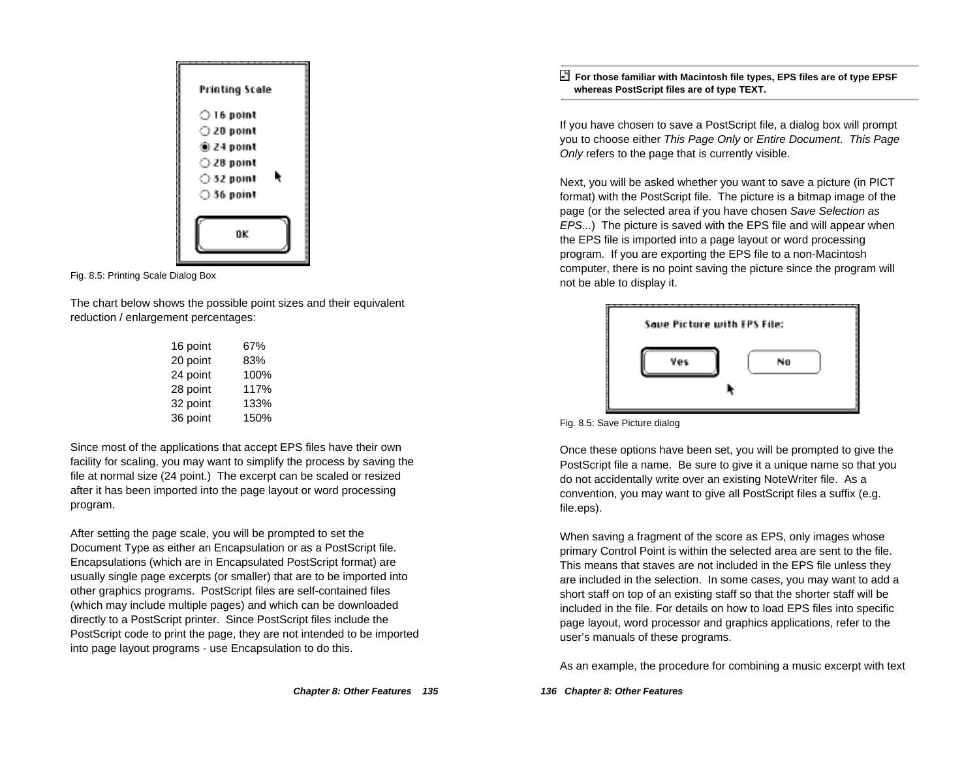

Fig. 8.5: Printing Scale Dialog Box

The chart below shows the possible point sizes and their equivalent reduction / enlargement percentages:

| 16 point | 67%  |
|----------|------|
| 20 point | 83%  |
| 24 point | 100% |
| 28 point | 117% |
| 32 point | 133% |
| 36 point | 150% |

Since most of the applications that accept EPS files have their own facility for scaling, you may want to simplify the process by saving the file at normal size (24 point.) The excerpt can be scaled or resized after it has been imported into the page layout or word processing program.

After setting the page scale, you will be prompted to set the Document Type as either an Encapsulation or as a PostScript file. Encapsulations (which are in Encapsulated PostScript format) are usually single page excerpts (or smaller) that are to be imported into other graphics programs. PostScript files are self-contained files (which may include multiple pages) and which can be downloaded directly to a PostScript printer. Since PostScript files include the PostScript code to print the page, they are not intended to be imported into page layout programs - use Encapsulation to do this.

 **For those familiar with Macintosh file types, EPS files are of type EPSF whereas PostScript files are of type TEXT.**

If you have chosen to save a PostScript file, a dialog box will prompt you to choose either This Page Only or Entire Document. This Page Only refers to the page that is currently visible.

Next, you will be asked whether you want to save a picture (in PICT format) with the PostScript file. The picture is a bitmap image of the page (or the selected area if you have chosen Save Selection as EPS...) The picture is saved with the EPS file and will appear when the EPS file is imported into a page layout or word processing program. If you are exporting the EPS file to a non-Macintosh computer, there is no point saving the picture since the program will not be able to display it.



#### Fig. 8.5: Save Picture dialog

Once these options have been set, you will be prompted to give the PostScript file a name. Be sure to give it a unique name so that you do not accidentally write over an existing NoteWriter file. As a convention, you may want to give all PostScript files a suffix (e.g. file.eps).

When saving a fragment of the score as EPS, only images whose primary Control Point is within the selected area are sent to the file. This means that staves are not included in the EPS file unless they are included in the selection. In some cases, you may want to add a short staff on top of an existing staff so that the shorter staff will be included in the file. For details on how to load EPS files into specific page layout, word processor and graphics applications, refer to the user's manuals of these programs.

As an example, the procedure for combining a music excerpt with text

**136 Chapter 8: Other Features**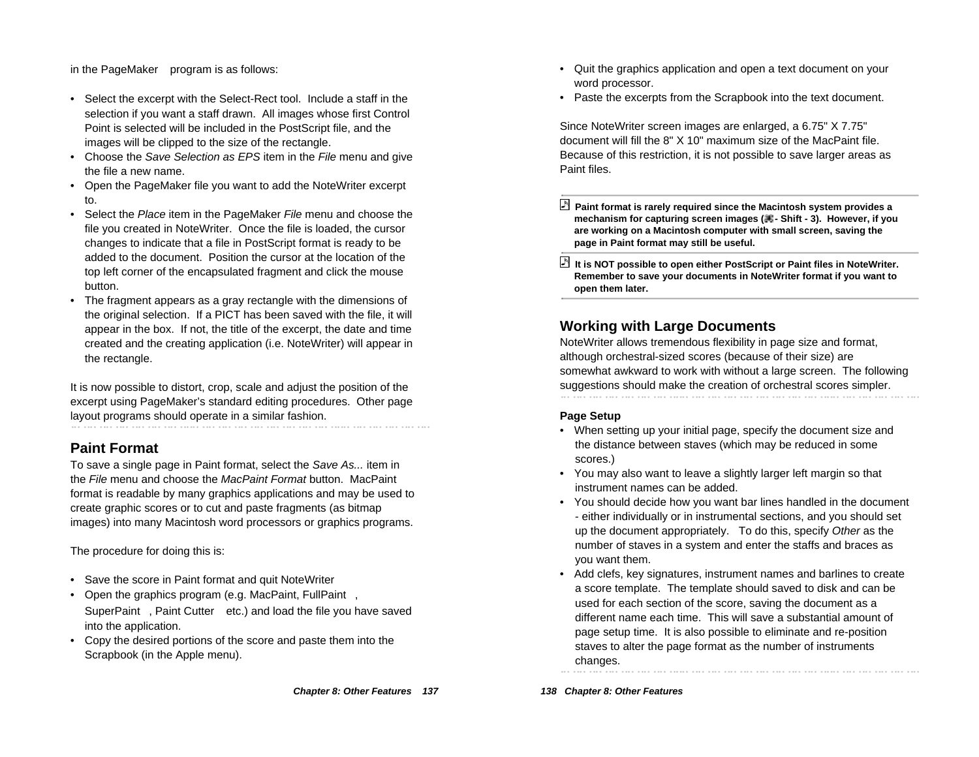in the PageMaker™ program is as follows:

- Select the excerpt with the Select-Rect tool. Include a staff in the selection if you want a staff drawn. All images whose first Control Point is selected will be included in the PostScript file, and the images will be clipped to the size of the rectangle.
- Choose the Save Selection as EPS item in the File menu and give the file a new name.
- Open the PageMaker file you want to add the NoteWriter excerpt to.
- •Select the Place item in the PageMaker File menu and choose the file you created in NoteWriter. Once the file is loaded, the cursor changes to indicate that a file in PostScript format is ready to be added to the document. Position the cursor at the location of the top left corner of the encapsulated fragment and click the mouse button.
- The fragment appears as a gray rectangle with the dimensions of the original selection. If a PICT has been saved with the file, it will appear in the box. If not, the title of the excerpt, the date and time created and the creating application (i.e. NoteWriter) will appear in the rectangle.

It is now possible to distort, crop, scale and adjust the position of the excerpt using PageMaker's standard editing procedures. Other page layout programs should operate in a similar fashion.

## **Paint Format**

To save a single page in Paint format, select the Save As... item in the File menu and choose the MacPaint Format button. MacPaint format is readable by many graphics applications and may be used to create graphic scores or to cut and paste fragments (as bitmap images) into many Macintosh word processors or graphics programs.

The procedure for doing this is:

- Save the score in Paint format and quit NoteWriter
- Open the graphics program (e.g. MacPaint, FullPaint™, SuperPaint™, Paint Cutter™ etc.) and load the file you have saved into the application.
- Copy the desired portions of the score and paste them into the Scrapbook (in the Apple menu).
- Quit the graphics application and open a text document on your word processor.
- Paste the excerpts from the Scrapbook into the text document.

Since NoteWriter screen images are enlarged, a 6.75" X 7.75" document will fill the 8" X 10" maximum size of the MacPaint file. Because of this restriction, it is not possible to save larger areas as Paint files.

- **Paint format is rarely required since the Macintosh system provides a** mechanism for capturing screen images (**其**- Shift - 3). However, if you **are working on a Macintosh computer with small screen, saving the page in Paint format may still be useful.**
- **It is NOT possible to open either PostScript or Paint files in NoteWriter. Remember to save your documents in NoteWriter format if you want to open them later.**

# **Working with Large Documents**

NoteWriter allows tremendous flexibility in page size and format, although orchestral-sized scores (because of their size) are somewhat awkward to work with without a large screen. The following suggestions should make the creation of orchestral scores simpler.

#### **Page Setup**

- When setting up your initial page, specify the document size and the distance between staves (which may be reduced in some scores.)
- You may also want to leave a slightly larger left margin so that instrument names can be added.
- You should decide how you want bar lines handled in the document - either individually or in instrumental sections, and you should set up the document appropriately. To do this, specify Other as the number of staves in a system and enter the staffs and braces as you want them.
- Add clefs, key signatures, instrument names and barlines to create a score template. The template should saved to disk and can be used for each section of the score, saving the document as a different name each time. This will save a substantial amount of page setup time. It is also possible to eliminate and re-position staves to alter the page format as the number of instruments changes.

**138 Chapter 8: Other Features**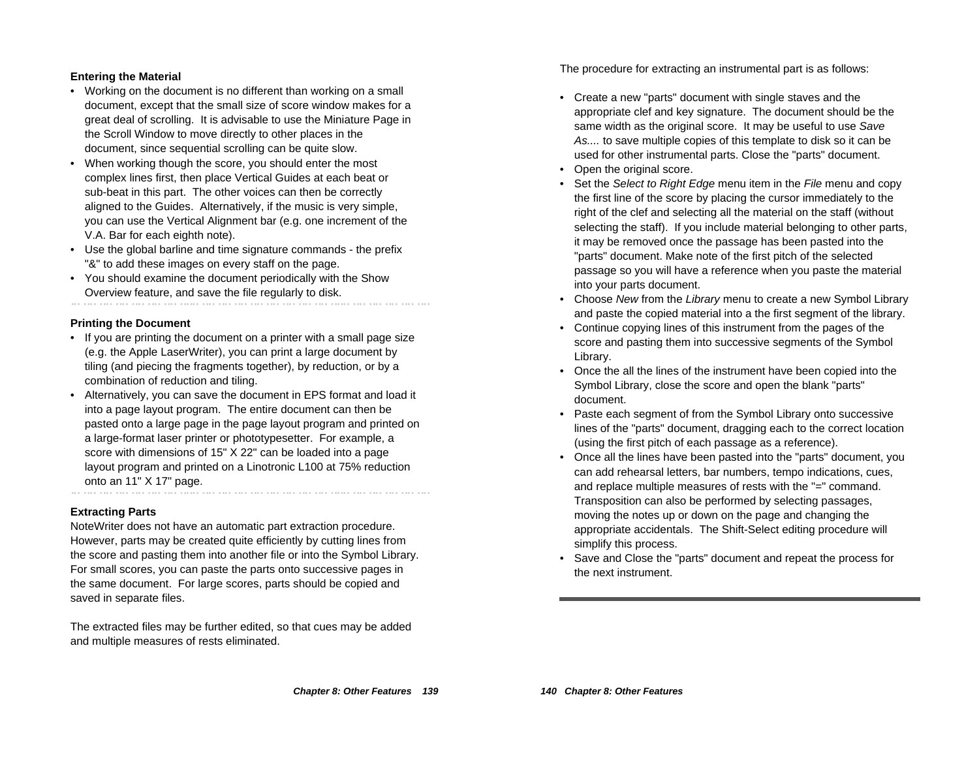#### **Entering the Material**

- Working on the document is no different than working on a small document, except that the small size of score window makes for a great deal of scrolling. It is advisable to use the Miniature Page in the Scroll Window to move directly to other places in the document, since sequential scrolling can be quite slow.
- When working though the score, you should enter the most complex lines first, then place Vertical Guides at each beat or sub-beat in this part. The other voices can then be correctly aligned to the Guides. Alternatively, if the music is very simple, you can use the Vertical Alignment bar (e.g. one increment of the V.A. Bar for each eighth note).
- Use the global barline and time signature commands the prefix "&" to add these images on every staff on the page.
- You should examine the document periodically with the Show Overview feature, and save the file regularly to disk.

#### **Printing the Document**

• If you are printing the document on a printer with a small page size (e.g. the Apple LaserWriter), you can print a large document by tiling (and piecing the fragments together), by reduction, or by a combination of reduction and tiling.

• Alternatively, you can save the document in EPS format and load it into a page layout program. The entire document can then be pasted onto a large page in the page layout program and printed on a large-format laser printer or phototypesetter. For example, a score with dimensions of 15" X 22" can be loaded into a page layout program and printed on a Linotronic L100 at 75% reduction onto an 11" X 17" page.

#### **Extracting Parts**

NoteWriter does not have an automatic part extraction procedure. However, parts may be created quite efficiently by cutting lines from the score and pasting them into another file or into the Symbol Library. For small scores, you can paste the parts onto successive pages in the same document. For large scores, parts should be copied and saved in separate files.

The extracted files may be further edited, so that cues may be added and multiple measures of rests eliminated.

The procedure for extracting an instrumental part is as follows:

- Create a new "parts" document with single staves and the appropriate clef and key signature. The document should be the same width as the original score. It may be useful to use Save As.... to save multiple copies of this template to disk so it can be used for other instrumental parts. Close the "parts" document.
- Open the original score.
- Set the Select to Right Edge menu item in the File menu and copy the first line of the score by placing the cursor immediately to the right of the clef and selecting all the material on the staff (without selecting the staff). If you include material belonging to other parts, it may be removed once the passage has been pasted into the "parts" document. Make note of the first pitch of the selected passage so you will have a reference when you paste the material into your parts document.
- Choose New from the Library menu to create a new Symbol Library and paste the copied material into a the first segment of the library.
- Continue copying lines of this instrument from the pages of the score and pasting them into successive segments of the Symbol Library.
- Once the all the lines of the instrument have been copied into the Symbol Library, close the score and open the blank "parts" document.
- Paste each segment of from the Symbol Library onto successive lines of the "parts" document, dragging each to the correct location (using the first pitch of each passage as a reference).
- Once all the lines have been pasted into the "parts" document, you can add rehearsal letters, bar numbers, tempo indications, cues, and replace multiple measures of rests with the "=" command. Transposition can also be performed by selecting passages, moving the notes up or down on the page and changing the appropriate accidentals. The Shift-Select editing procedure will simplify this process.
- Save and Close the "parts" document and repeat the process for the next instrument.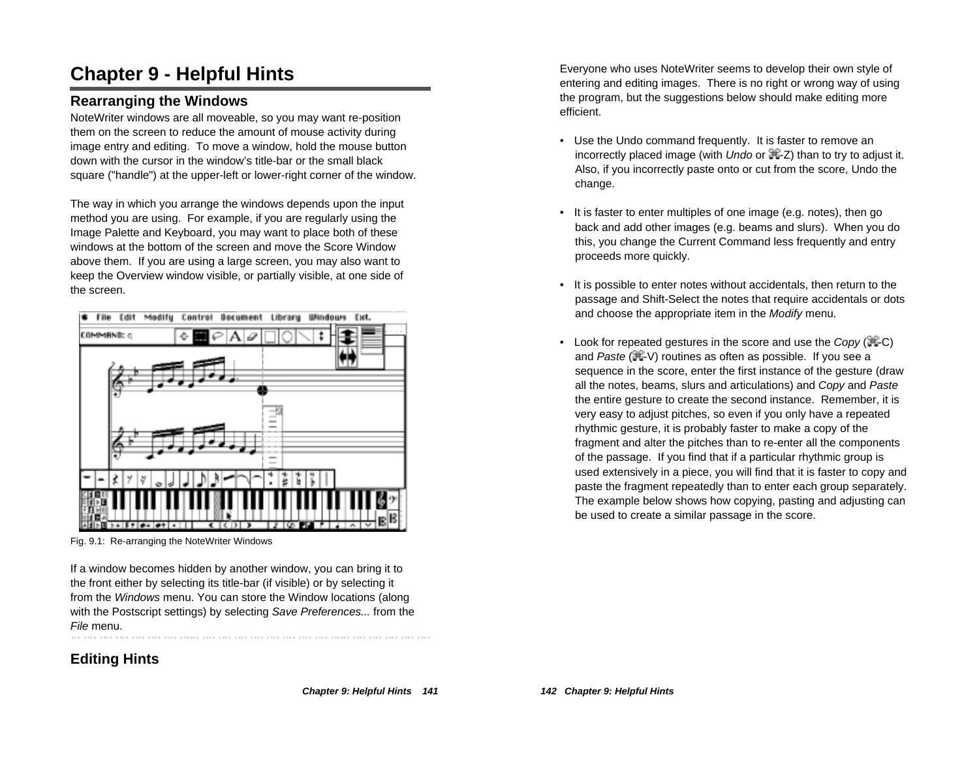# **Chapter 9 - Helpful Hints**

## **Rearranging the Windows**

NoteWriter windows are all moveable, so you may want re-position them on the screen to reduce the amount of mouse activity during image entry and editing. To move a window, hold the mouse button down with the cursor in the window's title-bar or the small black square ("handle") at the upper-left or lower-right corner of the window.

The way in which you arrange the windows depends upon the input method you are using. For example, if you are regularly using the Image Palette and Keyboard, you may want to place both of these windows at the bottom of the screen and move the Score Window above them. If you are using a large screen, you may also want to keep the Overview window visible, or partially visible, at one side of the screen.



Fig. 9.1: Re-arranging the NoteWriter Windows

If a window becomes hidden by another window, you can bring it to the front either by selecting its title-bar (if visible) or by selecting it from the Windows menu. You can store the Window locations (along with the Postscript settings) by selecting Save Preferences... from the File menu.

# **Editing Hints**

Everyone who uses NoteWriter seems to develop their own style of entering and editing images. There is no right or wrong way of using the program, but the suggestions below should make editing more efficient.

- Use the Undo command frequently. It is faster to remove an incorrectly placed image (with  $U$ ndo or  $\mathbb{H}$ -Z) than to try to adjust it. Also, if you incorrectly paste onto or cut from the score, Undo the change.
- It is faster to enter multiples of one image (e.g. notes), then go back and add other images (e.g. beams and slurs). When you do this, you change the Current Command less frequently and entry proceeds more quickly.
- It is possible to enter notes without accidentals, then return to the passage and Shift-Select the notes that require accidentals or dots and choose the appropriate item in the Modify menu.
- Look for repeated gestures in the score and use the Copy ( $\equiv$ -C) and Paste ( $\mathbb{H}$ -V) routines as often as possible. If you see a sequence in the score, enter the first instance of the gesture (draw all the notes, beams, slurs and articulations) and Copy and Paste the entire gesture to create the second instance. Remember, it is very easy to adjust pitches, so even if you only have a repeated rhythmic gesture, it is probably faster to make a copy of the fragment and alter the pitches than to re-enter all the components of the passage. If you find that if a particular rhythmic group is used extensively in a piece, you will find that it is faster to copy and paste the fragment repeatedly than to enter each group separately. The example below shows how copying, pasting and adjusting can be used to create a similar passage in the score.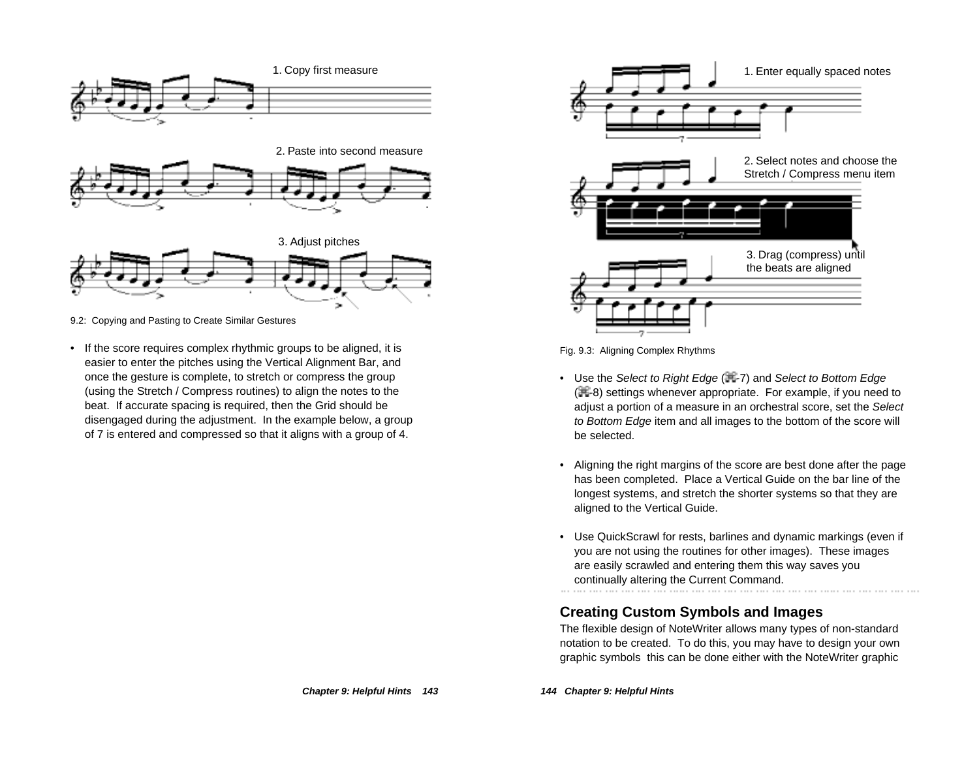

9.2: Copying and Pasting to Create Similar Gestures

• If the score requires complex rhythmic groups to be aligned, it is easier to enter the pitches using the Vertical Alignment Bar, and once the gesture is complete, to stretch or compress the group (using the Stretch / Compress routines) to align the notes to the beat. If accurate spacing is required, then the Grid should be disengaged during the adjustment. In the example below, a group of 7 is entered and compressed so that it aligns with a group of 4.



Fig. 9.3: Aligning Complex Rhythms

- Use the Select to Right Edge (再-7) and Select to Bottom Edge ( $\frac{1}{2}$ -8) settings whenever appropriate. For example, if you need to adjust a portion of a measure in an orchestral score, set the Select to Bottom Edge item and all images to the bottom of the score will be selected.
- Aligning the right margins of the score are best done after the page has been completed. Place a Vertical Guide on the bar line of the longest systems, and stretch the shorter systems so that they are aligned to the Vertical Guide.
- Use QuickScrawl for rests, barlines and dynamic markings (even if you are not using the routines for other images). These images are easily scrawled and entering them this way saves you continually altering the Current Command.

### **Creating Custom Symbols and Images**

The flexible design of NoteWriter allows many types of non-standard notation to be created. To do this, you may have to design your own graphic symbols this can be done either with the NoteWriter graphic

**144 Chapter 9: Helpful Hints**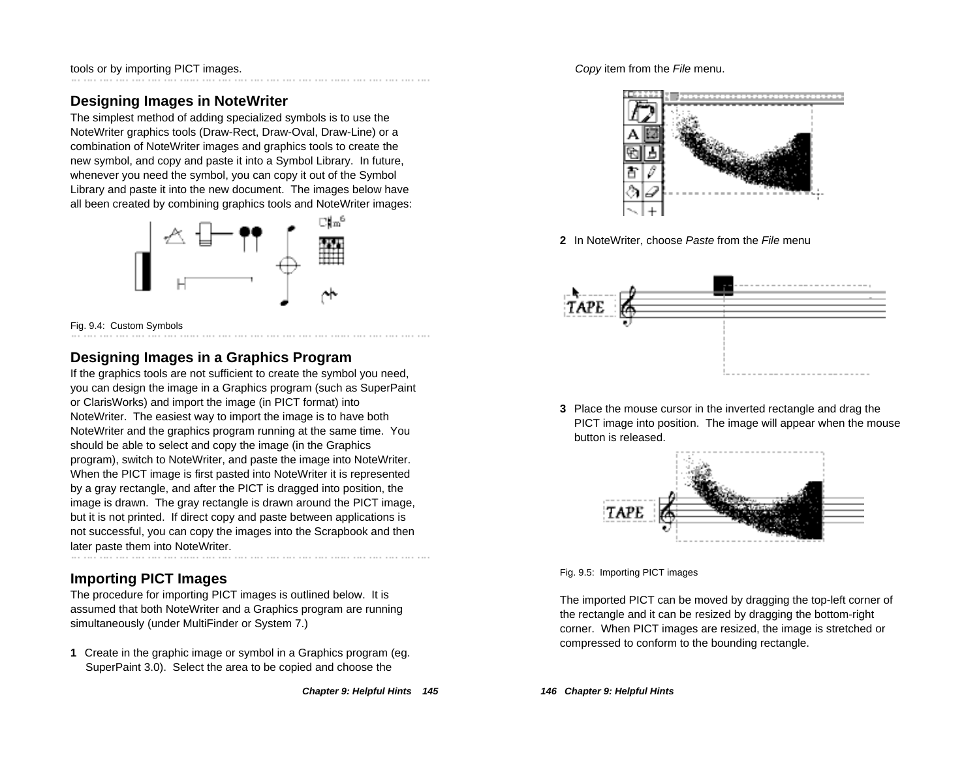tools or by importing PICT images.

# **Designing Images in NoteWriter**

The simplest method of adding specialized symbols is to use the NoteWriter graphics tools (Draw-Rect, Draw-Oval, Draw-Line) or a combination of NoteWriter images and graphics tools to create the new symbol, and copy and paste it into a Symbol Library. In future, whenever you need the symbol, you can copy it out of the Symbol Library and paste it into the new document. The images below have all been created by combining graphics tools and NoteWriter images:



Fig. 9.4: Custom Symbols

# **Designing Images in a Graphics Program**

If the graphics tools are not sufficient to create the symbol you need, you can design the image in a Graphics program (such as SuperPaint or ClarisWorks) and import the image (in PICT format) into NoteWriter. The easiest way to import the image is to have both NoteWriter and the graphics program running at the same time. You should be able to select and copy the image (in the Graphics program), switch to NoteWriter, and paste the image into NoteWriter. When the PICT image is first pasted into NoteWriter it is represented by a gray rectangle, and after the PICT is dragged into position, the image is drawn. The gray rectangle is drawn around the PICT image, but it is not printed. If direct copy and paste between applications is not successful, you can copy the images into the Scrapbook and then later paste them into NoteWriter.

# **Importing PICT Images**

The procedure for importing PICT images is outlined below. It is assumed that both NoteWriter and a Graphics program are running simultaneously (under MultiFinder or System 7.)

**1** Create in the graphic image or symbol in a Graphics program (eg. SuperPaint 3.0). Select the area to be copied and choose the

#### Copy item from the File menu.



**2** In NoteWriter, choose Paste from the File menu



**3** Place the mouse cursor in the inverted rectangle and drag the PICT image into position. The image will appear when the mouse button is released.



Fig. 9.5: Importing PICT images

The imported PICT can be moved by dragging the top-left corner of the rectangle and it can be resized by dragging the bottom-right corner. When PICT images are resized, the image is stretched or compressed to conform to the bounding rectangle.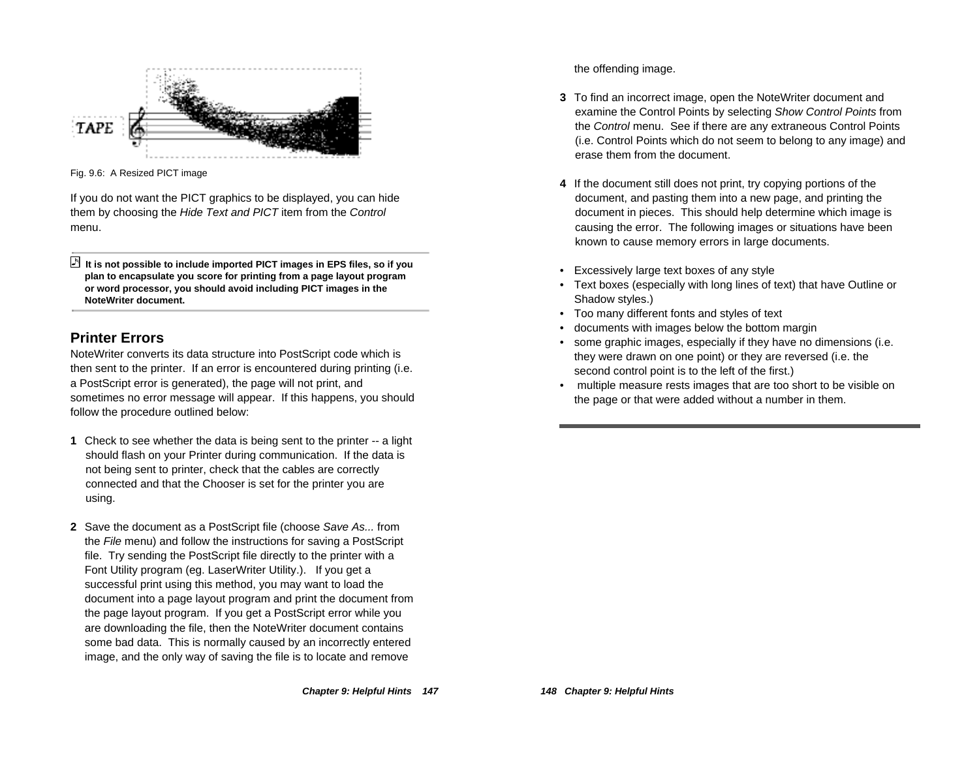

Fig. 9.6: A Resized PICT image

If you do not want the PICT graphics to be displayed, you can hide them by choosing the Hide Text and PICT item from the Control menu.

 **It is not possible to include imported PICT images in EPS files, so if you plan to encapsulate you score for printing from a page layout program or word processor, you should avoid including PICT images in the NoteWriter document.**

# **Printer Errors**

NoteWriter converts its data structure into PostScript code which is then sent to the printer. If an error is encountered during printing (i.e. a PostScript error is generated), the page will not print, and sometimes no error message will appear. If this happens, you should follow the procedure outlined below:

- **1** Check to see whether the data is being sent to the printer -- a light should flash on your Printer during communication. If the data is not being sent to printer, check that the cables are correctly connected and that the Chooser is set for the printer you are using.
- **2** Save the document as a PostScript file (choose Save As... from the File menu) and follow the instructions for saving a PostScript file. Try sending the PostScript file directly to the printer with a Font Utility program (eg. LaserWriter Utility.). If you get a successful print using this method, you may want to load the document into a page layout program and print the document from the page layout program. If you get a PostScript error while you are downloading the file, then the NoteWriter document contains some bad data. This is normally caused by an incorrectly entered image, and the only way of saving the file is to locate and remove

the offending image.

- **3** To find an incorrect image, open the NoteWriter document and examine the Control Points by selecting Show Control Points from the Control menu. See if there are any extraneous Control Points (i.e. Control Points which do not seem to belong to any image) and erase them from the document.
- **4** If the document still does not print, try copying portions of the document, and pasting them into a new page, and printing the document in pieces. This should help determine which image is causing the error. The following images or situations have been known to cause memory errors in large documents.
- Excessively large text boxes of any style
- • Text boxes (especially with long lines of text) that have Outline or Shadow styles.)
- Too many different fonts and styles of text
- •documents with images below the bottom margin
- • some graphic images, especially if they have no dimensions (i.e. they were drawn on one point) or they are reversed (i.e. the second control point is to the left of the first.)
- multiple measure rests images that are too short to be visible on the page or that were added without a number in them.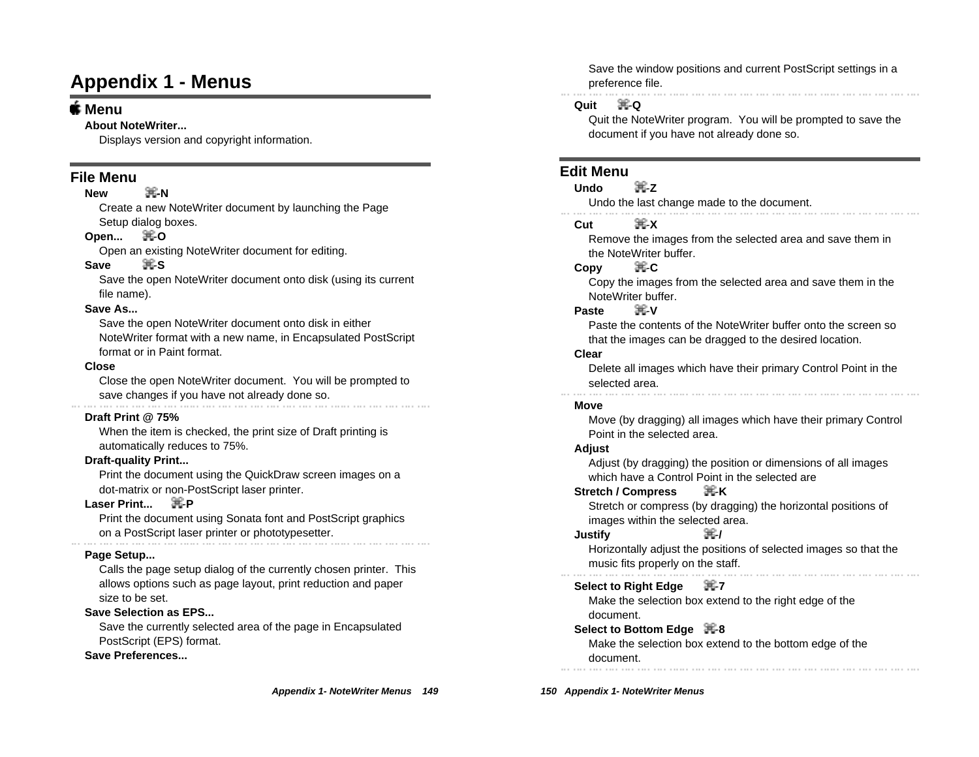# **Appendix 1 - Menus**

#### **Menu**

#### **About NoteWriter...**

Displays version and copyright information.

#### **File Menu**

#### **New H**<sub>R</sub>

Create a new NoteWriter document by launching the Page Setup dialog boxes.

#### **Open...** -**O**

Open an existing NoteWriter document for editing.

#### Save **黑S**

Save the open NoteWriter document onto disk (using its current file name).

#### **Save As...**

Save the open NoteWriter document onto disk in either NoteWriter format with a new name, in Encapsulated PostScript format or in Paint format.

#### **Close**

Close the open NoteWriter document. You will be prompted to save changes if you have not already done so.

#### **Draft Print @ 75%**

When the item is checked, the print size of Draft printing is automatically reduces to 75%.

#### **Draft-quality Print...**

Print the document using the QuickDraw screen images on a dot-matrix or non-PostScript laser printer.

#### Laser Print... 课-P

Print the document using Sonata font and PostScript graphics on a PostScript laser printer or phototypesetter.

#### **Page Setup...**

Calls the page setup dialog of the currently chosen printer. This allows options such as page layout, print reduction and paper size to be set.

#### **Save Selection as EPS...**

Save the currently selected area of the page in Encapsulated PostScript (EPS) format.

#### **Save Preferences...**

Save the window positions and current PostScript settings in a preference file.

#### **Quit** -**Q**

Quit the NoteWriter program. You will be prompted to save the document if you have not already done so.

#### **Edit Menu**

#### **Undo** -**Z**

Undo the last change made to the document.

#### $Cut$   $\mathbb{R} X$

Remove the images from the selected area and save them in the NoteWriter buffer.

#### **Copy** -**C**

Copy the images from the selected area and save them in the NoteWriter buffer.

#### **Paste 黑V**

Paste the contents of the NoteWriter buffer onto the screen so that the images can be dragged to the desired location.

#### **Clear**

Delete all images which have their primary Control Point in the selected area.

#### **Move**

Move (by dragging) all images which have their primary Control Point in the selected area.

#### **Adjust**

Adjust (by dragging) the position or dimensions of all images which have a Control Point in the selected are

#### **Stretch / Compress** -**K**

Stretch or compress (by dragging) the horizontal positions of images within the selected area.

#### **Justify** -**/**

Horizontally adjust the positions of selected images so that the music fits properly on the staff.

# **Select to Right Edge ++7**

Make the selection box extend to the right edge of the document.

#### **Select to Bottom Edge** +8

Make the selection box extend to the bottom edge of the document.

**150 Appendix 1- NoteWriter Menus**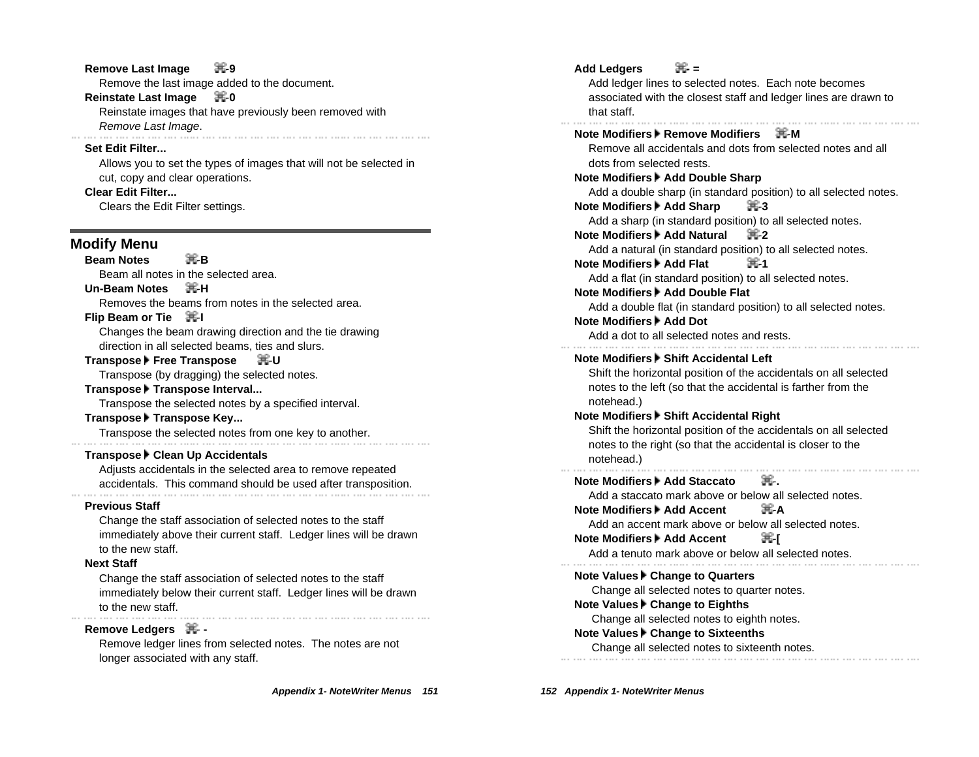#### **Remove Last Image 第9**

Remove the last image added to the document.

#### **Reinstate Last Image 再0**

Reinstate images that have previously been removed with Remove Last Image.

#### **Set Edit Filter...**

Allows you to set the types of images that will not be selected in cut, copy and clear operations.

#### **Clear Edit Filter...**

Clears the Edit Filter settings.

#### **Modify Menu**

**Beam Notes** 课**B** Beam all notes in the selected area.

#### Un-Beam Notes **黒H**

Removes the beams from notes in the selected area.

#### **Flip Beam or Tie 耳-I**

Changes the beam drawing direction and the tie drawing direction in all selected beams, ties and slurs.

#### **Transpose Free Transpose** -**U**

Transpose (by dragging) the selected notes.

#### **Transpose Transpose Interval...**

Transpose the selected notes by a specified interval.

#### Transpose **F** Transpose Key...

Transpose the selected notes from one key to another.<br>  $\ldots$   $\ldots$   $\ldots$   $\ldots$   $\ldots$   $\ldots$   $\ldots$   $\ldots$   $\ldots$   $\ldots$   $\ldots$   $\ldots$   $\ldots$   $\ldots$   $\ldots$ 

#### Transpose **Clean Up Accidentals**

Adjusts accidentals in the selected area to remove repeated accidentals. This command should be used after transposition.

#### **Previous Staff**

Change the staff association of selected notes to the staff immediately above their current staff. Ledger lines will be drawn to the new staff.

#### **Next Staff**

Change the staff association of selected notes to the staff immediately below their current staff. Ledger lines will be drawn to the new staff.

#### **Remove Ledgers <sub>第</sub>-**

Remove ledger lines from selected notes. The notes are not longer associated with any staff.

Add Ledgers **- 第**-Add ledger lines to selected notes. Each note becomes associated with the closest staff and ledger lines are drawn to that staff. **Note Modifiers Remove Modifiers** -**M** Remove all accidentals and dots from selected notes and all dots from selected rests. **Note Modifiers Add Double Sharp** Add a double sharp (in standard position) to all selected notes. **Note Modifiers Add Sharp** -**3** Add a sharp (in standard position) to all selected notes. **Note Modifiers Add Natural** -**2** Add a natural (in standard position) to all selected notes. **Note Modifiers Add Flat** -**1** Add a flat (in standard position) to all selected notes. **Note Modifiers FAdd Double Flat** Add a double flat (in standard position) to all selected notes. **Note Modifiers Add Dot** Add a dot to all selected notes and rests. **Note Modifiers Fight Accidental Left** Shift the horizontal position of the accidentals on all selected notes to the left (so that the accidental is farther from the notehead.) **Note Modifiers Fight Accidental Right** Shift the horizontal position of the accidentals on all selected notes to the right (so that the accidental is closer to the notehead.) **Note Modifiers Add Staccato 课.** Add a staccato mark above or below all selected notes. **Note Modifiers Add Accent** -**A** Add an accent mark above or below all selected notes. **Note Modifiers | Add Accent** | **【** Add a tenuto mark above or below all selected notes. **Note Values ▶ Change to Quarters**  Change all selected notes to quarter notes. **Note Values FChange to Eighths**  Change all selected notes to eighth notes. **Note Values ▶ Change to Sixteenths** Change all selected notes to sixteenth notes.

**152 Appendix 1- NoteWriter Menus**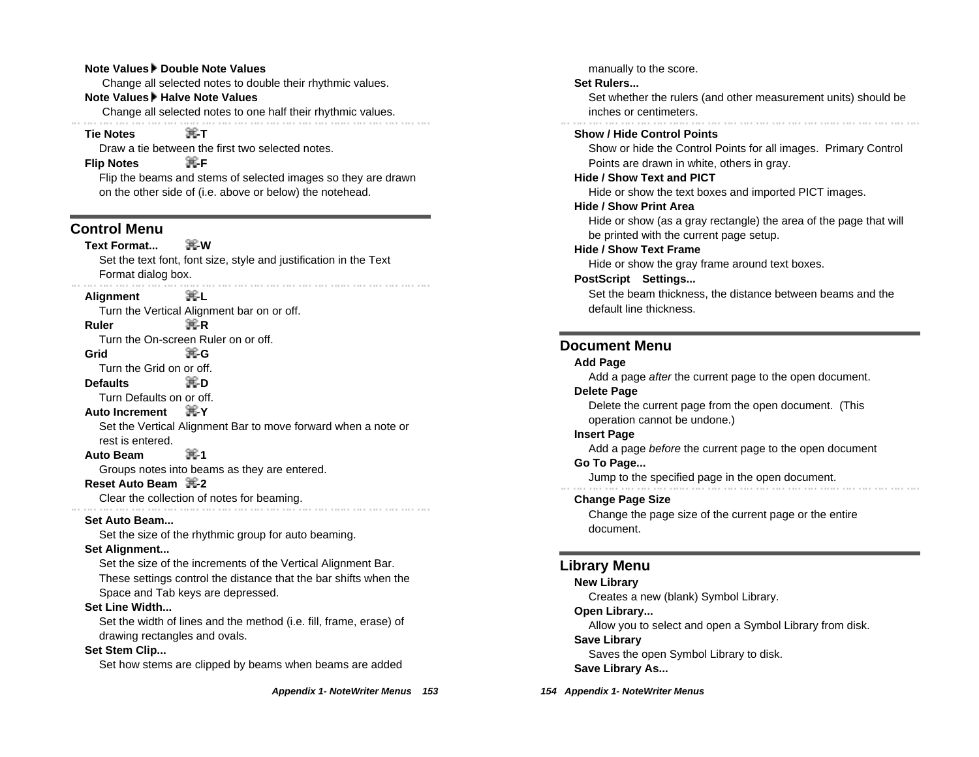#### **Note Values F Double Note Values**

Change all selected notes to double their rhythmic values.

#### **Note Values Halve Note Values**

Change all selected notes to one half their rhythmic values.

#### **Tie Notes -T**

Draw a tie between the first two selected notes.

#### **Flip Notes** 课F

Flip the beams and stems of selected images so they are drawn on the other side of (i.e. above or below) the notehead.

#### **Control Menu**

**Text Format...** -**W** Set the text font, font size, style and justification in the Text Format dialog box.

#### **Alignment** – 工工

Turn the Vertical Alignment bar on or off. **Ruler** 実R

Turn the On-screen Ruler on or off.

**Grid** -**G**

Turn the Grid on or off.

**Defaults** -**D**

Turn Defaults on or off.

#### **Auto Increment** -**Y**

Set the Vertical Alignment Bar to move forward when a note or rest is entered.

#### Auto Beam **ま**1

Groups notes into beams as they are entered.

#### **Reset Auto Beam** = 黑-2

Clear the collection of notes for beaming.

#### **Set Auto Beam...**

Set the size of the rhythmic group for auto beaming.

#### **Set Alignment...**

Set the size of the increments of the Vertical Alignment Bar.

These settings control the distance that the bar shifts when the Space and Tab keys are depressed.

#### **Set Line Width...**

Set the width of lines and the method (i.e. fill, frame, erase) of drawing rectangles and ovals.

#### **Set Stem Clip...**

Set how stems are clipped by beams when beams are added

manually to the score.

#### **Set Rulers...**

Set whether the rulers (and other measurement units) should be inches or centimeters.

#### **Show / Hide Control Points**

Show or hide the Control Points for all images. Primary Control Points are drawn in white, others in gray.

#### **Hide / Show Text and PICT**

Hide or show the text boxes and imported PICT images.

#### **Hide / Show Print Area**

Hide or show (as a gray rectangle) the area of the page that will be printed with the current page setup.

#### **Hide / Show Text Frame**

Hide or show the gray frame around text boxes.

#### **PostScript Settings...**

Set the beam thickness, the distance between beams and the default line thickness.

#### **Document Menu**

#### **Add Page**

Add a page after the current page to the open document. **Delete Page**

# Delete the current page from the open document. (This

operation cannot be undone.)

#### **Insert Page**

Add a page *before* the current page to the open document

#### **Go To Page...**

Jump to the specified page in the open document.

#### **Change Page Size**

Change the page size of the current page or the entire document.

#### **Library Menu**

#### **New Library**

Creates a new (blank) Symbol Library.

#### **Open Library...**

Allow you to select and open a Symbol Library from disk. **Save Library**

Saves the open Symbol Library to disk. **Save Library As...**

**154 Appendix 1- NoteWriter Menus**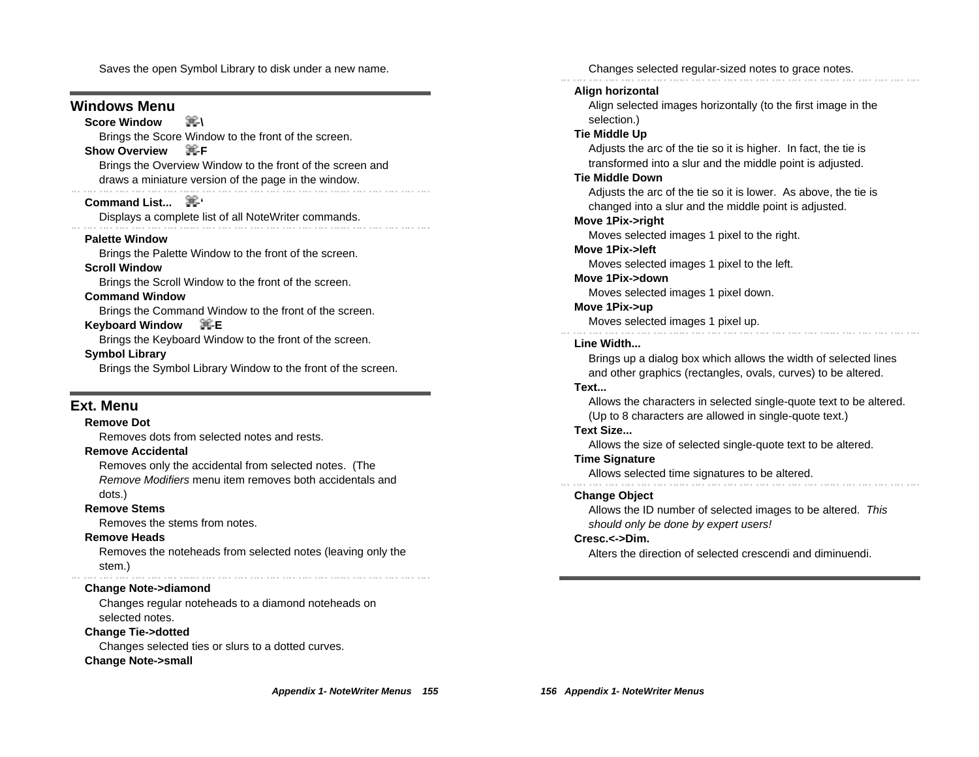Saves the open Symbol Library to disk under a new name.

#### **Windows Menu**

#### **Score Window**  黑-\

Brings the Score Window to the front of the screen.

#### **Show Overview** <sub>H</sub><sub>F</sub>

Brings the Overview Window to the front of the screen and draws a miniature version of the page in the window.

#### **Command List... 再**

Displays a complete list of all NoteWriter commands.

**Palette Window**

Brings the Palette Window to the front of the screen.

#### **Scroll Window**

Brings the Scroll Window to the front of the screen.

#### **Command Window**

Brings the Command Window to the front of the screen.

#### **Keyboard Window** -**E**

Brings the Keyboard Window to the front of the screen.

#### **Symbol Library**

Brings the Symbol Library Window to the front of the screen.

#### **Ext. Menu**

#### **Remove Dot**

Removes dots from selected notes and rests.

#### **Remove Accidental**

Removes only the accidental from selected notes. (The Remove Modifiers menu item removes both accidentals and dots.)

#### **Remove Stems**

Removes the stems from notes.

#### **Remove Heads**

Removes the noteheads from selected notes (leaving only the stem.)

#### **Change Note->diamond**

Changes regular noteheads to a diamond noteheads on selected notes.

#### **Change Tie->dotted**

Changes selected ties or slurs to a dotted curves.

#### **Change Note->small**

**Appendix 1- NoteWriter Menus 155**

Changes selected regular-sized notes to grace notes. **Align horizontal** Align selected images horizontally (to the first image in the selection.) **Tie Middle Up** Adjusts the arc of the tie so it is higher. In fact, the tie is transformed into a slur and the middle point is adjusted. **Tie Middle Down** Adjusts the arc of the tie so it is lower. As above, the tie is changed into a slur and the middle point is adjusted. **Move 1Pix->right** Moves selected images 1 pixel to the right. **Move 1Pix->left** Moves selected images 1 pixel to the left. **Move 1Pix->down** Moves selected images 1 pixel down. **Move 1Pix->up** Moves selected images 1 pixel up. **Line Width...** Brings up a dialog box which allows the width of selected lines and other graphics (rectangles, ovals, curves) to be altered. **Text...** Allows the characters in selected single-quote text to be altered. (Up to 8 characters are allowed in single-quote text.) **Text Size...** Allows the size of selected single-quote text to be altered. **Time Signature** Allows selected time signatures to be altered.<br>  $\ldots \ldots \ldots \ldots \ldots$ **Change Object** Allows the ID number of selected images to be altered. This should only be done by expert users! **Cresc.<->Dim.** Alters the direction of selected crescendi and diminuendi.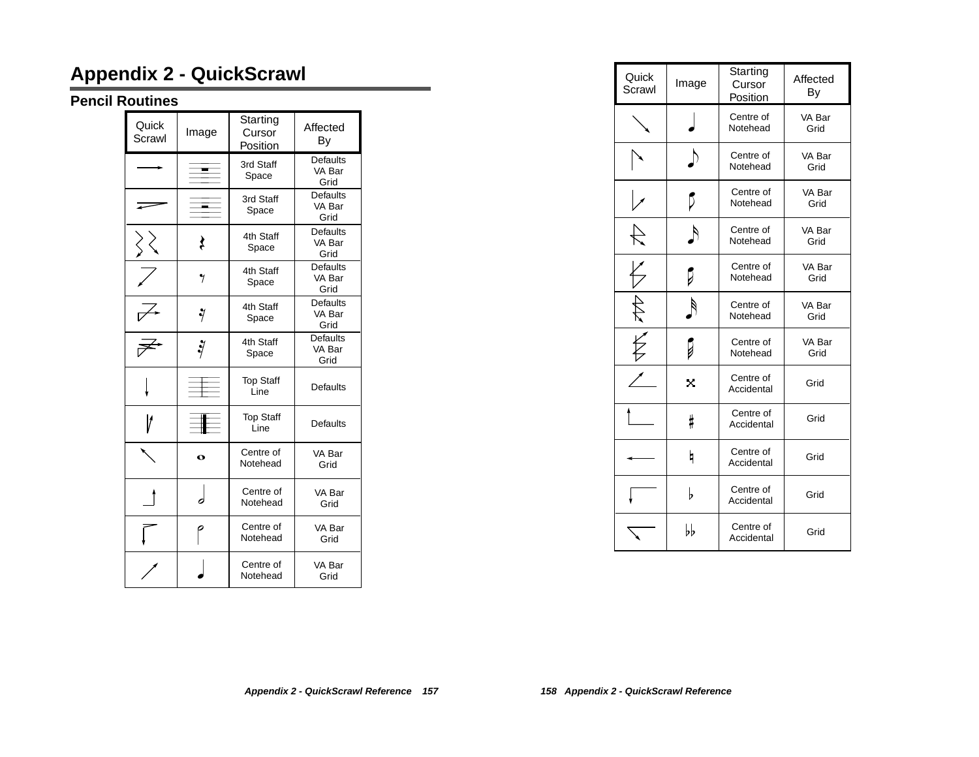# **Appendix 2 - QuickScrawl**

### **Pencil Routines**

| Quick<br>Scrawl | Image       | Starting<br>Cursor<br>Position | Affected<br>Вy                    |
|-----------------|-------------|--------------------------------|-----------------------------------|
|                 |             | 3rd Staff<br>Space             | <b>Defaults</b><br>VA Bar<br>Grid |
|                 |             | 3rd Staff<br>Space             | <b>Defaults</b><br>VA Bar<br>Grid |
|                 | ₹           | 4th Staff<br>Space             | Defaults<br>VA Bar<br>Grid        |
|                 | 7           | 4th Staff<br>Space             | <b>Defaults</b><br>VA Bar<br>Grid |
|                 | ý           | 4th Staff<br>Space             | <b>Defaults</b><br>VA Bar<br>Grid |
|                 | Ÿ           | 4th Staff<br>Space             | <b>Defaults</b><br>VA Bar<br>Grid |
|                 |             | <b>Top Staff</b><br>Line       | <b>Defaults</b>                   |
|                 |             | <b>Top Staff</b><br>Line       | <b>Defaults</b>                   |
|                 | $\mathbf o$ | Centre of<br>Notehead          | VA Bar<br>Grid                    |
|                 |             | Centre of<br>Notehead          | VA Bar<br>Grid                    |
|                 |             | Centre of<br>Notehead          | VA Bar<br>Grid                    |
|                 |             | Centre of<br>Notehead          | VA Bar<br>Grid                    |

| Quick<br>Scrawl | Image         | Starting<br>Cursor<br>Position | Affected<br>By |
|-----------------|---------------|--------------------------------|----------------|
|                 |               | Centre of<br>Notehead          | VA Bar<br>Grid |
|                 |               | Centre of<br>Notehead          | VA Bar<br>Grid |
|                 | ঢ়            | Centre of<br>Notehead          | VA Bar<br>Grid |
|                 | $\mathcal{A}$ | Centre of<br>Notehead          | VA Bar<br>Grid |
|                 |               | Centre of<br>Notehead          | VA Bar<br>Grid |
| F               |               | Centre of<br>Notehead          | VA Bar<br>Grid |
|                 |               | Centre of<br>Notehead          | VA Bar<br>Grid |
|                 | x             | Centre of<br>Accidental        | Grid           |
|                 | ⋕             | Centre of<br>Accidental        | Grid           |
|                 | h             | Centre of<br>Accidental        | Grid           |
|                 | b             | Centre of<br>Accidental        | Grid           |
|                 | bb            | Centre of<br>Accidental        | Grid           |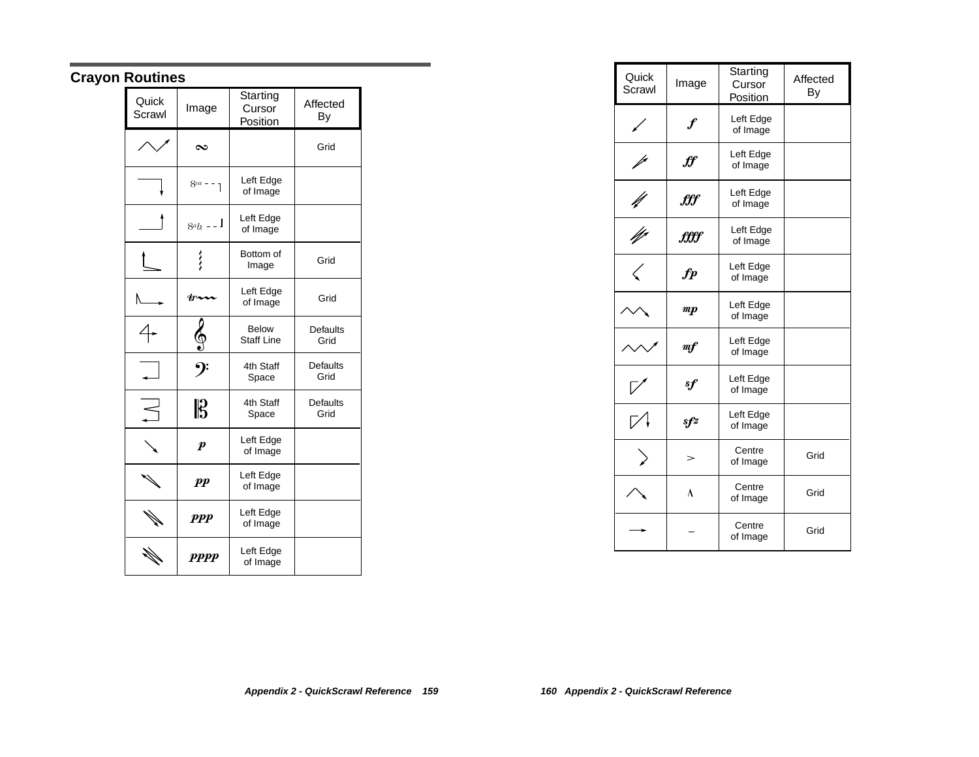# **Crayon Routines**

| Quick<br>Scrawl | Image            | Starting<br>Cursor<br>Position    | Affected<br>By          |
|-----------------|------------------|-----------------------------------|-------------------------|
|                 | $\infty$         |                                   | Grid                    |
|                 | $8va - 1$        | Left Edge<br>of Image             |                         |
|                 | $8ab - 1$        | Left Edge<br>of Image             |                         |
|                 | ∕∕               | Bottom of<br>Image                | Grid                    |
|                 | str∡             | Left Edge<br>of Image             | Grid                    |
|                 |                  | <b>Below</b><br><b>Staff Line</b> | <b>Defaults</b><br>Grid |
|                 |                  | 4th Staff<br>Space                | <b>Defaults</b><br>Grid |
|                 | $\mathbb{B}$     | 4th Staff<br>Space                | <b>Defaults</b><br>Grid |
|                 | $\boldsymbol{p}$ | Left Edge<br>of Image             |                         |
|                 | $\boldsymbol{p}$ | Left Edge<br>of Image             |                         |
|                 | <i>ppp</i>       | Left Edge<br>of Image             |                         |
|                 | <b>PPPP</b>      | Left Edge<br>of Image             |                         |

| Quick<br>Scrawl | Image                            | Starting<br>Cursor<br>Position | Affected<br>By |
|-----------------|----------------------------------|--------------------------------|----------------|
|                 | $\boldsymbol{f}$                 | Left Edge<br>of Image          |                |
|                 | $\boldsymbol{f}\!\boldsymbol{f}$ | Left Edge<br>of Image          |                |
|                 | fff                              | Left Edge<br>of Image          |                |
| N               | <i>€€€</i>                       | Left Edge<br>of Image          |                |
|                 | $\boldsymbol{fp}$                | Left Edge<br>of Image          |                |
|                 | $\boldsymbol{m}$                 | Left Edge<br>of Image          |                |
|                 | m f                              | Left Edge<br>of Image          |                |
|                 | sf                               | Left Edge<br>of Image          |                |
|                 | sfz                              | Left Edge<br>of Image          |                |
|                 |                                  | Centre<br>of Image             | Grid           |
|                 | ٨                                | Centre<br>of Image             | Grid           |
|                 |                                  | Centre<br>of Image             | Grid           |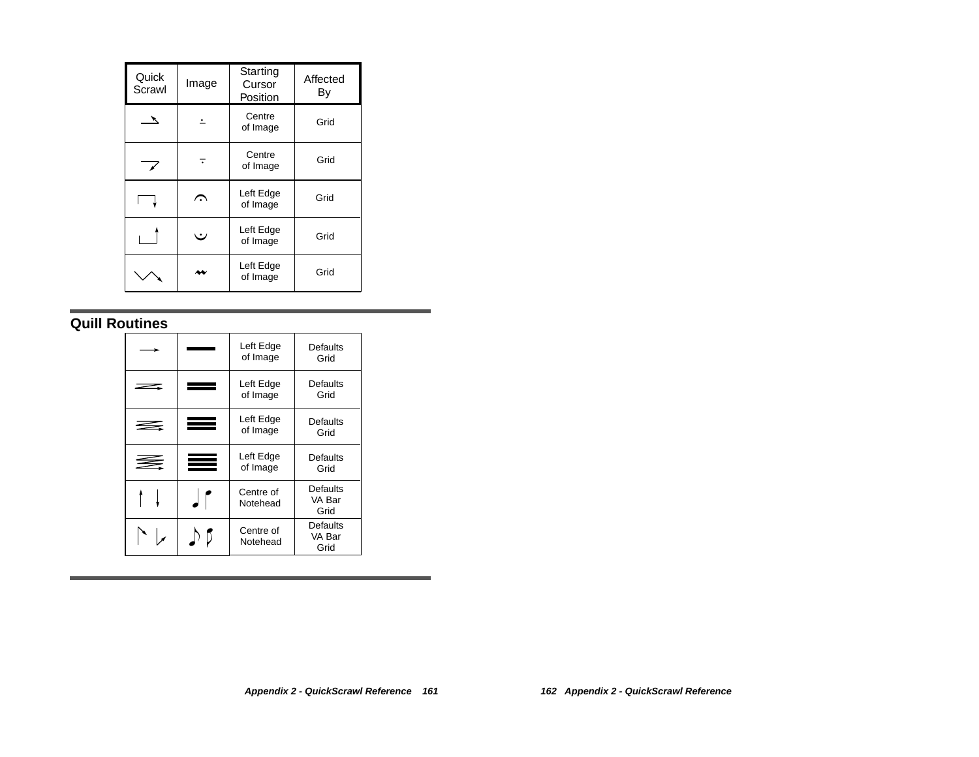| Quick<br>Scrawl | Image | Starting<br>Cursor<br>Position | Affected<br>By |
|-----------------|-------|--------------------------------|----------------|
|                 |       | Centre<br>of Image             | Grid           |
| $\mathbf{z}$    |       | Centre<br>of Image             | Grid           |
|                 | ⌒     | Left Edge<br>of Image          | Grid           |
|                 | ٠.    | Left Edge<br>of Image          | Grid           |
|                 |       | Left Edge<br>of Image          | Grid           |

## **Quill Routines**

|          | Left Edge<br>of Image | Defaults<br>Grid           |
|----------|-----------------------|----------------------------|
|          | Left Edge<br>of Image | Defaults<br>Grid           |
| $\equiv$ | Left Edge<br>of Image | Defaults<br>Grid           |
| ₹        | Left Edge<br>of Image | Defaults<br>Grid           |
|          | Centre of<br>Notehead | Defaults<br>VA Bar<br>Grid |
|          | Centre of<br>Notehead | Defaults<br>VA Bar<br>Grid |

٠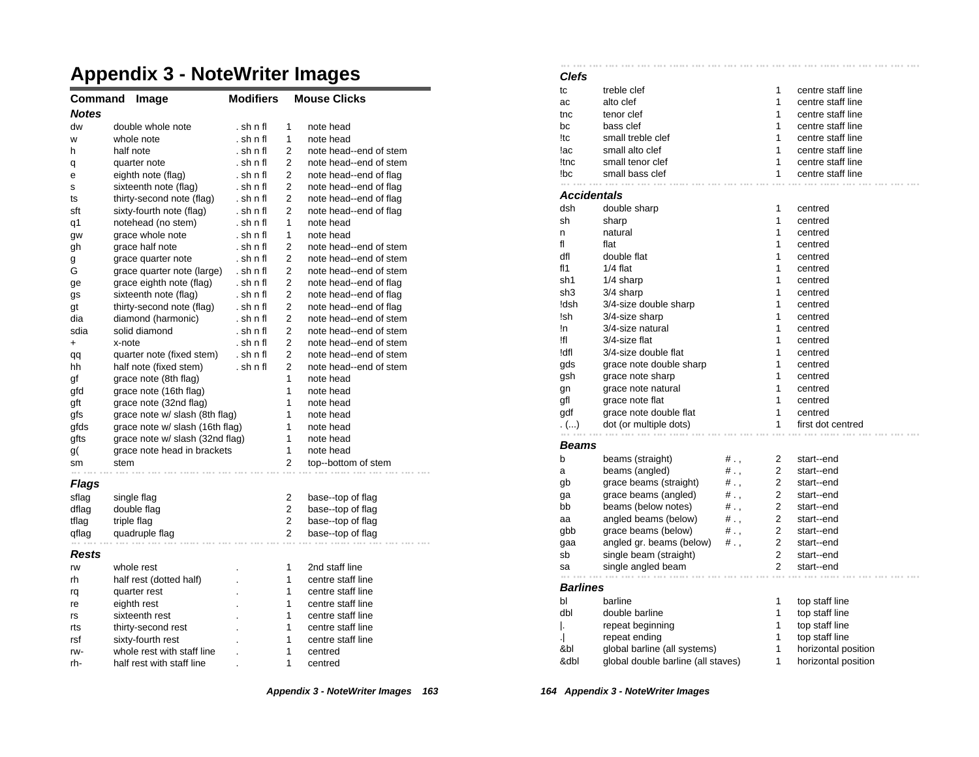# **Appendix 3 - NoteWriter Images**

| Command<br>Image |                                 | <b>Modifiers</b> |                | <b>Mouse Clicks</b>    |  |  |
|------------------|---------------------------------|------------------|----------------|------------------------|--|--|
| <b>Notes</b>     |                                 |                  |                |                        |  |  |
| dw               | double whole note               | . sh n fl        | 1              | note head              |  |  |
| W                | whole note                      | . sh n fl        | 1              | note head              |  |  |
| h                | half note                       | . sh n fl        | $\overline{2}$ | note head--end of stem |  |  |
| q                | quarter note                    | . sh n fl        | 2              | note head--end of stem |  |  |
| е                | eighth note (flag)              | . sh n fl        | 2              | note head--end of flag |  |  |
| s                | sixteenth note (flag)           | . sh n fl        | $\overline{2}$ | note head--end of flag |  |  |
| ts               | thirty-second note (flag)       | . sh n fl        | 2              | note head--end of flag |  |  |
| sft              | sixty-fourth note (flag)        | . sh n fl        | 2              | note head--end of flag |  |  |
| q1               | notehead (no stem)              | . sh n fl        | 1              | note head              |  |  |
| gw               | grace whole note                | . sh n fl        | 1              | note head              |  |  |
| gh               | grace half note                 | . sh n fl        | $\overline{2}$ | note head--end of stem |  |  |
| g                | grace quarter note              | . sh n fl        | $\overline{2}$ | note head--end of stem |  |  |
| G                | grace quarter note (large)      | . sh n fl        | $\overline{2}$ | note head--end of stem |  |  |
| ge               | grace eighth note (flag)        | . sh n fl        | 2              | note head--end of flag |  |  |
| gs               | sixteenth note (flag)           | . sh n fl        | 2              | note head--end of flag |  |  |
| gt               | thirty-second note (flag)       | . sh n fl        | 2              | note head--end of flag |  |  |
| dia              | diamond (harmonic)              | . sh n fl        | 2              | note head--end of stem |  |  |
| sdia             | solid diamond                   | . sh n fl        | 2              | note head--end of stem |  |  |
| +                | x-note                          | . sh n fl        | 2              | note head--end of stem |  |  |
| qq               | quarter note (fixed stem)       | . sh n fl        | 2              | note head--end of stem |  |  |
| hh               | half note (fixed stem)          | . sh n fl        | $\overline{2}$ | note head--end of stem |  |  |
| gf               | grace note (8th flag)           |                  | 1              | note head              |  |  |
| gfd              | grace note (16th flag)          |                  | 1              | note head              |  |  |
| gft              | grace note (32nd flag)          |                  | 1              | note head              |  |  |
| gfs              | grace note w/ slash (8th flag)  |                  | 1              | note head              |  |  |
| gfds             | grace note w/ slash (16th flag) |                  | 1              | note head              |  |  |
| gfts             | grace note w/ slash (32nd flag) |                  | 1              | note head              |  |  |
| g(               | grace note head in brackets     |                  | 1              | note head              |  |  |
| sm               | stem                            |                  | 2              | top--bottom of stem    |  |  |
| Flags            |                                 |                  |                |                        |  |  |
| sflag            | single flag                     |                  | 2              | base--top of flag      |  |  |
| dflag            | double flag                     |                  | 2              | base--top of flag      |  |  |
| tflag            | triple flag                     |                  | $\overline{2}$ | base--top of flag      |  |  |
| qflag            | quadruple flag                  |                  | 2              | base--top of flag      |  |  |
| Rests            |                                 |                  |                |                        |  |  |
| rw               | whole rest                      |                  | 1              | 2nd staff line         |  |  |
| rh               | half rest (dotted half)         |                  | 1              | centre staff line      |  |  |
| rq               | quarter rest                    |                  | 1              | centre staff line      |  |  |
| re               | eighth rest                     |                  | 1              | centre staff line      |  |  |
| rs               | sixteenth rest                  |                  | 1              | centre staff line      |  |  |
| rts              | thirty-second rest              |                  | 1              | centre staff line      |  |  |
| rsf              | sixty-fourth rest               |                  | 1              | centre staff line      |  |  |
| rw-              | whole rest with staff line      |                  | 1              | centred                |  |  |
| rh-              | half rest with staff line       |                  | 1              | centred                |  |  |

**Clefs** tc treble clef 1 centre staff line ac alto clef 1 centre staff line the tenor clef tensor contre staff line bc bass clef 1 centre staff line !tc small treble clef 1 centre staff line lac small alto clef 1 centre staff line !tnc small tenor clef 1 centre staff line !bc small bass clef 1 centre staff line  $\alpha$  ,  $\alpha$  ,  $\alpha$  ,  $\alpha$  ,  $\alpha$ **Accidentals** dsh double sharp 1 centred sh sharp 1 centred n natural 1 centred fl flat flat 1 centred dfl double flat 1 centred fl1 1/4 flat 1 centred sh1 1/4 sharp 1 centred sh3 3/4 sharp 1 centred !dsh 3/4-size double sharp 1 centred !sh 3/4-size sharp 1 centred In 3/4-size natural 1 centred !fl 3/4-size flat 1 centred !dfl 3/4-size double flat 1 centred gds grace note double sharp 1 centred gsh grace note sharp 1 centred gn grace note natural metal manufactured centred gfl grace note flat 1 centred gdf grace note double flat 1 centred . (...) dot (or multiple dots) 1 first dot centred the contract of the contract of the con-**Beams** b beams (straight)  $# . ,$  2 start--end a beams (angled)  $\#$ ., 2 start--end gb grace beams (straight)  $\frac{1}{2}$ , 2 start--end<br>
on a grace beams (angled)  $\frac{1}{2}$ , 2 start--end ga grace beams (angled) # ., 2 start--end bb beams (below notes)  $#$ ., 2 start--end aa angled beams (below) #., 2 start--end gbb grace beams (below) #., 2 start--end gaa angled gr. beams (below) # ., 2 start--end sb single beam (straight) 2 start--end sa single angled beam 2 start--end and the same **Barlines** bl barline 1 top staff line dbl double barline 1 top staff line |. repeat beginning | 1 top staff line .| repeat ending 1 top staff line &bl global barline (all systems) 1 horizontal position

&dbl global double barline (all staves) 1 horizontal position

**Appendix 3 - NoteWriter Images 163**

 $\sim 1000$ 

**Contract** 

**164 Appendix 3 - NoteWriter Images**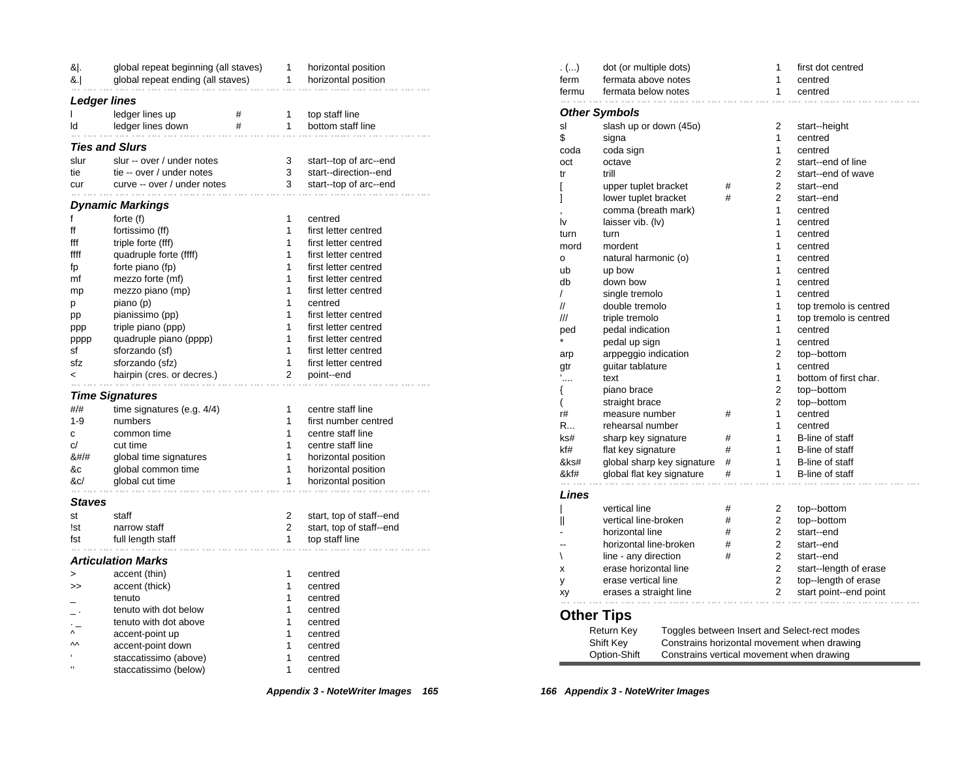| & .                                                 | global repeat beginning (all staves) |                | horizontal position                        |
|-----------------------------------------------------|--------------------------------------|----------------|--------------------------------------------|
| &. <br>global repeat ending (all staves)            |                                      | 1              | horizontal position                        |
| <b>Ledger lines</b>                                 |                                      |                |                                            |
| T<br>ledger lines up                                | #                                    | 1              | top staff line                             |
| ledger lines down<br>ld<br>a di                     | #                                    | 1              | bottom staff line                          |
| <b>Ties and Slurs</b>                               |                                      |                |                                            |
| slur<br>slur -- over / under notes                  |                                      | 3              | start--top of arc--end                     |
| tie<br>tie -- over / under notes                    |                                      | 3              | start--direction--end                      |
| curve -- over / under notes<br>cur<br>a con         |                                      | 3              | start--top of arc--end                     |
| Dynamic Markings                                    |                                      |                |                                            |
| f<br>forte $(f)$                                    |                                      | 1              | centred                                    |
| ff<br>fortissimo (ff)                               |                                      | 1              | first letter centred                       |
| fff<br>triple forte (fff)                           |                                      | 1              | first letter centred                       |
| quadruple forte (ffff)<br>ffff                      |                                      | 1              | first letter centred                       |
| forte piano (fp)<br>fp                              |                                      | 1              | first letter centred                       |
| mezzo forte (mf)<br>mf                              |                                      | 1              | first letter centred                       |
| mezzo piano (mp)<br>mp                              |                                      | 1              | first letter centred                       |
| piano (p)<br>р                                      |                                      | 1              | centred                                    |
| pianissimo (pp)<br>pp                               |                                      | 1              | first letter centred                       |
| triple piano (ppp)<br>ppp                           |                                      | 1              | first letter centred                       |
| quadruple piano (pppp)<br>pppp                      |                                      | 1              | first letter centred                       |
| sforzando (sf)<br>sf                                |                                      | 1              | first letter centred                       |
| sforzando (sfz)<br>sfz                              |                                      | 1              | first letter centred                       |
| hairpin (cres. or decres.)<br>$\,<$                 |                                      | 2              | point--end                                 |
|                                                     |                                      |                |                                            |
| <b>Time Signatures</b><br>#/#                       |                                      | 1              | centre staff line                          |
| time signatures (e.g. $4/4$ )<br>$1 - 9$<br>numbers |                                      | 1              | first number centred                       |
| common time                                         |                                      | 1              | centre staff line                          |
| с                                                   |                                      | 1              |                                            |
| c/<br>cut time                                      |                                      | 1              | centre staff line                          |
| 8#/#<br>global time signatures                      |                                      |                | horizontal position                        |
| &c<br>global common time<br>&c/<br>global cut time  |                                      | 1<br>1         | horizontal position<br>horizontal position |
| $\alpha \rightarrow \alpha \rightarrow \alpha$      |                                      |                |                                            |
| Staves                                              |                                      |                |                                            |
| st<br>staff                                         |                                      | 2              | start, top of staff--end                   |
| narrow staff<br>!st                                 |                                      | $\overline{2}$ | start, top of staff--end                   |
| full length staff<br>fst<br>in a                    |                                      | 1              | top staff line                             |
| <b>Articulation Marks</b>                           |                                      |                |                                            |
| accent (thin)<br>>                                  |                                      | 1              | centred                                    |
| accent (thick)<br>>                                 |                                      | 1              | centred                                    |
| tenuto                                              |                                      | 1              | centred                                    |
| tenuto with dot below                               |                                      | 1              | centred                                    |
| tenuto with dot above                               |                                      | 1              | centred                                    |
| Λ<br>accent-point up                                |                                      | 1              | centred                                    |
| $\mathsf{M}$<br>accent-point down                   |                                      | 1              | centred                                    |
| k.<br>staccatissimo (above)                         |                                      | 1              | centred                                    |
| $\epsilon$<br>staccatissimo (below)                 |                                      | 1              | centred                                    |

| . $()$   | dot (or multiple dots)                                    |                            |   | 1 | first dot centred                            |
|----------|-----------------------------------------------------------|----------------------------|---|---|----------------------------------------------|
| ferm     | fermata above notes                                       |                            |   | 1 | centred                                      |
| fermu    | fermata below notes                                       |                            |   | 1 | centred                                      |
|          | Other Symbols                                             |                            |   |   |                                              |
| sl       | slash up or down (45o)                                    |                            |   | 2 | start--height                                |
| \$       | signa                                                     |                            |   | 1 | centred                                      |
| coda     | coda sign                                                 |                            |   | 1 | centred                                      |
| oct      | octave                                                    |                            |   | 2 | start--end of line                           |
| tr       | trill                                                     |                            |   | 2 | start--end of wave                           |
|          | upper tuplet bracket                                      |                            | # | 2 | start--end                                   |
| l<br>1   | lower tuplet bracket                                      |                            | # | 2 | start--end                                   |
|          | comma (breath mark)                                       |                            |   | 1 | centred                                      |
| l٧       | laisser vib. (Iv)                                         |                            |   | 1 | centred                                      |
| turn     | turn                                                      |                            |   | 1 | centred                                      |
| mord     | mordent                                                   |                            |   | 1 | centred                                      |
| о        | natural harmonic (o)                                      |                            |   | 1 | centred                                      |
| ub       | up bow                                                    |                            |   | 1 | centred                                      |
| db       | down bow                                                  |                            |   | 1 | centred                                      |
| $\prime$ | single tremolo                                            |                            |   | 1 | centred                                      |
| //       | double tremolo                                            |                            |   | 1 | top tremolo is centred                       |
| ///      | triple tremolo                                            |                            |   | 1 | top tremolo is centred                       |
| ped      | pedal indication                                          |                            |   | 1 | centred                                      |
|          | pedal up sign                                             |                            |   | 1 | centred                                      |
|          | arppeggio indication                                      |                            |   | 2 | top--bottom                                  |
| arp      |                                                           |                            |   | 1 | centred                                      |
| gtr      | guitar tablature<br>text                                  |                            |   | 1 | bottom of first char.                        |
| '….      |                                                           |                            |   | 2 |                                              |
| {        | piano brace                                               |                            |   | 2 | top--bottom                                  |
| (        | straight brace                                            |                            |   | 1 | top--bottom                                  |
| r#<br>R  | measure number<br>rehearsal number                        |                            | # | 1 | centred                                      |
|          |                                                           |                            |   | 1 | centred<br>B-line of staff                   |
| ks#      | sharp key signature                                       |                            | # | 1 | B-line of staff                              |
| kf#      | flat key signature                                        |                            | # | 1 |                                              |
| &ks#     |                                                           | global sharp key signature | # |   | B-line of staff                              |
| &kf#     | global flat key signature                                 |                            | # | 1 | B-line of staff                              |
| Lines    |                                                           |                            |   |   |                                              |
|          | vertical line                                             |                            | # | 2 | top--bottom                                  |
| Ш        | vertical line-broken                                      |                            | # | 2 | top--bottom                                  |
|          | horizontal line                                           |                            | # | 2 | start--end                                   |
|          | horizontal line-broken                                    |                            | # | 2 | start--end                                   |
| ∖        | line - any direction                                      |                            | # | 2 | start--end                                   |
| x        | erase horizontal line                                     |                            |   | 2 | start--length of erase                       |
| у        |                                                           | erase vertical line        |   | 2 | top--length of erase                         |
| xy       | erases a straight line                                    |                            |   | 2 | start point--end point                       |
|          |                                                           |                            |   |   |                                              |
|          | Other Tips                                                |                            |   |   |                                              |
|          | Return Key                                                |                            |   |   | Toggles between Insert and Select-rect modes |
|          | Shift Key                                                 |                            |   |   | Constrains horizontal movement when drawing  |
|          | Option-Shift<br>Constrains vertical movement when drawing |                            |   |   |                                              |

**Appendix 3 - NoteWriter Images 165**

**166 Appendix 3 - NoteWriter Images**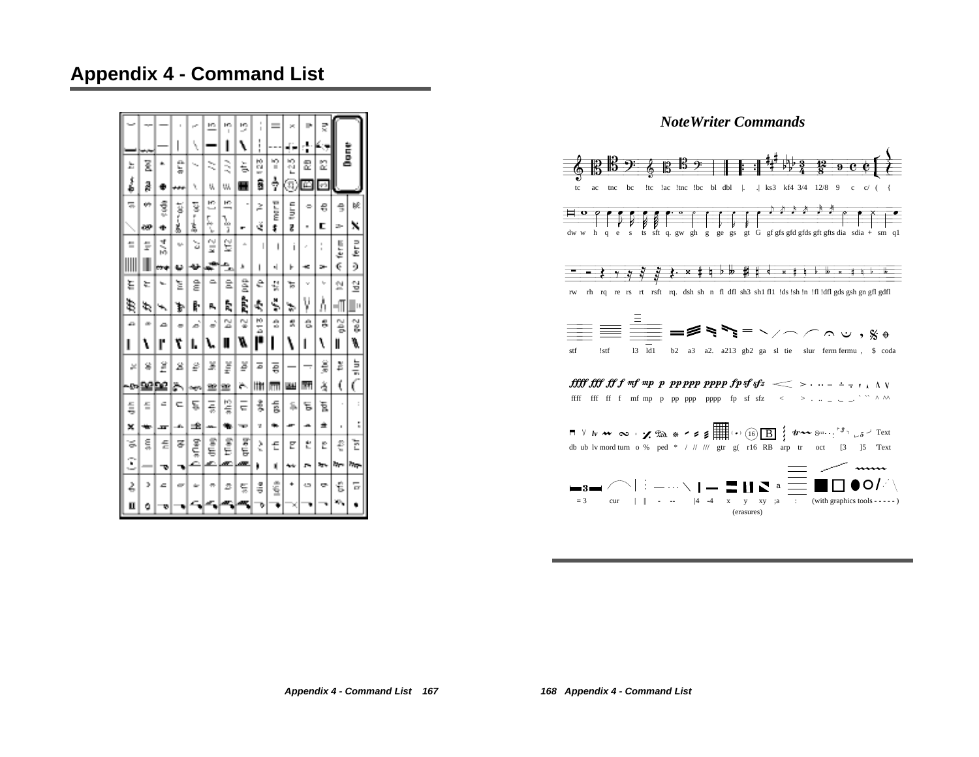# **Appendix 4 - Command List**

|    |         |    |     | r.                          | ĸ             | ю<br>Ï | 2        | $\frac{1}{1}$ | $=$     | ×    | p. | ₹        |          |                   |
|----|---------|----|-----|-----------------------------|---------------|--------|----------|---------------|---------|------|----|----------|----------|-------------------|
|    |         |    | I   | Ŋ.                          |               | ı      | ١        | $\frac{1}{1}$ |         | ⊷    | ÷  |          |          | È                 |
| 뵤  | ξ       | ۰  | t   | $\mathcal{F}_{\mathcal{A}}$ | ≳             | ₹      | 玉        | 23            | n       | 원    | 윲  | Z        |          |                   |
| រំ | ĝ       | Ð  | ,,, | ٧                           | V,            | W,     | н        | ŝ             | ÷       | π,   | 囜  | P3       |          |                   |
| 둒  | m       | ŝ  | ă   | ¥                           | 쁘             | 쁙      |          | Ż             | T LE DE | Į    | ٠  | €        | ŝ        | 皎                 |
|    | œ       | ۰  | ģ   | ś,                          | 5,<br>í,      | ı.     | ÷        | š             | ŧ       | g    | ٠  | c        | ÷        | x                 |
| ŧ  | ţ       | 迁河 | n.  | à                           | $\frac{1}{2}$ | g      | ă.       | I             | ı       | ī    | ï  | II.<br>ı | ţ        | n<br>E            |
| ⊪  |         |    |     | u                           | J.            | ≞      | ۸        | ı             | ٠l      | r    | ÷  | э.       | ¢        | ð                 |
| ξ  | ŕ.      | ъ. | Σ   | ĝ                           | ≏             | â      | â        | ê             | ę       | ъ    | v  | hp.      | 쉋        | 얼                 |
| ŧ  | ¢,      | ∽  | Þ   | ŀ                           | Α,            | ħ,     | i.       | Ą             | Š,      | ₩    | γ  | ٨        | ╢        | ļ.                |
| a  | ×       | ≏  | ۰   | è                           | è             | 싶      | 엏        | ta<br>Di      | ŝ       | 뼸    | ŝ  | š        | š        | ě                 |
| ı  | ١       | ľ  | ۳   | ı.                          |               | I      | ø        | ŕ             |         | ١    | ı  | ١        | II       | ø,                |
| ×  | g       | Ë  | 2   | ₽                           | X             | ğ      | ĕ        | 5             | ą       |      | —  | ŝ        | ě        | ă                 |
|    | പ്പള്ളു |    | ä۱  | n yn                        | 宣             | 壟      | è.       | lit           | m       | 패    | 酎  | å        | ţ        | C                 |
| 듷  | 들       | c  | с   | ë                           | Ę             | 陰氣     | $\equiv$ | 訁             | 듧       | 菰    | ξ  | ā        | $\alpha$ | $\frac{1}{2}$     |
| ×  | ₩       | ᅲ  | s.  | 圡                           |               | ٠      | ÷        | u             | ۰.      | æ    | ۰  | ±        | $\,$     | t                 |
| ă. | 틊       | £  | z   | iUtd                        | dfiag         | Î      | qfl.aq   | ζ             | £       | E    | ٣  | Ĕ        | €        | E                 |
| Ξ  | -       | ాం |     |                             |               | æ      | æ        | b             | Ń       | يبيه | r, | ۰,       | h,       | $\eta_{\rm{QCD}}$ |
| 2  | э       | ۵  | ÷   |                             | ÷             | s      | 듳        | ã             | ŝ       | ۰    | ده | ÷        | ť        | 듕                 |
| Ц  | ٥       | v  |     |                             |               |        |          | ۰             |         |      |    |          | ×,       |                   |

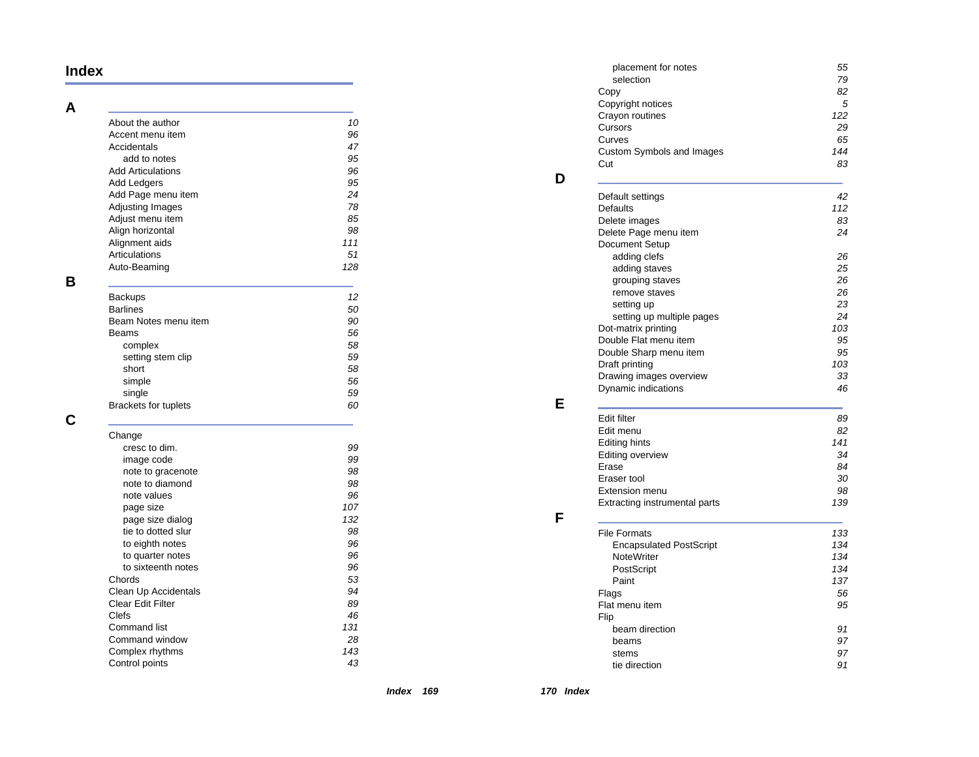#### **Index**

#### **A**

 $\overline{\phantom{a}}$ 

|   | About the author<br>Accent menu item<br>Accidentals<br>add to notes<br><b>Add Articulations</b><br>Add Ledgers<br>Add Page menu item<br><b>Adjusting Images</b><br>Adjust menu item<br>Align horizontal<br>Alignment aids<br>Articulations<br>Auto-Beaming | 10<br>96<br>47<br>95<br>96<br>95<br>24<br>78<br>85<br>98<br>111<br>51<br>128 |
|---|------------------------------------------------------------------------------------------------------------------------------------------------------------------------------------------------------------------------------------------------------------|------------------------------------------------------------------------------|
| в |                                                                                                                                                                                                                                                            |                                                                              |
|   | <b>Backups</b>                                                                                                                                                                                                                                             | 12                                                                           |
|   | <b>Barlines</b>                                                                                                                                                                                                                                            | 50                                                                           |
|   | Beam Notes menu item                                                                                                                                                                                                                                       | 90                                                                           |
|   | <b>Beams</b>                                                                                                                                                                                                                                               | 56                                                                           |
|   | complex<br>setting stem clip                                                                                                                                                                                                                               | 58<br>59                                                                     |
|   | short                                                                                                                                                                                                                                                      | 58                                                                           |
|   | simple                                                                                                                                                                                                                                                     | 56                                                                           |
|   | single                                                                                                                                                                                                                                                     | 59                                                                           |
|   | Brackets for tuplets                                                                                                                                                                                                                                       | 60                                                                           |
|   |                                                                                                                                                                                                                                                            |                                                                              |
|   | Change                                                                                                                                                                                                                                                     |                                                                              |
|   | cresc to dim.                                                                                                                                                                                                                                              | 99                                                                           |
|   | image code                                                                                                                                                                                                                                                 | 99                                                                           |
|   | note to gracenote                                                                                                                                                                                                                                          | 98                                                                           |
|   | note to diamond                                                                                                                                                                                                                                            | 98                                                                           |
|   | note values                                                                                                                                                                                                                                                | 96                                                                           |
|   | page size                                                                                                                                                                                                                                                  | 107                                                                          |
|   | page size dialog                                                                                                                                                                                                                                           | 132                                                                          |
|   | tie to dotted slur                                                                                                                                                                                                                                         | 98                                                                           |
|   | to eighth notes                                                                                                                                                                                                                                            | 96                                                                           |
|   | to quarter notes                                                                                                                                                                                                                                           | 96                                                                           |
|   | to sixteenth notes                                                                                                                                                                                                                                         | 96                                                                           |
|   | Chords                                                                                                                                                                                                                                                     | 53                                                                           |
|   | Clean Up Accidentals<br>Clear Edit Filter                                                                                                                                                                                                                  | 94<br>89                                                                     |
|   | Clefs                                                                                                                                                                                                                                                      | 46                                                                           |
|   | <b>Command list</b>                                                                                                                                                                                                                                        | 131                                                                          |
|   | Command window                                                                                                                                                                                                                                             | 28                                                                           |
|   | Complex rhythms                                                                                                                                                                                                                                            | 143                                                                          |
|   | Control points                                                                                                                                                                                                                                             | 43                                                                           |

| placement for notes                            | 55        |
|------------------------------------------------|-----------|
| selection                                      | 79        |
| Copy                                           | 82        |
| Copyright notices                              | 5         |
| Crayon routines                                | 122       |
| Cursors                                        | 29        |
| Curves                                         | 65        |
| <b>Custom Symbols and Images</b><br>Cut        | 144<br>83 |
|                                                |           |
| Default settings                               | 42        |
| <b>Defaults</b>                                | 112       |
| Delete images                                  | 83        |
| Delete Page menu item                          | 24        |
| Document Setup                                 |           |
| adding clefs                                   | 26        |
| adding staves                                  | 25        |
| grouping staves                                | 26        |
| remove staves                                  | 26        |
| setting up                                     | 23        |
| setting up multiple pages                      | 24        |
| Dot-matrix printing                            | 103       |
| Double Flat menu item                          | 95        |
| Double Sharp menu item                         | 95        |
| Draft printing                                 | 103       |
| Drawing images overview<br>Dynamic indications | 33<br>46  |
|                                                |           |
| Edit filter                                    | 89        |
| Edit menu                                      | 82        |
| Editing hints                                  | 141       |
| Editing overview                               | 34        |
| Erase                                          | 84        |
| Eraser tool                                    | 30        |
| <b>Extension menu</b>                          | 98<br>139 |
| <b>Extracting instrumental parts</b>           |           |
| <b>File Formats</b>                            | 133       |
| <b>Encapsulated PostScript</b>                 | 134       |
| NoteWriter                                     | 134       |
| PostScript                                     | 134       |
| Paint                                          | 137       |
| Flags                                          | 56        |
| Flat menu item                                 | 95        |
| Flip                                           |           |
| beam direction                                 | 91        |
| beams                                          | 97        |
| stems                                          | 97        |
| tie direction                                  | 91        |
|                                                |           |

**170 Index** 

**D**

**E**

**F**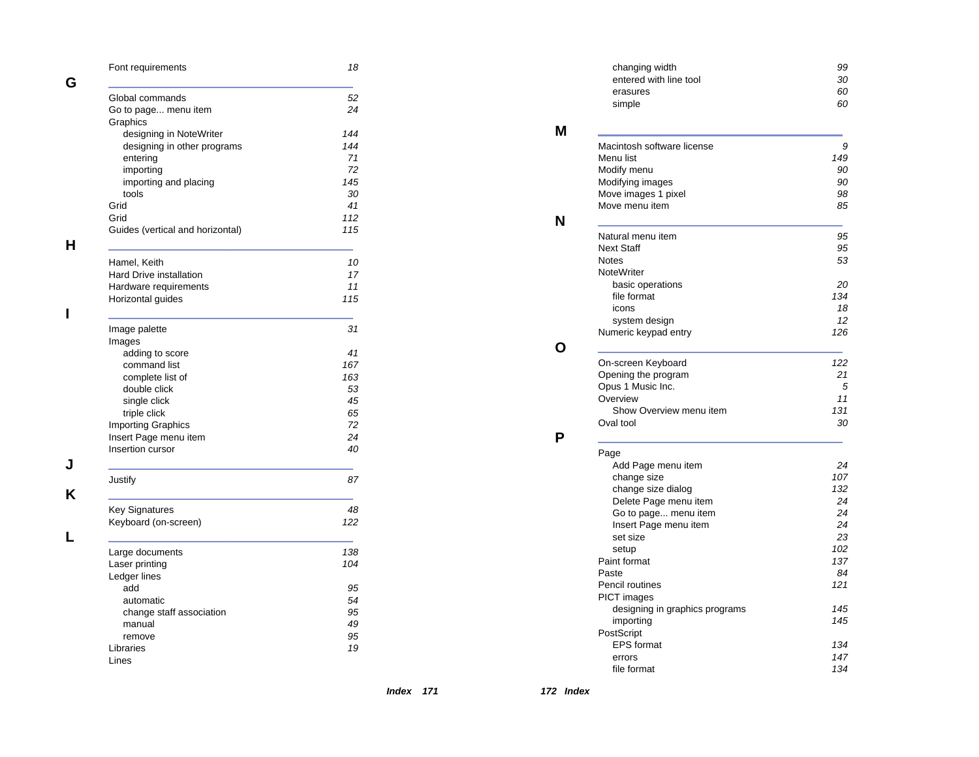|   | Font requirements                | 18        |
|---|----------------------------------|-----------|
| G |                                  |           |
|   | Global commands                  | 52<br>24  |
|   | Go to page menu item<br>Graphics |           |
|   | designing in NoteWriter          | 144       |
|   | designing in other programs      | 144       |
|   | entering                         | 71        |
|   | importing                        | 72        |
|   | importing and placing            | 145<br>30 |
|   | tools<br>Grid                    | 41        |
|   | Grid                             | 112       |
|   | Guides (vertical and horizontal) | 115       |
| н |                                  |           |
|   | Hamel, Keith                     | 10        |
|   | <b>Hard Drive installation</b>   | 17        |
|   | Hardware requirements            | 11        |
|   | Horizontal guides                | 115       |
| ı |                                  |           |
|   | Image palette                    | 31        |
|   | Images                           |           |
|   | adding to score                  | 41        |
|   | command list                     | 167       |
|   | complete list of                 | 163       |
|   | double click<br>single click     | 53<br>45  |
|   | triple click                     | 65        |
|   | <b>Importing Graphics</b>        | 72        |
|   | Insert Page menu item            | 24        |
|   | Insertion cursor                 | 40        |
|   |                                  |           |
|   | Justify                          | 87        |
| κ |                                  |           |
|   | <b>Key Signatures</b>            | 48        |
|   | Keyboard (on-screen)             | 122       |
|   |                                  |           |
|   | Large documents                  | 138       |
|   | Laser printing                   | 104       |
|   | Ledger lines                     |           |
|   | add                              | 95        |
|   | automatic                        | 54        |
|   | change staff association         | 95        |
|   | manual                           | 49<br>95  |
|   | remove<br>Libraries              | 19        |
|   | Lines                            |           |
|   |                                  |           |

| changing width<br>entered with line tool | 99<br>30          |
|------------------------------------------|-------------------|
| erasures                                 | 60                |
| simple                                   | 60                |
| Macintosh software license               | 9                 |
| Menu list                                | 149               |
| Modify menu                              | 90                |
| Modifying images                         | 90<br>98          |
| Move images 1 pixel<br>Move menu item    | 85                |
| Natural menu item                        | 95                |
| <b>Next Staff</b>                        | 95                |
| Notes                                    | 53                |
| <b>NoteWriter</b>                        |                   |
| basic operations                         | 20                |
| file format                              | 134               |
| icons                                    | 18                |
| system design                            | 12<br>126         |
| Numeric keypad entry                     |                   |
| On-screen Keyboard                       | 122               |
| Opening the program                      | 21                |
| Opus 1 Music Inc.<br>Overview            | 5<br>11           |
| Show Overview menu item                  | 131               |
| Oval tool                                | 30                |
| Page                                     |                   |
| Add Page menu item                       | 24                |
| change size                              | 107               |
| change size dialog                       | 132               |
| Delete Page menu item                    | 24                |
| Go to page menu item                     | 24                |
| Insert Page menu item                    | 24<br>23          |
| set size<br>setup                        | 102               |
| Paint format                             | 137               |
| Paste                                    | 84                |
| Pencil routines                          | 121               |
| <b>PICT</b> images                       |                   |
| designing in graphics programs           | 145               |
| importing                                | 145               |
| PostScript                               |                   |
|                                          |                   |
| <b>EPS</b> format                        |                   |
| errors<br>file format                    | 134<br>147<br>134 |

**172 Index** 

**M**

**N**

**O**

**P**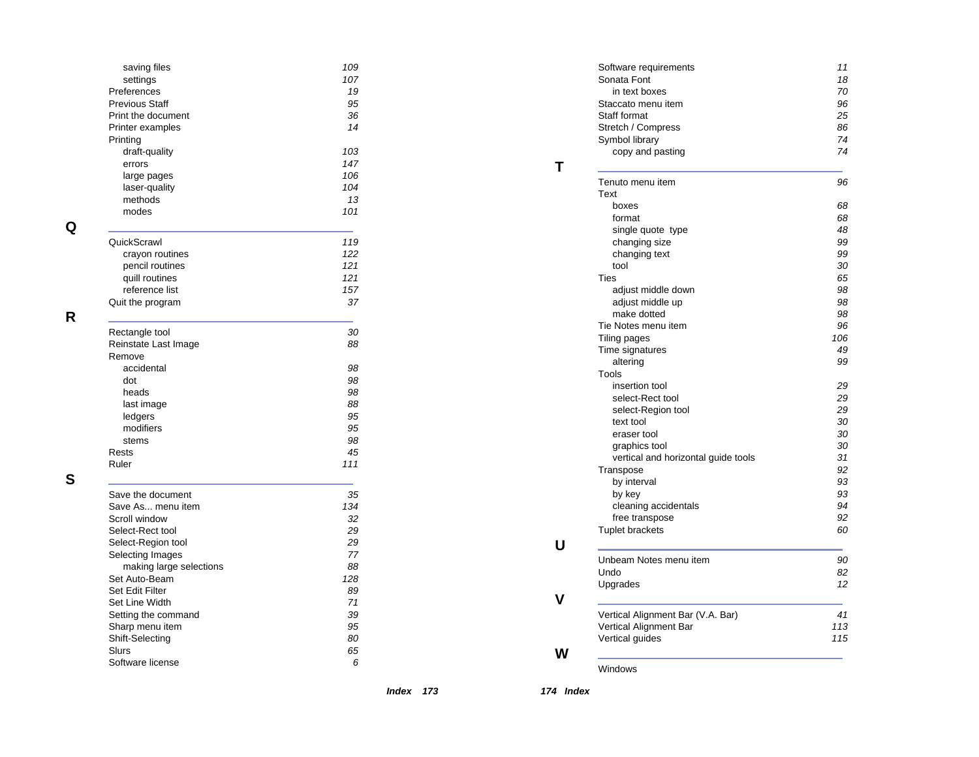| saving files            | 109        |
|-------------------------|------------|
| settings                | 107        |
| Preferences             | 19         |
| <b>Previous Staff</b>   | 95         |
| Print the document      | 36         |
| Printer examples        | 14         |
| Printing                |            |
| draft-quality           | 103<br>147 |
| errors                  |            |
| large pages             | 106        |
| laser-quality           | 104        |
| methods                 | 13         |
| modes                   | 101        |
| QuickScrawl             | 119        |
| crayon routines         | 122        |
| pencil routines         | 121        |
| quill routines          | 121        |
| reference list          | 157        |
| Quit the program        | 37         |
| Rectangle tool          | 30         |
| Reinstate Last Image    | 88         |
| Remove                  |            |
| accidental              | 98         |
| dot                     | 98         |
| heads                   | 98         |
| last image              | 88         |
| ledgers                 | 95         |
| modifiers               | 95         |
| stems                   | 98         |
| Rests                   | 45         |
| Ruler                   | 111        |
| Save the document       | 35         |
| Save As menu item       | 134        |
| Scroll window           | 32         |
| Select-Rect tool        | 29         |
| Select-Region tool      | 29         |
| Selecting Images        | 77         |
| making large selections | 88         |
| Set Auto-Beam           | 128        |
| Set Edit Filter         | 89         |
| Set Line Width          | 71         |
| Setting the command     | 39         |
| Sharp menu item         | 95         |
| Shift-Selecting         | 80         |
| Slurs                   | 65         |
| Software license        | 6          |
|                         |            |

**Q**

**R**

**S**

| Sonata Font<br>in text boxes<br>70<br>96<br>Staccato menu item<br>Staff format<br>25<br>Stretch / Compress<br>86<br>74<br>Symbol library<br>copy and pasting<br>74<br>Tenuto menu item<br>96<br>Text<br>boxes<br>format<br>single quote type<br>changing size<br>changing text<br>tool<br>Ties<br>adjust middle down<br>adjust middle up<br>make dotted<br>Tie Notes menu item<br>Tiling pages<br>Time signatures<br>altering<br>Tools<br>insertion tool<br>select-Rect tool<br>select-Region tool<br>text tool<br>eraser tool<br>graphics tool<br>vertical and horizontal guide tools<br>Transpose<br>by interval<br>by key<br>cleaning accidentals<br>free transpose<br><b>Tuplet brackets</b><br>Unbeam Notes menu item<br>90<br>Undo<br>82<br>Upgrades | 11  |
|------------------------------------------------------------------------------------------------------------------------------------------------------------------------------------------------------------------------------------------------------------------------------------------------------------------------------------------------------------------------------------------------------------------------------------------------------------------------------------------------------------------------------------------------------------------------------------------------------------------------------------------------------------------------------------------------------------------------------------------------------------|-----|
|                                                                                                                                                                                                                                                                                                                                                                                                                                                                                                                                                                                                                                                                                                                                                            | 18  |
|                                                                                                                                                                                                                                                                                                                                                                                                                                                                                                                                                                                                                                                                                                                                                            |     |
|                                                                                                                                                                                                                                                                                                                                                                                                                                                                                                                                                                                                                                                                                                                                                            |     |
|                                                                                                                                                                                                                                                                                                                                                                                                                                                                                                                                                                                                                                                                                                                                                            |     |
|                                                                                                                                                                                                                                                                                                                                                                                                                                                                                                                                                                                                                                                                                                                                                            |     |
|                                                                                                                                                                                                                                                                                                                                                                                                                                                                                                                                                                                                                                                                                                                                                            |     |
|                                                                                                                                                                                                                                                                                                                                                                                                                                                                                                                                                                                                                                                                                                                                                            |     |
|                                                                                                                                                                                                                                                                                                                                                                                                                                                                                                                                                                                                                                                                                                                                                            |     |
|                                                                                                                                                                                                                                                                                                                                                                                                                                                                                                                                                                                                                                                                                                                                                            |     |
|                                                                                                                                                                                                                                                                                                                                                                                                                                                                                                                                                                                                                                                                                                                                                            | 68  |
|                                                                                                                                                                                                                                                                                                                                                                                                                                                                                                                                                                                                                                                                                                                                                            | 68  |
|                                                                                                                                                                                                                                                                                                                                                                                                                                                                                                                                                                                                                                                                                                                                                            | 48  |
|                                                                                                                                                                                                                                                                                                                                                                                                                                                                                                                                                                                                                                                                                                                                                            | 99  |
|                                                                                                                                                                                                                                                                                                                                                                                                                                                                                                                                                                                                                                                                                                                                                            | 99  |
|                                                                                                                                                                                                                                                                                                                                                                                                                                                                                                                                                                                                                                                                                                                                                            | 30  |
|                                                                                                                                                                                                                                                                                                                                                                                                                                                                                                                                                                                                                                                                                                                                                            | 65  |
|                                                                                                                                                                                                                                                                                                                                                                                                                                                                                                                                                                                                                                                                                                                                                            | 98  |
|                                                                                                                                                                                                                                                                                                                                                                                                                                                                                                                                                                                                                                                                                                                                                            | 98  |
|                                                                                                                                                                                                                                                                                                                                                                                                                                                                                                                                                                                                                                                                                                                                                            | 98  |
|                                                                                                                                                                                                                                                                                                                                                                                                                                                                                                                                                                                                                                                                                                                                                            | 96  |
|                                                                                                                                                                                                                                                                                                                                                                                                                                                                                                                                                                                                                                                                                                                                                            | 106 |
|                                                                                                                                                                                                                                                                                                                                                                                                                                                                                                                                                                                                                                                                                                                                                            | 49  |
|                                                                                                                                                                                                                                                                                                                                                                                                                                                                                                                                                                                                                                                                                                                                                            | 99  |
|                                                                                                                                                                                                                                                                                                                                                                                                                                                                                                                                                                                                                                                                                                                                                            |     |
|                                                                                                                                                                                                                                                                                                                                                                                                                                                                                                                                                                                                                                                                                                                                                            | 29  |
|                                                                                                                                                                                                                                                                                                                                                                                                                                                                                                                                                                                                                                                                                                                                                            | 29  |
|                                                                                                                                                                                                                                                                                                                                                                                                                                                                                                                                                                                                                                                                                                                                                            | 29  |
|                                                                                                                                                                                                                                                                                                                                                                                                                                                                                                                                                                                                                                                                                                                                                            | 30  |
|                                                                                                                                                                                                                                                                                                                                                                                                                                                                                                                                                                                                                                                                                                                                                            | 30  |
|                                                                                                                                                                                                                                                                                                                                                                                                                                                                                                                                                                                                                                                                                                                                                            | 30  |
|                                                                                                                                                                                                                                                                                                                                                                                                                                                                                                                                                                                                                                                                                                                                                            | 31  |
|                                                                                                                                                                                                                                                                                                                                                                                                                                                                                                                                                                                                                                                                                                                                                            | 92  |
|                                                                                                                                                                                                                                                                                                                                                                                                                                                                                                                                                                                                                                                                                                                                                            | 93  |
|                                                                                                                                                                                                                                                                                                                                                                                                                                                                                                                                                                                                                                                                                                                                                            | 93  |
|                                                                                                                                                                                                                                                                                                                                                                                                                                                                                                                                                                                                                                                                                                                                                            | 94  |
|                                                                                                                                                                                                                                                                                                                                                                                                                                                                                                                                                                                                                                                                                                                                                            | 92  |
|                                                                                                                                                                                                                                                                                                                                                                                                                                                                                                                                                                                                                                                                                                                                                            | 60  |
|                                                                                                                                                                                                                                                                                                                                                                                                                                                                                                                                                                                                                                                                                                                                                            |     |
|                                                                                                                                                                                                                                                                                                                                                                                                                                                                                                                                                                                                                                                                                                                                                            |     |
|                                                                                                                                                                                                                                                                                                                                                                                                                                                                                                                                                                                                                                                                                                                                                            | 12  |
|                                                                                                                                                                                                                                                                                                                                                                                                                                                                                                                                                                                                                                                                                                                                                            |     |
| Vertical Alignment Bar (V.A. Bar)                                                                                                                                                                                                                                                                                                                                                                                                                                                                                                                                                                                                                                                                                                                          | 41  |
| Vertical Alignment Bar                                                                                                                                                                                                                                                                                                                                                                                                                                                                                                                                                                                                                                                                                                                                     | 113 |
| Vertical guides                                                                                                                                                                                                                                                                                                                                                                                                                                                                                                                                                                                                                                                                                                                                            | 115 |
| Windows                                                                                                                                                                                                                                                                                                                                                                                                                                                                                                                                                                                                                                                                                                                                                    |     |

**174 Index**